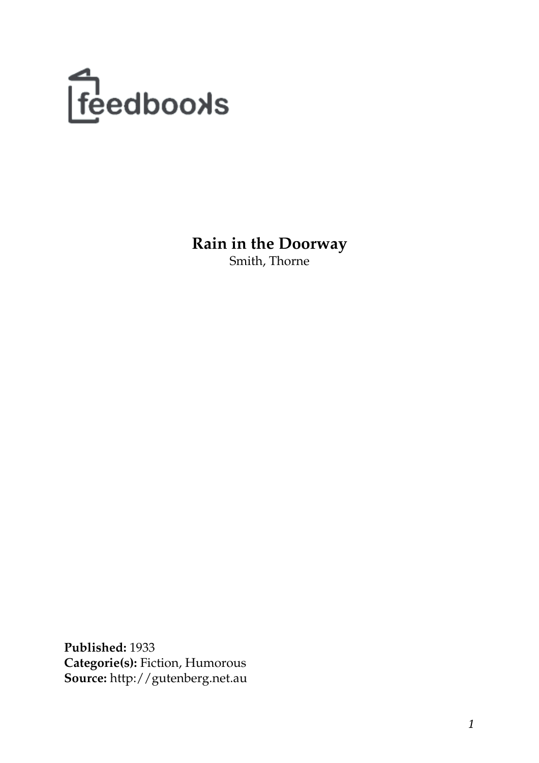

**Rain in the Doorway** Smith, Thorne

**Published:** 1933 **Categorie(s):** Fiction, Humorous **Source:** http://gutenberg.net.au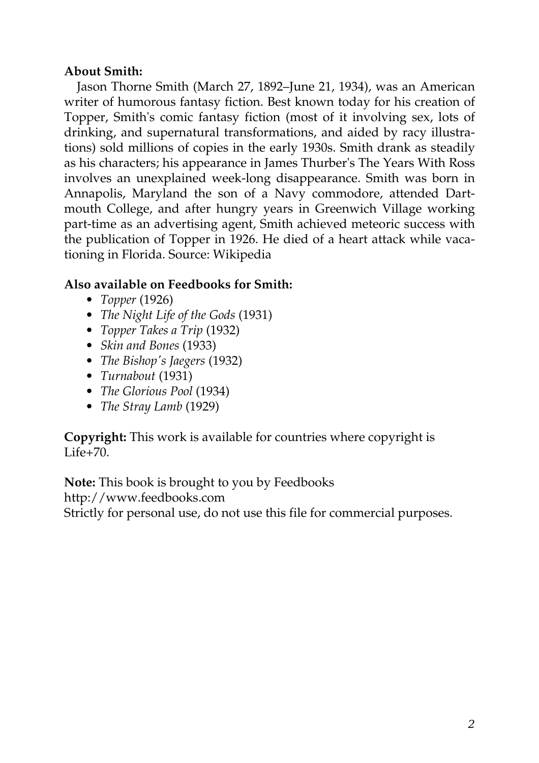#### **About Smith:**

Jason Thorne Smith (March 27, 1892–June 21, 1934), was an American writer of humorous fantasy fiction. Best known today for his creation of Topper, Smith's comic fantasy fiction (most of it involving sex, lots of drinking, and supernatural transformations, and aided by racy illustrations) sold millions of copies in the early 1930s. Smith drank as steadily as his characters; his appearance in James Thurber's The Years With Ross involves an unexplained week-long disappearance. Smith was born in Annapolis, Maryland the son of a Navy commodore, attended Dartmouth College, and after hungry years in Greenwich Village working part-time as an advertising agent, Smith achieved meteoric success with the publication of Topper in 1926. He died of a heart attack while vacationing in Florida. Source: Wikipedia

#### **Also available on Feedbooks for Smith:**

- *[Topper](http://generation.feedbooks.com/book/1497.pdf)* (1926)
- *[The Night Life of the Gods](http://generation.feedbooks.com/book/1498.pdf)* (1931)
- *[Topper Takes a Trip](http://generation.feedbooks.com/book/1512.pdf)* (1932)
- *[Skin and Bones](http://generation.feedbooks.com/book/1533.pdf)* (1933)
- *[The Bishop's Jaegers](http://generation.feedbooks.com/book/1522.pdf)* (1932)
- *[Turnabout](http://generation.feedbooks.com/book/1511.pdf)* (1931)
- *[The Glorious Pool](http://generation.feedbooks.com/book/1534.pdf)* (1934)
- *[The Stray Lamb](http://generation.feedbooks.com/book/1499.pdf)* (1929)

**Copyright:** This work is available for countries where copyright is [Life+70](http://en.wikisource.org/wiki/Help:Public_domain#Copyright_terms_by_country).

**Note:** This book is brought to you by Feedbooks

<http://www.feedbooks.com>

Strictly for personal use, do not use this file for commercial purposes.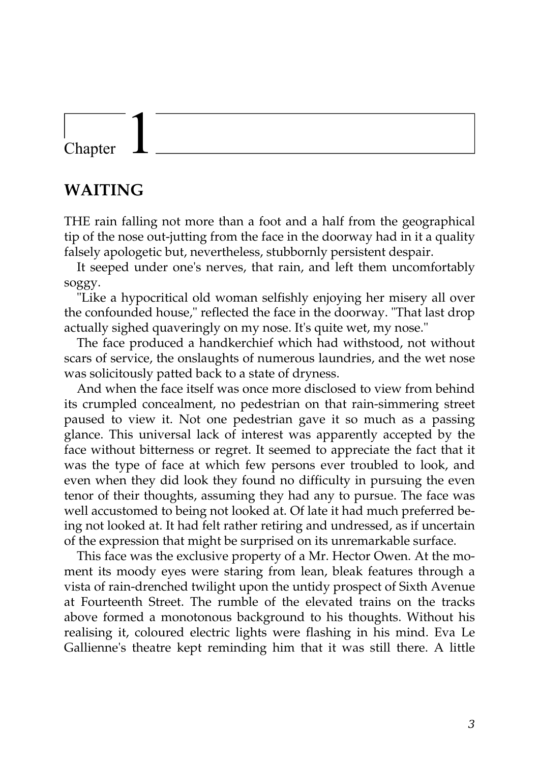### Chapter

#### **WAITING**

THE rain falling not more than a foot and a half from the geographical tip of the nose out-jutting from the face in the doorway had in it a quality falsely apologetic but, nevertheless, stubbornly persistent despair.

It seeped under one's nerves, that rain, and left them uncomfortably soggy.

"Like a hypocritical old woman selfishly enjoying her misery all over the confounded house," reflected the face in the doorway. "That last drop actually sighed quaveringly on my nose. It's quite wet, my nose."

The face produced a handkerchief which had withstood, not without scars of service, the onslaughts of numerous laundries, and the wet nose was solicitously patted back to a state of dryness.

And when the face itself was once more disclosed to view from behind its crumpled concealment, no pedestrian on that rain-simmering street paused to view it. Not one pedestrian gave it so much as a passing glance. This universal lack of interest was apparently accepted by the face without bitterness or regret. It seemed to appreciate the fact that it was the type of face at which few persons ever troubled to look, and even when they did look they found no difficulty in pursuing the even tenor of their thoughts, assuming they had any to pursue. The face was well accustomed to being not looked at. Of late it had much preferred being not looked at. It had felt rather retiring and undressed, as if uncertain of the expression that might be surprised on its unremarkable surface.

This face was the exclusive property of a Mr. Hector Owen. At the moment its moody eyes were staring from lean, bleak features through a vista of rain-drenched twilight upon the untidy prospect of Sixth Avenue at Fourteenth Street. The rumble of the elevated trains on the tracks above formed a monotonous background to his thoughts. Without his realising it, coloured electric lights were flashing in his mind. Eva Le Gallienne's theatre kept reminding him that it was still there. A little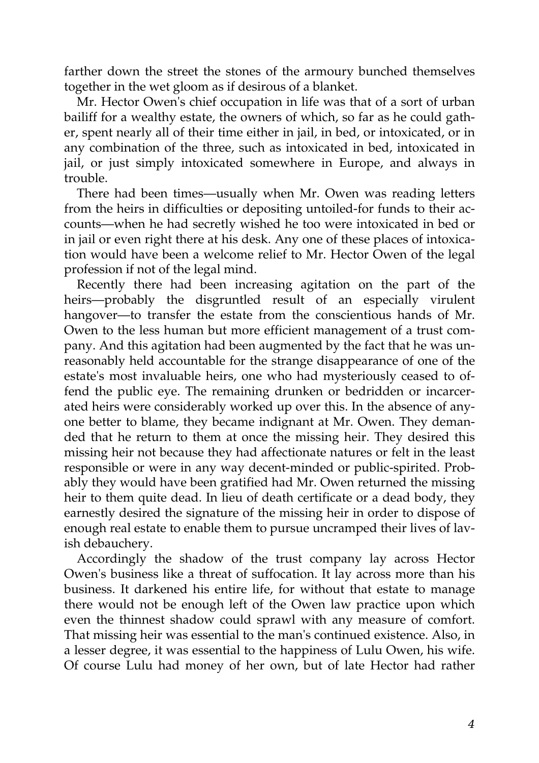farther down the street the stones of the armoury bunched themselves together in the wet gloom as if desirous of a blanket.

Mr. Hector Owen's chief occupation in life was that of a sort of urban bailiff for a wealthy estate, the owners of which, so far as he could gather, spent nearly all of their time either in jail, in bed, or intoxicated, or in any combination of the three, such as intoxicated in bed, intoxicated in jail, or just simply intoxicated somewhere in Europe, and always in trouble.

There had been times—usually when Mr. Owen was reading letters from the heirs in difficulties or depositing untoiled-for funds to their accounts—when he had secretly wished he too were intoxicated in bed or in jail or even right there at his desk. Any one of these places of intoxication would have been a welcome relief to Mr. Hector Owen of the legal profession if not of the legal mind.

Recently there had been increasing agitation on the part of the heirs—probably the disgruntled result of an especially virulent hangover—to transfer the estate from the conscientious hands of Mr. Owen to the less human but more efficient management of a trust company. And this agitation had been augmented by the fact that he was unreasonably held accountable for the strange disappearance of one of the estate's most invaluable heirs, one who had mysteriously ceased to offend the public eye. The remaining drunken or bedridden or incarcerated heirs were considerably worked up over this. In the absence of anyone better to blame, they became indignant at Mr. Owen. They demanded that he return to them at once the missing heir. They desired this missing heir not because they had affectionate natures or felt in the least responsible or were in any way decent-minded or public-spirited. Probably they would have been gratified had Mr. Owen returned the missing heir to them quite dead. In lieu of death certificate or a dead body, they earnestly desired the signature of the missing heir in order to dispose of enough real estate to enable them to pursue uncramped their lives of lavish debauchery.

Accordingly the shadow of the trust company lay across Hector Owen's business like a threat of suffocation. It lay across more than his business. It darkened his entire life, for without that estate to manage there would not be enough left of the Owen law practice upon which even the thinnest shadow could sprawl with any measure of comfort. That missing heir was essential to the man's continued existence. Also, in a lesser degree, it was essential to the happiness of Lulu Owen, his wife. Of course Lulu had money of her own, but of late Hector had rather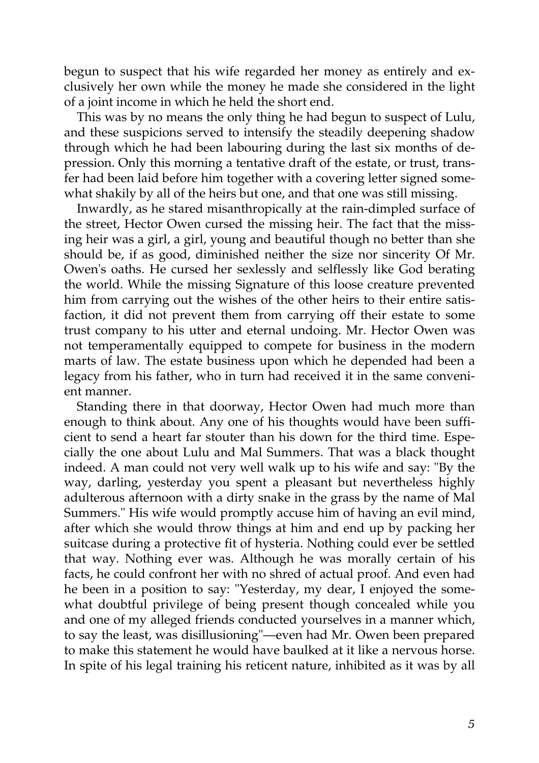begun to suspect that his wife regarded her money as entirely and exclusively her own while the money he made she considered in the light of a joint income in which he held the short end.

This was by no means the only thing he had begun to suspect of Lulu, and these suspicions served to intensify the steadily deepening shadow through which he had been labouring during the last six months of depression. Only this morning a tentative draft of the estate, or trust, transfer had been laid before him together with a covering letter signed somewhat shakily by all of the heirs but one, and that one was still missing.

Inwardly, as he stared misanthropically at the rain-dimpled surface of the street, Hector Owen cursed the missing heir. The fact that the missing heir was a girl, a girl, young and beautiful though no better than she should be, if as good, diminished neither the size nor sincerity Of Mr. Owen's oaths. He cursed her sexlessly and selflessly like God berating the world. While the missing Signature of this loose creature prevented him from carrying out the wishes of the other heirs to their entire satisfaction, it did not prevent them from carrying off their estate to some trust company to his utter and eternal undoing. Mr. Hector Owen was not temperamentally equipped to compete for business in the modern marts of law. The estate business upon which he depended had been a legacy from his father, who in turn had received it in the same convenient manner.

Standing there in that doorway, Hector Owen had much more than enough to think about. Any one of his thoughts would have been sufficient to send a heart far stouter than his down for the third time. Especially the one about Lulu and Mal Summers. That was a black thought indeed. A man could not very well walk up to his wife and say: "By the way, darling, yesterday you spent a pleasant but nevertheless highly adulterous afternoon with a dirty snake in the grass by the name of Mal Summers." His wife would promptly accuse him of having an evil mind, after which she would throw things at him and end up by packing her suitcase during a protective fit of hysteria. Nothing could ever be settled that way. Nothing ever was. Although he was morally certain of his facts, he could confront her with no shred of actual proof. And even had he been in a position to say: "Yesterday, my dear, I enjoyed the somewhat doubtful privilege of being present though concealed while you and one of my alleged friends conducted yourselves in a manner which, to say the least, was disillusioning"—even had Mr. Owen been prepared to make this statement he would have baulked at it like a nervous horse. In spite of his legal training his reticent nature, inhibited as it was by all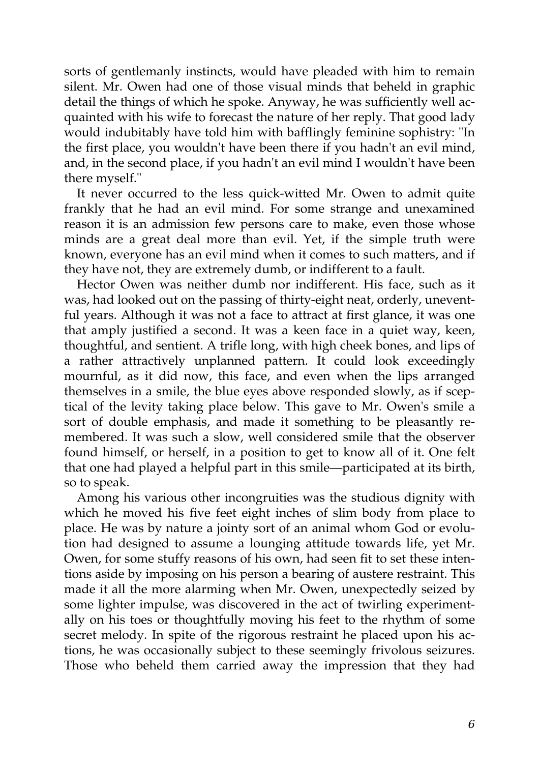sorts of gentlemanly instincts, would have pleaded with him to remain silent. Mr. Owen had one of those visual minds that beheld in graphic detail the things of which he spoke. Anyway, he was sufficiently well acquainted with his wife to forecast the nature of her reply. That good lady would indubitably have told him with bafflingly feminine sophistry: "In the first place, you wouldn't have been there if you hadn't an evil mind, and, in the second place, if you hadn't an evil mind I wouldn't have been there myself."

It never occurred to the less quick-witted Mr. Owen to admit quite frankly that he had an evil mind. For some strange and unexamined reason it is an admission few persons care to make, even those whose minds are a great deal more than evil. Yet, if the simple truth were known, everyone has an evil mind when it comes to such matters, and if they have not, they are extremely dumb, or indifferent to a fault.

Hector Owen was neither dumb nor indifferent. His face, such as it was, had looked out on the passing of thirty-eight neat, orderly, uneventful years. Although it was not a face to attract at first glance, it was one that amply justified a second. It was a keen face in a quiet way, keen, thoughtful, and sentient. A trifle long, with high cheek bones, and lips of a rather attractively unplanned pattern. It could look exceedingly mournful, as it did now, this face, and even when the lips arranged themselves in a smile, the blue eyes above responded slowly, as if sceptical of the levity taking place below. This gave to Mr. Owen's smile a sort of double emphasis, and made it something to be pleasantly remembered. It was such a slow, well considered smile that the observer found himself, or herself, in a position to get to know all of it. One felt that one had played a helpful part in this smile—participated at its birth, so to speak.

Among his various other incongruities was the studious dignity with which he moved his five feet eight inches of slim body from place to place. He was by nature a jointy sort of an animal whom God or evolution had designed to assume a lounging attitude towards life, yet Mr. Owen, for some stuffy reasons of his own, had seen fit to set these intentions aside by imposing on his person a bearing of austere restraint. This made it all the more alarming when Mr. Owen, unexpectedly seized by some lighter impulse, was discovered in the act of twirling experimentally on his toes or thoughtfully moving his feet to the rhythm of some secret melody. In spite of the rigorous restraint he placed upon his actions, he was occasionally subject to these seemingly frivolous seizures. Those who beheld them carried away the impression that they had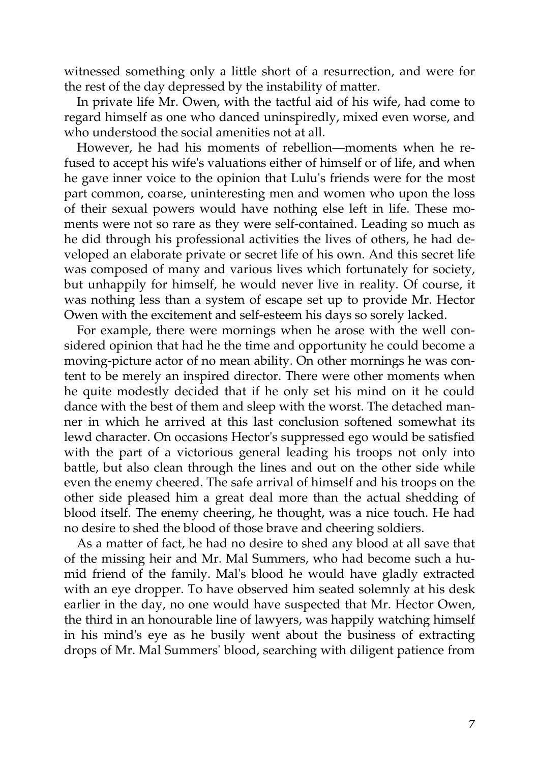witnessed something only a little short of a resurrection, and were for the rest of the day depressed by the instability of matter.

In private life Mr. Owen, with the tactful aid of his wife, had come to regard himself as one who danced uninspiredly, mixed even worse, and who understood the social amenities not at all.

However, he had his moments of rebellion—moments when he refused to accept his wife's valuations either of himself or of life, and when he gave inner voice to the opinion that Lulu's friends were for the most part common, coarse, uninteresting men and women who upon the loss of their sexual powers would have nothing else left in life. These moments were not so rare as they were self-contained. Leading so much as he did through his professional activities the lives of others, he had developed an elaborate private or secret life of his own. And this secret life was composed of many and various lives which fortunately for society, but unhappily for himself, he would never live in reality. Of course, it was nothing less than a system of escape set up to provide Mr. Hector Owen with the excitement and self-esteem his days so sorely lacked.

For example, there were mornings when he arose with the well considered opinion that had he the time and opportunity he could become a moving-picture actor of no mean ability. On other mornings he was content to be merely an inspired director. There were other moments when he quite modestly decided that if he only set his mind on it he could dance with the best of them and sleep with the worst. The detached manner in which he arrived at this last conclusion softened somewhat its lewd character. On occasions Hector's suppressed ego would be satisfied with the part of a victorious general leading his troops not only into battle, but also clean through the lines and out on the other side while even the enemy cheered. The safe arrival of himself and his troops on the other side pleased him a great deal more than the actual shedding of blood itself. The enemy cheering, he thought, was a nice touch. He had no desire to shed the blood of those brave and cheering soldiers.

As a matter of fact, he had no desire to shed any blood at all save that of the missing heir and Mr. Mal Summers, who had become such a humid friend of the family. Mal's blood he would have gladly extracted with an eye dropper. To have observed him seated solemnly at his desk earlier in the day, no one would have suspected that Mr. Hector Owen, the third in an honourable line of lawyers, was happily watching himself in his mind's eye as he busily went about the business of extracting drops of Mr. Mal Summers' blood, searching with diligent patience from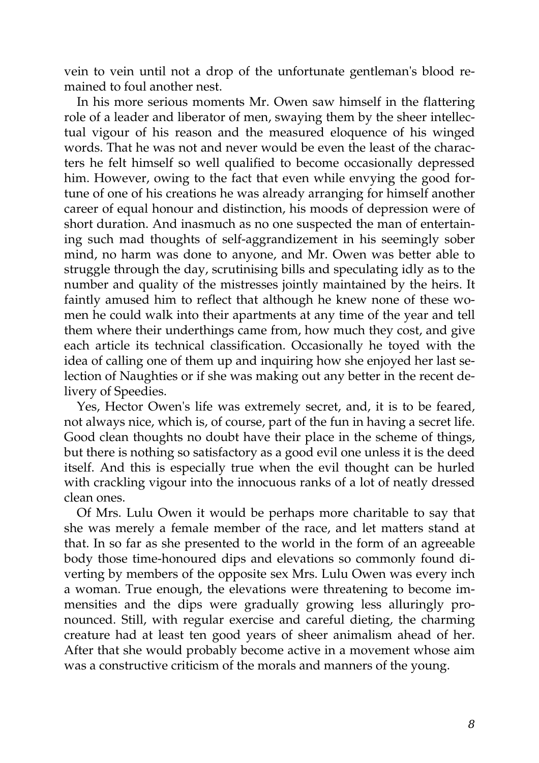vein to vein until not a drop of the unfortunate gentleman's blood remained to foul another nest.

In his more serious moments Mr. Owen saw himself in the flattering role of a leader and liberator of men, swaying them by the sheer intellectual vigour of his reason and the measured eloquence of his winged words. That he was not and never would be even the least of the characters he felt himself so well qualified to become occasionally depressed him. However, owing to the fact that even while envying the good fortune of one of his creations he was already arranging for himself another career of equal honour and distinction, his moods of depression were of short duration. And inasmuch as no one suspected the man of entertaining such mad thoughts of self-aggrandizement in his seemingly sober mind, no harm was done to anyone, and Mr. Owen was better able to struggle through the day, scrutinising bills and speculating idly as to the number and quality of the mistresses jointly maintained by the heirs. It faintly amused him to reflect that although he knew none of these women he could walk into their apartments at any time of the year and tell them where their underthings came from, how much they cost, and give each article its technical classification. Occasionally he toyed with the idea of calling one of them up and inquiring how she enjoyed her last selection of Naughties or if she was making out any better in the recent delivery of Speedies.

Yes, Hector Owen's life was extremely secret, and, it is to be feared, not always nice, which is, of course, part of the fun in having a secret life. Good clean thoughts no doubt have their place in the scheme of things, but there is nothing so satisfactory as a good evil one unless it is the deed itself. And this is especially true when the evil thought can be hurled with crackling vigour into the innocuous ranks of a lot of neatly dressed clean ones.

Of Mrs. Lulu Owen it would be perhaps more charitable to say that she was merely a female member of the race, and let matters stand at that. In so far as she presented to the world in the form of an agreeable body those time-honoured dips and elevations so commonly found diverting by members of the opposite sex Mrs. Lulu Owen was every inch a woman. True enough, the elevations were threatening to become immensities and the dips were gradually growing less alluringly pronounced. Still, with regular exercise and careful dieting, the charming creature had at least ten good years of sheer animalism ahead of her. After that she would probably become active in a movement whose aim was a constructive criticism of the morals and manners of the young.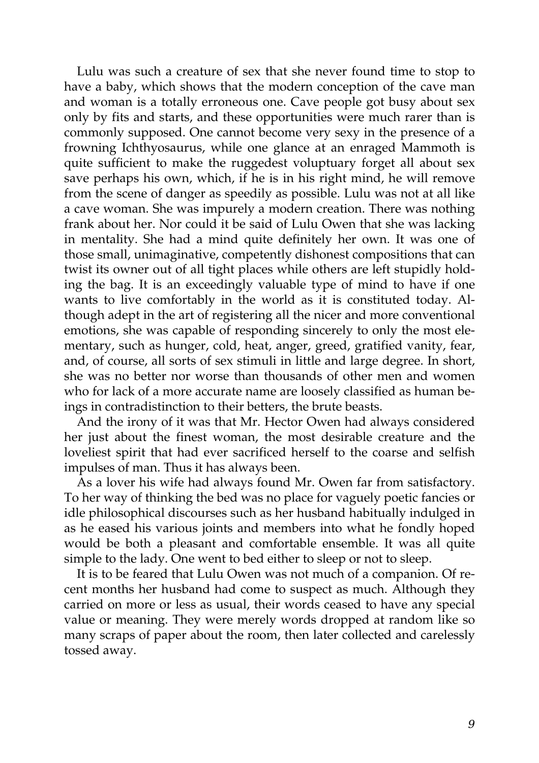Lulu was such a creature of sex that she never found time to stop to have a baby, which shows that the modern conception of the cave man and woman is a totally erroneous one. Cave people got busy about sex only by fits and starts, and these opportunities were much rarer than is commonly supposed. One cannot become very sexy in the presence of a frowning Ichthyosaurus, while one glance at an enraged Mammoth is quite sufficient to make the ruggedest voluptuary forget all about sex save perhaps his own, which, if he is in his right mind, he will remove from the scene of danger as speedily as possible. Lulu was not at all like a cave woman. She was impurely a modern creation. There was nothing frank about her. Nor could it be said of Lulu Owen that she was lacking in mentality. She had a mind quite definitely her own. It was one of those small, unimaginative, competently dishonest compositions that can twist its owner out of all tight places while others are left stupidly holding the bag. It is an exceedingly valuable type of mind to have if one wants to live comfortably in the world as it is constituted today. Although adept in the art of registering all the nicer and more conventional emotions, she was capable of responding sincerely to only the most elementary, such as hunger, cold, heat, anger, greed, gratified vanity, fear, and, of course, all sorts of sex stimuli in little and large degree. In short, she was no better nor worse than thousands of other men and women who for lack of a more accurate name are loosely classified as human beings in contradistinction to their betters, the brute beasts.

And the irony of it was that Mr. Hector Owen had always considered her just about the finest woman, the most desirable creature and the loveliest spirit that had ever sacrificed herself to the coarse and selfish impulses of man. Thus it has always been.

As a lover his wife had always found Mr. Owen far from satisfactory. To her way of thinking the bed was no place for vaguely poetic fancies or idle philosophical discourses such as her husband habitually indulged in as he eased his various joints and members into what he fondly hoped would be both a pleasant and comfortable ensemble. It was all quite simple to the lady. One went to bed either to sleep or not to sleep.

It is to be feared that Lulu Owen was not much of a companion. Of recent months her husband had come to suspect as much. Although they carried on more or less as usual, their words ceased to have any special value or meaning. They were merely words dropped at random like so many scraps of paper about the room, then later collected and carelessly tossed away.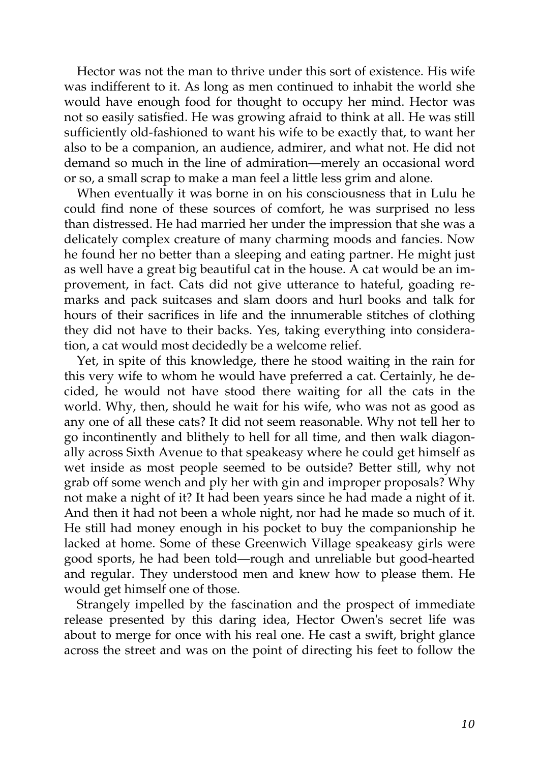Hector was not the man to thrive under this sort of existence. His wife was indifferent to it. As long as men continued to inhabit the world she would have enough food for thought to occupy her mind. Hector was not so easily satisfied. He was growing afraid to think at all. He was still sufficiently old-fashioned to want his wife to be exactly that, to want her also to be a companion, an audience, admirer, and what not. He did not demand so much in the line of admiration—merely an occasional word or so, a small scrap to make a man feel a little less grim and alone.

When eventually it was borne in on his consciousness that in Lulu he could find none of these sources of comfort, he was surprised no less than distressed. He had married her under the impression that she was a delicately complex creature of many charming moods and fancies. Now he found her no better than a sleeping and eating partner. He might just as well have a great big beautiful cat in the house. A cat would be an improvement, in fact. Cats did not give utterance to hateful, goading remarks and pack suitcases and slam doors and hurl books and talk for hours of their sacrifices in life and the innumerable stitches of clothing they did not have to their backs. Yes, taking everything into consideration, a cat would most decidedly be a welcome relief.

Yet, in spite of this knowledge, there he stood waiting in the rain for this very wife to whom he would have preferred a cat. Certainly, he decided, he would not have stood there waiting for all the cats in the world. Why, then, should he wait for his wife, who was not as good as any one of all these cats? It did not seem reasonable. Why not tell her to go incontinently and blithely to hell for all time, and then walk diagonally across Sixth Avenue to that speakeasy where he could get himself as wet inside as most people seemed to be outside? Better still, why not grab off some wench and ply her with gin and improper proposals? Why not make a night of it? It had been years since he had made a night of it. And then it had not been a whole night, nor had he made so much of it. He still had money enough in his pocket to buy the companionship he lacked at home. Some of these Greenwich Village speakeasy girls were good sports, he had been told—rough and unreliable but good-hearted and regular. They understood men and knew how to please them. He would get himself one of those.

Strangely impelled by the fascination and the prospect of immediate release presented by this daring idea, Hector Owen's secret life was about to merge for once with his real one. He cast a swift, bright glance across the street and was on the point of directing his feet to follow the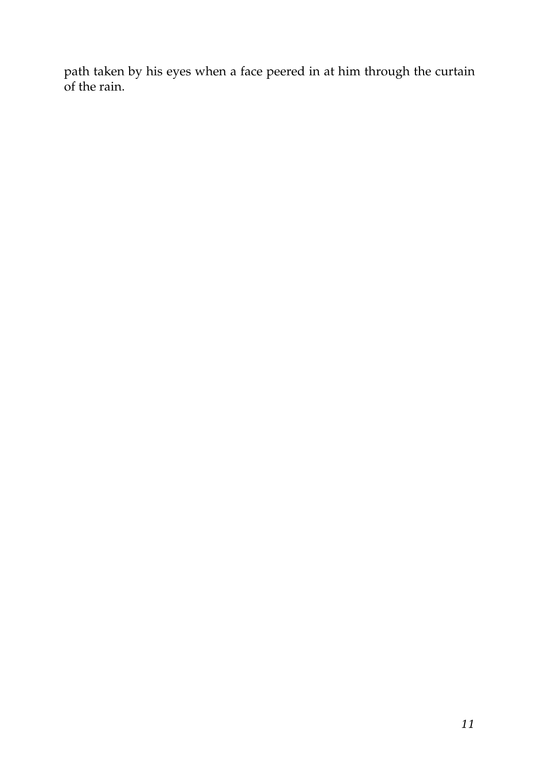path taken by his eyes when a face peered in at him through the curtain of the rain.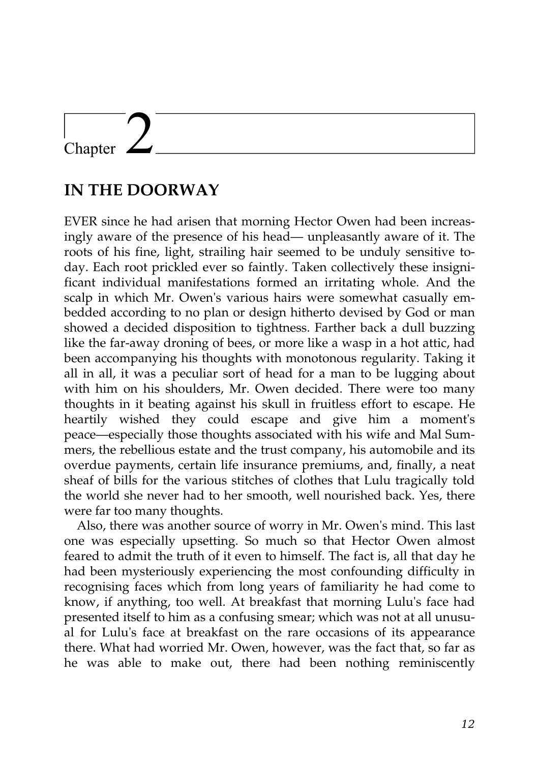## Chapter

### **IN THE DOORWAY**

EVER since he had arisen that morning Hector Owen had been increasingly aware of the presence of his head— unpleasantly aware of it. The roots of his fine, light, strailing hair seemed to be unduly sensitive today. Each root prickled ever so faintly. Taken collectively these insignificant individual manifestations formed an irritating whole. And the scalp in which Mr. Owen's various hairs were somewhat casually embedded according to no plan or design hitherto devised by God or man showed a decided disposition to tightness. Farther back a dull buzzing like the far-away droning of bees, or more like a wasp in a hot attic, had been accompanying his thoughts with monotonous regularity. Taking it all in all, it was a peculiar sort of head for a man to be lugging about with him on his shoulders, Mr. Owen decided. There were too many thoughts in it beating against his skull in fruitless effort to escape. He heartily wished they could escape and give him a moment's peace—especially those thoughts associated with his wife and Mal Summers, the rebellious estate and the trust company, his automobile and its overdue payments, certain life insurance premiums, and, finally, a neat sheaf of bills for the various stitches of clothes that Lulu tragically told the world she never had to her smooth, well nourished back. Yes, there were far too many thoughts.

Also, there was another source of worry in Mr. Owen's mind. This last one was especially upsetting. So much so that Hector Owen almost feared to admit the truth of it even to himself. The fact is, all that day he had been mysteriously experiencing the most confounding difficulty in recognising faces which from long years of familiarity he had come to know, if anything, too well. At breakfast that morning Lulu's face had presented itself to him as a confusing smear; which was not at all unusual for Lulu's face at breakfast on the rare occasions of its appearance there. What had worried Mr. Owen, however, was the fact that, so far as he was able to make out, there had been nothing reminiscently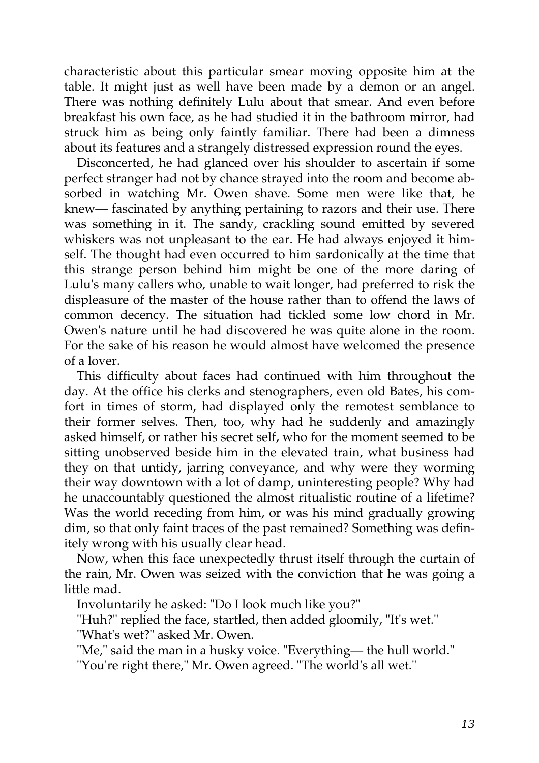characteristic about this particular smear moving opposite him at the table. It might just as well have been made by a demon or an angel. There was nothing definitely Lulu about that smear. And even before breakfast his own face, as he had studied it in the bathroom mirror, had struck him as being only faintly familiar. There had been a dimness about its features and a strangely distressed expression round the eyes.

Disconcerted, he had glanced over his shoulder to ascertain if some perfect stranger had not by chance strayed into the room and become absorbed in watching Mr. Owen shave. Some men were like that, he knew— fascinated by anything pertaining to razors and their use. There was something in it. The sandy, crackling sound emitted by severed whiskers was not unpleasant to the ear. He had always enjoyed it himself. The thought had even occurred to him sardonically at the time that this strange person behind him might be one of the more daring of Lulu's many callers who, unable to wait longer, had preferred to risk the displeasure of the master of the house rather than to offend the laws of common decency. The situation had tickled some low chord in Mr. Owen's nature until he had discovered he was quite alone in the room. For the sake of his reason he would almost have welcomed the presence of a lover.

This difficulty about faces had continued with him throughout the day. At the office his clerks and stenographers, even old Bates, his comfort in times of storm, had displayed only the remotest semblance to their former selves. Then, too, why had he suddenly and amazingly asked himself, or rather his secret self, who for the moment seemed to be sitting unobserved beside him in the elevated train, what business had they on that untidy, jarring conveyance, and why were they worming their way downtown with a lot of damp, uninteresting people? Why had he unaccountably questioned the almost ritualistic routine of a lifetime? Was the world receding from him, or was his mind gradually growing dim, so that only faint traces of the past remained? Something was definitely wrong with his usually clear head.

Now, when this face unexpectedly thrust itself through the curtain of the rain, Mr. Owen was seized with the conviction that he was going a little mad.

Involuntarily he asked: "Do I look much like you?"

"Huh?" replied the face, startled, then added gloomily, "It's wet."

"What's wet?" asked Mr. Owen.

"Me," said the man in a husky voice. "Everything— the hull world."

"You're right there," Mr. Owen agreed. "The world's all wet."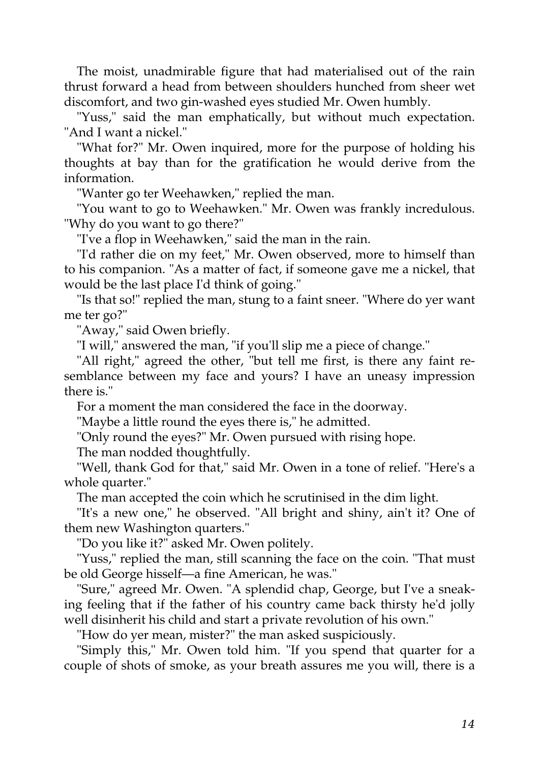The moist, unadmirable figure that had materialised out of the rain thrust forward a head from between shoulders hunched from sheer wet discomfort, and two gin-washed eyes studied Mr. Owen humbly.

"Yuss," said the man emphatically, but without much expectation. "And I want a nickel."

"What for?" Mr. Owen inquired, more for the purpose of holding his thoughts at bay than for the gratification he would derive from the information.

"Wanter go ter Weehawken," replied the man.

"You want to go to Weehawken." Mr. Owen was frankly incredulous. "Why do you want to go there?"

"I've a flop in Weehawken," said the man in the rain.

"I'd rather die on my feet," Mr. Owen observed, more to himself than to his companion. "As a matter of fact, if someone gave me a nickel, that would be the last place I'd think of going."

"Is that so!" replied the man, stung to a faint sneer. "Where do yer want me ter go?"

"Away," said Owen briefly.

"I will," answered the man, "if you'll slip me a piece of change."

"All right," agreed the other, "but tell me first, is there any faint resemblance between my face and yours? I have an uneasy impression there is."

For a moment the man considered the face in the doorway.

"Maybe a little round the eyes there is," he admitted.

"Only round the eyes?" Mr. Owen pursued with rising hope.

The man nodded thoughtfully.

"Well, thank God for that," said Mr. Owen in a tone of relief. "Here's a whole quarter."

The man accepted the coin which he scrutinised in the dim light.

"It's a new one," he observed. "All bright and shiny, ain't it? One of them new Washington quarters."

"Do you like it?" asked Mr. Owen politely.

"Yuss," replied the man, still scanning the face on the coin. "That must be old George hisself—a fine American, he was."

"Sure," agreed Mr. Owen. "A splendid chap, George, but I've a sneaking feeling that if the father of his country came back thirsty he'd jolly well disinherit his child and start a private revolution of his own."

"How do yer mean, mister?" the man asked suspiciously.

"Simply this," Mr. Owen told him. "If you spend that quarter for a couple of shots of smoke, as your breath assures me you will, there is a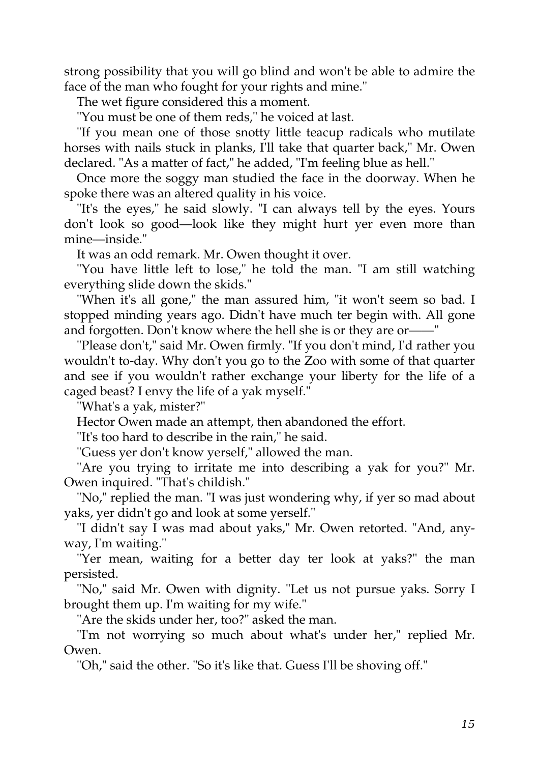strong possibility that you will go blind and won't be able to admire the face of the man who fought for your rights and mine."

The wet figure considered this a moment.

"You must be one of them reds," he voiced at last.

"If you mean one of those snotty little teacup radicals who mutilate horses with nails stuck in planks, I'll take that quarter back," Mr. Owen declared. "As a matter of fact," he added, "I'm feeling blue as hell."

Once more the soggy man studied the face in the doorway. When he spoke there was an altered quality in his voice.

"It's the eyes," he said slowly. "I can always tell by the eyes. Yours don't look so good—look like they might hurt yer even more than mine—inside."

It was an odd remark. Mr. Owen thought it over.

"You have little left to lose," he told the man. "I am still watching everything slide down the skids."

"When it's all gone," the man assured him, "it won't seem so bad. I stopped minding years ago. Didn't have much ter begin with. All gone and forgotten. Don't know where the hell she is or they are or——"

"Please don't," said Mr. Owen firmly. "If you don't mind, I'd rather you wouldn't to-day. Why don't you go to the Zoo with some of that quarter and see if you wouldn't rather exchange your liberty for the life of a caged beast? I envy the life of a yak myself."

"What's a yak, mister?"

Hector Owen made an attempt, then abandoned the effort.

"It's too hard to describe in the rain," he said.

"Guess yer don't know yerself," allowed the man.

"Are you trying to irritate me into describing a yak for you?" Mr. Owen inquired. "That's childish."

"No," replied the man. "I was just wondering why, if yer so mad about yaks, yer didn't go and look at some yerself."

"I didn't say I was mad about yaks," Mr. Owen retorted. "And, anyway, I'm waiting."

"Yer mean, waiting for a better day ter look at yaks?" the man persisted.

"No," said Mr. Owen with dignity. "Let us not pursue yaks. Sorry I brought them up. I'm waiting for my wife."

"Are the skids under her, too?" asked the man.

"I'm not worrying so much about what's under her," replied Mr. Owen.

"Oh," said the other. "So it's like that. Guess I'll be shoving off."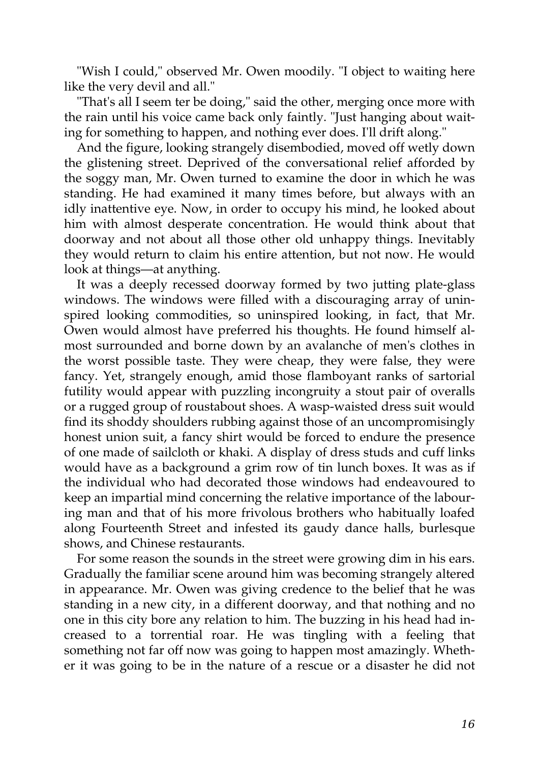"Wish I could," observed Mr. Owen moodily. "I object to waiting here like the very devil and all."

"That's all I seem ter be doing," said the other, merging once more with the rain until his voice came back only faintly. "Just hanging about waiting for something to happen, and nothing ever does. I'll drift along."

And the figure, looking strangely disembodied, moved off wetly down the glistening street. Deprived of the conversational relief afforded by the soggy man, Mr. Owen turned to examine the door in which he was standing. He had examined it many times before, but always with an idly inattentive eye. Now, in order to occupy his mind, he looked about him with almost desperate concentration. He would think about that doorway and not about all those other old unhappy things. Inevitably they would return to claim his entire attention, but not now. He would look at things—at anything.

It was a deeply recessed doorway formed by two jutting plate-glass windows. The windows were filled with a discouraging array of uninspired looking commodities, so uninspired looking, in fact, that Mr. Owen would almost have preferred his thoughts. He found himself almost surrounded and borne down by an avalanche of men's clothes in the worst possible taste. They were cheap, they were false, they were fancy. Yet, strangely enough, amid those flamboyant ranks of sartorial futility would appear with puzzling incongruity a stout pair of overalls or a rugged group of roustabout shoes. A wasp-waisted dress suit would find its shoddy shoulders rubbing against those of an uncompromisingly honest union suit, a fancy shirt would be forced to endure the presence of one made of sailcloth or khaki. A display of dress studs and cuff links would have as a background a grim row of tin lunch boxes. It was as if the individual who had decorated those windows had endeavoured to keep an impartial mind concerning the relative importance of the labouring man and that of his more frivolous brothers who habitually loafed along Fourteenth Street and infested its gaudy dance halls, burlesque shows, and Chinese restaurants.

For some reason the sounds in the street were growing dim in his ears. Gradually the familiar scene around him was becoming strangely altered in appearance. Mr. Owen was giving credence to the belief that he was standing in a new city, in a different doorway, and that nothing and no one in this city bore any relation to him. The buzzing in his head had increased to a torrential roar. He was tingling with a feeling that something not far off now was going to happen most amazingly. Whether it was going to be in the nature of a rescue or a disaster he did not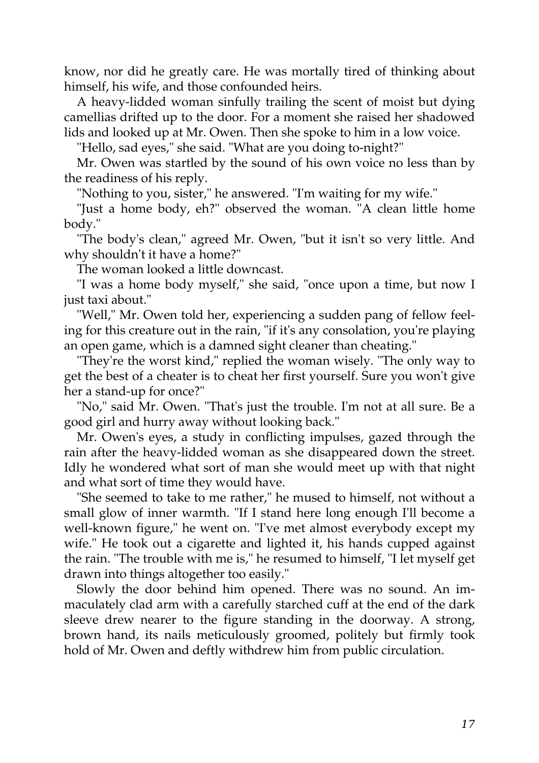know, nor did he greatly care. He was mortally tired of thinking about himself, his wife, and those confounded heirs.

A heavy-lidded woman sinfully trailing the scent of moist but dying camellias drifted up to the door. For a moment she raised her shadowed lids and looked up at Mr. Owen. Then she spoke to him in a low voice.

"Hello, sad eyes," she said. "What are you doing to-night?"

Mr. Owen was startled by the sound of his own voice no less than by the readiness of his reply.

"Nothing to you, sister," he answered. "I'm waiting for my wife."

"Just a home body, eh?" observed the woman. "A clean little home body."

"The body's clean," agreed Mr. Owen, "but it isn't so very little. And why shouldn't it have a home?"

The woman looked a little downcast.

"I was a home body myself," she said, "once upon a time, but now I just taxi about."

"Well," Mr. Owen told her, experiencing a sudden pang of fellow feeling for this creature out in the rain, "if it's any consolation, you're playing an open game, which is a damned sight cleaner than cheating."

"They're the worst kind," replied the woman wisely. "The only way to get the best of a cheater is to cheat her first yourself. Sure you won't give her a stand-up for once?"

"No," said Mr. Owen. "That's just the trouble. I'm not at all sure. Be a good girl and hurry away without looking back."

Mr. Owen's eyes, a study in conflicting impulses, gazed through the rain after the heavy-lidded woman as she disappeared down the street. Idly he wondered what sort of man she would meet up with that night and what sort of time they would have.

"She seemed to take to me rather," he mused to himself, not without a small glow of inner warmth. "If I stand here long enough I'll become a well-known figure," he went on. "I've met almost everybody except my wife." He took out a cigarette and lighted it, his hands cupped against the rain. "The trouble with me is," he resumed to himself, "I let myself get drawn into things altogether too easily."

Slowly the door behind him opened. There was no sound. An immaculately clad arm with a carefully starched cuff at the end of the dark sleeve drew nearer to the figure standing in the doorway. A strong, brown hand, its nails meticulously groomed, politely but firmly took hold of Mr. Owen and deftly withdrew him from public circulation.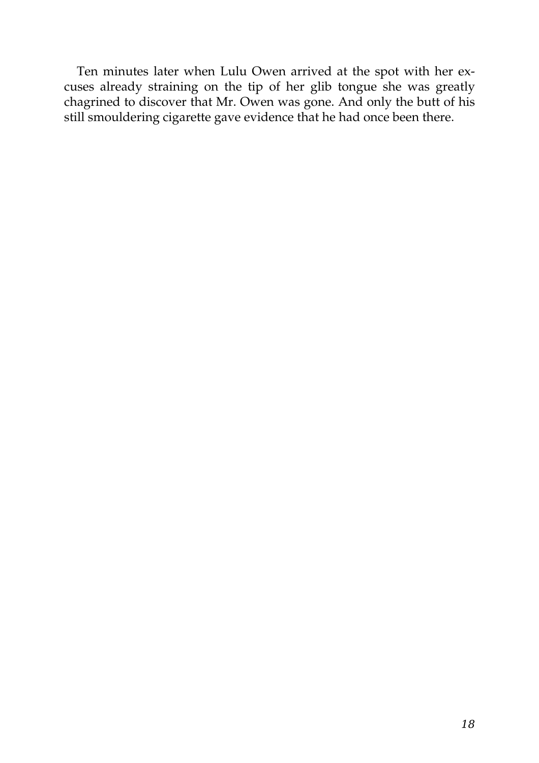Ten minutes later when Lulu Owen arrived at the spot with her excuses already straining on the tip of her glib tongue she was greatly chagrined to discover that Mr. Owen was gone. And only the butt of his still smouldering cigarette gave evidence that he had once been there.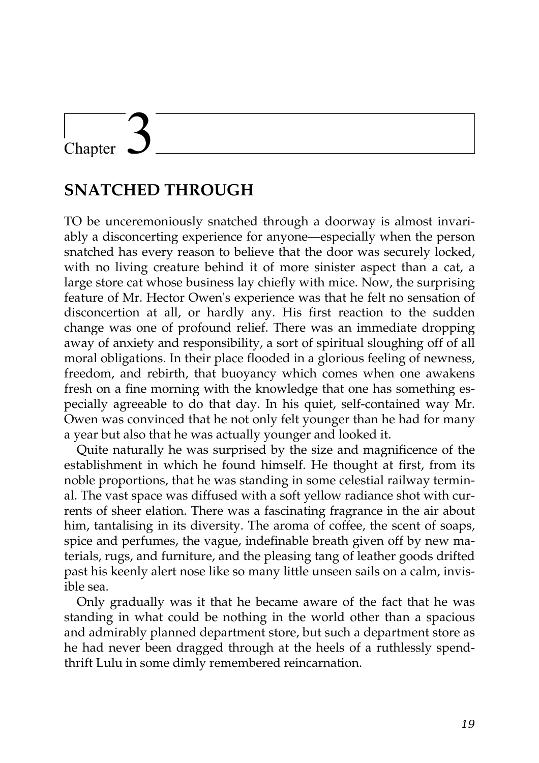# Chapter

## **SNATCHED THROUGH**

TO be unceremoniously snatched through a doorway is almost invariably a disconcerting experience for anyone—especially when the person snatched has every reason to believe that the door was securely locked, with no living creature behind it of more sinister aspect than a cat, a large store cat whose business lay chiefly with mice. Now, the surprising feature of Mr. Hector Owen's experience was that he felt no sensation of disconcertion at all, or hardly any. His first reaction to the sudden change was one of profound relief. There was an immediate dropping away of anxiety and responsibility, a sort of spiritual sloughing off of all moral obligations. In their place flooded in a glorious feeling of newness, freedom, and rebirth, that buoyancy which comes when one awakens fresh on a fine morning with the knowledge that one has something especially agreeable to do that day. In his quiet, self-contained way Mr. Owen was convinced that he not only felt younger than he had for many a year but also that he was actually younger and looked it.

Quite naturally he was surprised by the size and magnificence of the establishment in which he found himself. He thought at first, from its noble proportions, that he was standing in some celestial railway terminal. The vast space was diffused with a soft yellow radiance shot with currents of sheer elation. There was a fascinating fragrance in the air about him, tantalising in its diversity. The aroma of coffee, the scent of soaps, spice and perfumes, the vague, indefinable breath given off by new materials, rugs, and furniture, and the pleasing tang of leather goods drifted past his keenly alert nose like so many little unseen sails on a calm, invisible sea.

Only gradually was it that he became aware of the fact that he was standing in what could be nothing in the world other than a spacious and admirably planned department store, but such a department store as he had never been dragged through at the heels of a ruthlessly spendthrift Lulu in some dimly remembered reincarnation.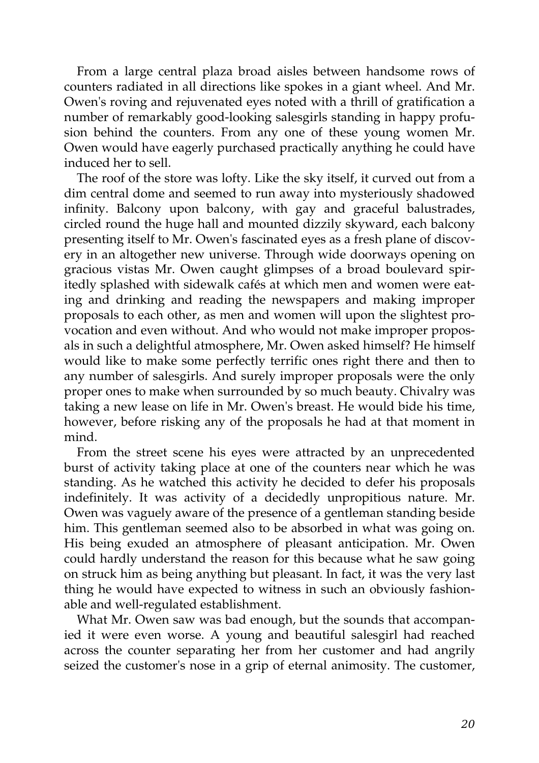From a large central plaza broad aisles between handsome rows of counters radiated in all directions like spokes in a giant wheel. And Mr. Owen's roving and rejuvenated eyes noted with a thrill of gratification a number of remarkably good-looking salesgirls standing in happy profusion behind the counters. From any one of these young women Mr. Owen would have eagerly purchased practically anything he could have induced her to sell.

The roof of the store was lofty. Like the sky itself, it curved out from a dim central dome and seemed to run away into mysteriously shadowed infinity. Balcony upon balcony, with gay and graceful balustrades, circled round the huge hall and mounted dizzily skyward, each balcony presenting itself to Mr. Owen's fascinated eyes as a fresh plane of discovery in an altogether new universe. Through wide doorways opening on gracious vistas Mr. Owen caught glimpses of a broad boulevard spiritedly splashed with sidewalk cafés at which men and women were eating and drinking and reading the newspapers and making improper proposals to each other, as men and women will upon the slightest provocation and even without. And who would not make improper proposals in such a delightful atmosphere, Mr. Owen asked himself? He himself would like to make some perfectly terrific ones right there and then to any number of salesgirls. And surely improper proposals were the only proper ones to make when surrounded by so much beauty. Chivalry was taking a new lease on life in Mr. Owen's breast. He would bide his time, however, before risking any of the proposals he had at that moment in mind.

From the street scene his eyes were attracted by an unprecedented burst of activity taking place at one of the counters near which he was standing. As he watched this activity he decided to defer his proposals indefinitely. It was activity of a decidedly unpropitious nature. Mr. Owen was vaguely aware of the presence of a gentleman standing beside him. This gentleman seemed also to be absorbed in what was going on. His being exuded an atmosphere of pleasant anticipation. Mr. Owen could hardly understand the reason for this because what he saw going on struck him as being anything but pleasant. In fact, it was the very last thing he would have expected to witness in such an obviously fashionable and well-regulated establishment.

What Mr. Owen saw was bad enough, but the sounds that accompanied it were even worse. A young and beautiful salesgirl had reached across the counter separating her from her customer and had angrily seized the customer's nose in a grip of eternal animosity. The customer,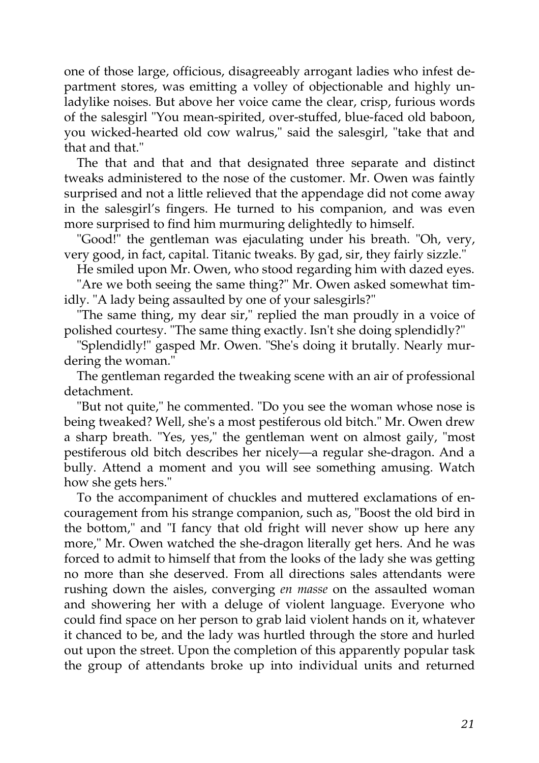one of those large, officious, disagreeably arrogant ladies who infest department stores, was emitting a volley of objectionable and highly unladylike noises. But above her voice came the clear, crisp, furious words of the salesgirl "You mean-spirited, over-stuffed, blue-faced old baboon, you wicked-hearted old cow walrus," said the salesgirl, "take that and that and that."

The that and that and that designated three separate and distinct tweaks administered to the nose of the customer. Mr. Owen was faintly surprised and not a little relieved that the appendage did not come away in the salesgirl's fingers. He turned to his companion, and was even more surprised to find him murmuring delightedly to himself.

"Good!" the gentleman was ejaculating under his breath. "Oh, very, very good, in fact, capital. Titanic tweaks. By gad, sir, they fairly sizzle."

He smiled upon Mr. Owen, who stood regarding him with dazed eyes.

"Are we both seeing the same thing?" Mr. Owen asked somewhat timidly. "A lady being assaulted by one of your salesgirls?"

"The same thing, my dear sir," replied the man proudly in a voice of polished courtesy. "The same thing exactly. Isn't she doing splendidly?"

"Splendidly!" gasped Mr. Owen. "She's doing it brutally. Nearly murdering the woman."

The gentleman regarded the tweaking scene with an air of professional detachment.

"But not quite," he commented. "Do you see the woman whose nose is being tweaked? Well, she's a most pestiferous old bitch." Mr. Owen drew a sharp breath. "Yes, yes," the gentleman went on almost gaily, "most pestiferous old bitch describes her nicely—a regular she-dragon. And a bully. Attend a moment and you will see something amusing. Watch how she gets hers."

To the accompaniment of chuckles and muttered exclamations of encouragement from his strange companion, such as, "Boost the old bird in the bottom," and "I fancy that old fright will never show up here any more," Mr. Owen watched the she-dragon literally get hers. And he was forced to admit to himself that from the looks of the lady she was getting no more than she deserved. From all directions sales attendants were rushing down the aisles, converging *en masse* on the assaulted woman and showering her with a deluge of violent language. Everyone who could find space on her person to grab laid violent hands on it, whatever it chanced to be, and the lady was hurtled through the store and hurled out upon the street. Upon the completion of this apparently popular task the group of attendants broke up into individual units and returned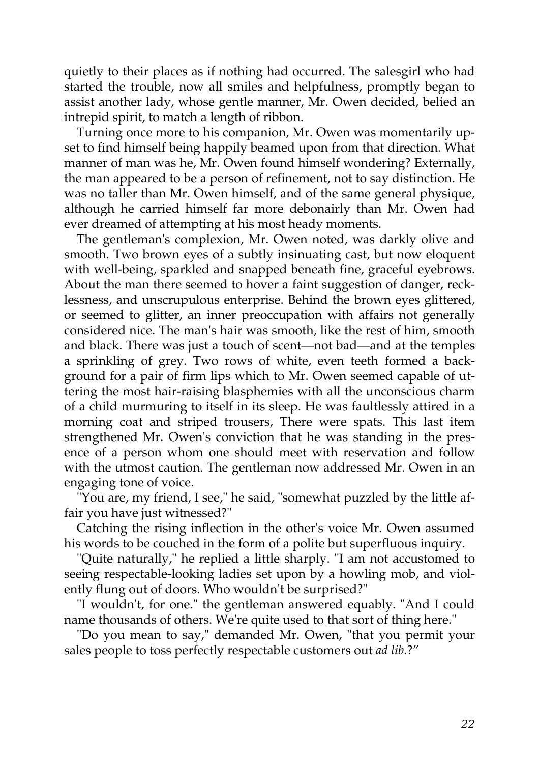quietly to their places as if nothing had occurred. The salesgirl who had started the trouble, now all smiles and helpfulness, promptly began to assist another lady, whose gentle manner, Mr. Owen decided, belied an intrepid spirit, to match a length of ribbon.

Turning once more to his companion, Mr. Owen was momentarily upset to find himself being happily beamed upon from that direction. What manner of man was he, Mr. Owen found himself wondering? Externally, the man appeared to be a person of refinement, not to say distinction. He was no taller than Mr. Owen himself, and of the same general physique, although he carried himself far more debonairly than Mr. Owen had ever dreamed of attempting at his most heady moments.

The gentleman's complexion, Mr. Owen noted, was darkly olive and smooth. Two brown eyes of a subtly insinuating cast, but now eloquent with well-being, sparkled and snapped beneath fine, graceful eyebrows. About the man there seemed to hover a faint suggestion of danger, recklessness, and unscrupulous enterprise. Behind the brown eyes glittered, or seemed to glitter, an inner preoccupation with affairs not generally considered nice. The man's hair was smooth, like the rest of him, smooth and black. There was just a touch of scent—not bad—and at the temples a sprinkling of grey. Two rows of white, even teeth formed a background for a pair of firm lips which to Mr. Owen seemed capable of uttering the most hair-raising blasphemies with all the unconscious charm of a child murmuring to itself in its sleep. He was faultlessly attired in a morning coat and striped trousers, There were spats. This last item strengthened Mr. Owen's conviction that he was standing in the presence of a person whom one should meet with reservation and follow with the utmost caution. The gentleman now addressed Mr. Owen in an engaging tone of voice.

"You are, my friend, I see," he said, "somewhat puzzled by the little affair you have just witnessed?"

Catching the rising inflection in the other's voice Mr. Owen assumed his words to be couched in the form of a polite but superfluous inquiry.

"Quite naturally," he replied a little sharply. "I am not accustomed to seeing respectable-looking ladies set upon by a howling mob, and violently flung out of doors. Who wouldn't be surprised?"

"I wouldn't, for one." the gentleman answered equably. "And I could name thousands of others. We're quite used to that sort of thing here."

"Do you mean to say," demanded Mr. Owen, "that you permit your sales people to toss perfectly respectable customers out *ad lib.*?"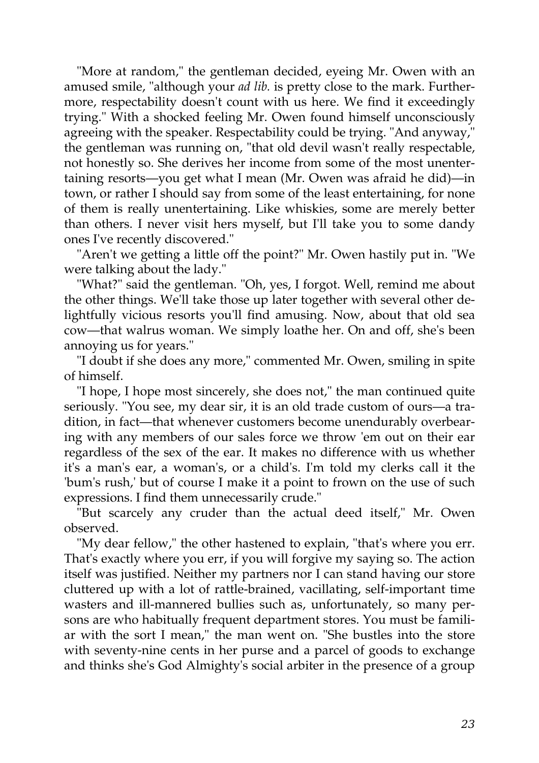"More at random," the gentleman decided, eyeing Mr. Owen with an amused smile, "although your *ad lib.* is pretty close to the mark. Furthermore, respectability doesn't count with us here. We find it exceedingly trying." With a shocked feeling Mr. Owen found himself unconsciously agreeing with the speaker. Respectability could be trying. "And anyway," the gentleman was running on, "that old devil wasn't really respectable, not honestly so. She derives her income from some of the most unentertaining resorts—you get what I mean (Mr. Owen was afraid he did)—in town, or rather I should say from some of the least entertaining, for none of them is really unentertaining. Like whiskies, some are merely better than others. I never visit hers myself, but I'll take you to some dandy ones I've recently discovered."

"Aren't we getting a little off the point?" Mr. Owen hastily put in. "We were talking about the lady."

"What?" said the gentleman. "Oh, yes, I forgot. Well, remind me about the other things. We'll take those up later together with several other delightfully vicious resorts you'll find amusing. Now, about that old sea cow—that walrus woman. We simply loathe her. On and off, she's been annoying us for years."

"I doubt if she does any more," commented Mr. Owen, smiling in spite of himself.

"I hope, I hope most sincerely, she does not," the man continued quite seriously. "You see, my dear sir, it is an old trade custom of ours—a tradition, in fact—that whenever customers become unendurably overbearing with any members of our sales force we throw 'em out on their ear regardless of the sex of the ear. It makes no difference with us whether it's a man's ear, a woman's, or a child's. I'm told my clerks call it the 'bum's rush,' but of course I make it a point to frown on the use of such expressions. I find them unnecessarily crude."

"But scarcely any cruder than the actual deed itself," Mr. Owen observed.

"My dear fellow," the other hastened to explain, "that's where you err. That's exactly where you err, if you will forgive my saying so. The action itself was justified. Neither my partners nor I can stand having our store cluttered up with a lot of rattle-brained, vacillating, self-important time wasters and ill-mannered bullies such as, unfortunately, so many persons are who habitually frequent department stores. You must be familiar with the sort I mean," the man went on. "She bustles into the store with seventy-nine cents in her purse and a parcel of goods to exchange and thinks she's God Almighty's social arbiter in the presence of a group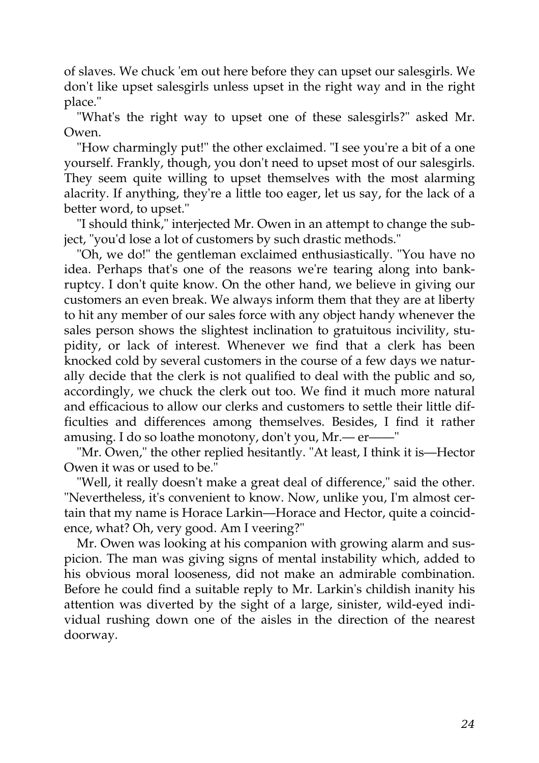of slaves. We chuck 'em out here before they can upset our salesgirls. We don't like upset salesgirls unless upset in the right way and in the right place."

"What's the right way to upset one of these salesgirls?" asked Mr. Owen.

"How charmingly put!" the other exclaimed. "I see you're a bit of a one yourself. Frankly, though, you don't need to upset most of our salesgirls. They seem quite willing to upset themselves with the most alarming alacrity. If anything, they're a little too eager, let us say, for the lack of a better word, to upset."

"I should think," interjected Mr. Owen in an attempt to change the subject, "you'd lose a lot of customers by such drastic methods."

"Oh, we do!" the gentleman exclaimed enthusiastically. "You have no idea. Perhaps that's one of the reasons we're tearing along into bankruptcy. I don't quite know. On the other hand, we believe in giving our customers an even break. We always inform them that they are at liberty to hit any member of our sales force with any object handy whenever the sales person shows the slightest inclination to gratuitous incivility, stupidity, or lack of interest. Whenever we find that a clerk has been knocked cold by several customers in the course of a few days we naturally decide that the clerk is not qualified to deal with the public and so, accordingly, we chuck the clerk out too. We find it much more natural and efficacious to allow our clerks and customers to settle their little difficulties and differences among themselves. Besides, I find it rather amusing. I do so loathe monotony, don't you, Mr.— er——"

"Mr. Owen," the other replied hesitantly. "At least, I think it is—Hector Owen it was or used to be."

"Well, it really doesn't make a great deal of difference," said the other. "Nevertheless, it's convenient to know. Now, unlike you, I'm almost certain that my name is Horace Larkin—Horace and Hector, quite a coincidence, what? Oh, very good. Am I veering?"

Mr. Owen was looking at his companion with growing alarm and suspicion. The man was giving signs of mental instability which, added to his obvious moral looseness, did not make an admirable combination. Before he could find a suitable reply to Mr. Larkin's childish inanity his attention was diverted by the sight of a large, sinister, wild-eyed individual rushing down one of the aisles in the direction of the nearest doorway.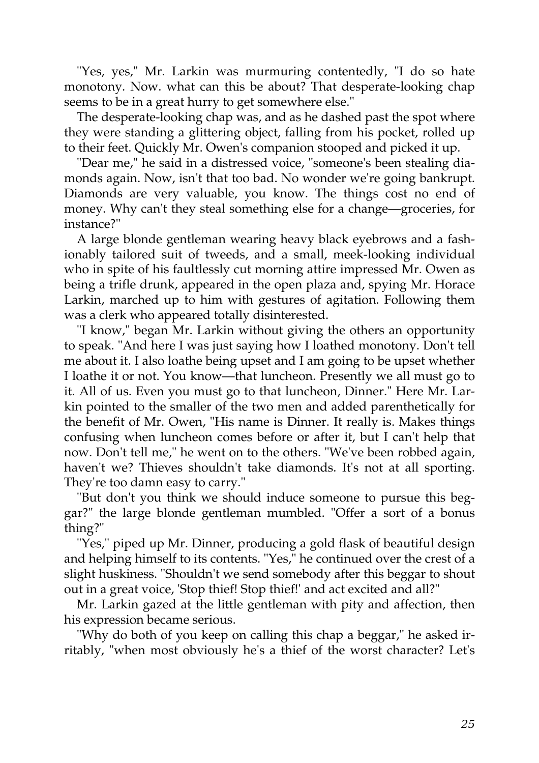"Yes, yes," Mr. Larkin was murmuring contentedly, "I do so hate monotony. Now. what can this be about? That desperate-looking chap seems to be in a great hurry to get somewhere else."

The desperate-looking chap was, and as he dashed past the spot where they were standing a glittering object, falling from his pocket, rolled up to their feet. Quickly Mr. Owen's companion stooped and picked it up.

"Dear me," he said in a distressed voice, "someone's been stealing diamonds again. Now, isn't that too bad. No wonder we're going bankrupt. Diamonds are very valuable, you know. The things cost no end of money. Why can't they steal something else for a change—groceries, for instance?"

A large blonde gentleman wearing heavy black eyebrows and a fashionably tailored suit of tweeds, and a small, meek-looking individual who in spite of his faultlessly cut morning attire impressed Mr. Owen as being a trifle drunk, appeared in the open plaza and, spying Mr. Horace Larkin, marched up to him with gestures of agitation. Following them was a clerk who appeared totally disinterested.

"I know," began Mr. Larkin without giving the others an opportunity to speak. "And here I was just saying how I loathed monotony. Don't tell me about it. I also loathe being upset and I am going to be upset whether I loathe it or not. You know—that luncheon. Presently we all must go to it. All of us. Even you must go to that luncheon, Dinner." Here Mr. Larkin pointed to the smaller of the two men and added parenthetically for the benefit of Mr. Owen, "His name is Dinner. It really is. Makes things confusing when luncheon comes before or after it, but I can't help that now. Don't tell me," he went on to the others. "We've been robbed again, haven't we? Thieves shouldn't take diamonds. It's not at all sporting. They're too damn easy to carry."

"But don't you think we should induce someone to pursue this beggar?" the large blonde gentleman mumbled. "Offer a sort of a bonus thing?"

"Yes," piped up Mr. Dinner, producing a gold flask of beautiful design and helping himself to its contents. "Yes," he continued over the crest of a slight huskiness. "Shouldn't we send somebody after this beggar to shout out in a great voice, 'Stop thief! Stop thief!' and act excited and all?"

Mr. Larkin gazed at the little gentleman with pity and affection, then his expression became serious.

"Why do both of you keep on calling this chap a beggar," he asked irritably, "when most obviously he's a thief of the worst character? Let's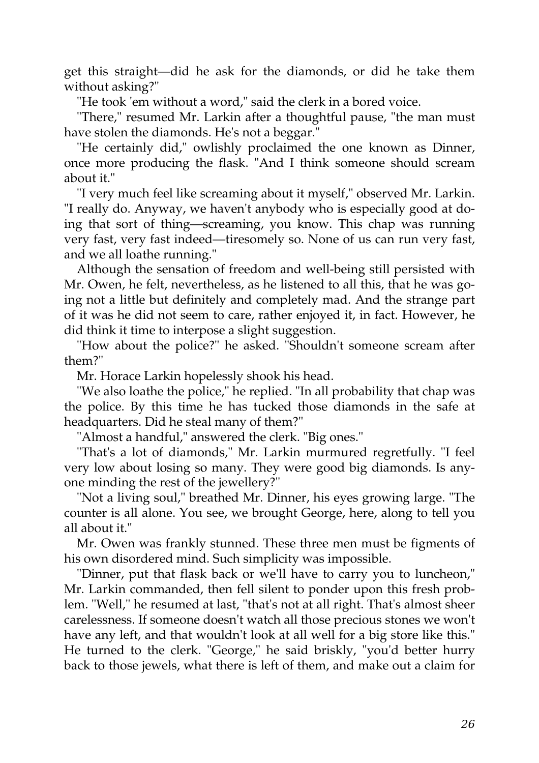get this straight—did he ask for the diamonds, or did he take them without asking?"

"He took 'em without a word," said the clerk in a bored voice.

"There," resumed Mr. Larkin after a thoughtful pause, "the man must have stolen the diamonds. He's not a beggar."

"He certainly did," owlishly proclaimed the one known as Dinner, once more producing the flask. "And I think someone should scream about it."

"I very much feel like screaming about it myself," observed Mr. Larkin. "I really do. Anyway, we haven't anybody who is especially good at doing that sort of thing—screaming, you know. This chap was running very fast, very fast indeed—tiresomely so. None of us can run very fast, and we all loathe running."

Although the sensation of freedom and well-being still persisted with Mr. Owen, he felt, nevertheless, as he listened to all this, that he was going not a little but definitely and completely mad. And the strange part of it was he did not seem to care, rather enjoyed it, in fact. However, he did think it time to interpose a slight suggestion.

"How about the police?" he asked. "Shouldn't someone scream after them?"

Mr. Horace Larkin hopelessly shook his head.

"We also loathe the police," he replied. "In all probability that chap was the police. By this time he has tucked those diamonds in the safe at headquarters. Did he steal many of them?"

"Almost a handful," answered the clerk. "Big ones."

"That's a lot of diamonds," Mr. Larkin murmured regretfully. "I feel very low about losing so many. They were good big diamonds. Is anyone minding the rest of the jewellery?"

"Not a living soul," breathed Mr. Dinner, his eyes growing large. "The counter is all alone. You see, we brought George, here, along to tell you all about it."

Mr. Owen was frankly stunned. These three men must be figments of his own disordered mind. Such simplicity was impossible.

"Dinner, put that flask back or we'll have to carry you to luncheon," Mr. Larkin commanded, then fell silent to ponder upon this fresh problem. "Well," he resumed at last, "that's not at all right. That's almost sheer carelessness. If someone doesn't watch all those precious stones we won't have any left, and that wouldn't look at all well for a big store like this." He turned to the clerk. "George," he said briskly, "you'd better hurry back to those jewels, what there is left of them, and make out a claim for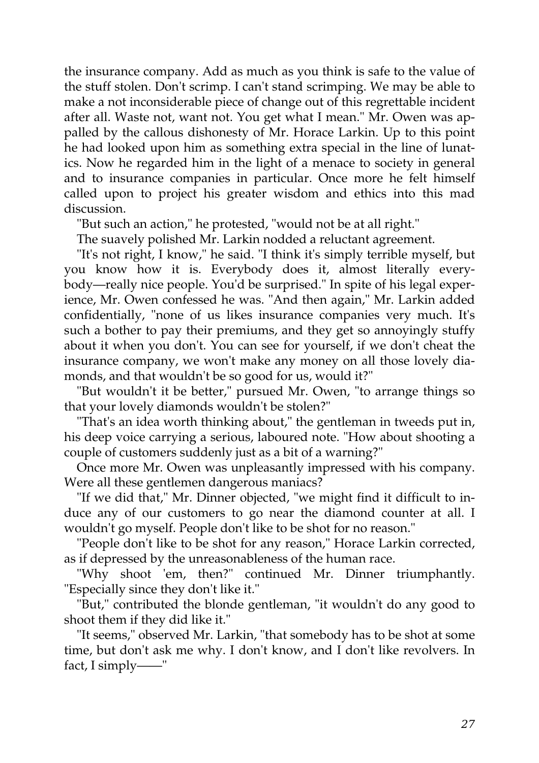the insurance company. Add as much as you think is safe to the value of the stuff stolen. Don't scrimp. I can't stand scrimping. We may be able to make a not inconsiderable piece of change out of this regrettable incident after all. Waste not, want not. You get what I mean." Mr. Owen was appalled by the callous dishonesty of Mr. Horace Larkin. Up to this point he had looked upon him as something extra special in the line of lunatics. Now he regarded him in the light of a menace to society in general and to insurance companies in particular. Once more he felt himself called upon to project his greater wisdom and ethics into this mad discussion.

"But such an action," he protested, "would not be at all right."

The suavely polished Mr. Larkin nodded a reluctant agreement.

"It's not right, I know," he said. "I think it's simply terrible myself, but you know how it is. Everybody does it, almost literally everybody—really nice people. You'd be surprised." In spite of his legal experience, Mr. Owen confessed he was. "And then again," Mr. Larkin added confidentially, "none of us likes insurance companies very much. It's such a bother to pay their premiums, and they get so annoyingly stuffy about it when you don't. You can see for yourself, if we don't cheat the insurance company, we won't make any money on all those lovely diamonds, and that wouldn't be so good for us, would it?"

"But wouldn't it be better," pursued Mr. Owen, "to arrange things so that your lovely diamonds wouldn't be stolen?"

"That's an idea worth thinking about," the gentleman in tweeds put in, his deep voice carrying a serious, laboured note. "How about shooting a couple of customers suddenly just as a bit of a warning?"

Once more Mr. Owen was unpleasantly impressed with his company. Were all these gentlemen dangerous maniacs?

"If we did that," Mr. Dinner objected, "we might find it difficult to induce any of our customers to go near the diamond counter at all. I wouldn't go myself. People don't like to be shot for no reason."

"People don't like to be shot for any reason," Horace Larkin corrected, as if depressed by the unreasonableness of the human race.

"Why shoot 'em, then?" continued Mr. Dinner triumphantly. "Especially since they don't like it."

"But," contributed the blonde gentleman, "it wouldn't do any good to shoot them if they did like it."

"It seems," observed Mr. Larkin, "that somebody has to be shot at some time, but don't ask me why. I don't know, and I don't like revolvers. In fact, I simply——"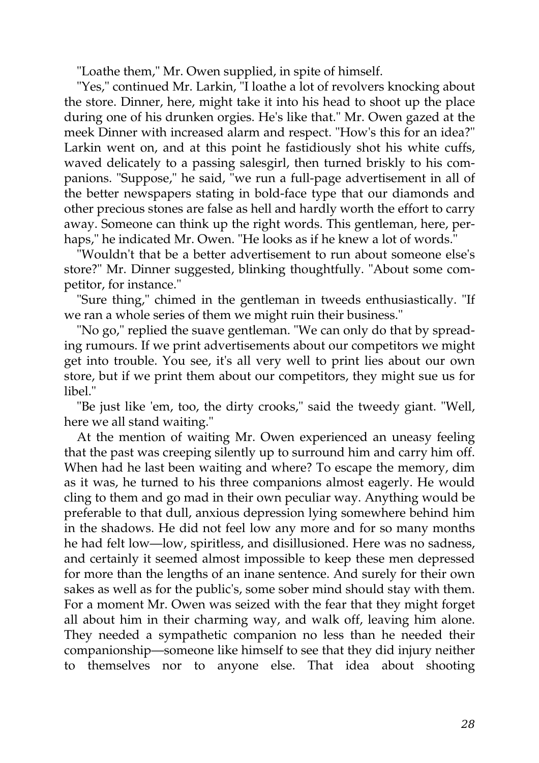"Loathe them," Mr. Owen supplied, in spite of himself.

"Yes," continued Mr. Larkin, "I loathe a lot of revolvers knocking about the store. Dinner, here, might take it into his head to shoot up the place during one of his drunken orgies. He's like that." Mr. Owen gazed at the meek Dinner with increased alarm and respect. "How's this for an idea?" Larkin went on, and at this point he fastidiously shot his white cuffs, waved delicately to a passing salesgirl, then turned briskly to his companions. "Suppose," he said, "we run a full-page advertisement in all of the better newspapers stating in bold-face type that our diamonds and other precious stones are false as hell and hardly worth the effort to carry away. Someone can think up the right words. This gentleman, here, perhaps," he indicated Mr. Owen. "He looks as if he knew a lot of words."

"Wouldn't that be a better advertisement to run about someone else's store?" Mr. Dinner suggested, blinking thoughtfully. "About some competitor, for instance."

"Sure thing," chimed in the gentleman in tweeds enthusiastically. "If we ran a whole series of them we might ruin their business."

"No go," replied the suave gentleman. "We can only do that by spreading rumours. If we print advertisements about our competitors we might get into trouble. You see, it's all very well to print lies about our own store, but if we print them about our competitors, they might sue us for libel."

"Be just like 'em, too, the dirty crooks," said the tweedy giant. "Well, here we all stand waiting."

At the mention of waiting Mr. Owen experienced an uneasy feeling that the past was creeping silently up to surround him and carry him off. When had he last been waiting and where? To escape the memory, dim as it was, he turned to his three companions almost eagerly. He would cling to them and go mad in their own peculiar way. Anything would be preferable to that dull, anxious depression lying somewhere behind him in the shadows. He did not feel low any more and for so many months he had felt low—low, spiritless, and disillusioned. Here was no sadness, and certainly it seemed almost impossible to keep these men depressed for more than the lengths of an inane sentence. And surely for their own sakes as well as for the public's, some sober mind should stay with them. For a moment Mr. Owen was seized with the fear that they might forget all about him in their charming way, and walk off, leaving him alone. They needed a sympathetic companion no less than he needed their companionship—someone like himself to see that they did injury neither to themselves nor to anyone else. That idea about shooting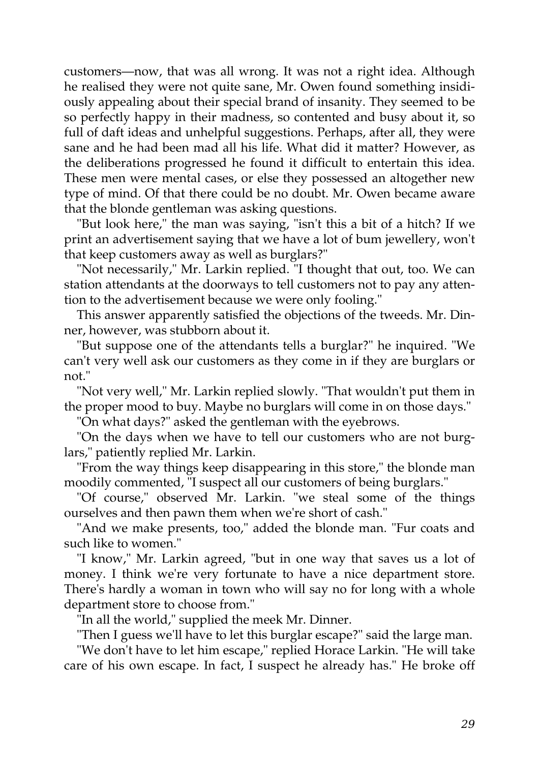customers—now, that was all wrong. It was not a right idea. Although he realised they were not quite sane, Mr. Owen found something insidiously appealing about their special brand of insanity. They seemed to be so perfectly happy in their madness, so contented and busy about it, so full of daft ideas and unhelpful suggestions. Perhaps, after all, they were sane and he had been mad all his life. What did it matter? However, as the deliberations progressed he found it difficult to entertain this idea. These men were mental cases, or else they possessed an altogether new type of mind. Of that there could be no doubt. Mr. Owen became aware that the blonde gentleman was asking questions.

"But look here," the man was saying, "isn't this a bit of a hitch? If we print an advertisement saying that we have a lot of bum jewellery, won't that keep customers away as well as burglars?"

"Not necessarily," Mr. Larkin replied. "I thought that out, too. We can station attendants at the doorways to tell customers not to pay any attention to the advertisement because we were only fooling."

This answer apparently satisfied the objections of the tweeds. Mr. Dinner, however, was stubborn about it.

"But suppose one of the attendants tells a burglar?" he inquired. "We can't very well ask our customers as they come in if they are burglars or not."

"Not very well," Mr. Larkin replied slowly. "That wouldn't put them in the proper mood to buy. Maybe no burglars will come in on those days."

"On what days?" asked the gentleman with the eyebrows.

"On the days when we have to tell our customers who are not burglars," patiently replied Mr. Larkin.

"From the way things keep disappearing in this store," the blonde man moodily commented, "I suspect all our customers of being burglars."

"Of course," observed Mr. Larkin. "we steal some of the things ourselves and then pawn them when we're short of cash."

"And we make presents, too," added the blonde man. "Fur coats and such like to women."

"I know," Mr. Larkin agreed, "but in one way that saves us a lot of money. I think we're very fortunate to have a nice department store. There's hardly a woman in town who will say no for long with a whole department store to choose from."

"In all the world," supplied the meek Mr. Dinner.

"Then I guess we'll have to let this burglar escape?" said the large man.

"We don't have to let him escape," replied Horace Larkin. "He will take care of his own escape. In fact, I suspect he already has." He broke off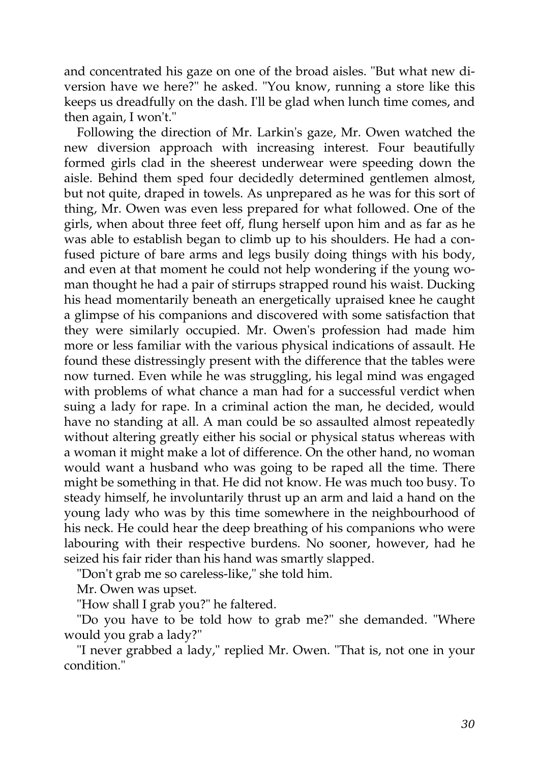and concentrated his gaze on one of the broad aisles. "But what new diversion have we here?" he asked. "You know, running a store like this keeps us dreadfully on the dash. I'll be glad when lunch time comes, and then again, I won't."

Following the direction of Mr. Larkin's gaze, Mr. Owen watched the new diversion approach with increasing interest. Four beautifully formed girls clad in the sheerest underwear were speeding down the aisle. Behind them sped four decidedly determined gentlemen almost, but not quite, draped in towels. As unprepared as he was for this sort of thing, Mr. Owen was even less prepared for what followed. One of the girls, when about three feet off, flung herself upon him and as far as he was able to establish began to climb up to his shoulders. He had a confused picture of bare arms and legs busily doing things with his body, and even at that moment he could not help wondering if the young woman thought he had a pair of stirrups strapped round his waist. Ducking his head momentarily beneath an energetically upraised knee he caught a glimpse of his companions and discovered with some satisfaction that they were similarly occupied. Mr. Owen's profession had made him more or less familiar with the various physical indications of assault. He found these distressingly present with the difference that the tables were now turned. Even while he was struggling, his legal mind was engaged with problems of what chance a man had for a successful verdict when suing a lady for rape. In a criminal action the man, he decided, would have no standing at all. A man could be so assaulted almost repeatedly without altering greatly either his social or physical status whereas with a woman it might make a lot of difference. On the other hand, no woman would want a husband who was going to be raped all the time. There might be something in that. He did not know. He was much too busy. To steady himself, he involuntarily thrust up an arm and laid a hand on the young lady who was by this time somewhere in the neighbourhood of his neck. He could hear the deep breathing of his companions who were labouring with their respective burdens. No sooner, however, had he seized his fair rider than his hand was smartly slapped.

"Don't grab me so careless-like," she told him.

Mr. Owen was upset.

"How shall I grab you?" he faltered.

"Do you have to be told how to grab me?" she demanded. "Where would you grab a lady?"

"I never grabbed a lady," replied Mr. Owen. "That is, not one in your condition."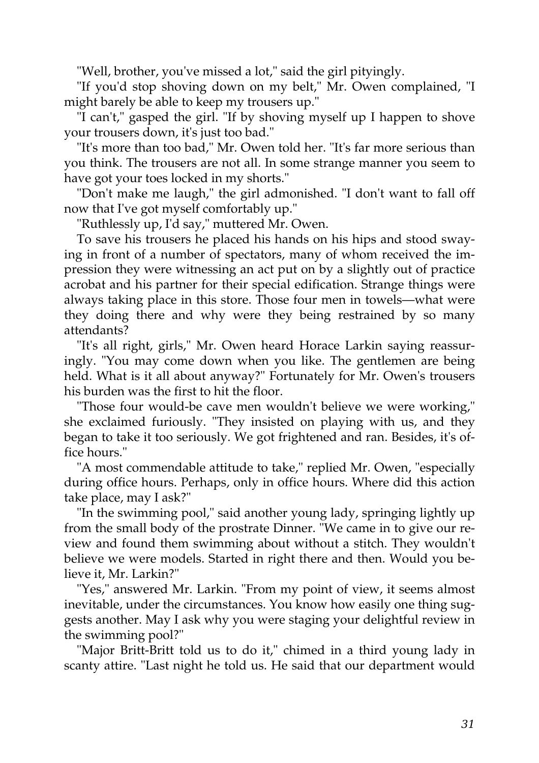"Well, brother, you've missed a lot," said the girl pityingly.

"If you'd stop shoving down on my belt," Mr. Owen complained, "I might barely be able to keep my trousers up."

"I can't," gasped the girl. "If by shoving myself up I happen to shove your trousers down, it's just too bad."

"It's more than too bad," Mr. Owen told her. "It's far more serious than you think. The trousers are not all. In some strange manner you seem to have got your toes locked in my shorts."

"Don't make me laugh," the girl admonished. "I don't want to fall off now that I've got myself comfortably up."

"Ruthlessly up, I'd say," muttered Mr. Owen.

To save his trousers he placed his hands on his hips and stood swaying in front of a number of spectators, many of whom received the impression they were witnessing an act put on by a slightly out of practice acrobat and his partner for their special edification. Strange things were always taking place in this store. Those four men in towels—what were they doing there and why were they being restrained by so many attendants?

"It's all right, girls," Mr. Owen heard Horace Larkin saying reassuringly. "You may come down when you like. The gentlemen are being held. What is it all about anyway?" Fortunately for Mr. Owen's trousers his burden was the first to hit the floor.

"Those four would-be cave men wouldn't believe we were working," she exclaimed furiously. "They insisted on playing with us, and they began to take it too seriously. We got frightened and ran. Besides, it's office hours."

"A most commendable attitude to take," replied Mr. Owen, "especially during office hours. Perhaps, only in office hours. Where did this action take place, may I ask?"

"In the swimming pool," said another young lady, springing lightly up from the small body of the prostrate Dinner. "We came in to give our review and found them swimming about without a stitch. They wouldn't believe we were models. Started in right there and then. Would you believe it, Mr. Larkin?"

"Yes," answered Mr. Larkin. "From my point of view, it seems almost inevitable, under the circumstances. You know how easily one thing suggests another. May I ask why you were staging your delightful review in the swimming pool?"

"Major Britt-Britt told us to do it," chimed in a third young lady in scanty attire. "Last night he told us. He said that our department would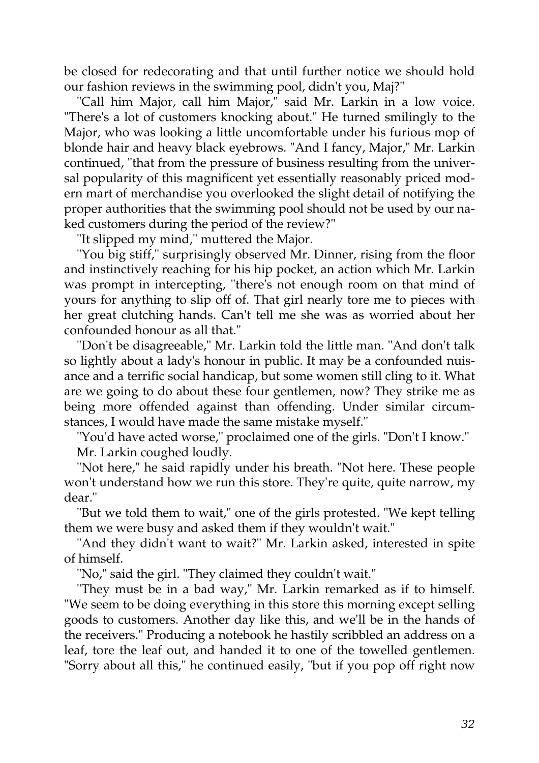be closed for redecorating and that until further notice we should hold our fashion reviews in the swimming pool, didn't you, Maj?"

"Call him Major, call him Major," said Mr. Larkin in a low voice. "There's a lot of customers knocking about." He turned smilingly to the Major, who was looking a little uncomfortable under his furious mop of blonde hair and heavy black eyebrows. "And I fancy, Major," Mr. Larkin continued, "that from the pressure of business resulting from the universal popularity of this magnificent yet essentially reasonably priced modern mart of merchandise you overlooked the slight detail of notifying the proper authorities that the swimming pool should not be used by our naked customers during the period of the review?"

"It slipped my mind," muttered the Major.

"You big stiff," surprisingly observed Mr. Dinner, rising from the floor and instinctively reaching for his hip pocket, an action which Mr. Larkin was prompt in intercepting, "there's not enough room on that mind of yours for anything to slip off of. That girl nearly tore me to pieces with her great clutching hands. Can't tell me she was as worried about her confounded honour as all that."

"Don't be disagreeable," Mr. Larkin told the little man. "And don't talk so lightly about a lady's honour in public. It may be a confounded nuisance and a terrific social handicap, but some women still cling to it. What are we going to do about these four gentlemen, now? They strike me as being more offended against than offending. Under similar circumstances, I would have made the same mistake myself."

"You'd have acted worse," proclaimed one of the girls. "Don't I know." Mr. Larkin coughed loudly.

"Not here," he said rapidly under his breath. "Not here. These people won't understand how we run this store. They're quite, quite narrow, my dear."

"But we told them to wait," one of the girls protested. "We kept telling them we were busy and asked them if they wouldn't wait."

"And they didn't want to wait?" Mr. Larkin asked, interested in spite of himself.

"No," said the girl. "They claimed they couldn't wait."

"They must be in a bad way," Mr. Larkin remarked as if to himself. "We seem to be doing everything in this store this morning except selling goods to customers. Another day like this, and we'll be in the hands of the receivers." Producing a notebook he hastily scribbled an address on a leaf, tore the leaf out, and handed it to one of the towelled gentlemen. "Sorry about all this," he continued easily, "but if you pop off right now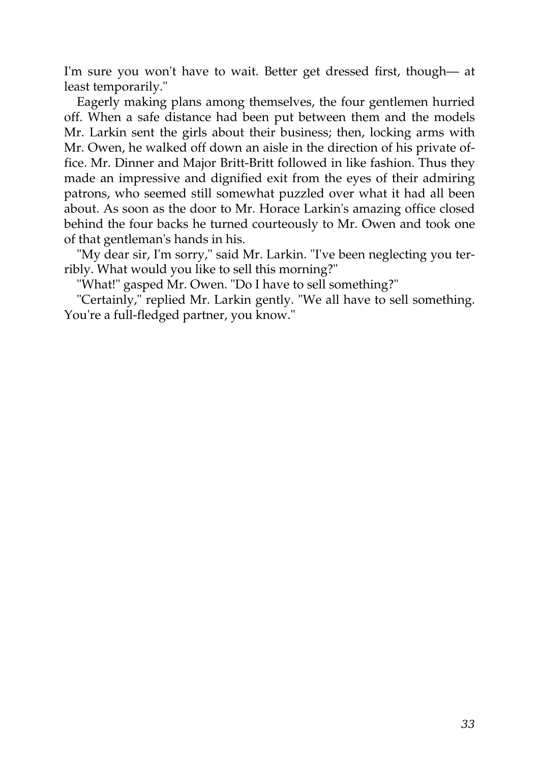I'm sure you won't have to wait. Better get dressed first, though— at least temporarily."

Eagerly making plans among themselves, the four gentlemen hurried off. When a safe distance had been put between them and the models Mr. Larkin sent the girls about their business; then, locking arms with Mr. Owen, he walked off down an aisle in the direction of his private office. Mr. Dinner and Major Britt-Britt followed in like fashion. Thus they made an impressive and dignified exit from the eyes of their admiring patrons, who seemed still somewhat puzzled over what it had all been about. As soon as the door to Mr. Horace Larkin's amazing office closed behind the four backs he turned courteously to Mr. Owen and took one of that gentleman's hands in his.

"My dear sir, I'm sorry," said Mr. Larkin. "I've been neglecting you terribly. What would you like to sell this morning?"

"What!" gasped Mr. Owen. "Do I have to sell something?"

"Certainly," replied Mr. Larkin gently. "We all have to sell something. You're a full-fledged partner, you know."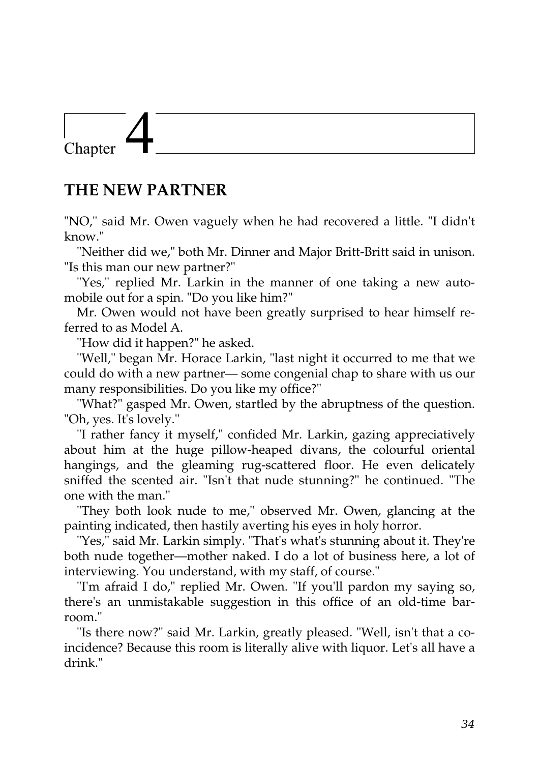## Chapter

#### **THE NEW PARTNER**

"NO," said Mr. Owen vaguely when he had recovered a little. "I didn't know."

"Neither did we," both Mr. Dinner and Major Britt-Britt said in unison. "Is this man our new partner?"

"Yes," replied Mr. Larkin in the manner of one taking a new automobile out for a spin. "Do you like him?"

Mr. Owen would not have been greatly surprised to hear himself referred to as Model A.

"How did it happen?" he asked.

"Well," began Mr. Horace Larkin, "last night it occurred to me that we could do with a new partner— some congenial chap to share with us our many responsibilities. Do you like my office?"

"What?" gasped Mr. Owen, startled by the abruptness of the question. "Oh, yes. It's lovely."

"I rather fancy it myself," confided Mr. Larkin, gazing appreciatively about him at the huge pillow-heaped divans, the colourful oriental hangings, and the gleaming rug-scattered floor. He even delicately sniffed the scented air. "Isn't that nude stunning?" he continued. "The one with the man."

"They both look nude to me," observed Mr. Owen, glancing at the painting indicated, then hastily averting his eyes in holy horror.

"Yes," said Mr. Larkin simply. "That's what's stunning about it. They're both nude together—mother naked. I do a lot of business here, a lot of interviewing. You understand, with my staff, of course."

"I'm afraid I do," replied Mr. Owen. "If you'll pardon my saying so, there's an unmistakable suggestion in this office of an old-time barroom."

"Is there now?" said Mr. Larkin, greatly pleased. "Well, isn't that a coincidence? Because this room is literally alive with liquor. Let's all have a drink."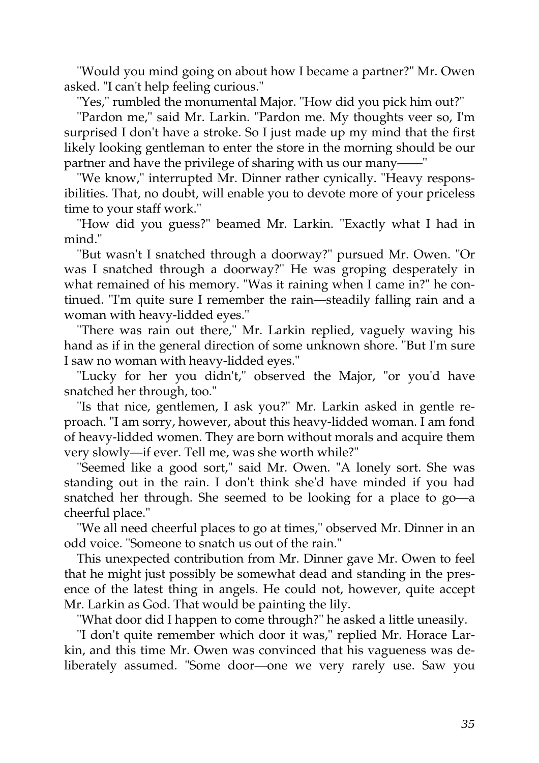"Would you mind going on about how I became a partner?" Mr. Owen asked. "I can't help feeling curious."

"Yes," rumbled the monumental Major. "How did you pick him out?"

"Pardon me," said Mr. Larkin. "Pardon me. My thoughts veer so, I'm surprised I don't have a stroke. So I just made up my mind that the first likely looking gentleman to enter the store in the morning should be our partner and have the privilege of sharing with us our many——"

"We know," interrupted Mr. Dinner rather cynically. "Heavy responsibilities. That, no doubt, will enable you to devote more of your priceless time to your staff work."

"How did you guess?" beamed Mr. Larkin. "Exactly what I had in mind."

"But wasn't I snatched through a doorway?" pursued Mr. Owen. "Or was I snatched through a doorway?" He was groping desperately in what remained of his memory. "Was it raining when I came in?" he continued. "I'm quite sure I remember the rain—steadily falling rain and a woman with heavy-lidded eyes."

"There was rain out there," Mr. Larkin replied, vaguely waving his hand as if in the general direction of some unknown shore. "But I'm sure I saw no woman with heavy-lidded eyes."

"Lucky for her you didn't," observed the Major, "or you'd have snatched her through, too."

"Is that nice, gentlemen, I ask you?" Mr. Larkin asked in gentle reproach. "I am sorry, however, about this heavy-lidded woman. I am fond of heavy-lidded women. They are born without morals and acquire them very slowly—if ever. Tell me, was she worth while?"

"Seemed like a good sort," said Mr. Owen. "A lonely sort. She was standing out in the rain. I don't think she'd have minded if you had snatched her through. She seemed to be looking for a place to go—a cheerful place."

"We all need cheerful places to go at times," observed Mr. Dinner in an odd voice. "Someone to snatch us out of the rain."

This unexpected contribution from Mr. Dinner gave Mr. Owen to feel that he might just possibly be somewhat dead and standing in the presence of the latest thing in angels. He could not, however, quite accept Mr. Larkin as God. That would be painting the lily.

"What door did I happen to come through?" he asked a little uneasily.

"I don't quite remember which door it was," replied Mr. Horace Larkin, and this time Mr. Owen was convinced that his vagueness was deliberately assumed. "Some door—one we very rarely use. Saw you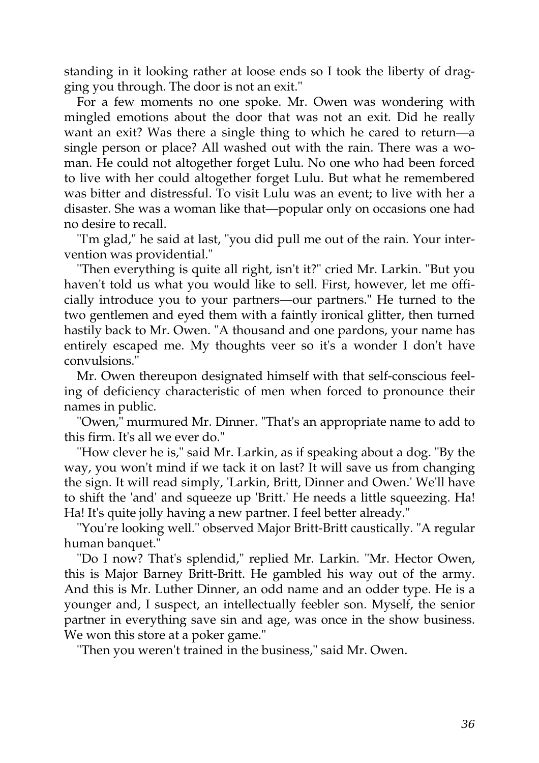standing in it looking rather at loose ends so I took the liberty of dragging you through. The door is not an exit."

For a few moments no one spoke. Mr. Owen was wondering with mingled emotions about the door that was not an exit. Did he really want an exit? Was there a single thing to which he cared to return—a single person or place? All washed out with the rain. There was a woman. He could not altogether forget Lulu. No one who had been forced to live with her could altogether forget Lulu. But what he remembered was bitter and distressful. To visit Lulu was an event; to live with her a disaster. She was a woman like that—popular only on occasions one had no desire to recall.

"I'm glad," he said at last, "you did pull me out of the rain. Your intervention was providential."

"Then everything is quite all right, isn't it?" cried Mr. Larkin. "But you haven't told us what you would like to sell. First, however, let me officially introduce you to your partners—our partners." He turned to the two gentlemen and eyed them with a faintly ironical glitter, then turned hastily back to Mr. Owen. "A thousand and one pardons, your name has entirely escaped me. My thoughts veer so it's a wonder I don't have convulsions."

Mr. Owen thereupon designated himself with that self-conscious feeling of deficiency characteristic of men when forced to pronounce their names in public.

"Owen," murmured Mr. Dinner. "That's an appropriate name to add to this firm. It's all we ever do."

"How clever he is," said Mr. Larkin, as if speaking about a dog. "By the way, you won't mind if we tack it on last? It will save us from changing the sign. It will read simply, 'Larkin, Britt, Dinner and Owen.' We'll have to shift the 'and' and squeeze up 'Britt.' He needs a little squeezing. Ha! Ha! It's quite jolly having a new partner. I feel better already."

"You're looking well." observed Major Britt-Britt caustically. "A regular human banquet."

"Do I now? That's splendid," replied Mr. Larkin. "Mr. Hector Owen, this is Major Barney Britt-Britt. He gambled his way out of the army. And this is Mr. Luther Dinner, an odd name and an odder type. He is a younger and, I suspect, an intellectually feebler son. Myself, the senior partner in everything save sin and age, was once in the show business. We won this store at a poker game."

"Then you weren't trained in the business," said Mr. Owen.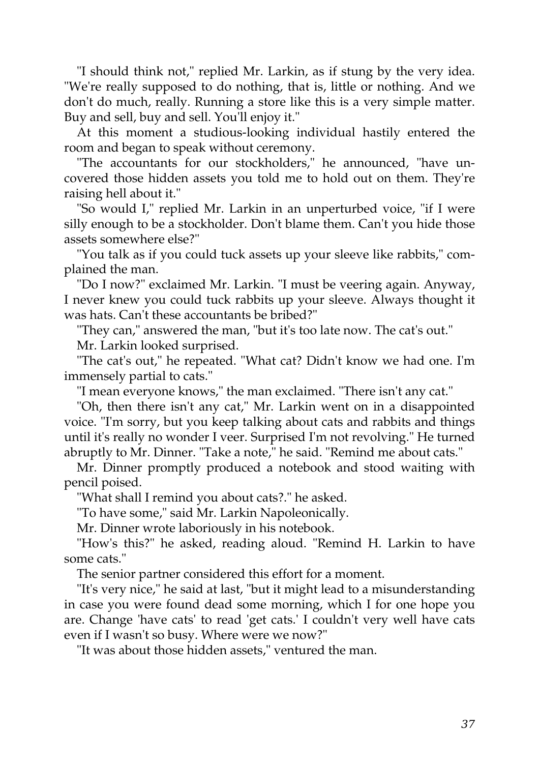"I should think not," replied Mr. Larkin, as if stung by the very idea. "We're really supposed to do nothing, that is, little or nothing. And we don't do much, really. Running a store like this is a very simple matter. Buy and sell, buy and sell. You'll enjoy it."

At this moment a studious-looking individual hastily entered the room and began to speak without ceremony.

"The accountants for our stockholders," he announced, "have uncovered those hidden assets you told me to hold out on them. They're raising hell about it."

"So would I," replied Mr. Larkin in an unperturbed voice, "if I were silly enough to be a stockholder. Don't blame them. Can't you hide those assets somewhere else?"

"You talk as if you could tuck assets up your sleeve like rabbits," complained the man.

"Do I now?" exclaimed Mr. Larkin. "I must be veering again. Anyway, I never knew you could tuck rabbits up your sleeve. Always thought it was hats. Can't these accountants be bribed?"

"They can," answered the man, "but it's too late now. The cat's out."

Mr. Larkin looked surprised.

"The cat's out," he repeated. "What cat? Didn't know we had one. I'm immensely partial to cats."

"I mean everyone knows," the man exclaimed. "There isn't any cat."

"Oh, then there isn't any cat," Mr. Larkin went on in a disappointed voice. "I'm sorry, but you keep talking about cats and rabbits and things until it's really no wonder I veer. Surprised I'm not revolving." He turned abruptly to Mr. Dinner. "Take a note," he said. "Remind me about cats."

Mr. Dinner promptly produced a notebook and stood waiting with pencil poised.

"What shall I remind you about cats?." he asked.

"To have some," said Mr. Larkin Napoleonically.

Mr. Dinner wrote laboriously in his notebook.

"How's this?" he asked, reading aloud. "Remind H. Larkin to have some cats."

The senior partner considered this effort for a moment.

"It's very nice," he said at last, "but it might lead to a misunderstanding in case you were found dead some morning, which I for one hope you are. Change 'have cats' to read 'get cats.' I couldn't very well have cats even if I wasn't so busy. Where were we now?"

"It was about those hidden assets," ventured the man.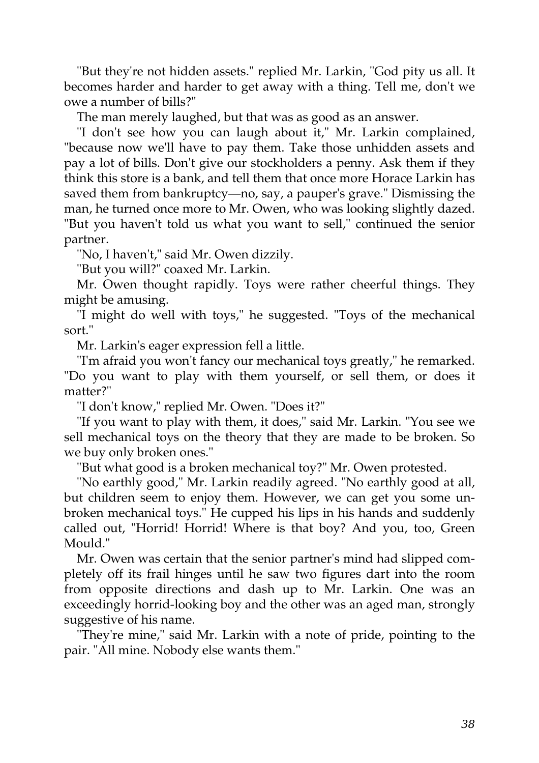"But they're not hidden assets." replied Mr. Larkin, "God pity us all. It becomes harder and harder to get away with a thing. Tell me, don't we owe a number of bills?"

The man merely laughed, but that was as good as an answer.

"I don't see how you can laugh about it," Mr. Larkin complained, "because now we'll have to pay them. Take those unhidden assets and pay a lot of bills. Don't give our stockholders a penny. Ask them if they think this store is a bank, and tell them that once more Horace Larkin has saved them from bankruptcy—no, say, a pauper's grave." Dismissing the man, he turned once more to Mr. Owen, who was looking slightly dazed. "But you haven't told us what you want to sell," continued the senior partner.

"No, I haven't," said Mr. Owen dizzily.

"But you will?" coaxed Mr. Larkin.

Mr. Owen thought rapidly. Toys were rather cheerful things. They might be amusing.

"I might do well with toys," he suggested. "Toys of the mechanical sort."

Mr. Larkin's eager expression fell a little.

"I'm afraid you won't fancy our mechanical toys greatly," he remarked. "Do you want to play with them yourself, or sell them, or does it matter?"

"I don't know," replied Mr. Owen. "Does it?"

"If you want to play with them, it does," said Mr. Larkin. "You see we sell mechanical toys on the theory that they are made to be broken. So we buy only broken ones."

"But what good is a broken mechanical toy?" Mr. Owen protested.

"No earthly good," Mr. Larkin readily agreed. "No earthly good at all, but children seem to enjoy them. However, we can get you some unbroken mechanical toys." He cupped his lips in his hands and suddenly called out, "Horrid! Horrid! Where is that boy? And you, too, Green Mould."

Mr. Owen was certain that the senior partner's mind had slipped completely off its frail hinges until he saw two figures dart into the room from opposite directions and dash up to Mr. Larkin. One was an exceedingly horrid-looking boy and the other was an aged man, strongly suggestive of his name.

"They're mine," said Mr. Larkin with a note of pride, pointing to the pair. "All mine. Nobody else wants them."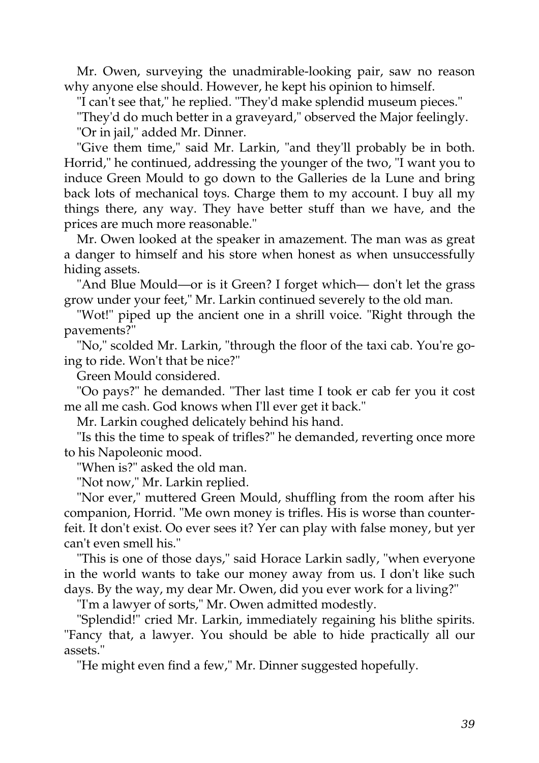Mr. Owen, surveying the unadmirable-looking pair, saw no reason why anyone else should. However, he kept his opinion to himself.

"I can't see that," he replied. "They'd make splendid museum pieces."

"They'd do much better in a graveyard," observed the Major feelingly. "Or in jail," added Mr. Dinner.

"Give them time," said Mr. Larkin, "and they'll probably be in both. Horrid," he continued, addressing the younger of the two, "I want you to induce Green Mould to go down to the Galleries de la Lune and bring back lots of mechanical toys. Charge them to my account. I buy all my things there, any way. They have better stuff than we have, and the prices are much more reasonable."

Mr. Owen looked at the speaker in amazement. The man was as great a danger to himself and his store when honest as when unsuccessfully hiding assets.

"And Blue Mould—or is it Green? I forget which— don't let the grass grow under your feet," Mr. Larkin continued severely to the old man.

"Wot!" piped up the ancient one in a shrill voice. "Right through the pavements?"

"No," scolded Mr. Larkin, "through the floor of the taxi cab. You're going to ride. Won't that be nice?"

Green Mould considered.

"Oo pays?" he demanded. "Ther last time I took er cab fer you it cost me all me cash. God knows when I'll ever get it back."

Mr. Larkin coughed delicately behind his hand.

"Is this the time to speak of trifles?" he demanded, reverting once more to his Napoleonic mood.

"When is?" asked the old man.

"Not now," Mr. Larkin replied.

"Nor ever," muttered Green Mould, shuffling from the room after his companion, Horrid. "Me own money is trifles. His is worse than counterfeit. It don't exist. Oo ever sees it? Yer can play with false money, but yer can't even smell his."

"This is one of those days," said Horace Larkin sadly, "when everyone in the world wants to take our money away from us. I don't like such days. By the way, my dear Mr. Owen, did you ever work for a living?"

"I'm a lawyer of sorts," Mr. Owen admitted modestly.

"Splendid!" cried Mr. Larkin, immediately regaining his blithe spirits. "Fancy that, a lawyer. You should be able to hide practically all our assets."

"He might even find a few," Mr. Dinner suggested hopefully.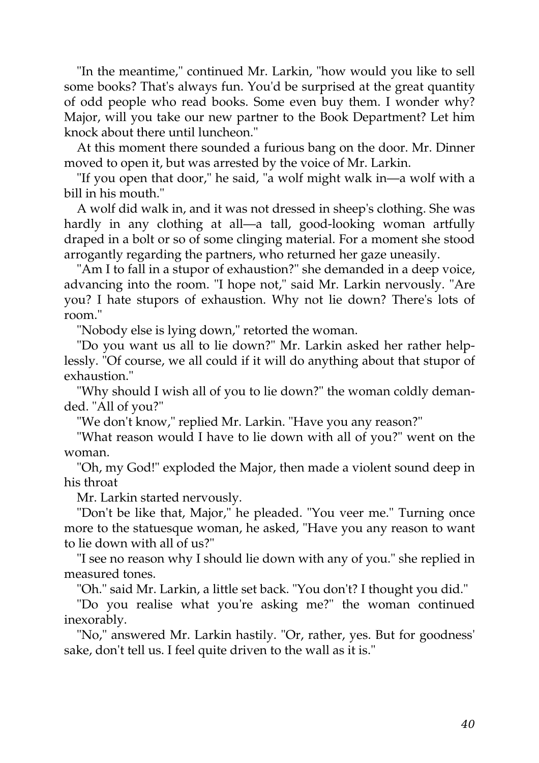"In the meantime," continued Mr. Larkin, "how would you like to sell some books? That's always fun. You'd be surprised at the great quantity of odd people who read books. Some even buy them. I wonder why? Major, will you take our new partner to the Book Department? Let him knock about there until luncheon."

At this moment there sounded a furious bang on the door. Mr. Dinner moved to open it, but was arrested by the voice of Mr. Larkin.

"If you open that door," he said, "a wolf might walk in—a wolf with a bill in his mouth."

A wolf did walk in, and it was not dressed in sheep's clothing. She was hardly in any clothing at all—a tall, good-looking woman artfully draped in a bolt or so of some clinging material. For a moment she stood arrogantly regarding the partners, who returned her gaze uneasily.

"Am I to fall in a stupor of exhaustion?" she demanded in a deep voice, advancing into the room. "I hope not," said Mr. Larkin nervously. "Are you? I hate stupors of exhaustion. Why not lie down? There's lots of room."

"Nobody else is lying down," retorted the woman.

"Do you want us all to lie down?" Mr. Larkin asked her rather helplessly. "Of course, we all could if it will do anything about that stupor of exhaustion."

"Why should I wish all of you to lie down?" the woman coldly demanded. "All of you?"

"We don't know," replied Mr. Larkin. "Have you any reason?"

"What reason would I have to lie down with all of you?" went on the woman.

"Oh, my God!" exploded the Major, then made a violent sound deep in his throat

Mr. Larkin started nervously.

"Don't be like that, Major," he pleaded. "You veer me." Turning once more to the statuesque woman, he asked, "Have you any reason to want to lie down with all of us?"

"I see no reason why I should lie down with any of you." she replied in measured tones.

"Oh." said Mr. Larkin, a little set back. "You don't? I thought you did."

"Do you realise what you're asking me?" the woman continued inexorably.

"No," answered Mr. Larkin hastily. "Or, rather, yes. But for goodness' sake, don't tell us. I feel quite driven to the wall as it is."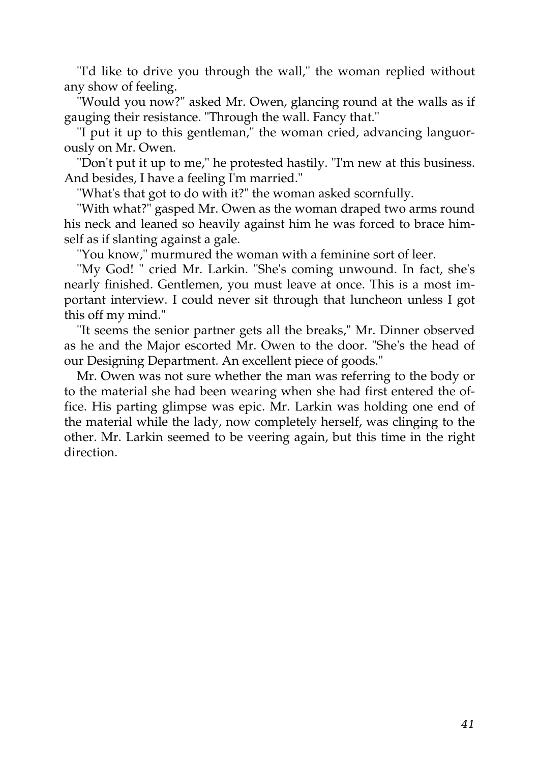"I'd like to drive you through the wall," the woman replied without any show of feeling.

"Would you now?" asked Mr. Owen, glancing round at the walls as if gauging their resistance. "Through the wall. Fancy that."

"I put it up to this gentleman," the woman cried, advancing languorously on Mr. Owen.

"Don't put it up to me," he protested hastily. "I'm new at this business. And besides, I have a feeling I'm married."

"What's that got to do with it?" the woman asked scornfully.

"With what?" gasped Mr. Owen as the woman draped two arms round his neck and leaned so heavily against him he was forced to brace himself as if slanting against a gale.

"You know," murmured the woman with a feminine sort of leer.

"My God! " cried Mr. Larkin. "She's coming unwound. In fact, she's nearly finished. Gentlemen, you must leave at once. This is a most important interview. I could never sit through that luncheon unless I got this off my mind."

"It seems the senior partner gets all the breaks," Mr. Dinner observed as he and the Major escorted Mr. Owen to the door. "She's the head of our Designing Department. An excellent piece of goods."

Mr. Owen was not sure whether the man was referring to the body or to the material she had been wearing when she had first entered the office. His parting glimpse was epic. Mr. Larkin was holding one end of the material while the lady, now completely herself, was clinging to the other. Mr. Larkin seemed to be veering again, but this time in the right direction.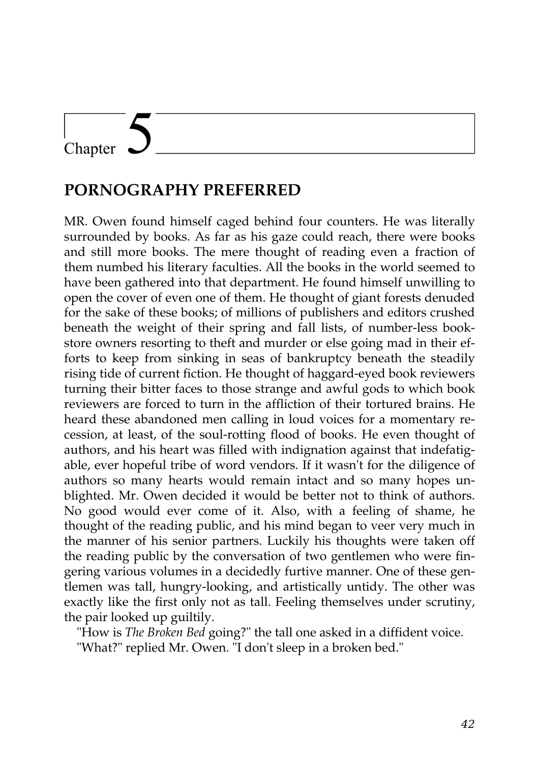## Chapter

### **PORNOGRAPHY PREFERRED**

MR. Owen found himself caged behind four counters. He was literally surrounded by books. As far as his gaze could reach, there were books and still more books. The mere thought of reading even a fraction of them numbed his literary faculties. All the books in the world seemed to have been gathered into that department. He found himself unwilling to open the cover of even one of them. He thought of giant forests denuded for the sake of these books; of millions of publishers and editors crushed beneath the weight of their spring and fall lists, of number-less bookstore owners resorting to theft and murder or else going mad in their efforts to keep from sinking in seas of bankruptcy beneath the steadily rising tide of current fiction. He thought of haggard-eyed book reviewers turning their bitter faces to those strange and awful gods to which book reviewers are forced to turn in the affliction of their tortured brains. He heard these abandoned men calling in loud voices for a momentary recession, at least, of the soul-rotting flood of books. He even thought of authors, and his heart was filled with indignation against that indefatigable, ever hopeful tribe of word vendors. If it wasn't for the diligence of authors so many hearts would remain intact and so many hopes unblighted. Mr. Owen decided it would be better not to think of authors. No good would ever come of it. Also, with a feeling of shame, he thought of the reading public, and his mind began to veer very much in the manner of his senior partners. Luckily his thoughts were taken off the reading public by the conversation of two gentlemen who were fingering various volumes in a decidedly furtive manner. One of these gentlemen was tall, hungry-looking, and artistically untidy. The other was exactly like the first only not as tall. Feeling themselves under scrutiny, the pair looked up guiltily.

"How is *The Broken Bed* going?" the tall one asked in a diffident voice.

"What?" replied Mr. Owen. "I don't sleep in a broken bed."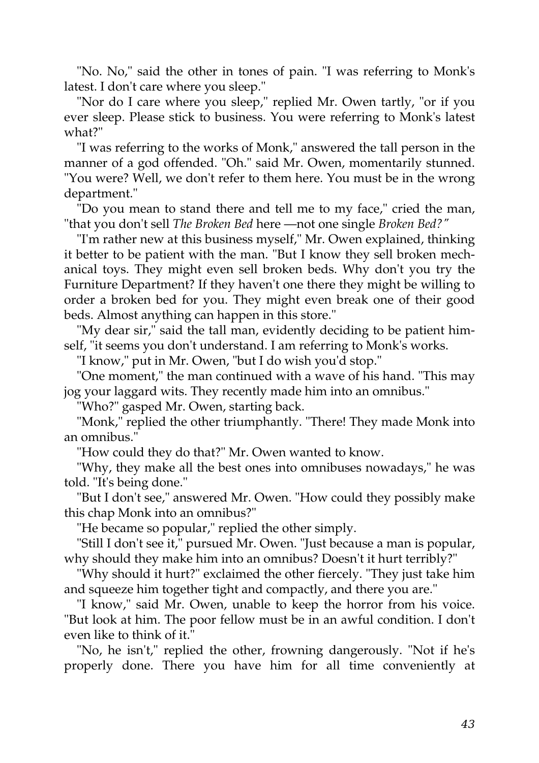"No. No," said the other in tones of pain. "I was referring to Monk's latest. I don't care where you sleep."

"Nor do I care where you sleep," replied Mr. Owen tartly, "or if you ever sleep. Please stick to business. You were referring to Monk's latest what?"

"I was referring to the works of Monk," answered the tall person in the manner of a god offended. "Oh." said Mr. Owen, momentarily stunned. "You were? Well, we don't refer to them here. You must be in the wrong department."

"Do you mean to stand there and tell me to my face," cried the man, "that you don't sell *The Broken Bed* here —not one single *Broken Bed?"*

"I'm rather new at this business myself," Mr. Owen explained, thinking it better to be patient with the man. "But I know they sell broken mechanical toys. They might even sell broken beds. Why don't you try the Furniture Department? If they haven't one there they might be willing to order a broken bed for you. They might even break one of their good beds. Almost anything can happen in this store."

"My dear sir," said the tall man, evidently deciding to be patient himself, "it seems you don't understand. I am referring to Monk's works.

"I know," put in Mr. Owen, "but I do wish you'd stop."

"One moment," the man continued with a wave of his hand. "This may jog your laggard wits. They recently made him into an omnibus."

"Who?" gasped Mr. Owen, starting back.

"Monk," replied the other triumphantly. "There! They made Monk into an omnibus."

"How could they do that?" Mr. Owen wanted to know.

"Why, they make all the best ones into omnibuses nowadays," he was told. "It's being done."

"But I don't see," answered Mr. Owen. "How could they possibly make this chap Monk into an omnibus?"

"He became so popular," replied the other simply.

"Still I don't see it," pursued Mr. Owen. "Just because a man is popular, why should they make him into an omnibus? Doesn't it hurt terribly?"

"Why should it hurt?" exclaimed the other fiercely. "They just take him and squeeze him together tight and compactly, and there you are."

"I know," said Mr. Owen, unable to keep the horror from his voice. "But look at him. The poor fellow must be in an awful condition. I don't even like to think of it."

"No, he isn't," replied the other, frowning dangerously. "Not if he's properly done. There you have him for all time conveniently at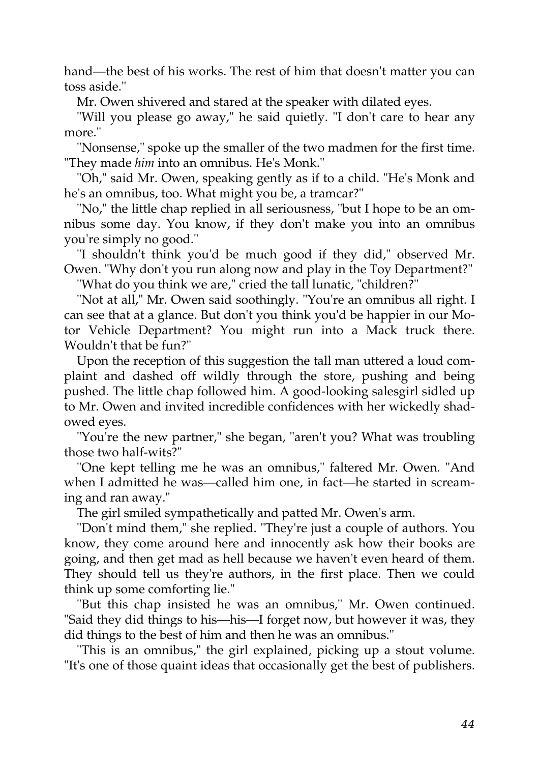hand—the best of his works. The rest of him that doesn't matter you can toss aside."

Mr. Owen shivered and stared at the speaker with dilated eyes.

"Will you please go away," he said quietly. "I don't care to hear any more."

"Nonsense," spoke up the smaller of the two madmen for the first time. "They made *him* into an omnibus. He's Monk."

"Oh," said Mr. Owen, speaking gently as if to a child. "He's Monk and he's an omnibus, too. What might you be, a tramcar?"

"No," the little chap replied in all seriousness, "but I hope to be an omnibus some day. You know, if they don't make you into an omnibus you're simply no good."

"I shouldn't think you'd be much good if they did," observed Mr. Owen. "Why don't you run along now and play in the Toy Department?"

"What do you think we are," cried the tall lunatic, "children?"

"Not at all," Mr. Owen said soothingly. "You're an omnibus all right. I can see that at a glance. But don't you think you'd be happier in our Motor Vehicle Department? You might run into a Mack truck there. Wouldn't that be fun?"

Upon the reception of this suggestion the tall man uttered a loud complaint and dashed off wildly through the store, pushing and being pushed. The little chap followed him. A good-looking salesgirl sidled up to Mr. Owen and invited incredible confidences with her wickedly shadowed eyes.

"You're the new partner," she began, "aren't you? What was troubling those two half-wits?"

"One kept telling me he was an omnibus," faltered Mr. Owen. "And when I admitted he was—called him one, in fact—he started in screaming and ran away."

The girl smiled sympathetically and patted Mr. Owen's arm.

"Don't mind them," she replied. "They're just a couple of authors. You know, they come around here and innocently ask how their books are going, and then get mad as hell because we haven't even heard of them. They should tell us they're authors, in the first place. Then we could think up some comforting lie."

"But this chap insisted he was an omnibus," Mr. Owen continued. "Said they did things to his—his—I forget now, but however it was, they did things to the best of him and then he was an omnibus."

"This is an omnibus," the girl explained, picking up a stout volume. "It's one of those quaint ideas that occasionally get the best of publishers.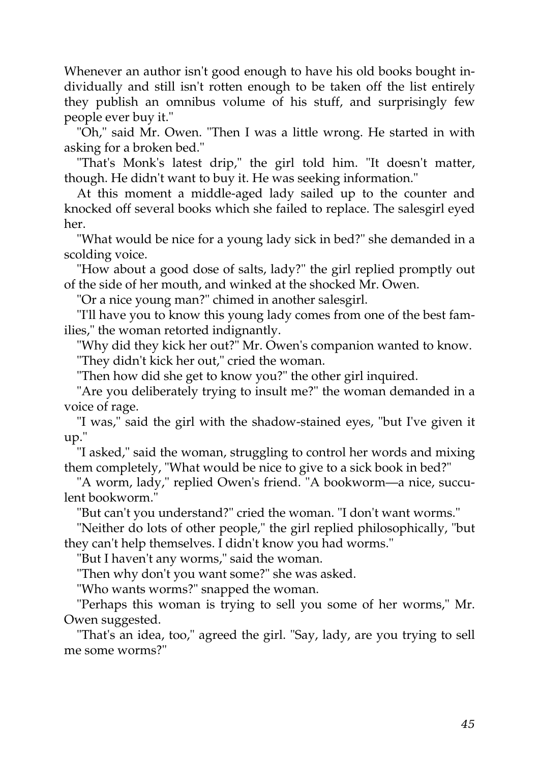Whenever an author isn't good enough to have his old books bought individually and still isn't rotten enough to be taken off the list entirely they publish an omnibus volume of his stuff, and surprisingly few people ever buy it."

"Oh," said Mr. Owen. "Then I was a little wrong. He started in with asking for a broken bed."

"That's Monk's latest drip," the girl told him. "It doesn't matter, though. He didn't want to buy it. He was seeking information."

At this moment a middle-aged lady sailed up to the counter and knocked off several books which she failed to replace. The salesgirl eyed her.

"What would be nice for a young lady sick in bed?" she demanded in a scolding voice.

"How about a good dose of salts, lady?" the girl replied promptly out of the side of her mouth, and winked at the shocked Mr. Owen.

"Or a nice young man?" chimed in another salesgirl.

"I'll have you to know this young lady comes from one of the best families," the woman retorted indignantly.

"Why did they kick her out?" Mr. Owen's companion wanted to know. "They didn't kick her out," cried the woman.

"Then how did she get to know you?" the other girl inquired.

"Are you deliberately trying to insult me?" the woman demanded in a voice of rage.

"I was," said the girl with the shadow-stained eyes, "but I've given it up."

"I asked," said the woman, struggling to control her words and mixing them completely, "What would be nice to give to a sick book in bed?"

"A worm, lady," replied Owen's friend. "A bookworm—a nice, succulent bookworm."

"But can't you understand?" cried the woman. "I don't want worms."

"Neither do lots of other people," the girl replied philosophically, "but they can't help themselves. I didn't know you had worms."

"But I haven't any worms," said the woman.

"Then why don't you want some?" she was asked.

"Who wants worms?" snapped the woman.

"Perhaps this woman is trying to sell you some of her worms," Mr. Owen suggested.

"That's an idea, too," agreed the girl. "Say, lady, are you trying to sell me some worms?"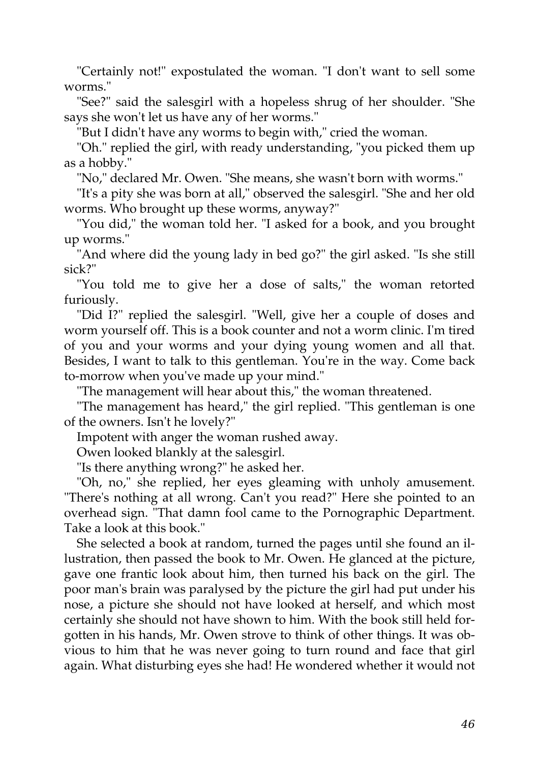"Certainly not!" expostulated the woman. "I don't want to sell some worms."

"See?" said the salesgirl with a hopeless shrug of her shoulder. "She says she won't let us have any of her worms."

"But I didn't have any worms to begin with," cried the woman.

"Oh." replied the girl, with ready understanding, "you picked them up as a hobby."

"No," declared Mr. Owen. "She means, she wasn't born with worms."

"It's a pity she was born at all," observed the salesgirl. "She and her old worms. Who brought up these worms, anyway?"

"You did," the woman told her. "I asked for a book, and you brought up worms."

"And where did the young lady in bed go?" the girl asked. "Is she still sick?"

"You told me to give her a dose of salts," the woman retorted furiously.

"Did I?" replied the salesgirl. "Well, give her a couple of doses and worm yourself off. This is a book counter and not a worm clinic. I'm tired of you and your worms and your dying young women and all that. Besides, I want to talk to this gentleman. You're in the way. Come back to-morrow when you've made up your mind."

"The management will hear about this," the woman threatened.

"The management has heard," the girl replied. "This gentleman is one of the owners. Isn't he lovely?"

Impotent with anger the woman rushed away.

Owen looked blankly at the salesgirl.

"Is there anything wrong?" he asked her.

"Oh, no," she replied, her eyes gleaming with unholy amusement. "There's nothing at all wrong. Can't you read?" Here she pointed to an overhead sign. "That damn fool came to the Pornographic Department. Take a look at this book."

She selected a book at random, turned the pages until she found an illustration, then passed the book to Mr. Owen. He glanced at the picture, gave one frantic look about him, then turned his back on the girl. The poor man's brain was paralysed by the picture the girl had put under his nose, a picture she should not have looked at herself, and which most certainly she should not have shown to him. With the book still held forgotten in his hands, Mr. Owen strove to think of other things. It was obvious to him that he was never going to turn round and face that girl again. What disturbing eyes she had! He wondered whether it would not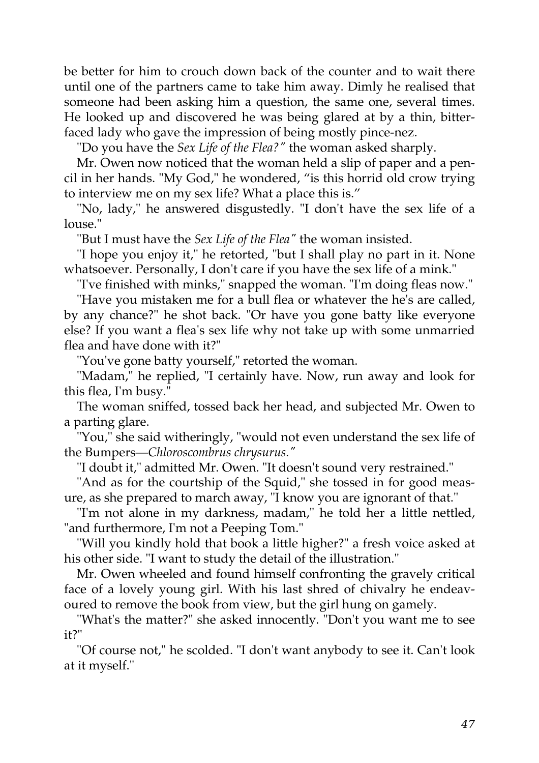be better for him to crouch down back of the counter and to wait there until one of the partners came to take him away. Dimly he realised that someone had been asking him a question, the same one, several times. He looked up and discovered he was being glared at by a thin, bitterfaced lady who gave the impression of being mostly pince-nez.

"Do you have the *Sex Life of the Flea?"* the woman asked sharply.

Mr. Owen now noticed that the woman held a slip of paper and a pencil in her hands. "My God," he wondered, "is this horrid old crow trying to interview me on my sex life? What a place this is."

"No, lady," he answered disgustedly. "I don't have the sex life of a louse."

"But I must have the *Sex Life of the Flea"* the woman insisted.

"I hope you enjoy it," he retorted, "but I shall play no part in it. None whatsoever. Personally, I don't care if you have the sex life of a mink."

"I've finished with minks," snapped the woman. "I'm doing fleas now."

"Have you mistaken me for a bull flea or whatever the he's are called, by any chance?" he shot back. "Or have you gone batty like everyone else? If you want a flea's sex life why not take up with some unmarried flea and have done with it?"

"You've gone batty yourself," retorted the woman.

"Madam," he replied, "I certainly have. Now, run away and look for this flea, I'm busy."

The woman sniffed, tossed back her head, and subjected Mr. Owen to a parting glare.

"You," she said witheringly, "would not even understand the sex life of the Bumpers—*Chloroscombrus chrysurus."*

"I doubt it," admitted Mr. Owen. "It doesn't sound very restrained."

"And as for the courtship of the Squid," she tossed in for good measure, as she prepared to march away, "I know you are ignorant of that."

"I'm not alone in my darkness, madam," he told her a little nettled, "and furthermore, I'm not a Peeping Tom."

"Will you kindly hold that book a little higher?" a fresh voice asked at his other side. "I want to study the detail of the illustration."

Mr. Owen wheeled and found himself confronting the gravely critical face of a lovely young girl. With his last shred of chivalry he endeavoured to remove the book from view, but the girl hung on gamely.

"What's the matter?" she asked innocently. "Don't you want me to see it?"

"Of course not," he scolded. "I don't want anybody to see it. Can't look at it myself."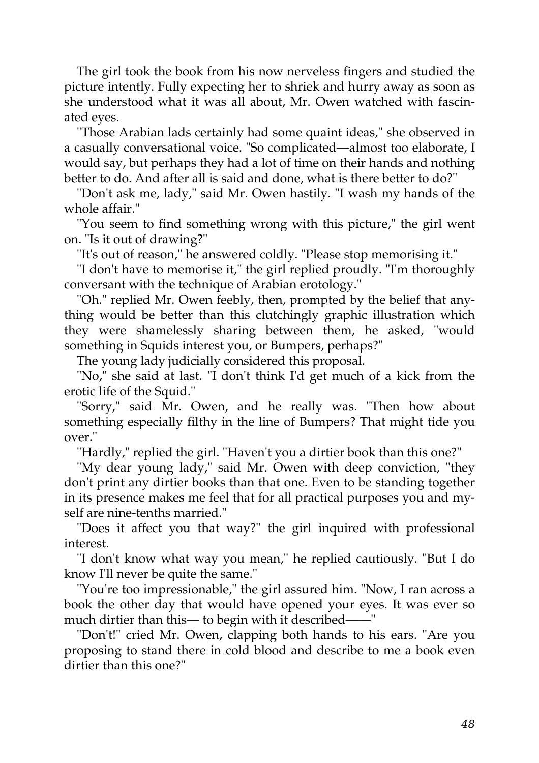The girl took the book from his now nerveless fingers and studied the picture intently. Fully expecting her to shriek and hurry away as soon as she understood what it was all about, Mr. Owen watched with fascinated eyes.

"Those Arabian lads certainly had some quaint ideas," she observed in a casually conversational voice. "So complicated—almost too elaborate, I would say, but perhaps they had a lot of time on their hands and nothing better to do. And after all is said and done, what is there better to do?"

"Don't ask me, lady," said Mr. Owen hastily. "I wash my hands of the whole affair."

"You seem to find something wrong with this picture," the girl went on. "Is it out of drawing?"

"It's out of reason," he answered coldly. "Please stop memorising it."

"I don't have to memorise it," the girl replied proudly. "I'm thoroughly conversant with the technique of Arabian erotology."

"Oh." replied Mr. Owen feebly, then, prompted by the belief that anything would be better than this clutchingly graphic illustration which they were shamelessly sharing between them, he asked, "would something in Squids interest you, or Bumpers, perhaps?"

The young lady judicially considered this proposal.

"No," she said at last. "I don't think I'd get much of a kick from the erotic life of the Squid."

"Sorry," said Mr. Owen, and he really was. "Then how about something especially filthy in the line of Bumpers? That might tide you over."

"Hardly," replied the girl. "Haven't you a dirtier book than this one?"

"My dear young lady," said Mr. Owen with deep conviction, "they don't print any dirtier books than that one. Even to be standing together in its presence makes me feel that for all practical purposes you and myself are nine-tenths married."

"Does it affect you that way?" the girl inquired with professional interest.

"I don't know what way you mean," he replied cautiously. "But I do know I'll never be quite the same."

"You're too impressionable," the girl assured him. "Now, I ran across a book the other day that would have opened your eyes. It was ever so much dirtier than this— to begin with it described——"

"Don't!" cried Mr. Owen, clapping both hands to his ears. "Are you proposing to stand there in cold blood and describe to me a book even dirtier than this one?"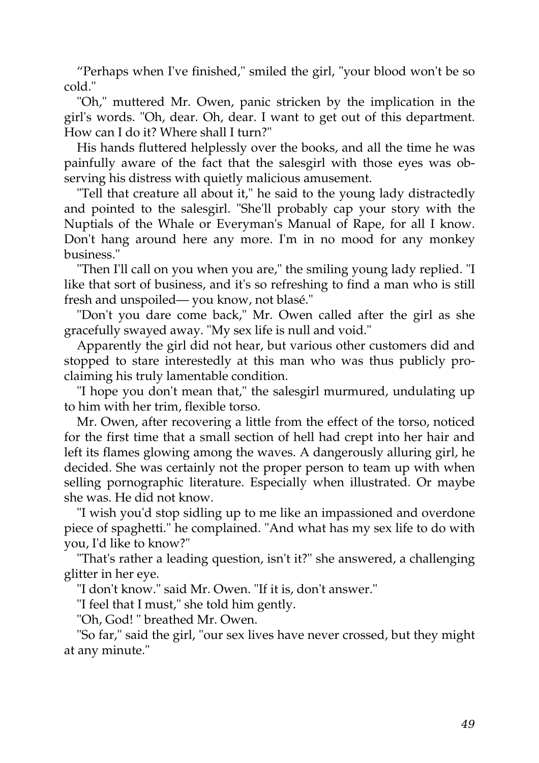"Perhaps when I've finished," smiled the girl, "your blood won't be so cold."

"Oh," muttered Mr. Owen, panic stricken by the implication in the girl's words. "Oh, dear. Oh, dear. I want to get out of this department. How can I do it? Where shall I turn?"

His hands fluttered helplessly over the books, and all the time he was painfully aware of the fact that the salesgirl with those eyes was observing his distress with quietly malicious amusement.

"Tell that creature all about it," he said to the young lady distractedly and pointed to the salesgirl. "She'll probably cap your story with the Nuptials of the Whale or Everyman's Manual of Rape, for all I know. Don't hang around here any more. I'm in no mood for any monkey business."

"Then I'll call on you when you are," the smiling young lady replied. "I like that sort of business, and it's so refreshing to find a man who is still fresh and unspoiled— you know, not blasé."

"Don't you dare come back," Mr. Owen called after the girl as she gracefully swayed away. "My sex life is null and void."

Apparently the girl did not hear, but various other customers did and stopped to stare interestedly at this man who was thus publicly proclaiming his truly lamentable condition.

"I hope you don't mean that," the salesgirl murmured, undulating up to him with her trim, flexible torso.

Mr. Owen, after recovering a little from the effect of the torso, noticed for the first time that a small section of hell had crept into her hair and left its flames glowing among the waves. A dangerously alluring girl, he decided. She was certainly not the proper person to team up with when selling pornographic literature. Especially when illustrated. Or maybe she was. He did not know.

"I wish you'd stop sidling up to me like an impassioned and overdone piece of spaghetti." he complained. "And what has my sex life to do with you, I'd like to know?"

"That's rather a leading question, isn't it?" she answered, a challenging glitter in her eye.

"I don't know." said Mr. Owen. "If it is, don't answer."

"I feel that I must," she told him gently.

"Oh, God! " breathed Mr. Owen.

"So far," said the girl, "our sex lives have never crossed, but they might at any minute."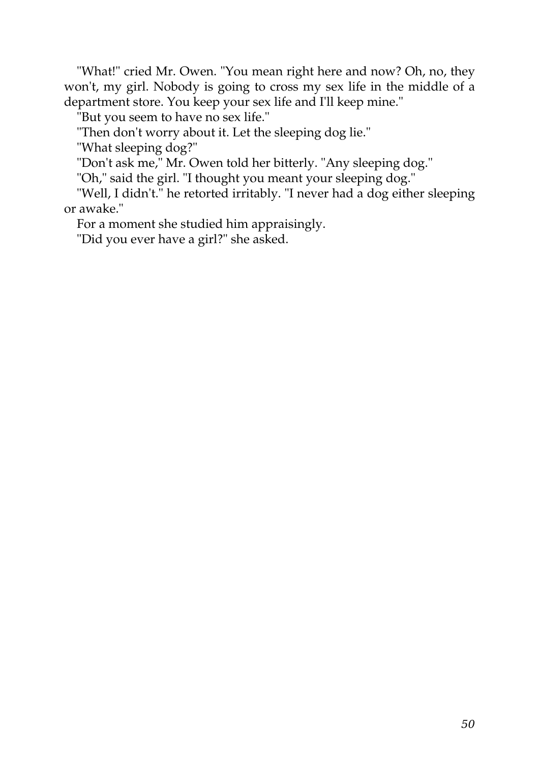"What!" cried Mr. Owen. "You mean right here and now? Oh, no, they won't, my girl. Nobody is going to cross my sex life in the middle of a department store. You keep your sex life and I'll keep mine."

"But you seem to have no sex life."

"Then don't worry about it. Let the sleeping dog lie."

"What sleeping dog?"

"Don't ask me," Mr. Owen told her bitterly. "Any sleeping dog."

"Oh," said the girl. "I thought you meant your sleeping dog."

"Well, I didn't." he retorted irritably. "I never had a dog either sleeping or awake."

For a moment she studied him appraisingly.

"Did you ever have a girl?" she asked.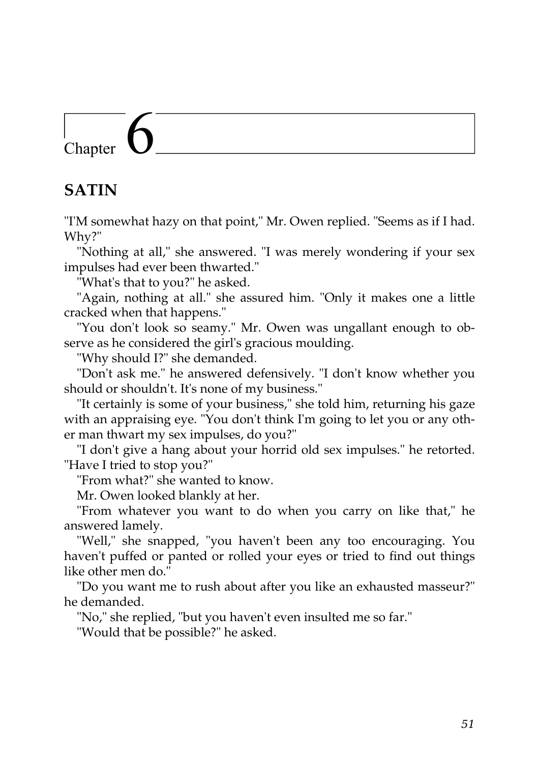## Chapter

### **SATIN**

"I'M somewhat hazy on that point," Mr. Owen replied. "Seems as if I had. Why?"

"Nothing at all," she answered. "I was merely wondering if your sex impulses had ever been thwarted."

"What's that to you?" he asked.

"Again, nothing at all." she assured him. "Only it makes one a little cracked when that happens."

"You don't look so seamy." Mr. Owen was ungallant enough to observe as he considered the girl's gracious moulding.

"Why should I?" she demanded.

"Don't ask me." he answered defensively. "I don't know whether you should or shouldn't. It's none of my business."

"It certainly is some of your business," she told him, returning his gaze with an appraising eye. "You don't think I'm going to let you or any other man thwart my sex impulses, do you?"

"I don't give a hang about your horrid old sex impulses." he retorted. "Have I tried to stop you?"

"From what?" she wanted to know.

Mr. Owen looked blankly at her.

"From whatever you want to do when you carry on like that," he answered lamely.

"Well," she snapped, "you haven't been any too encouraging. You haven't puffed or panted or rolled your eyes or tried to find out things like other men do."

"Do you want me to rush about after you like an exhausted masseur?" he demanded.

"No," she replied, "but you haven't even insulted me so far."

"Would that be possible?" he asked.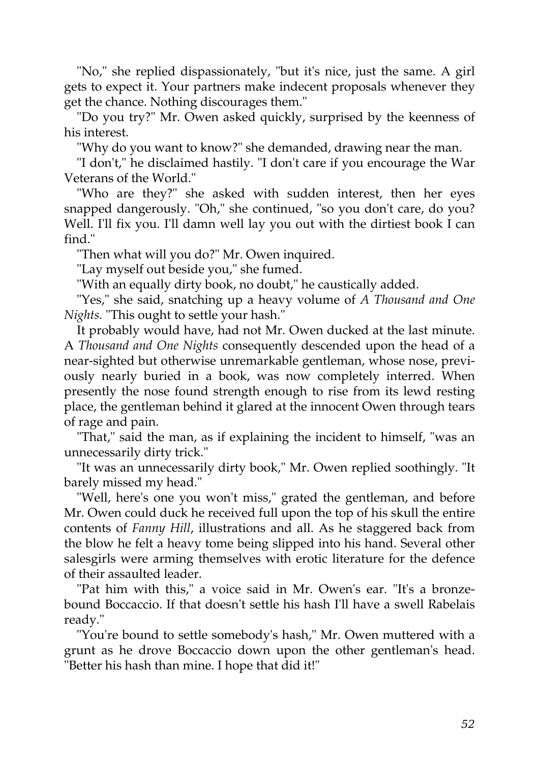"No," she replied dispassionately, "but it's nice, just the same. A girl gets to expect it. Your partners make indecent proposals whenever they get the chance. Nothing discourages them."

"Do you try?" Mr. Owen asked quickly, surprised by the keenness of his interest.

"Why do you want to know?" she demanded, drawing near the man.

"I don't," he disclaimed hastily. "I don't care if you encourage the War Veterans of the World."

"Who are they?" she asked with sudden interest, then her eyes snapped dangerously. "Oh," she continued, "so you don't care, do you? Well. I'll fix you. I'll damn well lay you out with the dirtiest book I can find."

"Then what will you do?" Mr. Owen inquired.

"Lay myself out beside you," she fumed.

"With an equally dirty book, no doubt," he caustically added.

"Yes," she said, snatching up a heavy volume of *A Thousand and One Nights.* "This ought to settle your hash."

It probably would have, had not Mr. Owen ducked at the last minute. A *Thousand and One Nights* consequently descended upon the head of a near-sighted but otherwise unremarkable gentleman, whose nose, previously nearly buried in a book, was now completely interred. When presently the nose found strength enough to rise from its lewd resting place, the gentleman behind it glared at the innocent Owen through tears of rage and pain.

"That," said the man, as if explaining the incident to himself, "was an unnecessarily dirty trick."

"It was an unnecessarily dirty book," Mr. Owen replied soothingly. "It barely missed my head."

"Well, here's one you won't miss," grated the gentleman, and before Mr. Owen could duck he received full upon the top of his skull the entire contents of *Fanny Hill*, illustrations and all. As he staggered back from the blow he felt a heavy tome being slipped into his hand. Several other salesgirls were arming themselves with erotic literature for the defence of their assaulted leader.

"Pat him with this," a voice said in Mr. Owen's ear. "It's a bronzebound Boccaccio. If that doesn't settle his hash I'll have a swell Rabelais ready."

"You're bound to settle somebody's hash," Mr. Owen muttered with a grunt as he drove Boccaccio down upon the other gentleman's head. "Better his hash than mine. I hope that did it!"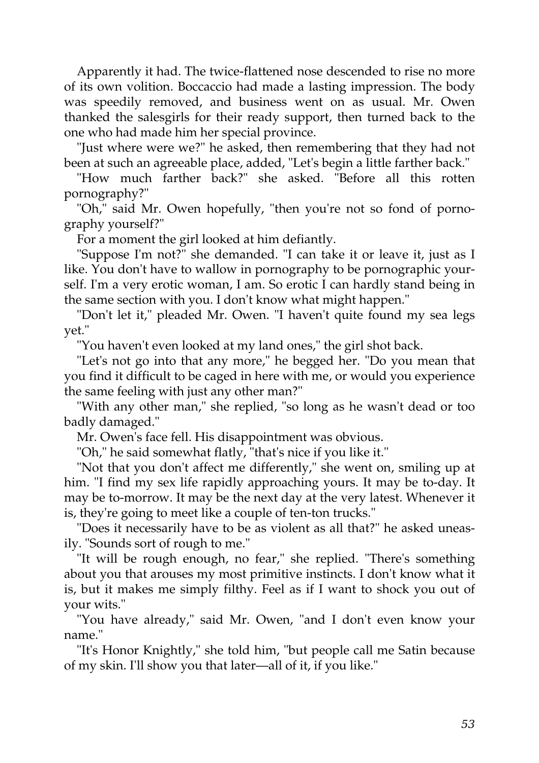Apparently it had. The twice-flattened nose descended to rise no more of its own volition. Boccaccio had made a lasting impression. The body was speedily removed, and business went on as usual. Mr. Owen thanked the salesgirls for their ready support, then turned back to the one who had made him her special province.

"Just where were we?" he asked, then remembering that they had not been at such an agreeable place, added, "Let's begin a little farther back."

"How much farther back?" she asked. "Before all this rotten pornography?"

"Oh," said Mr. Owen hopefully, "then you're not so fond of pornography yourself?"

For a moment the girl looked at him defiantly.

"Suppose I'm not?" she demanded. "I can take it or leave it, just as I like. You don't have to wallow in pornography to be pornographic yourself. I'm a very erotic woman, I am. So erotic I can hardly stand being in the same section with you. I don't know what might happen."

"Don't let it," pleaded Mr. Owen. "I haven't quite found my sea legs yet."

"You haven't even looked at my land ones," the girl shot back.

"Let's not go into that any more," he begged her. "Do you mean that you find it difficult to be caged in here with me, or would you experience the same feeling with just any other man?"

"With any other man," she replied, "so long as he wasn't dead or too badly damaged."

Mr. Owen's face fell. His disappointment was obvious.

"Oh," he said somewhat flatly, "that's nice if you like it."

"Not that you don't affect me differently," she went on, smiling up at him. "I find my sex life rapidly approaching yours. It may be to-day. It may be to-morrow. It may be the next day at the very latest. Whenever it is, they're going to meet like a couple of ten-ton trucks."

"Does it necessarily have to be as violent as all that?" he asked uneasily. "Sounds sort of rough to me."

"It will be rough enough, no fear," she replied. "There's something about you that arouses my most primitive instincts. I don't know what it is, but it makes me simply filthy. Feel as if I want to shock you out of your wits."

"You have already," said Mr. Owen, "and I don't even know your name."

"It's Honor Knightly," she told him, "but people call me Satin because of my skin. I'll show you that later—all of it, if you like."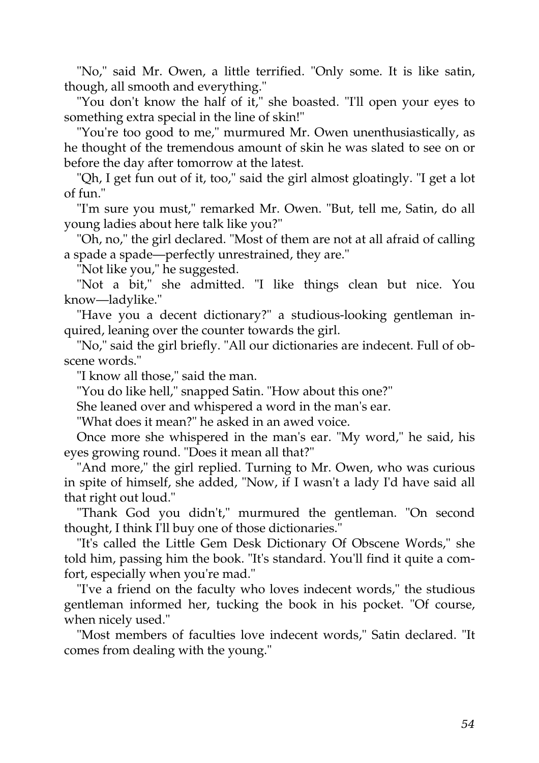"No," said Mr. Owen, a little terrified. "Only some. It is like satin, though, all smooth and everything."

"You don't know the half of it," she boasted. "I'll open your eyes to something extra special in the line of skin!"

"You're too good to me," murmured Mr. Owen unenthusiastically, as he thought of the tremendous amount of skin he was slated to see on or before the day after tomorrow at the latest.

"Qh, I get fun out of it, too," said the girl almost gloatingly. "I get a lot of fun."

"I'm sure you must," remarked Mr. Owen. "But, tell me, Satin, do all young ladies about here talk like you?"

"Oh, no," the girl declared. "Most of them are not at all afraid of calling a spade a spade—perfectly unrestrained, they are."

"Not like you," he suggested.

"Not a bit," she admitted. "I like things clean but nice. You know—ladylike."

"Have you a decent dictionary?" a studious-looking gentleman inquired, leaning over the counter towards the girl.

"No," said the girl briefly. "All our dictionaries are indecent. Full of obscene words."

"I know all those," said the man.

"You do like hell," snapped Satin. "How about this one?"

She leaned over and whispered a word in the man's ear.

"What does it mean?" he asked in an awed voice.

Once more she whispered in the man's ear. "My word," he said, his eyes growing round. "Does it mean all that?"

"And more," the girl replied. Turning to Mr. Owen, who was curious in spite of himself, she added, "Now, if I wasn't a lady I'd have said all that right out loud."

"Thank God you didn't," murmured the gentleman. "On second thought, I think I'll buy one of those dictionaries."

"It's called the Little Gem Desk Dictionary Of Obscene Words," she told him, passing him the book. "It's standard. You'll find it quite a comfort, especially when you're mad."

"I've a friend on the faculty who loves indecent words," the studious gentleman informed her, tucking the book in his pocket. "Of course, when nicely used."

"Most members of faculties love indecent words," Satin declared. "It comes from dealing with the young."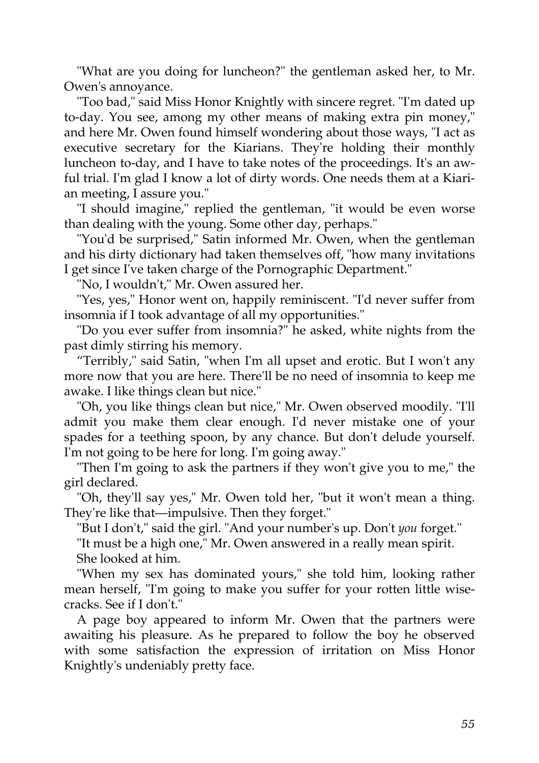"What are you doing for luncheon?" the gentleman asked her, to Mr. Owen's annoyance.

"Too bad," said Miss Honor Knightly with sincere regret. "I'm dated up to-day. You see, among my other means of making extra pin money," and here Mr. Owen found himself wondering about those ways, "I act as executive secretary for the Kiarians. They're holding their monthly luncheon to-day, and I have to take notes of the proceedings. It's an awful trial. I'm glad I know a lot of dirty words. One needs them at a Kiarian meeting, I assure you."

"I should imagine," replied the gentleman, "it would be even worse than dealing with the young. Some other day, perhaps."

"You'd be surprised," Satin informed Mr. Owen, when the gentleman and his dirty dictionary had taken themselves off, "how many invitations I get since I've taken charge of the Pornographic Department."

"No, I wouldn't," Mr. Owen assured her.

"Yes, yes," Honor went on, happily reminiscent. "I'd never suffer from insomnia if I took advantage of all my opportunities."

"Do you ever suffer from insomnia?" he asked, white nights from the past dimly stirring his memory.

"Terribly," said Satin, "when I'm all upset and erotic. But I won't any more now that you are here. There'll be no need of insomnia to keep me awake. I like things clean but nice."

"Oh, you like things clean but nice," Mr. Owen observed moodily. "I'll admit you make them clear enough. I'd never mistake one of your spades for a teething spoon, by any chance. But don't delude yourself. I'm not going to be here for long. I'm going away."

"Then I'm going to ask the partners if they won't give you to me," the girl declared.

"Oh, they'll say yes," Mr. Owen told her, "but it won't mean a thing. They're like that—impulsive. Then they forget."

"But I don't," said the girl. "And your number's up. Don't *you* forget." "It must be a high one," Mr. Owen answered in a really mean spirit. She looked at him.

"When my sex has dominated yours," she told him, looking rather mean herself, "I'm going to make you suffer for your rotten little wisecracks. See if I don't."

A page boy appeared to inform Mr. Owen that the partners were awaiting his pleasure. As he prepared to follow the boy he observed with some satisfaction the expression of irritation on Miss Honor Knightly's undeniably pretty face.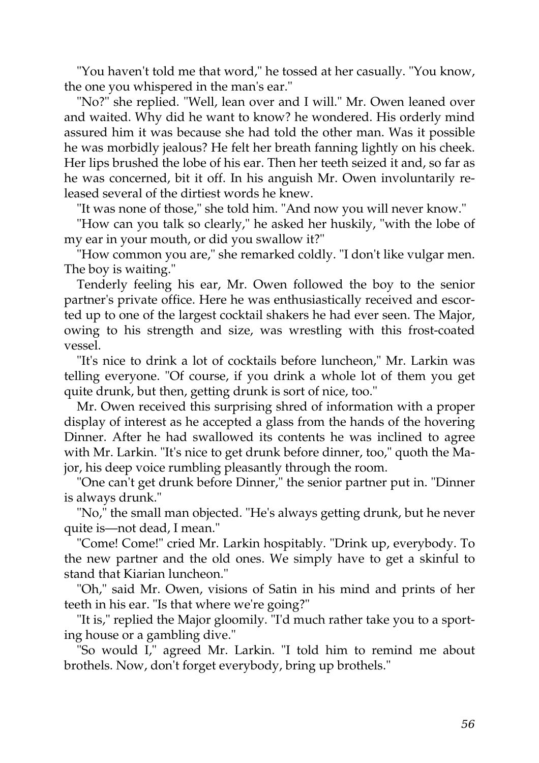"You haven't told me that word," he tossed at her casually. "You know, the one you whispered in the man's ear."

"No?" she replied. "Well, lean over and I will." Mr. Owen leaned over and waited. Why did he want to know? he wondered. His orderly mind assured him it was because she had told the other man. Was it possible he was morbidly jealous? He felt her breath fanning lightly on his cheek. Her lips brushed the lobe of his ear. Then her teeth seized it and, so far as he was concerned, bit it off. In his anguish Mr. Owen involuntarily released several of the dirtiest words he knew.

"It was none of those," she told him. "And now you will never know."

"How can you talk so clearly," he asked her huskily, "with the lobe of my ear in your mouth, or did you swallow it?"

"How common you are," she remarked coldly. "I don't like vulgar men. The boy is waiting."

Tenderly feeling his ear, Mr. Owen followed the boy to the senior partner's private office. Here he was enthusiastically received and escorted up to one of the largest cocktail shakers he had ever seen. The Major, owing to his strength and size, was wrestling with this frost-coated vessel.

"It's nice to drink a lot of cocktails before luncheon," Mr. Larkin was telling everyone. "Of course, if you drink a whole lot of them you get quite drunk, but then, getting drunk is sort of nice, too."

Mr. Owen received this surprising shred of information with a proper display of interest as he accepted a glass from the hands of the hovering Dinner. After he had swallowed its contents he was inclined to agree with Mr. Larkin. "It's nice to get drunk before dinner, too," quoth the Major, his deep voice rumbling pleasantly through the room.

"One can't get drunk before Dinner," the senior partner put in. "Dinner is always drunk."

"No," the small man objected. "He's always getting drunk, but he never quite is—not dead, I mean."

"Come! Come!" cried Mr. Larkin hospitably. "Drink up, everybody. To the new partner and the old ones. We simply have to get a skinful to stand that Kiarian luncheon."

"Oh," said Mr. Owen, visions of Satin in his mind and prints of her teeth in his ear. "Is that where we're going?"

"It is," replied the Major gloomily. "I'd much rather take you to a sporting house or a gambling dive."

"So would I," agreed Mr. Larkin. "I told him to remind me about brothels. Now, don't forget everybody, bring up brothels."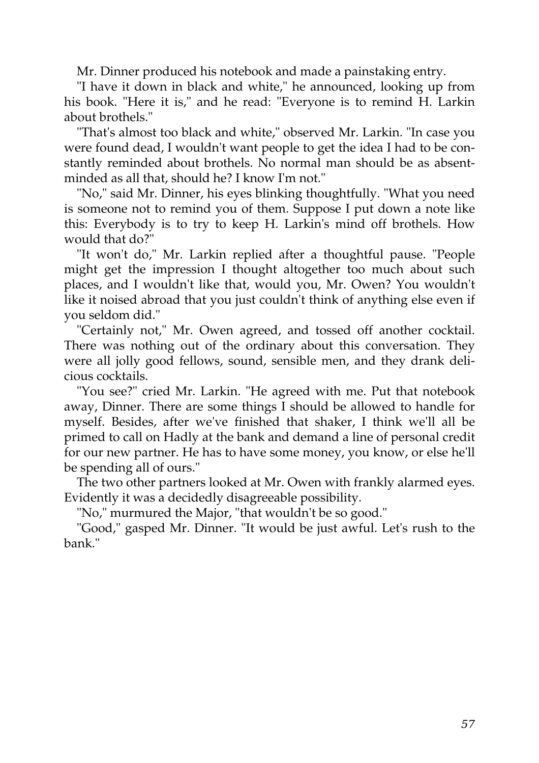Mr. Dinner produced his notebook and made a painstaking entry.

"I have it down in black and white," he announced, looking up from his book. "Here it is," and he read: "Everyone is to remind H. Larkin about brothels."

"That's almost too black and white," observed Mr. Larkin. "In case you were found dead, I wouldn't want people to get the idea I had to be constantly reminded about brothels. No normal man should be as absentminded as all that, should he? I know I'm not."

"No," said Mr. Dinner, his eyes blinking thoughtfully. "What you need is someone not to remind you of them. Suppose I put down a note like this: Everybody is to try to keep H. Larkin's mind off brothels. How would that do?"

"It won't do," Mr. Larkin replied after a thoughtful pause. "People might get the impression I thought altogether too much about such places, and I wouldn't like that, would you, Mr. Owen? You wouldn't like it noised abroad that you just couldn't think of anything else even if you seldom did."

"Certainly not," Mr. Owen agreed, and tossed off another cocktail. There was nothing out of the ordinary about this conversation. They were all jolly good fellows, sound, sensible men, and they drank delicious cocktails.

"You see?" cried Mr. Larkin. "He agreed with me. Put that notebook away, Dinner. There are some things I should be allowed to handle for myself. Besides, after we've finished that shaker, I think we'll all be primed to call on Hadly at the bank and demand a line of personal credit for our new partner. He has to have some money, you know, or else he'll be spending all of ours."

The two other partners looked at Mr. Owen with frankly alarmed eyes. Evidently it was a decidedly disagreeable possibility.

"No," murmured the Major, "that wouldn't be so good."

"Good," gasped Mr. Dinner. "It would be just awful. Let's rush to the bank."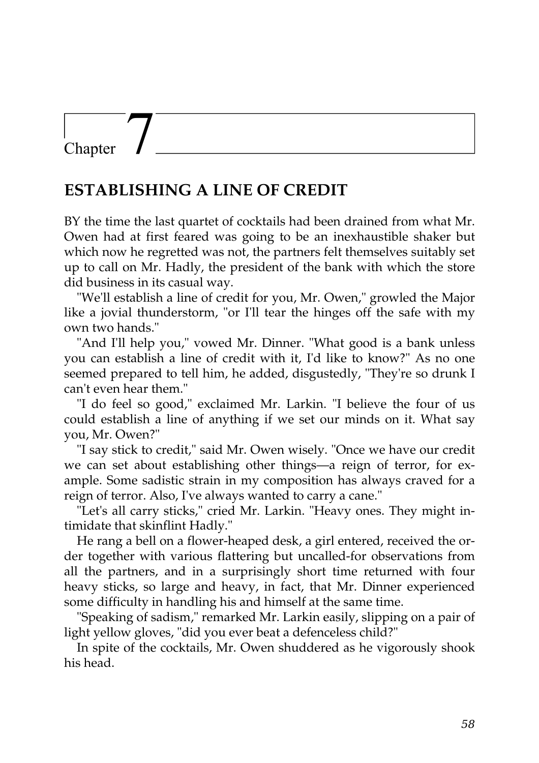### Chapter

### **ESTABLISHING A LINE OF CREDIT**

BY the time the last quartet of cocktails had been drained from what Mr. Owen had at first feared was going to be an inexhaustible shaker but which now he regretted was not, the partners felt themselves suitably set up to call on Mr. Hadly, the president of the bank with which the store did business in its casual way.

"We'll establish a line of credit for you, Mr. Owen," growled the Major like a jovial thunderstorm, "or I'll tear the hinges off the safe with my own two hands."

"And I'll help you," vowed Mr. Dinner. "What good is a bank unless you can establish a line of credit with it, I'd like to know?" As no one seemed prepared to tell him, he added, disgustedly, "They're so drunk I can't even hear them."

"I do feel so good," exclaimed Mr. Larkin. "I believe the four of us could establish a line of anything if we set our minds on it. What say you, Mr. Owen?"

"I say stick to credit," said Mr. Owen wisely. "Once we have our credit we can set about establishing other things—a reign of terror, for example. Some sadistic strain in my composition has always craved for a reign of terror. Also, I've always wanted to carry a cane."

"Let's all carry sticks," cried Mr. Larkin. "Heavy ones. They might intimidate that skinflint Hadly."

He rang a bell on a flower-heaped desk, a girl entered, received the order together with various flattering but uncalled-for observations from all the partners, and in a surprisingly short time returned with four heavy sticks, so large and heavy, in fact, that Mr. Dinner experienced some difficulty in handling his and himself at the same time.

"Speaking of sadism," remarked Mr. Larkin easily, slipping on a pair of light yellow gloves, "did you ever beat a defenceless child?"

In spite of the cocktails, Mr. Owen shuddered as he vigorously shook his head.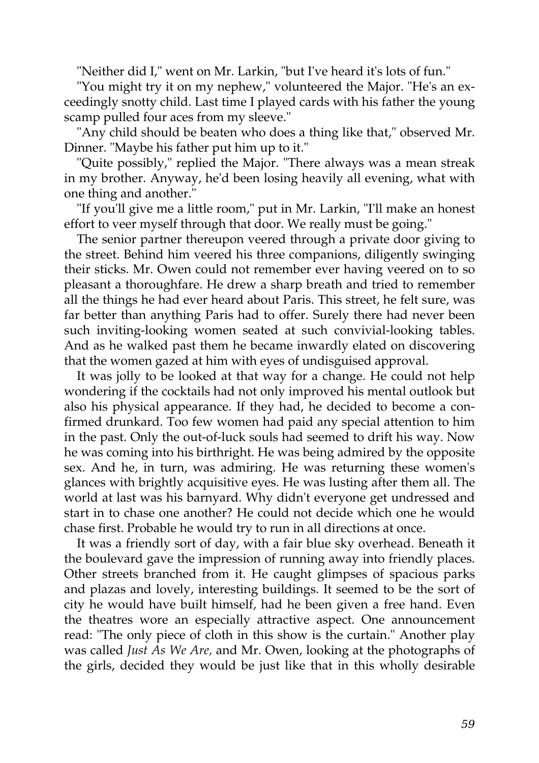"Neither did I," went on Mr. Larkin, "but I've heard it's lots of fun."

"You might try it on my nephew," volunteered the Major. "He's an exceedingly snotty child. Last time I played cards with his father the young scamp pulled four aces from my sleeve."

"Any child should be beaten who does a thing like that," observed Mr. Dinner. "Maybe his father put him up to it."

"Quite possibly," replied the Major. "There always was a mean streak in my brother. Anyway, he'd been losing heavily all evening, what with one thing and another."

"If you'll give me a little room," put in Mr. Larkin, "I'll make an honest effort to veer myself through that door. We really must be going."

The senior partner thereupon veered through a private door giving to the street. Behind him veered his three companions, diligently swinging their sticks. Mr. Owen could not remember ever having veered on to so pleasant a thoroughfare. He drew a sharp breath and tried to remember all the things he had ever heard about Paris. This street, he felt sure, was far better than anything Paris had to offer. Surely there had never been such inviting-looking women seated at such convivial-looking tables. And as he walked past them he became inwardly elated on discovering that the women gazed at him with eyes of undisguised approval.

It was jolly to be looked at that way for a change. He could not help wondering if the cocktails had not only improved his mental outlook but also his physical appearance. If they had, he decided to become a confirmed drunkard. Too few women had paid any special attention to him in the past. Only the out-of-luck souls had seemed to drift his way. Now he was coming into his birthright. He was being admired by the opposite sex. And he, in turn, was admiring. He was returning these women's glances with brightly acquisitive eyes. He was lusting after them all. The world at last was his barnyard. Why didn't everyone get undressed and start in to chase one another? He could not decide which one he would chase first. Probable he would try to run in all directions at once.

It was a friendly sort of day, with a fair blue sky overhead. Beneath it the boulevard gave the impression of running away into friendly places. Other streets branched from it. He caught glimpses of spacious parks and plazas and lovely, interesting buildings. It seemed to be the sort of city he would have built himself, had he been given a free hand. Even the theatres wore an especially attractive aspect. One announcement read: "The only piece of cloth in this show is the curtain." Another play was called *Just As We Are,* and Mr. Owen, looking at the photographs of the girls, decided they would be just like that in this wholly desirable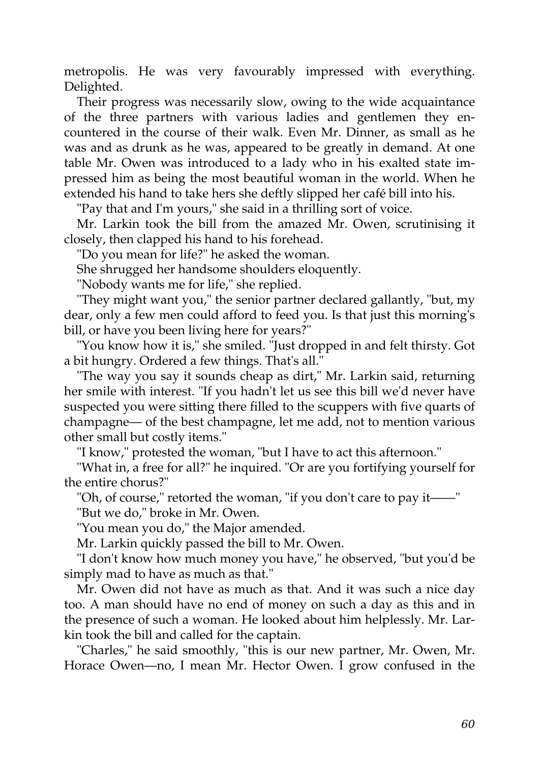metropolis. He was very favourably impressed with everything. Delighted.

Their progress was necessarily slow, owing to the wide acquaintance of the three partners with various ladies and gentlemen they encountered in the course of their walk. Even Mr. Dinner, as small as he was and as drunk as he was, appeared to be greatly in demand. At one table Mr. Owen was introduced to a lady who in his exalted state impressed him as being the most beautiful woman in the world. When he extended his hand to take hers she deftly slipped her café bill into his.

"Pay that and I'm yours," she said in a thrilling sort of voice.

Mr. Larkin took the bill from the amazed Mr. Owen, scrutinising it closely, then clapped his hand to his forehead.

"Do you mean for life?" he asked the woman.

She shrugged her handsome shoulders eloquently.

"Nobody wants me for life," she replied.

"They might want you," the senior partner declared gallantly, "but, my dear, only a few men could afford to feed you. Is that just this morning's bill, or have you been living here for years?"

"You know how it is," she smiled. "Just dropped in and felt thirsty. Got a bit hungry. Ordered a few things. That's all."

"The way you say it sounds cheap as dirt," Mr. Larkin said, returning her smile with interest. "If you hadn't let us see this bill we'd never have suspected you were sitting there filled to the scuppers with five quarts of champagne— of the best champagne, let me add, not to mention various other small but costly items."

"I know," protested the woman, "but I have to act this afternoon."

"What in, a free for all?" he inquired. "Or are you fortifying yourself for the entire chorus?"

"Oh, of course," retorted the woman, "if you don't care to pay it——" "But we do," broke in Mr. Owen.

"You mean you do," the Major amended.

Mr. Larkin quickly passed the bill to Mr. Owen.

"I don't know how much money you have," he observed, "but you'd be simply mad to have as much as that."

Mr. Owen did not have as much as that. And it was such a nice day too. A man should have no end of money on such a day as this and in the presence of such a woman. He looked about him helplessly. Mr. Larkin took the bill and called for the captain.

"Charles," he said smoothly, "this is our new partner, Mr. Owen, Mr. Horace Owen—no, I mean Mr. Hector Owen. I grow confused in the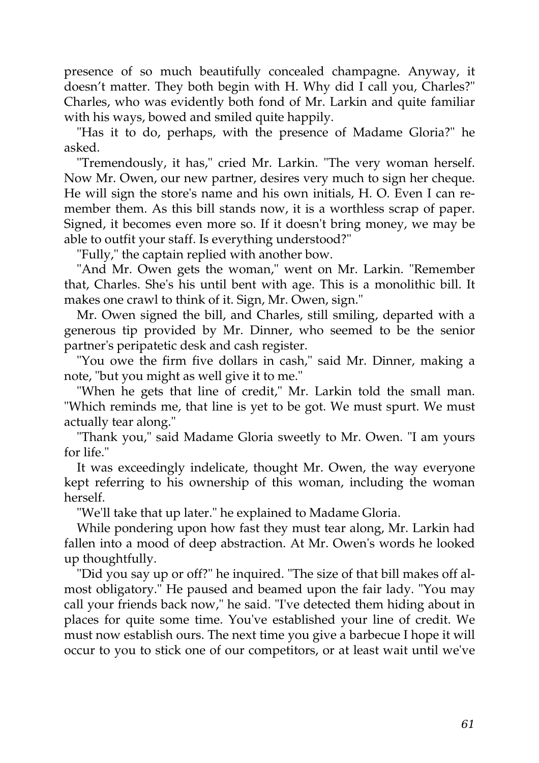presence of so much beautifully concealed champagne. Anyway, it doesn't matter. They both begin with H. Why did I call you, Charles?" Charles, who was evidently both fond of Mr. Larkin and quite familiar with his ways, bowed and smiled quite happily.

"Has it to do, perhaps, with the presence of Madame Gloria?" he asked.

"Tremendously, it has," cried Mr. Larkin. "The very woman herself. Now Mr. Owen, our new partner, desires very much to sign her cheque. He will sign the store's name and his own initials, H. O. Even I can remember them. As this bill stands now, it is a worthless scrap of paper. Signed, it becomes even more so. If it doesn't bring money, we may be able to outfit your staff. Is everything understood?"

"Fully," the captain replied with another bow.

"And Mr. Owen gets the woman," went on Mr. Larkin. "Remember that, Charles. She's his until bent with age. This is a monolithic bill. It makes one crawl to think of it. Sign, Mr. Owen, sign."

Mr. Owen signed the bill, and Charles, still smiling, departed with a generous tip provided by Mr. Dinner, who seemed to be the senior partner's peripatetic desk and cash register.

"You owe the firm five dollars in cash," said Mr. Dinner, making a note, "but you might as well give it to me."

"When he gets that line of credit," Mr. Larkin told the small man. "Which reminds me, that line is yet to be got. We must spurt. We must actually tear along."

"Thank you," said Madame Gloria sweetly to Mr. Owen. "I am yours for life."

It was exceedingly indelicate, thought Mr. Owen, the way everyone kept referring to his ownership of this woman, including the woman herself.

"We'll take that up later." he explained to Madame Gloria.

While pondering upon how fast they must tear along, Mr. Larkin had fallen into a mood of deep abstraction. At Mr. Owen's words he looked up thoughtfully.

"Did you say up or off?" he inquired. "The size of that bill makes off almost obligatory." He paused and beamed upon the fair lady. "You may call your friends back now," he said. "I've detected them hiding about in places for quite some time. You've established your line of credit. We must now establish ours. The next time you give a barbecue I hope it will occur to you to stick one of our competitors, or at least wait until we've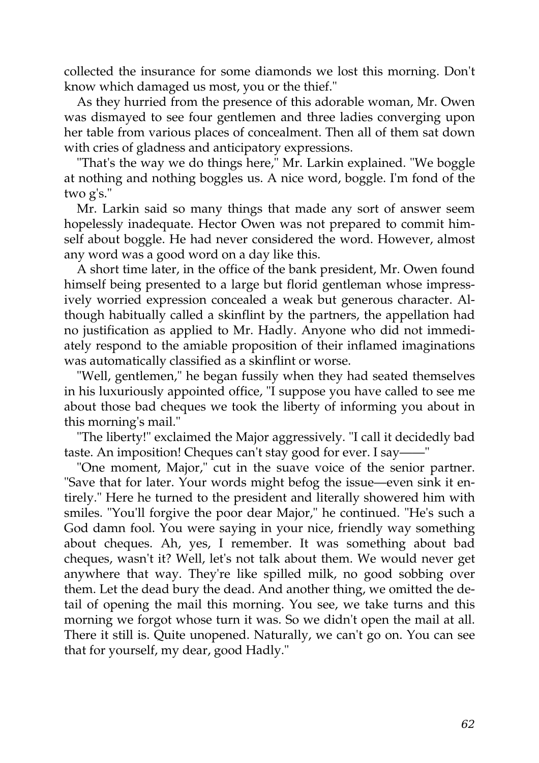collected the insurance for some diamonds we lost this morning. Don't know which damaged us most, you or the thief."

As they hurried from the presence of this adorable woman, Mr. Owen was dismayed to see four gentlemen and three ladies converging upon her table from various places of concealment. Then all of them sat down with cries of gladness and anticipatory expressions.

"That's the way we do things here," Mr. Larkin explained. "We boggle at nothing and nothing boggles us. A nice word, boggle. I'm fond of the two g's."

Mr. Larkin said so many things that made any sort of answer seem hopelessly inadequate. Hector Owen was not prepared to commit himself about boggle. He had never considered the word. However, almost any word was a good word on a day like this.

A short time later, in the office of the bank president, Mr. Owen found himself being presented to a large but florid gentleman whose impressively worried expression concealed a weak but generous character. Although habitually called a skinflint by the partners, the appellation had no justification as applied to Mr. Hadly. Anyone who did not immediately respond to the amiable proposition of their inflamed imaginations was automatically classified as a skinflint or worse.

"Well, gentlemen," he began fussily when they had seated themselves in his luxuriously appointed office, "I suppose you have called to see me about those bad cheques we took the liberty of informing you about in this morning's mail."

"The liberty!" exclaimed the Major aggressively. "I call it decidedly bad taste. An imposition! Cheques can't stay good for ever. I say——"

"One moment, Major," cut in the suave voice of the senior partner. "Save that for later. Your words might befog the issue—even sink it entirely." Here he turned to the president and literally showered him with smiles. "You'll forgive the poor dear Major," he continued. "He's such a God damn fool. You were saying in your nice, friendly way something about cheques. Ah, yes, I remember. It was something about bad cheques, wasn't it? Well, let's not talk about them. We would never get anywhere that way. They're like spilled milk, no good sobbing over them. Let the dead bury the dead. And another thing, we omitted the detail of opening the mail this morning. You see, we take turns and this morning we forgot whose turn it was. So we didn't open the mail at all. There it still is. Quite unopened. Naturally, we can't go on. You can see that for yourself, my dear, good Hadly."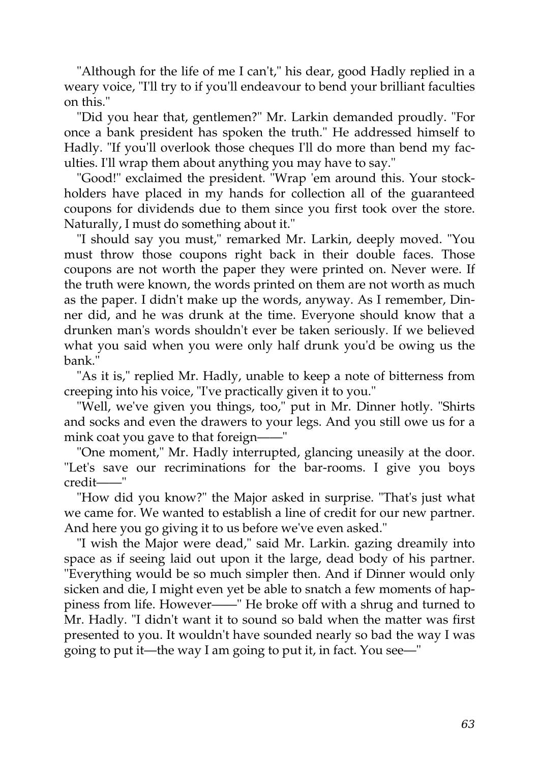"Although for the life of me I can't," his dear, good Hadly replied in a weary voice, "I'll try to if you'll endeavour to bend your brilliant faculties on this."

"Did you hear that, gentlemen?" Mr. Larkin demanded proudly. "For once a bank president has spoken the truth." He addressed himself to Hadly. "If you'll overlook those cheques I'll do more than bend my faculties. I'll wrap them about anything you may have to say."

"Good!" exclaimed the president. "Wrap 'em around this. Your stockholders have placed in my hands for collection all of the guaranteed coupons for dividends due to them since you first took over the store. Naturally, I must do something about it."

"I should say you must," remarked Mr. Larkin, deeply moved. "You must throw those coupons right back in their double faces. Those coupons are not worth the paper they were printed on. Never were. If the truth were known, the words printed on them are not worth as much as the paper. I didn't make up the words, anyway. As I remember, Dinner did, and he was drunk at the time. Everyone should know that a drunken man's words shouldn't ever be taken seriously. If we believed what you said when you were only half drunk you'd be owing us the bank."

"As it is," replied Mr. Hadly, unable to keep a note of bitterness from creeping into his voice, "I've practically given it to you."

"Well, we've given you things, too," put in Mr. Dinner hotly. "Shirts and socks and even the drawers to your legs. And you still owe us for a mink coat you gave to that foreign——"

"One moment," Mr. Hadly interrupted, glancing uneasily at the door. "Let's save our recriminations for the bar-rooms. I give you boys credit——"

"How did you know?" the Major asked in surprise. "That's just what we came for. We wanted to establish a line of credit for our new partner. And here you go giving it to us before we've even asked."

"I wish the Major were dead," said Mr. Larkin. gazing dreamily into space as if seeing laid out upon it the large, dead body of his partner. "Everything would be so much simpler then. And if Dinner would only sicken and die, I might even yet be able to snatch a few moments of happiness from life. However——" He broke off with a shrug and turned to Mr. Hadly. "I didn't want it to sound so bald when the matter was first presented to you. It wouldn't have sounded nearly so bad the way I was going to put it—the way I am going to put it, in fact. You see—"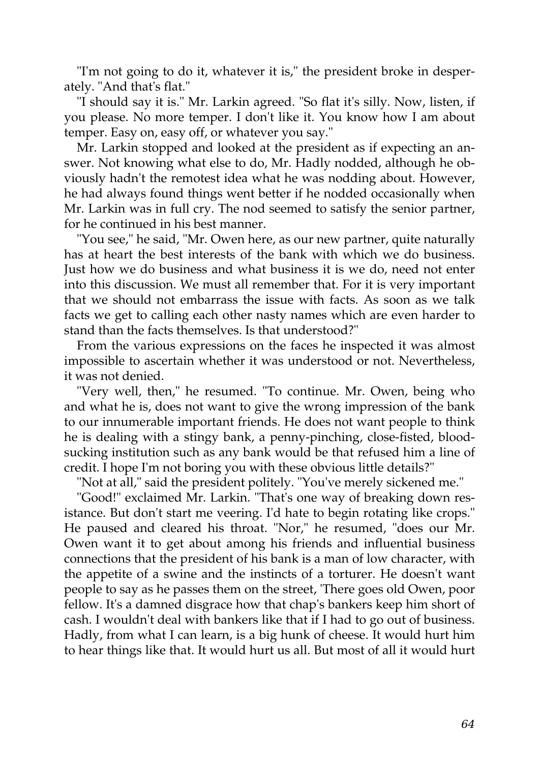"I'm not going to do it, whatever it is," the president broke in desperately. "And that's flat."

"I should say it is." Mr. Larkin agreed. "So flat it's silly. Now, listen, if you please. No more temper. I don't like it. You know how I am about temper. Easy on, easy off, or whatever you say."

Mr. Larkin stopped and looked at the president as if expecting an answer. Not knowing what else to do, Mr. Hadly nodded, although he obviously hadn't the remotest idea what he was nodding about. However, he had always found things went better if he nodded occasionally when Mr. Larkin was in full cry. The nod seemed to satisfy the senior partner, for he continued in his best manner.

"You see," he said, "Mr. Owen here, as our new partner, quite naturally has at heart the best interests of the bank with which we do business. Just how we do business and what business it is we do, need not enter into this discussion. We must all remember that. For it is very important that we should not embarrass the issue with facts. As soon as we talk facts we get to calling each other nasty names which are even harder to stand than the facts themselves. Is that understood?"

From the various expressions on the faces he inspected it was almost impossible to ascertain whether it was understood or not. Nevertheless, it was not denied.

"Very well, then," he resumed. "To continue. Mr. Owen, being who and what he is, does not want to give the wrong impression of the bank to our innumerable important friends. He does not want people to think he is dealing with a stingy bank, a penny-pinching, close-fisted, bloodsucking institution such as any bank would be that refused him a line of credit. I hope I'm not boring you with these obvious little details?"

"Not at all," said the president politely. "You've merely sickened me."

"Good!" exclaimed Mr. Larkin. "That's one way of breaking down resistance. But don't start me veering. I'd hate to begin rotating like crops." He paused and cleared his throat. "Nor," he resumed, "does our Mr. Owen want it to get about among his friends and influential business connections that the president of his bank is a man of low character, with the appetite of a swine and the instincts of a torturer. He doesn't want people to say as he passes them on the street, 'There goes old Owen, poor fellow. It's a damned disgrace how that chap's bankers keep him short of cash. I wouldn't deal with bankers like that if I had to go out of business. Hadly, from what I can learn, is a big hunk of cheese. It would hurt him to hear things like that. It would hurt us all. But most of all it would hurt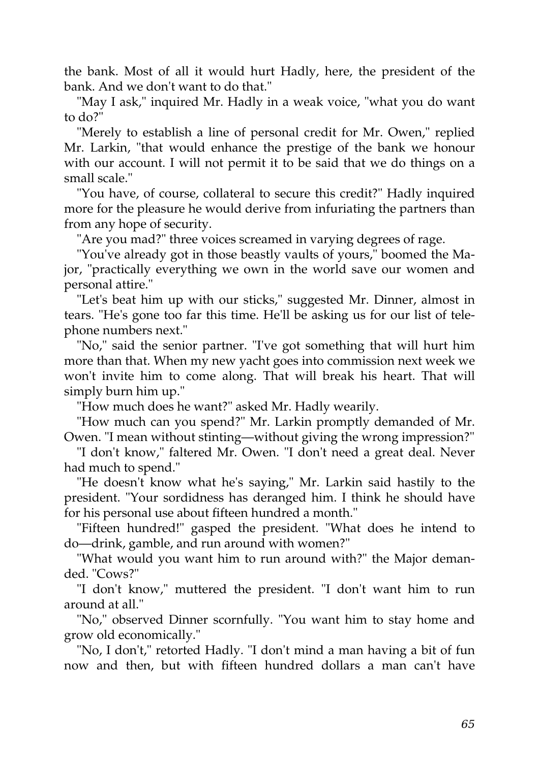the bank. Most of all it would hurt Hadly, here, the president of the bank. And we don't want to do that."

"May I ask," inquired Mr. Hadly in a weak voice, "what you do want to do?"

"Merely to establish a line of personal credit for Mr. Owen," replied Mr. Larkin, "that would enhance the prestige of the bank we honour with our account. I will not permit it to be said that we do things on a small scale."

"You have, of course, collateral to secure this credit?" Hadly inquired more for the pleasure he would derive from infuriating the partners than from any hope of security.

"Are you mad?" three voices screamed in varying degrees of rage.

"You've already got in those beastly vaults of yours," boomed the Major, "practically everything we own in the world save our women and personal attire."

"Let's beat him up with our sticks," suggested Mr. Dinner, almost in tears. "He's gone too far this time. He'll be asking us for our list of telephone numbers next."

"No," said the senior partner. "I've got something that will hurt him more than that. When my new yacht goes into commission next week we won't invite him to come along. That will break his heart. That will simply burn him up."

"How much does he want?" asked Mr. Hadly wearily.

"How much can you spend?" Mr. Larkin promptly demanded of Mr. Owen. "I mean without stinting—without giving the wrong impression?"

"I don't know," faltered Mr. Owen. "I don't need a great deal. Never had much to spend."

"He doesn't know what he's saying," Mr. Larkin said hastily to the president. "Your sordidness has deranged him. I think he should have for his personal use about fifteen hundred a month."

"Fifteen hundred!" gasped the president. "What does he intend to do—drink, gamble, and run around with women?"

"What would you want him to run around with?" the Major demanded. "Cows?"

"I don't know," muttered the president. "I don't want him to run around at all."

"No," observed Dinner scornfully. "You want him to stay home and grow old economically."

"No, I don't," retorted Hadly. "I don't mind a man having a bit of fun now and then, but with fifteen hundred dollars a man can't have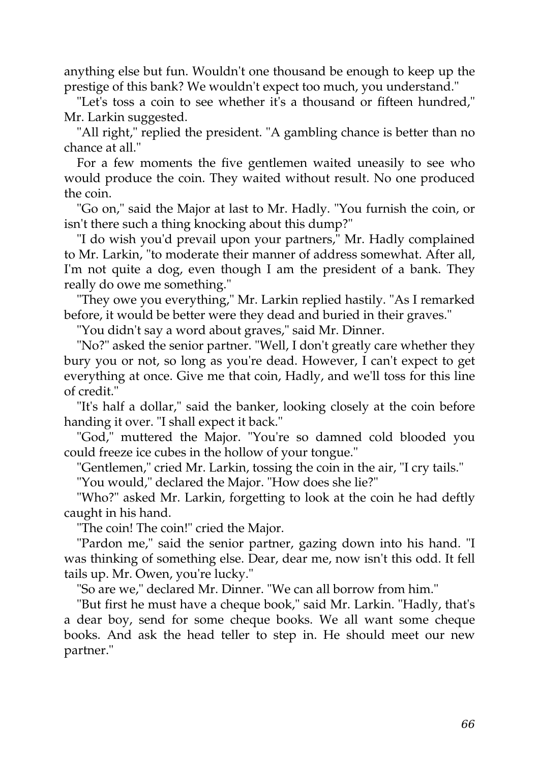anything else but fun. Wouldn't one thousand be enough to keep up the prestige of this bank? We wouldn't expect too much, you understand."

"Let's toss a coin to see whether it's a thousand or fifteen hundred," Mr. Larkin suggested.

"All right," replied the president. "A gambling chance is better than no chance at all."

For a few moments the five gentlemen waited uneasily to see who would produce the coin. They waited without result. No one produced the coin.

"Go on," said the Major at last to Mr. Hadly. "You furnish the coin, or isn't there such a thing knocking about this dump?"

"I do wish you'd prevail upon your partners," Mr. Hadly complained to Mr. Larkin, "to moderate their manner of address somewhat. After all, I'm not quite a dog, even though I am the president of a bank. They really do owe me something."

"They owe you everything," Mr. Larkin replied hastily. "As I remarked before, it would be better were they dead and buried in their graves."

"You didn't say a word about graves," said Mr. Dinner.

"No?" asked the senior partner. "Well, I don't greatly care whether they bury you or not, so long as you're dead. However, I can't expect to get everything at once. Give me that coin, Hadly, and we'll toss for this line of credit."

"It's half a dollar," said the banker, looking closely at the coin before handing it over. "I shall expect it back."

"God," muttered the Major. "You're so damned cold blooded you could freeze ice cubes in the hollow of your tongue."

"Gentlemen," cried Mr. Larkin, tossing the coin in the air, "I cry tails."

"You would," declared the Major. "How does she lie?"

"Who?" asked Mr. Larkin, forgetting to look at the coin he had deftly caught in his hand.

"The coin! The coin!" cried the Major.

"Pardon me," said the senior partner, gazing down into his hand. "I was thinking of something else. Dear, dear me, now isn't this odd. It fell tails up. Mr. Owen, you're lucky."

"So are we," declared Mr. Dinner. "We can all borrow from him."

"But first he must have a cheque book," said Mr. Larkin. "Hadly, that's a dear boy, send for some cheque books. We all want some cheque books. And ask the head teller to step in. He should meet our new partner."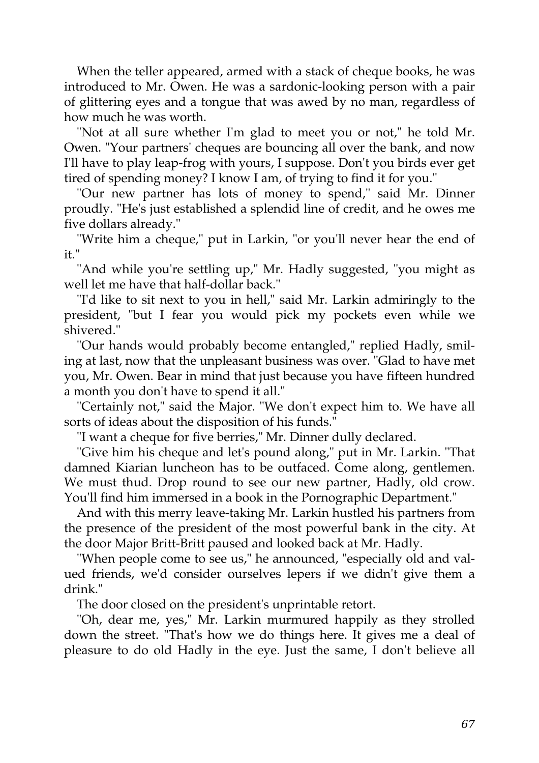When the teller appeared, armed with a stack of cheque books, he was introduced to Mr. Owen. He was a sardonic-looking person with a pair of glittering eyes and a tongue that was awed by no man, regardless of how much he was worth.

"Not at all sure whether I'm glad to meet you or not," he told Mr. Owen. "Your partners' cheques are bouncing all over the bank, and now I'll have to play leap-frog with yours, I suppose. Don't you birds ever get tired of spending money? I know I am, of trying to find it for you."

"Our new partner has lots of money to spend," said Mr. Dinner proudly. "He's just established a splendid line of credit, and he owes me five dollars already."

"Write him a cheque," put in Larkin, "or you'll never hear the end of it."

"And while you're settling up," Mr. Hadly suggested, "you might as well let me have that half-dollar back."

"I'd like to sit next to you in hell," said Mr. Larkin admiringly to the president, "but I fear you would pick my pockets even while we shivered."

"Our hands would probably become entangled," replied Hadly, smiling at last, now that the unpleasant business was over. "Glad to have met you, Mr. Owen. Bear in mind that just because you have fifteen hundred a month you don't have to spend it all."

"Certainly not," said the Major. "We don't expect him to. We have all sorts of ideas about the disposition of his funds."

"I want a cheque for five berries," Mr. Dinner dully declared.

"Give him his cheque and let's pound along," put in Mr. Larkin. "That damned Kiarian luncheon has to be outfaced. Come along, gentlemen. We must thud. Drop round to see our new partner, Hadly, old crow. You'll find him immersed in a book in the Pornographic Department."

And with this merry leave-taking Mr. Larkin hustled his partners from the presence of the president of the most powerful bank in the city. At the door Major Britt-Britt paused and looked back at Mr. Hadly.

"When people come to see us," he announced, "especially old and valued friends, we'd consider ourselves lepers if we didn't give them a drink."

The door closed on the president's unprintable retort.

"Oh, dear me, yes," Mr. Larkin murmured happily as they strolled down the street. "That's how we do things here. It gives me a deal of pleasure to do old Hadly in the eye. Just the same, I don't believe all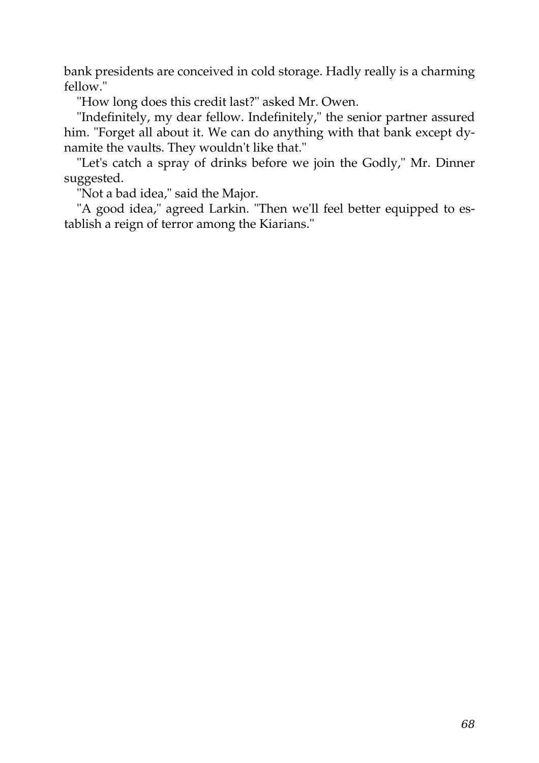bank presidents are conceived in cold storage. Hadly really is a charming fellow."

"How long does this credit last?" asked Mr. Owen.

"Indefinitely, my dear fellow. Indefinitely," the senior partner assured him. "Forget all about it. We can do anything with that bank except dynamite the vaults. They wouldn't like that."

"Let's catch a spray of drinks before we join the Godly," Mr. Dinner suggested.

"Not a bad idea," said the Major.

"A good idea," agreed Larkin. "Then we'll feel better equipped to establish a reign of terror among the Kiarians."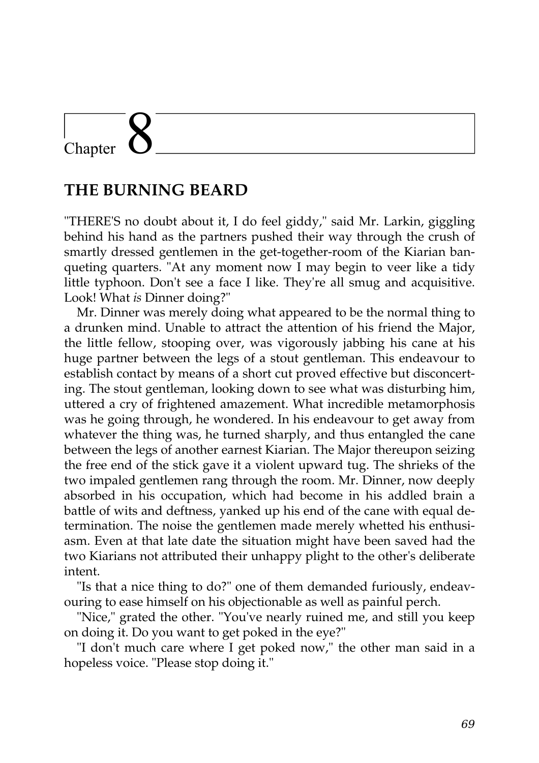# Chapter

#### **THE BURNING BEARD**

"THERE'S no doubt about it, I do feel giddy," said Mr. Larkin, giggling behind his hand as the partners pushed their way through the crush of smartly dressed gentlemen in the get-together-room of the Kiarian banqueting quarters. "At any moment now I may begin to veer like a tidy little typhoon. Don't see a face I like. They're all smug and acquisitive. Look! What *is* Dinner doing?"

Mr. Dinner was merely doing what appeared to be the normal thing to a drunken mind. Unable to attract the attention of his friend the Major, the little fellow, stooping over, was vigorously jabbing his cane at his huge partner between the legs of a stout gentleman. This endeavour to establish contact by means of a short cut proved effective but disconcerting. The stout gentleman, looking down to see what was disturbing him, uttered a cry of frightened amazement. What incredible metamorphosis was he going through, he wondered. In his endeavour to get away from whatever the thing was, he turned sharply, and thus entangled the cane between the legs of another earnest Kiarian. The Major thereupon seizing the free end of the stick gave it a violent upward tug. The shrieks of the two impaled gentlemen rang through the room. Mr. Dinner, now deeply absorbed in his occupation, which had become in his addled brain a battle of wits and deftness, yanked up his end of the cane with equal determination. The noise the gentlemen made merely whetted his enthusiasm. Even at that late date the situation might have been saved had the two Kiarians not attributed their unhappy plight to the other's deliberate intent.

"Is that a nice thing to do?" one of them demanded furiously, endeavouring to ease himself on his objectionable as well as painful perch.

"Nice," grated the other. "You've nearly ruined me, and still you keep on doing it. Do you want to get poked in the eye?"

"I don't much care where I get poked now," the other man said in a hopeless voice. "Please stop doing it."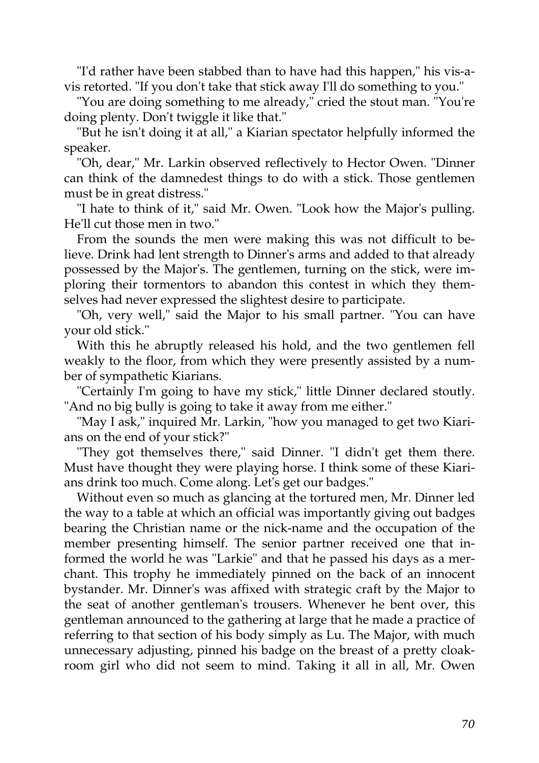"I'd rather have been stabbed than to have had this happen," his vis-avis retorted. "If you don't take that stick away I'll do something to you."

"You are doing something to me already," cried the stout man. "You're doing plenty. Don't twiggle it like that."

"But he isn't doing it at all," a Kiarian spectator helpfully informed the speaker.

"Oh, dear," Mr. Larkin observed reflectively to Hector Owen. "Dinner can think of the damnedest things to do with a stick. Those gentlemen must be in great distress."

"I hate to think of it," said Mr. Owen. "Look how the Major's pulling. He'll cut those men in two."

From the sounds the men were making this was not difficult to believe. Drink had lent strength to Dinner's arms and added to that already possessed by the Major's. The gentlemen, turning on the stick, were imploring their tormentors to abandon this contest in which they themselves had never expressed the slightest desire to participate.

"Oh, very well," said the Major to his small partner. "You can have your old stick."

With this he abruptly released his hold, and the two gentlemen fell weakly to the floor, from which they were presently assisted by a number of sympathetic Kiarians.

"Certainly I'm going to have my stick," little Dinner declared stoutly. "And no big bully is going to take it away from me either."

"May I ask," inquired Mr. Larkin, "how you managed to get two Kiarians on the end of your stick?"

"They got themselves there," said Dinner. "I didn't get them there. Must have thought they were playing horse. I think some of these Kiarians drink too much. Come along. Let's get our badges."

Without even so much as glancing at the tortured men, Mr. Dinner led the way to a table at which an official was importantly giving out badges bearing the Christian name or the nick-name and the occupation of the member presenting himself. The senior partner received one that informed the world he was "Larkie" and that he passed his days as a merchant. This trophy he immediately pinned on the back of an innocent bystander. Mr. Dinner's was affixed with strategic craft by the Major to the seat of another gentleman's trousers. Whenever he bent over, this gentleman announced to the gathering at large that he made a practice of referring to that section of his body simply as Lu. The Major, with much unnecessary adjusting, pinned his badge on the breast of a pretty cloakroom girl who did not seem to mind. Taking it all in all, Mr. Owen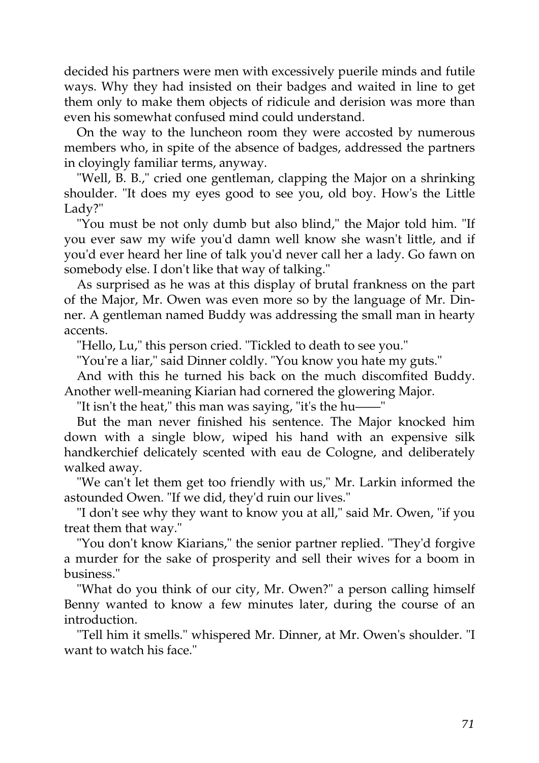decided his partners were men with excessively puerile minds and futile ways. Why they had insisted on their badges and waited in line to get them only to make them objects of ridicule and derision was more than even his somewhat confused mind could understand.

On the way to the luncheon room they were accosted by numerous members who, in spite of the absence of badges, addressed the partners in cloyingly familiar terms, anyway.

"Well, B. B.," cried one gentleman, clapping the Major on a shrinking shoulder. "It does my eyes good to see you, old boy. How's the Little Lady?"

"You must be not only dumb but also blind," the Major told him. "If you ever saw my wife you'd damn well know she wasn't little, and if you'd ever heard her line of talk you'd never call her a lady. Go fawn on somebody else. I don't like that way of talking."

As surprised as he was at this display of brutal frankness on the part of the Major, Mr. Owen was even more so by the language of Mr. Dinner. A gentleman named Buddy was addressing the small man in hearty accents.

"Hello, Lu," this person cried. "Tickled to death to see you."

"You're a liar," said Dinner coldly. "You know you hate my guts."

And with this he turned his back on the much discomfited Buddy. Another well-meaning Kiarian had cornered the glowering Major.

"It isn't the heat," this man was saying, "it's the hu-

But the man never finished his sentence. The Major knocked him down with a single blow, wiped his hand with an expensive silk handkerchief delicately scented with eau de Cologne, and deliberately walked away.

"We can't let them get too friendly with us," Mr. Larkin informed the astounded Owen. "If we did, they'd ruin our lives."

"I don't see why they want to know you at all," said Mr. Owen, "if you treat them that way."

"You don't know Kiarians," the senior partner replied. "They'd forgive a murder for the sake of prosperity and sell their wives for a boom in business."

"What do you think of our city, Mr. Owen?" a person calling himself Benny wanted to know a few minutes later, during the course of an introduction.

"Tell him it smells." whispered Mr. Dinner, at Mr. Owen's shoulder. "I want to watch his face."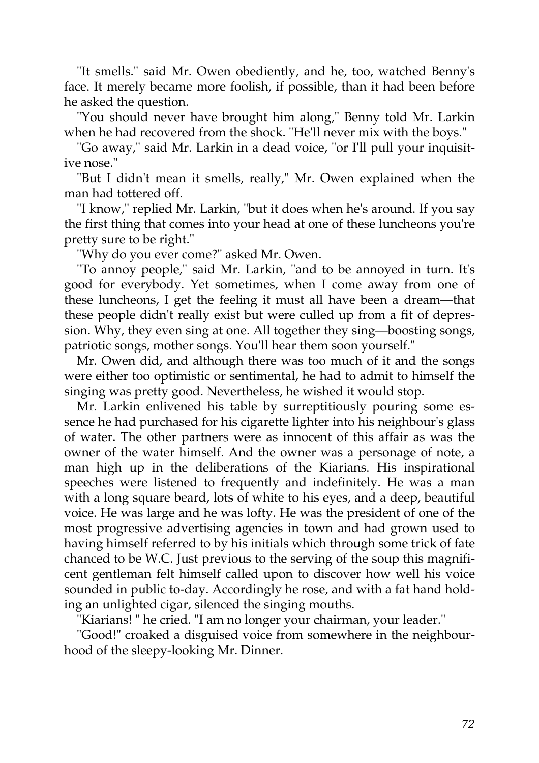"It smells." said Mr. Owen obediently, and he, too, watched Benny's face. It merely became more foolish, if possible, than it had been before he asked the question.

"You should never have brought him along," Benny told Mr. Larkin when he had recovered from the shock. "He'll never mix with the boys."

"Go away," said Mr. Larkin in a dead voice, "or I'll pull your inquisitive nose."

"But I didn't mean it smells, really," Mr. Owen explained when the man had tottered off.

"I know," replied Mr. Larkin, "but it does when he's around. If you say the first thing that comes into your head at one of these luncheons you're pretty sure to be right."

"Why do you ever come?" asked Mr. Owen.

"To annoy people," said Mr. Larkin, "and to be annoyed in turn. It's good for everybody. Yet sometimes, when I come away from one of these luncheons, I get the feeling it must all have been a dream—that these people didn't really exist but were culled up from a fit of depression. Why, they even sing at one. All together they sing—boosting songs, patriotic songs, mother songs. You'll hear them soon yourself."

Mr. Owen did, and although there was too much of it and the songs were either too optimistic or sentimental, he had to admit to himself the singing was pretty good. Nevertheless, he wished it would stop.

Mr. Larkin enlivened his table by surreptitiously pouring some essence he had purchased for his cigarette lighter into his neighbour's glass of water. The other partners were as innocent of this affair as was the owner of the water himself. And the owner was a personage of note, a man high up in the deliberations of the Kiarians. His inspirational speeches were listened to frequently and indefinitely. He was a man with a long square beard, lots of white to his eyes, and a deep, beautiful voice. He was large and he was lofty. He was the president of one of the most progressive advertising agencies in town and had grown used to having himself referred to by his initials which through some trick of fate chanced to be W.C. Just previous to the serving of the soup this magnificent gentleman felt himself called upon to discover how well his voice sounded in public to-day. Accordingly he rose, and with a fat hand holding an unlighted cigar, silenced the singing mouths.

"Kiarians! " he cried. "I am no longer your chairman, your leader."

"Good!" croaked a disguised voice from somewhere in the neighbourhood of the sleepy-looking Mr. Dinner.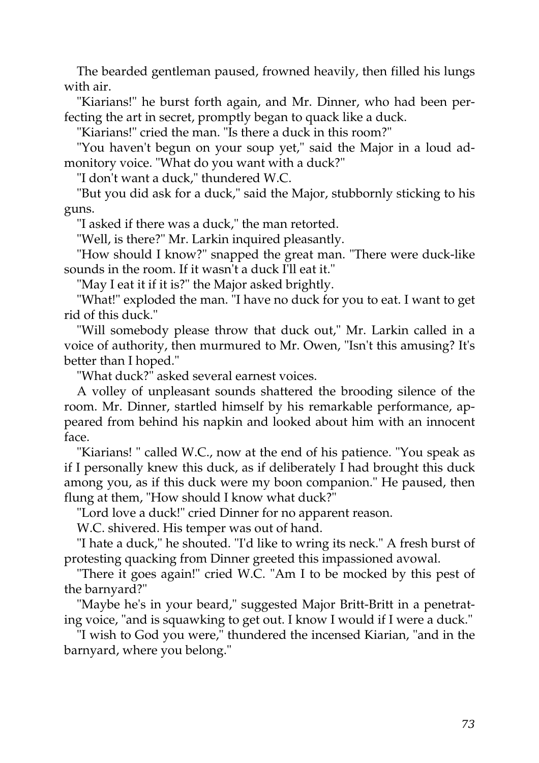The bearded gentleman paused, frowned heavily, then filled his lungs with air.

"Kiarians!" he burst forth again, and Mr. Dinner, who had been perfecting the art in secret, promptly began to quack like a duck.

"Kiarians!" cried the man. "Is there a duck in this room?"

"You haven't begun on your soup yet," said the Major in a loud admonitory voice. "What do you want with a duck?"

"I don't want a duck," thundered W.C.

"But you did ask for a duck," said the Major, stubbornly sticking to his guns.

"I asked if there was a duck," the man retorted.

"Well, is there?" Mr. Larkin inquired pleasantly.

"How should I know?" snapped the great man. "There were duck-like sounds in the room. If it wasn't a duck I'll eat it."

"May I eat it if it is?" the Major asked brightly.

"What!" exploded the man. "I have no duck for you to eat. I want to get rid of this duck."

"Will somebody please throw that duck out," Mr. Larkin called in a voice of authority, then murmured to Mr. Owen, "Isn't this amusing? It's better than I hoped."

"What duck?" asked several earnest voices.

A volley of unpleasant sounds shattered the brooding silence of the room. Mr. Dinner, startled himself by his remarkable performance, appeared from behind his napkin and looked about him with an innocent face.

"Kiarians! " called W.C., now at the end of his patience. "You speak as if I personally knew this duck, as if deliberately I had brought this duck among you, as if this duck were my boon companion." He paused, then flung at them, "How should I know what duck?"

"Lord love a duck!" cried Dinner for no apparent reason.

W.C. shivered. His temper was out of hand.

"I hate a duck," he shouted. "I'd like to wring its neck." A fresh burst of protesting quacking from Dinner greeted this impassioned avowal.

"There it goes again!" cried W.C. "Am I to be mocked by this pest of the barnyard?"

"Maybe he's in your beard," suggested Major Britt-Britt in a penetrating voice, "and is squawking to get out. I know I would if I were a duck."

"I wish to God you were," thundered the incensed Kiarian, "and in the barnyard, where you belong."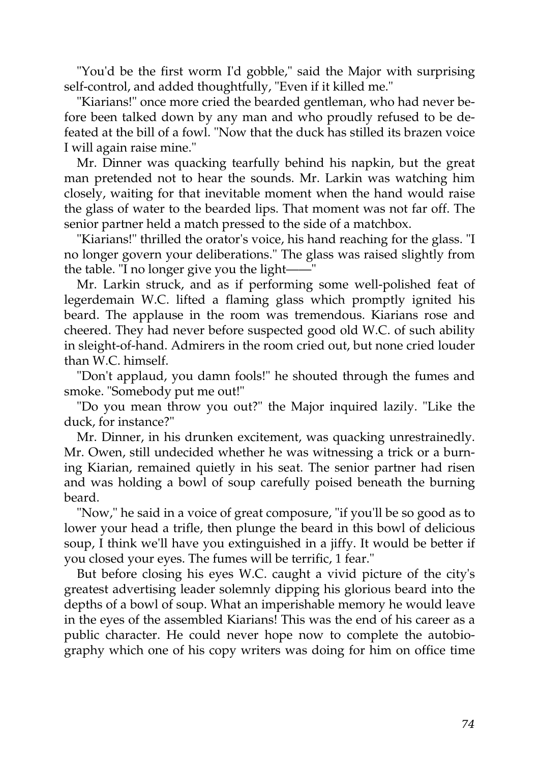"You'd be the first worm I'd gobble," said the Major with surprising self-control, and added thoughtfully, "Even if it killed me."

"Kiarians!" once more cried the bearded gentleman, who had never before been talked down by any man and who proudly refused to be defeated at the bill of a fowl. "Now that the duck has stilled its brazen voice I will again raise mine."

Mr. Dinner was quacking tearfully behind his napkin, but the great man pretended not to hear the sounds. Mr. Larkin was watching him closely, waiting for that inevitable moment when the hand would raise the glass of water to the bearded lips. That moment was not far off. The senior partner held a match pressed to the side of a matchbox.

"Kiarians!" thrilled the orator's voice, his hand reaching for the glass. "I no longer govern your deliberations." The glass was raised slightly from the table. "I no longer give you the light-

Mr. Larkin struck, and as if performing some well-polished feat of legerdemain W.C. lifted a flaming glass which promptly ignited his beard. The applause in the room was tremendous. Kiarians rose and cheered. They had never before suspected good old W.C. of such ability in sleight-of-hand. Admirers in the room cried out, but none cried louder than W.C. himself.

"Don't applaud, you damn fools!" he shouted through the fumes and smoke. "Somebody put me out!"

"Do you mean throw you out?" the Major inquired lazily. "Like the duck, for instance?"

Mr. Dinner, in his drunken excitement, was quacking unrestrainedly. Mr. Owen, still undecided whether he was witnessing a trick or a burning Kiarian, remained quietly in his seat. The senior partner had risen and was holding a bowl of soup carefully poised beneath the burning beard.

"Now," he said in a voice of great composure, "if you'll be so good as to lower your head a trifle, then plunge the beard in this bowl of delicious soup, I think we'll have you extinguished in a jiffy. It would be better if you closed your eyes. The fumes will be terrific, 1 fear."

But before closing his eyes W.C. caught a vivid picture of the city's greatest advertising leader solemnly dipping his glorious beard into the depths of a bowl of soup. What an imperishable memory he would leave in the eyes of the assembled Kiarians! This was the end of his career as a public character. He could never hope now to complete the autobiography which one of his copy writers was doing for him on office time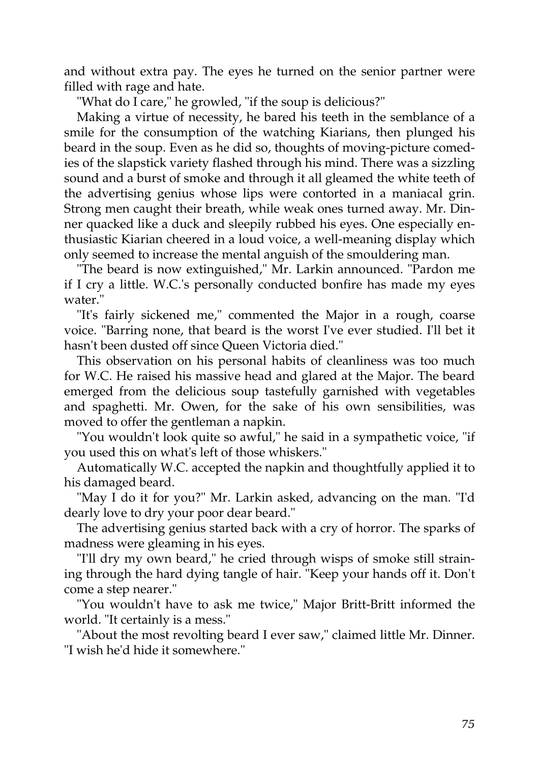and without extra pay. The eyes he turned on the senior partner were filled with rage and hate.

"What do I care," he growled, "if the soup is delicious?"

Making a virtue of necessity, he bared his teeth in the semblance of a smile for the consumption of the watching Kiarians, then plunged his beard in the soup. Even as he did so, thoughts of moving-picture comedies of the slapstick variety flashed through his mind. There was a sizzling sound and a burst of smoke and through it all gleamed the white teeth of the advertising genius whose lips were contorted in a maniacal grin. Strong men caught their breath, while weak ones turned away. Mr. Dinner quacked like a duck and sleepily rubbed his eyes. One especially enthusiastic Kiarian cheered in a loud voice, a well-meaning display which only seemed to increase the mental anguish of the smouldering man.

"The beard is now extinguished," Mr. Larkin announced. "Pardon me if I cry a little. W.C.'s personally conducted bonfire has made my eyes water."

"It's fairly sickened me," commented the Major in a rough, coarse voice. "Barring none, that beard is the worst I've ever studied. I'll bet it hasn't been dusted off since Queen Victoria died."

This observation on his personal habits of cleanliness was too much for W.C. He raised his massive head and glared at the Major. The beard emerged from the delicious soup tastefully garnished with vegetables and spaghetti. Mr. Owen, for the sake of his own sensibilities, was moved to offer the gentleman a napkin.

"You wouldn't look quite so awful," he said in a sympathetic voice, "if you used this on what's left of those whiskers."

Automatically W.C. accepted the napkin and thoughtfully applied it to his damaged beard.

"May I do it for you?" Mr. Larkin asked, advancing on the man. "I'd dearly love to dry your poor dear beard."

The advertising genius started back with a cry of horror. The sparks of madness were gleaming in his eyes.

"I'll dry my own beard," he cried through wisps of smoke still straining through the hard dying tangle of hair. "Keep your hands off it. Don't come a step nearer."

"You wouldn't have to ask me twice," Major Britt-Britt informed the world. "It certainly is a mess."

"About the most revolting beard I ever saw," claimed little Mr. Dinner. "I wish he'd hide it somewhere."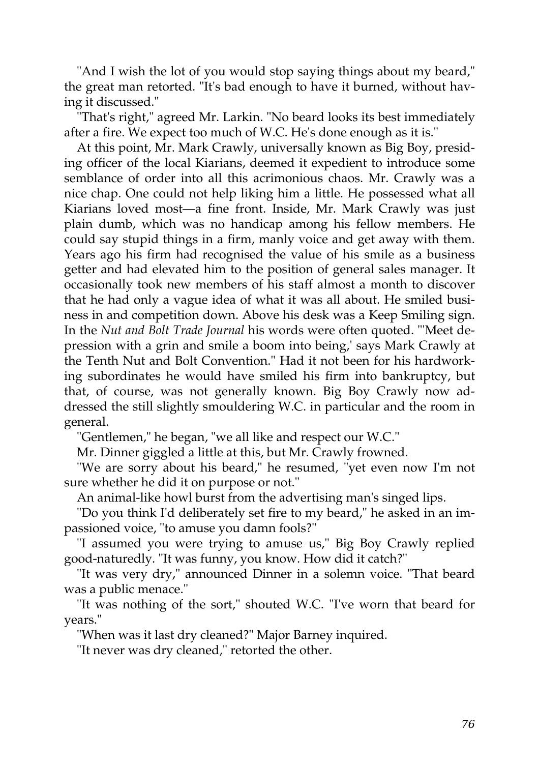"And I wish the lot of you would stop saying things about my beard," the great man retorted. "It's bad enough to have it burned, without having it discussed."

"That's right," agreed Mr. Larkin. "No beard looks its best immediately after a fire. We expect too much of W.C. He's done enough as it is."

At this point, Mr. Mark Crawly, universally known as Big Boy, presiding officer of the local Kiarians, deemed it expedient to introduce some semblance of order into all this acrimonious chaos. Mr. Crawly was a nice chap. One could not help liking him a little. He possessed what all Kiarians loved most—a fine front. Inside, Mr. Mark Crawly was just plain dumb, which was no handicap among his fellow members. He could say stupid things in a firm, manly voice and get away with them. Years ago his firm had recognised the value of his smile as a business getter and had elevated him to the position of general sales manager. It occasionally took new members of his staff almost a month to discover that he had only a vague idea of what it was all about. He smiled business in and competition down. Above his desk was a Keep Smiling sign. In the *Nut and Bolt Trade Journal* his words were often quoted. "'Meet depression with a grin and smile a boom into being,' says Mark Crawly at the Tenth Nut and Bolt Convention." Had it not been for his hardworking subordinates he would have smiled his firm into bankruptcy, but that, of course, was not generally known. Big Boy Crawly now addressed the still slightly smouldering W.C. in particular and the room in general.

"Gentlemen," he began, "we all like and respect our W.C."

Mr. Dinner giggled a little at this, but Mr. Crawly frowned.

"We are sorry about his beard," he resumed, "yet even now I'm not sure whether he did it on purpose or not."

An animal-like howl burst from the advertising man's singed lips.

"Do you think I'd deliberately set fire to my beard," he asked in an impassioned voice, "to amuse you damn fools?"

"I assumed you were trying to amuse us," Big Boy Crawly replied good-naturedly. "It was funny, you know. How did it catch?"

"It was very dry," announced Dinner in a solemn voice. "That beard was a public menace."

"It was nothing of the sort," shouted W.C. "I've worn that beard for years."

"When was it last dry cleaned?" Major Barney inquired.

"It never was dry cleaned," retorted the other.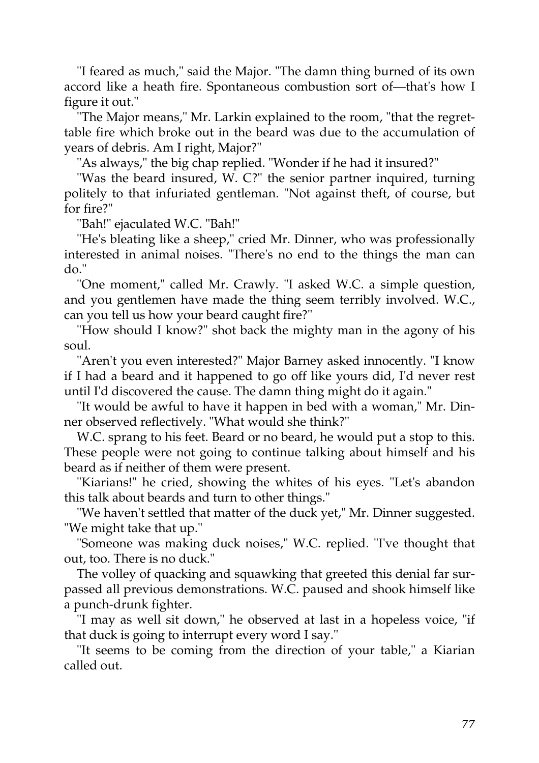"I feared as much," said the Major. "The damn thing burned of its own accord like a heath fire. Spontaneous combustion sort of—that's how I figure it out."

"The Major means," Mr. Larkin explained to the room, "that the regrettable fire which broke out in the beard was due to the accumulation of years of debris. Am I right, Major?"

"As always," the big chap replied. "Wonder if he had it insured?"

"Was the beard insured, W. C?" the senior partner inquired, turning politely to that infuriated gentleman. "Not against theft, of course, but for fire?"

"Bah!" ejaculated W.C. "Bah!"

"He's bleating like a sheep," cried Mr. Dinner, who was professionally interested in animal noises. "There's no end to the things the man can do."

"One moment," called Mr. Crawly. "I asked W.C. a simple question, and you gentlemen have made the thing seem terribly involved. W.C., can you tell us how your beard caught fire?"

"How should I know?" shot back the mighty man in the agony of his soul.

"Aren't you even interested?" Major Barney asked innocently. "I know if I had a beard and it happened to go off like yours did, I'd never rest until I'd discovered the cause. The damn thing might do it again."

"It would be awful to have it happen in bed with a woman," Mr. Dinner observed reflectively. "What would she think?"

W.C. sprang to his feet. Beard or no beard, he would put a stop to this. These people were not going to continue talking about himself and his beard as if neither of them were present.

"Kiarians!" he cried, showing the whites of his eyes. "Let's abandon this talk about beards and turn to other things."

"We haven't settled that matter of the duck yet," Mr. Dinner suggested. "We might take that up."

"Someone was making duck noises," W.C. replied. "I've thought that out, too. There is no duck."

The volley of quacking and squawking that greeted this denial far surpassed all previous demonstrations. W.C. paused and shook himself like a punch-drunk fighter.

"I may as well sit down," he observed at last in a hopeless voice, "if that duck is going to interrupt every word I say."

"It seems to be coming from the direction of your table," a Kiarian called out.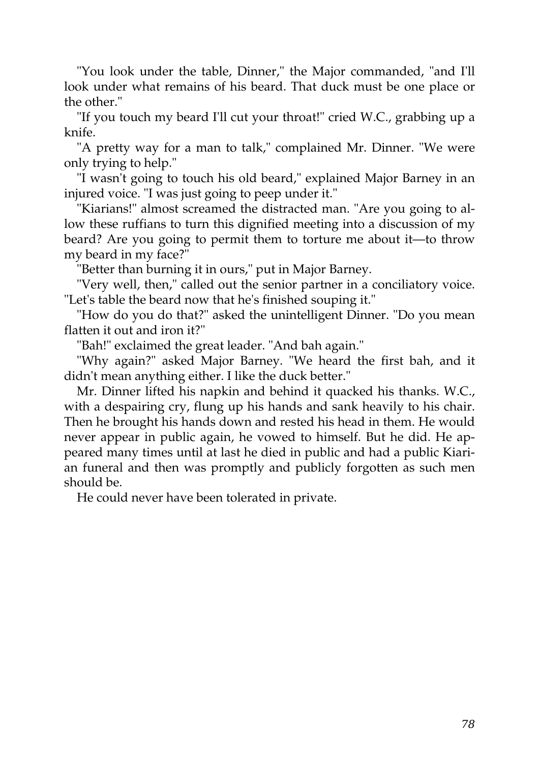"You look under the table, Dinner," the Major commanded, "and I'll look under what remains of his beard. That duck must be one place or the other."

"If you touch my beard I'll cut your throat!" cried W.C., grabbing up a knife.

"A pretty way for a man to talk," complained Mr. Dinner. "We were only trying to help."

"I wasn't going to touch his old beard," explained Major Barney in an injured voice. "I was just going to peep under it."

"Kiarians!" almost screamed the distracted man. "Are you going to allow these ruffians to turn this dignified meeting into a discussion of my beard? Are you going to permit them to torture me about it—to throw my beard in my face?"

"Better than burning it in ours," put in Major Barney.

"Very well, then," called out the senior partner in a conciliatory voice. "Let's table the beard now that he's finished souping it."

"How do you do that?" asked the unintelligent Dinner. "Do you mean flatten it out and iron it?"

"Bah!" exclaimed the great leader. "And bah again."

"Why again?" asked Major Barney. "We heard the first bah, and it didn't mean anything either. I like the duck better."

Mr. Dinner lifted his napkin and behind it quacked his thanks. W.C., with a despairing cry, flung up his hands and sank heavily to his chair. Then he brought his hands down and rested his head in them. He would never appear in public again, he vowed to himself. But he did. He appeared many times until at last he died in public and had a public Kiarian funeral and then was promptly and publicly forgotten as such men should be.

He could never have been tolerated in private.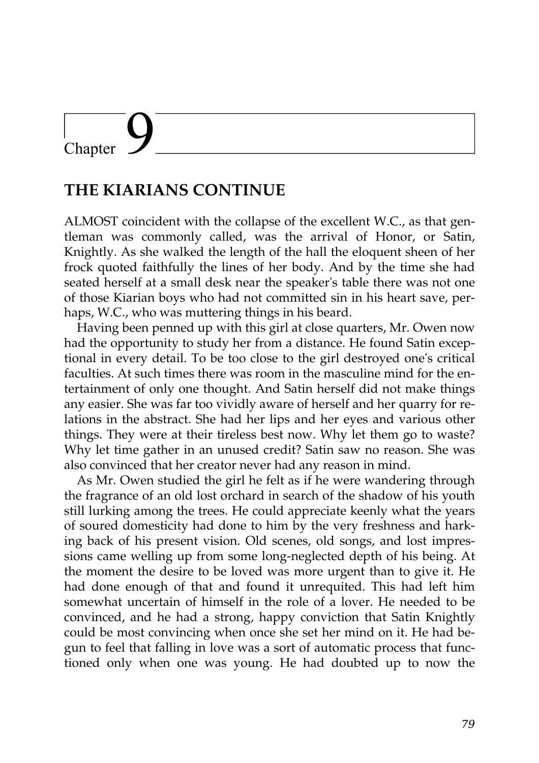## Chapter

#### **THE KIARIANS CONTINUE**

ALMOST coincident with the collapse of the excellent W.C., as that gentleman was commonly called, was the arrival of Honor, or Satin, Knightly. As she walked the length of the hall the eloquent sheen of her frock quoted faithfully the lines of her body. And by the time she had seated herself at a small desk near the speaker's table there was not one of those Kiarian boys who had not committed sin in his heart save, perhaps, W.C., who was muttering things in his beard.

Having been penned up with this girl at close quarters, Mr. Owen now had the opportunity to study her from a distance. He found Satin exceptional in every detail. To be too close to the girl destroyed one's critical faculties. At such times there was room in the masculine mind for the entertainment of only one thought. And Satin herself did not make things any easier. She was far too vividly aware of herself and her quarry for relations in the abstract. She had her lips and her eyes and various other things. They were at their tireless best now. Why let them go to waste? Why let time gather in an unused credit? Satin saw no reason. She was also convinced that her creator never had any reason in mind.

As Mr. Owen studied the girl he felt as if he were wandering through the fragrance of an old lost orchard in search of the shadow of his youth still lurking among the trees. He could appreciate keenly what the years of soured domesticity had done to him by the very freshness and harking back of his present vision. Old scenes, old songs, and lost impressions came welling up from some long-neglected depth of his being. At the moment the desire to be loved was more urgent than to give it. He had done enough of that and found it unrequited. This had left him somewhat uncertain of himself in the role of a lover. He needed to be convinced, and he had a strong, happy conviction that Satin Knightly could be most convincing when once she set her mind on it. He had begun to feel that falling in love was a sort of automatic process that functioned only when one was young. He had doubted up to now the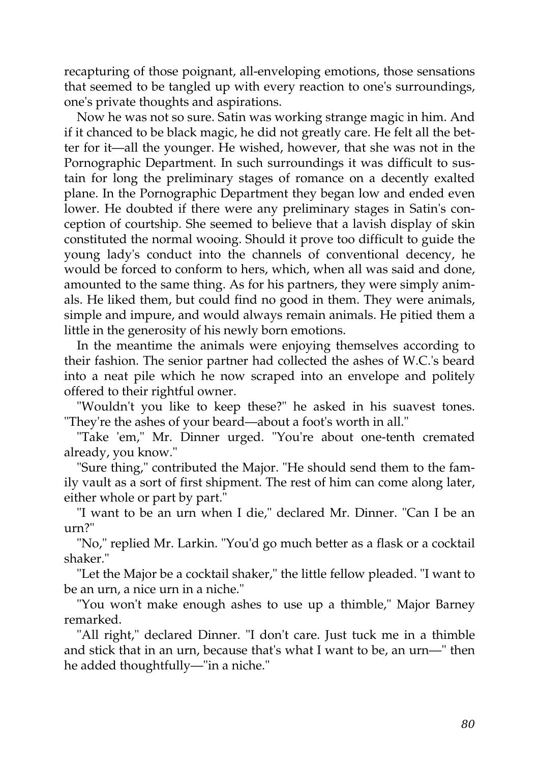recapturing of those poignant, all-enveloping emotions, those sensations that seemed to be tangled up with every reaction to one's surroundings, one's private thoughts and aspirations.

Now he was not so sure. Satin was working strange magic in him. And if it chanced to be black magic, he did not greatly care. He felt all the better for it—all the younger. He wished, however, that she was not in the Pornographic Department. In such surroundings it was difficult to sustain for long the preliminary stages of romance on a decently exalted plane. In the Pornographic Department they began low and ended even lower. He doubted if there were any preliminary stages in Satin's conception of courtship. She seemed to believe that a lavish display of skin constituted the normal wooing. Should it prove too difficult to guide the young lady's conduct into the channels of conventional decency, he would be forced to conform to hers, which, when all was said and done, amounted to the same thing. As for his partners, they were simply animals. He liked them, but could find no good in them. They were animals, simple and impure, and would always remain animals. He pitied them a little in the generosity of his newly born emotions.

In the meantime the animals were enjoying themselves according to their fashion. The senior partner had collected the ashes of W.C.'s beard into a neat pile which he now scraped into an envelope and politely offered to their rightful owner.

"Wouldn't you like to keep these?" he asked in his suavest tones. "They're the ashes of your beard—about a foot's worth in all."

"Take 'em," Mr. Dinner urged. "You're about one-tenth cremated already, you know."

"Sure thing," contributed the Major. "He should send them to the family vault as a sort of first shipment. The rest of him can come along later, either whole or part by part."

"I want to be an urn when I die," declared Mr. Dinner. "Can I be an urn?"

"No," replied Mr. Larkin. "You'd go much better as a flask or a cocktail shaker."

"Let the Major be a cocktail shaker," the little fellow pleaded. "I want to be an urn, a nice urn in a niche."

"You won't make enough ashes to use up a thimble," Major Barney remarked.

"All right," declared Dinner. "I don't care. Just tuck me in a thimble and stick that in an urn, because that's what I want to be, an urn—" then he added thoughtfully—"in a niche."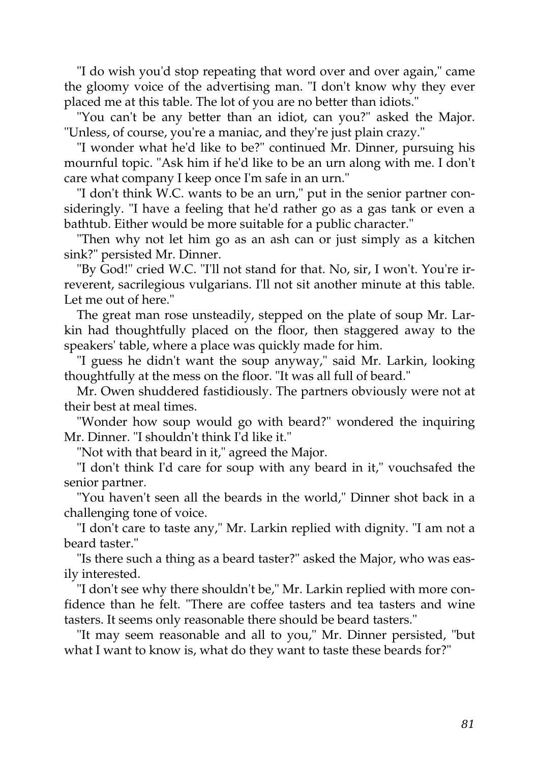"I do wish you'd stop repeating that word over and over again," came the gloomy voice of the advertising man. "I don't know why they ever placed me at this table. The lot of you are no better than idiots."

"You can't be any better than an idiot, can you?" asked the Major. "Unless, of course, you're a maniac, and they're just plain crazy."

"I wonder what he'd like to be?" continued Mr. Dinner, pursuing his mournful topic. "Ask him if he'd like to be an urn along with me. I don't care what company I keep once I'm safe in an urn."

"I don't think W.C. wants to be an urn," put in the senior partner consideringly. "I have a feeling that he'd rather go as a gas tank or even a bathtub. Either would be more suitable for a public character."

"Then why not let him go as an ash can or just simply as a kitchen sink?" persisted Mr. Dinner.

"By God!" cried W.C. "I'll not stand for that. No, sir, I won't. You're irreverent, sacrilegious vulgarians. I'll not sit another minute at this table. Let me out of here."

The great man rose unsteadily, stepped on the plate of soup Mr. Larkin had thoughtfully placed on the floor, then staggered away to the speakers' table, where a place was quickly made for him.

"I guess he didn't want the soup anyway," said Mr. Larkin, looking thoughtfully at the mess on the floor. "It was all full of beard."

Mr. Owen shuddered fastidiously. The partners obviously were not at their best at meal times.

"Wonder how soup would go with beard?" wondered the inquiring Mr. Dinner. "I shouldn't think I'd like it."

"Not with that beard in it," agreed the Major.

"I don't think I'd care for soup with any beard in it," vouchsafed the senior partner.

"You haven't seen all the beards in the world," Dinner shot back in a challenging tone of voice.

"I don't care to taste any," Mr. Larkin replied with dignity. "I am not a beard taster."

"Is there such a thing as a beard taster?" asked the Major, who was easily interested.

"I don't see why there shouldn't be," Mr. Larkin replied with more confidence than he felt. "There are coffee tasters and tea tasters and wine tasters. It seems only reasonable there should be beard tasters."

"It may seem reasonable and all to you," Mr. Dinner persisted, "but what I want to know is, what do they want to taste these beards for?"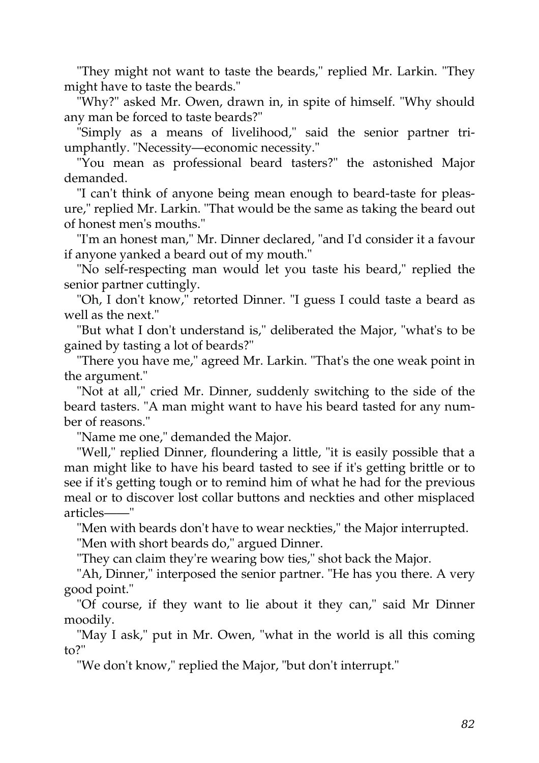"They might not want to taste the beards," replied Mr. Larkin. "They might have to taste the beards."

"Why?" asked Mr. Owen, drawn in, in spite of himself. "Why should any man be forced to taste beards?"

"Simply as a means of livelihood," said the senior partner triumphantly. "Necessity—economic necessity."

"You mean as professional beard tasters?" the astonished Major demanded.

"I can't think of anyone being mean enough to beard-taste for pleasure," replied Mr. Larkin. "That would be the same as taking the beard out of honest men's mouths."

"I'm an honest man," Mr. Dinner declared, "and I'd consider it a favour if anyone yanked a beard out of my mouth."

"No self-respecting man would let you taste his beard," replied the senior partner cuttingly.

"Oh, I don't know," retorted Dinner. "I guess I could taste a beard as well as the next."

"But what I don't understand is," deliberated the Major, "what's to be gained by tasting a lot of beards?"

"There you have me," agreed Mr. Larkin. "That's the one weak point in the argument."

"Not at all," cried Mr. Dinner, suddenly switching to the side of the beard tasters. "A man might want to have his beard tasted for any number of reasons."

"Name me one," demanded the Major.

"Well," replied Dinner, floundering a little, "it is easily possible that a man might like to have his beard tasted to see if it's getting brittle or to see if it's getting tough or to remind him of what he had for the previous meal or to discover lost collar buttons and neckties and other misplaced articles——"

"Men with beards don't have to wear neckties," the Major interrupted.

"Men with short beards do," argued Dinner.

"They can claim they're wearing bow ties," shot back the Major.

"Ah, Dinner," interposed the senior partner. "He has you there. A very good point."

"Of course, if they want to lie about it they can," said Mr Dinner moodily.

"May I ask," put in Mr. Owen, "what in the world is all this coming to?"

"We don't know," replied the Major, "but don't interrupt."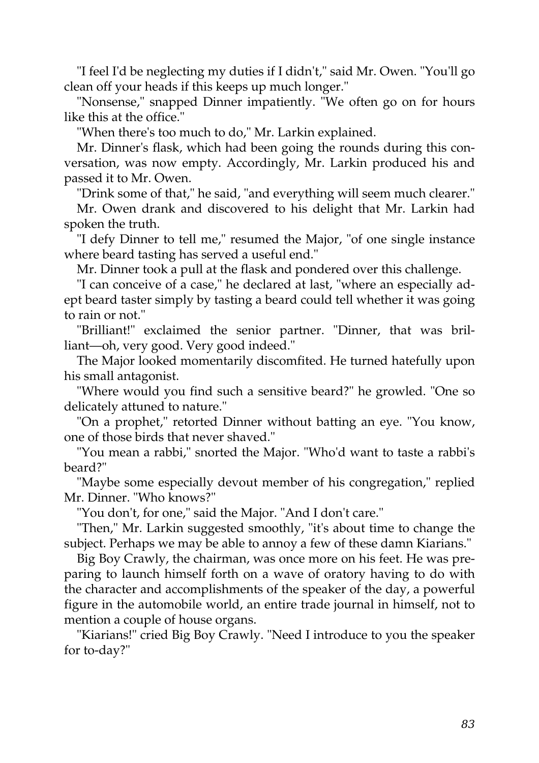"I feel I'd be neglecting my duties if I didn't," said Mr. Owen. "You'll go clean off your heads if this keeps up much longer."

"Nonsense," snapped Dinner impatiently. "We often go on for hours like this at the office."

"When there's too much to do," Mr. Larkin explained.

Mr. Dinner's flask, which had been going the rounds during this conversation, was now empty. Accordingly, Mr. Larkin produced his and passed it to Mr. Owen.

"Drink some of that," he said, "and everything will seem much clearer."

Mr. Owen drank and discovered to his delight that Mr. Larkin had spoken the truth.

"I defy Dinner to tell me," resumed the Major, "of one single instance where beard tasting has served a useful end."

Mr. Dinner took a pull at the flask and pondered over this challenge.

"I can conceive of a case," he declared at last, "where an especially adept beard taster simply by tasting a beard could tell whether it was going to rain or not."

"Brilliant!" exclaimed the senior partner. "Dinner, that was brilliant—oh, very good. Very good indeed."

The Major looked momentarily discomfited. He turned hatefully upon his small antagonist.

"Where would you find such a sensitive beard?" he growled. "One so delicately attuned to nature."

"On a prophet," retorted Dinner without batting an eye. "You know, one of those birds that never shaved."

"You mean a rabbi," snorted the Major. "Who'd want to taste a rabbi's beard?"

"Maybe some especially devout member of his congregation," replied Mr. Dinner. "Who knows?"

"You don't, for one," said the Major. "And I don't care."

"Then," Mr. Larkin suggested smoothly, "it's about time to change the subject. Perhaps we may be able to annoy a few of these damn Kiarians."

Big Boy Crawly, the chairman, was once more on his feet. He was preparing to launch himself forth on a wave of oratory having to do with the character and accomplishments of the speaker of the day, a powerful figure in the automobile world, an entire trade journal in himself, not to mention a couple of house organs.

"Kiarians!" cried Big Boy Crawly. "Need I introduce to you the speaker for to-day?"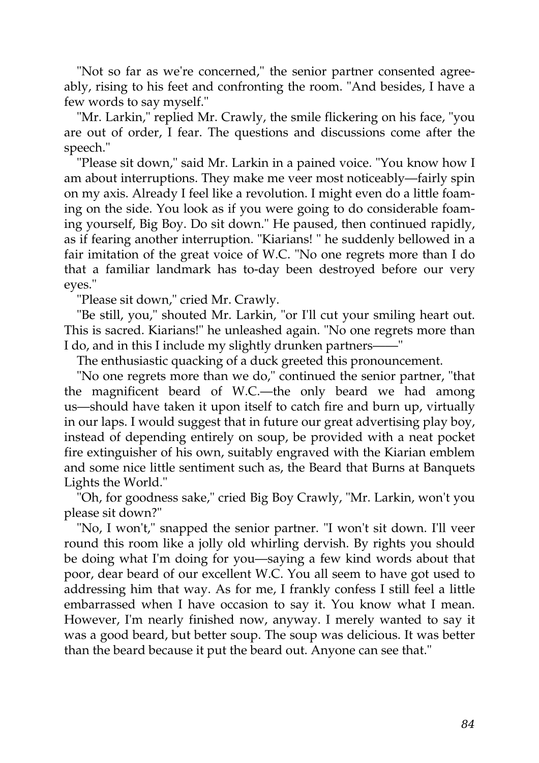"Not so far as we're concerned," the senior partner consented agreeably, rising to his feet and confronting the room. "And besides, I have a few words to say myself."

"Mr. Larkin," replied Mr. Crawly, the smile flickering on his face, "you are out of order, I fear. The questions and discussions come after the speech."

"Please sit down," said Mr. Larkin in a pained voice. "You know how I am about interruptions. They make me veer most noticeably—fairly spin on my axis. Already I feel like a revolution. I might even do a little foaming on the side. You look as if you were going to do considerable foaming yourself, Big Boy. Do sit down." He paused, then continued rapidly, as if fearing another interruption. "Kiarians! " he suddenly bellowed in a fair imitation of the great voice of W.C. "No one regrets more than I do that a familiar landmark has to-day been destroyed before our very eyes."

"Please sit down," cried Mr. Crawly.

"Be still, you," shouted Mr. Larkin, "or I'll cut your smiling heart out. This is sacred. Kiarians!" he unleashed again. "No one regrets more than I do, and in this I include my slightly drunken partners——"

The enthusiastic quacking of a duck greeted this pronouncement.

"No one regrets more than we do," continued the senior partner, "that the magnificent beard of W.C.—the only beard we had among us—should have taken it upon itself to catch fire and burn up, virtually in our laps. I would suggest that in future our great advertising play boy, instead of depending entirely on soup, be provided with a neat pocket fire extinguisher of his own, suitably engraved with the Kiarian emblem and some nice little sentiment such as, the Beard that Burns at Banquets Lights the World."

"Oh, for goodness sake," cried Big Boy Crawly, "Mr. Larkin, won't you please sit down?"

"No, I won't," snapped the senior partner. "I won't sit down. I'll veer round this room like a jolly old whirling dervish. By rights you should be doing what I'm doing for you—saying a few kind words about that poor, dear beard of our excellent W.C. You all seem to have got used to addressing him that way. As for me, I frankly confess I still feel a little embarrassed when I have occasion to say it. You know what I mean. However, I'm nearly finished now, anyway. I merely wanted to say it was a good beard, but better soup. The soup was delicious. It was better than the beard because it put the beard out. Anyone can see that."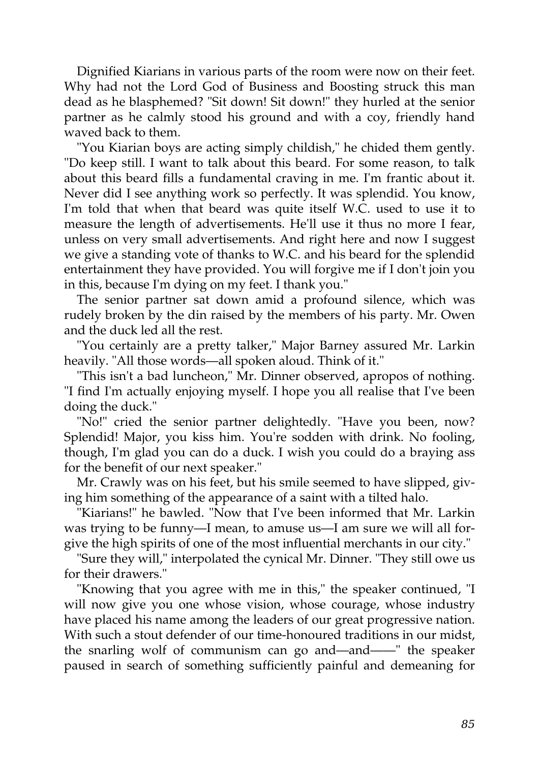Dignified Kiarians in various parts of the room were now on their feet. Why had not the Lord God of Business and Boosting struck this man dead as he blasphemed? "Sit down! Sit down!" they hurled at the senior partner as he calmly stood his ground and with a coy, friendly hand waved back to them.

"You Kiarian boys are acting simply childish," he chided them gently. "Do keep still. I want to talk about this beard. For some reason, to talk about this beard fills a fundamental craving in me. I'm frantic about it. Never did I see anything work so perfectly. It was splendid. You know, I'm told that when that beard was quite itself W.C. used to use it to measure the length of advertisements. He'll use it thus no more I fear, unless on very small advertisements. And right here and now I suggest we give a standing vote of thanks to W.C. and his beard for the splendid entertainment they have provided. You will forgive me if I don't join you in this, because I'm dying on my feet. I thank you."

The senior partner sat down amid a profound silence, which was rudely broken by the din raised by the members of his party. Mr. Owen and the duck led all the rest.

"You certainly are a pretty talker," Major Barney assured Mr. Larkin heavily. "All those words—all spoken aloud. Think of it."

"This isn't a bad luncheon," Mr. Dinner observed, apropos of nothing. "I find I'm actually enjoying myself. I hope you all realise that I've been doing the duck."

"No!" cried the senior partner delightedly. "Have you been, now? Splendid! Major, you kiss him. You're sodden with drink. No fooling, though, I'm glad you can do a duck. I wish you could do a braying ass for the benefit of our next speaker."

Mr. Crawly was on his feet, but his smile seemed to have slipped, giving him something of the appearance of a saint with a tilted halo.

"Kiarians!" he bawled. "Now that I've been informed that Mr. Larkin was trying to be funny—I mean, to amuse us—I am sure we will all forgive the high spirits of one of the most influential merchants in our city."

"Sure they will," interpolated the cynical Mr. Dinner. "They still owe us for their drawers."

"Knowing that you agree with me in this," the speaker continued, "I will now give you one whose vision, whose courage, whose industry have placed his name among the leaders of our great progressive nation. With such a stout defender of our time-honoured traditions in our midst, the snarling wolf of communism can go and—and——" the speaker paused in search of something sufficiently painful and demeaning for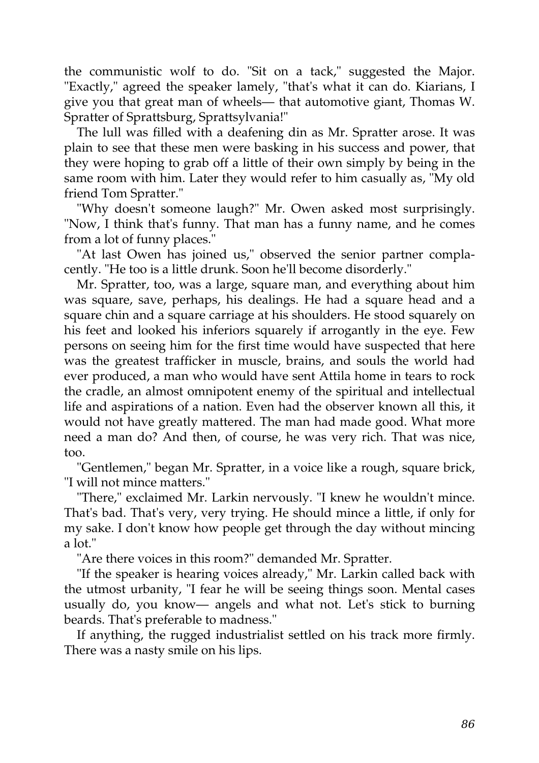the communistic wolf to do. "Sit on a tack," suggested the Major. "Exactly," agreed the speaker lamely, "that's what it can do. Kiarians, I give you that great man of wheels— that automotive giant, Thomas W. Spratter of Sprattsburg, Sprattsylvania!"

The lull was filled with a deafening din as Mr. Spratter arose. It was plain to see that these men were basking in his success and power, that they were hoping to grab off a little of their own simply by being in the same room with him. Later they would refer to him casually as, "My old friend Tom Spratter."

"Why doesn't someone laugh?" Mr. Owen asked most surprisingly. "Now, I think that's funny. That man has a funny name, and he comes from a lot of funny places."

"At last Owen has joined us," observed the senior partner complacently. "He too is a little drunk. Soon he'll become disorderly."

Mr. Spratter, too, was a large, square man, and everything about him was square, save, perhaps, his dealings. He had a square head and a square chin and a square carriage at his shoulders. He stood squarely on his feet and looked his inferiors squarely if arrogantly in the eye. Few persons on seeing him for the first time would have suspected that here was the greatest trafficker in muscle, brains, and souls the world had ever produced, a man who would have sent Attila home in tears to rock the cradle, an almost omnipotent enemy of the spiritual and intellectual life and aspirations of a nation. Even had the observer known all this, it would not have greatly mattered. The man had made good. What more need a man do? And then, of course, he was very rich. That was nice, too.

"Gentlemen," began Mr. Spratter, in a voice like a rough, square brick, "I will not mince matters."

"There," exclaimed Mr. Larkin nervously. "I knew he wouldn't mince. That's bad. That's very, very trying. He should mince a little, if only for my sake. I don't know how people get through the day without mincing a lot."

"Are there voices in this room?" demanded Mr. Spratter.

"If the speaker is hearing voices already," Mr. Larkin called back with the utmost urbanity, "I fear he will be seeing things soon. Mental cases usually do, you know— angels and what not. Let's stick to burning beards. That's preferable to madness."

If anything, the rugged industrialist settled on his track more firmly. There was a nasty smile on his lips.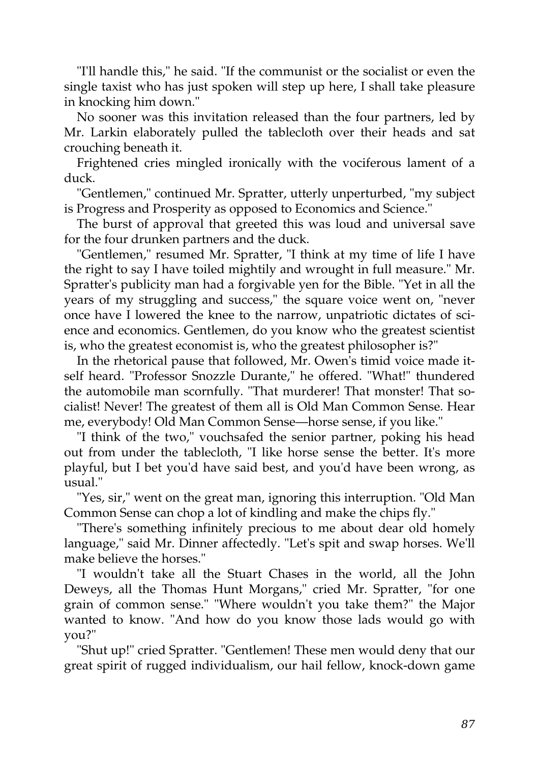"I'll handle this," he said. "If the communist or the socialist or even the single taxist who has just spoken will step up here, I shall take pleasure in knocking him down."

No sooner was this invitation released than the four partners, led by Mr. Larkin elaborately pulled the tablecloth over their heads and sat crouching beneath it.

Frightened cries mingled ironically with the vociferous lament of a duck.

"Gentlemen," continued Mr. Spratter, utterly unperturbed, "my subject is Progress and Prosperity as opposed to Economics and Science."

The burst of approval that greeted this was loud and universal save for the four drunken partners and the duck.

"Gentlemen," resumed Mr. Spratter, "I think at my time of life I have the right to say I have toiled mightily and wrought in full measure." Mr. Spratter's publicity man had a forgivable yen for the Bible. "Yet in all the years of my struggling and success," the square voice went on, "never once have I lowered the knee to the narrow, unpatriotic dictates of science and economics. Gentlemen, do you know who the greatest scientist is, who the greatest economist is, who the greatest philosopher is?"

In the rhetorical pause that followed, Mr. Owen's timid voice made itself heard. "Professor Snozzle Durante," he offered. "What!" thundered the automobile man scornfully. "That murderer! That monster! That socialist! Never! The greatest of them all is Old Man Common Sense. Hear me, everybody! Old Man Common Sense—horse sense, if you like."

"I think of the two," vouchsafed the senior partner, poking his head out from under the tablecloth, "I like horse sense the better. It's more playful, but I bet you'd have said best, and you'd have been wrong, as usual."

"Yes, sir," went on the great man, ignoring this interruption. "Old Man Common Sense can chop a lot of kindling and make the chips fly."

"There's something infinitely precious to me about dear old homely language," said Mr. Dinner affectedly. "Let's spit and swap horses. We'll make believe the horses."

"I wouldn't take all the Stuart Chases in the world, all the John Deweys, all the Thomas Hunt Morgans," cried Mr. Spratter, "for one grain of common sense." "Where wouldn't you take them?" the Major wanted to know. "And how do you know those lads would go with you?"

"Shut up!" cried Spratter. "Gentlemen! These men would deny that our great spirit of rugged individualism, our hail fellow, knock-down game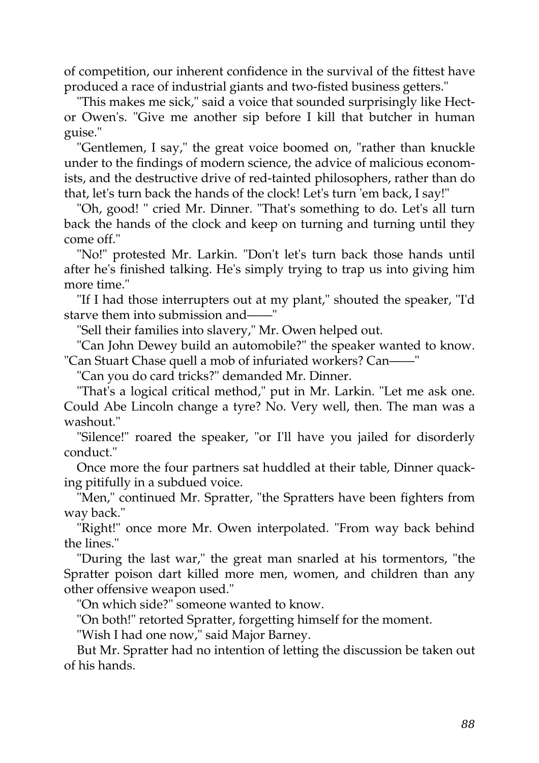of competition, our inherent confidence in the survival of the fittest have produced a race of industrial giants and two-fisted business getters."

"This makes me sick," said a voice that sounded surprisingly like Hector Owen's. "Give me another sip before I kill that butcher in human guise."

"Gentlemen, I say," the great voice boomed on, "rather than knuckle under to the findings of modern science, the advice of malicious economists, and the destructive drive of red-tainted philosophers, rather than do that, let's turn back the hands of the clock! Let's turn 'em back, I say!"

"Oh, good! " cried Mr. Dinner. "That's something to do. Let's all turn back the hands of the clock and keep on turning and turning until they come off."

"No!" protested Mr. Larkin. "Don't let's turn back those hands until after he's finished talking. He's simply trying to trap us into giving him more time."

"If I had those interrupters out at my plant," shouted the speaker, "I'd starve them into submission and-

"Sell their families into slavery," Mr. Owen helped out.

"Can John Dewey build an automobile?" the speaker wanted to know. "Can Stuart Chase quell a mob of infuriated workers? Can——"

"Can you do card tricks?" demanded Mr. Dinner.

"That's a logical critical method," put in Mr. Larkin. "Let me ask one. Could Abe Lincoln change a tyre? No. Very well, then. The man was a washout."

"Silence!" roared the speaker, "or I'll have you jailed for disorderly conduct."

Once more the four partners sat huddled at their table, Dinner quacking pitifully in a subdued voice.

"Men," continued Mr. Spratter, "the Spratters have been fighters from way back."

"Right!" once more Mr. Owen interpolated. "From way back behind the lines."

"During the last war," the great man snarled at his tormentors, "the Spratter poison dart killed more men, women, and children than any other offensive weapon used."

"On which side?" someone wanted to know.

"On both!" retorted Spratter, forgetting himself for the moment.

"Wish I had one now," said Major Barney.

But Mr. Spratter had no intention of letting the discussion be taken out of his hands.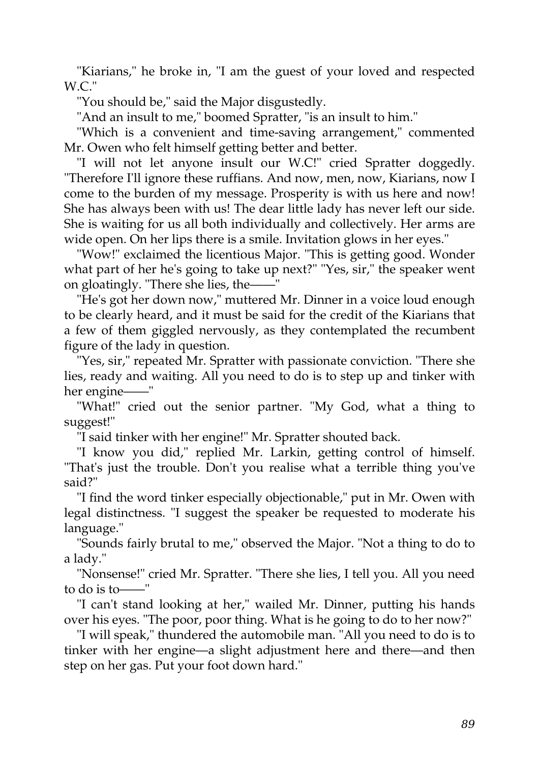"Kiarians," he broke in, "I am the guest of your loved and respected W.C."

"You should be," said the Major disgustedly.

"And an insult to me," boomed Spratter, "is an insult to him."

"Which is a convenient and time-saving arrangement," commented Mr. Owen who felt himself getting better and better.

"I will not let anyone insult our W.C!" cried Spratter doggedly. "Therefore I'll ignore these ruffians. And now, men, now, Kiarians, now I come to the burden of my message. Prosperity is with us here and now! She has always been with us! The dear little lady has never left our side. She is waiting for us all both individually and collectively. Her arms are wide open. On her lips there is a smile. Invitation glows in her eyes."

"Wow!" exclaimed the licentious Major. "This is getting good. Wonder what part of her he's going to take up next?" "Yes, sir," the speaker went on gloatingly. "There she lies, the——"

"He's got her down now," muttered Mr. Dinner in a voice loud enough to be clearly heard, and it must be said for the credit of the Kiarians that a few of them giggled nervously, as they contemplated the recumbent figure of the lady in question.

"Yes, sir," repeated Mr. Spratter with passionate conviction. "There she lies, ready and waiting. All you need to do is to step up and tinker with her engine—

"What!" cried out the senior partner. "My God, what a thing to suggest!"

"I said tinker with her engine!" Mr. Spratter shouted back.

"I know you did," replied Mr. Larkin, getting control of himself. "That's just the trouble. Don't you realise what a terrible thing you've said?"

"I find the word tinker especially objectionable," put in Mr. Owen with legal distinctness. "I suggest the speaker be requested to moderate his language."

"Sounds fairly brutal to me," observed the Major. "Not a thing to do to a lady."

"Nonsense!" cried Mr. Spratter. "There she lies, I tell you. All you need to do is to——"

"I can't stand looking at her," wailed Mr. Dinner, putting his hands over his eyes. "The poor, poor thing. What is he going to do to her now?"

"I will speak," thundered the automobile man. "All you need to do is to tinker with her engine—a slight adjustment here and there—and then step on her gas. Put your foot down hard."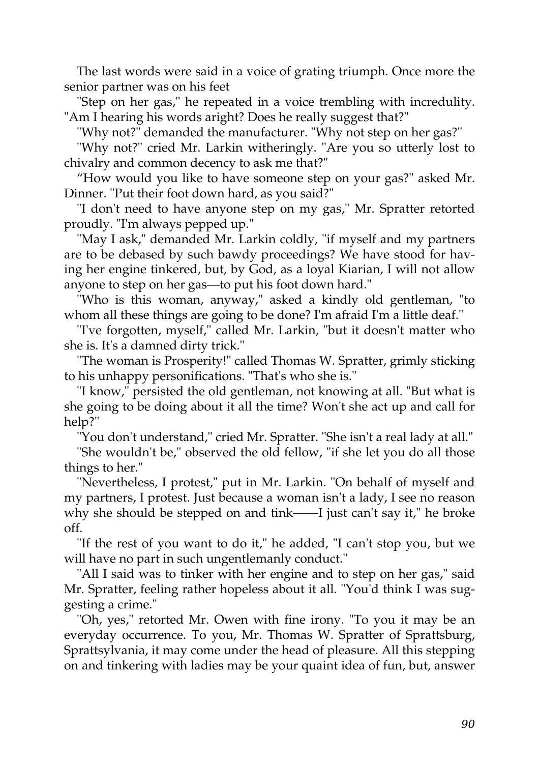The last words were said in a voice of grating triumph. Once more the senior partner was on his feet

"Step on her gas," he repeated in a voice trembling with incredulity. "Am I hearing his words aright? Does he really suggest that?"

"Why not?" demanded the manufacturer. "Why not step on her gas?"

"Why not?" cried Mr. Larkin witheringly. "Are you so utterly lost to chivalry and common decency to ask me that?"

"How would you like to have someone step on your gas?" asked Mr. Dinner. "Put their foot down hard, as you said?"

"I don't need to have anyone step on my gas," Mr. Spratter retorted proudly. "I'm always pepped up."

"May I ask," demanded Mr. Larkin coldly, "if myself and my partners are to be debased by such bawdy proceedings? We have stood for having her engine tinkered, but, by God, as a loyal Kiarian, I will not allow anyone to step on her gas—to put his foot down hard."

"Who is this woman, anyway," asked a kindly old gentleman, "to whom all these things are going to be done? I'm afraid I'm a little deaf."

"I've forgotten, myself," called Mr. Larkin, "but it doesn't matter who she is. It's a damned dirty trick."

"The woman is Prosperity!" called Thomas W. Spratter, grimly sticking to his unhappy personifications. "That's who she is."

"I know," persisted the old gentleman, not knowing at all. "But what is she going to be doing about it all the time? Won't she act up and call for help?"

"You don't understand," cried Mr. Spratter. "She isn't a real lady at all."

"She wouldn't be," observed the old fellow, "if she let you do all those things to her."

"Nevertheless, I protest," put in Mr. Larkin. "On behalf of myself and my partners, I protest. Just because a woman isn't a lady, I see no reason why she should be stepped on and tink——I just can't say it," he broke off.

"If the rest of you want to do it," he added, "I can't stop you, but we will have no part in such ungentlemanly conduct."

"All I said was to tinker with her engine and to step on her gas," said Mr. Spratter, feeling rather hopeless about it all. "You'd think I was suggesting a crime."

"Oh, yes," retorted Mr. Owen with fine irony. "To you it may be an everyday occurrence. To you, Mr. Thomas W. Spratter of Sprattsburg, Sprattsylvania, it may come under the head of pleasure. All this stepping on and tinkering with ladies may be your quaint idea of fun, but, answer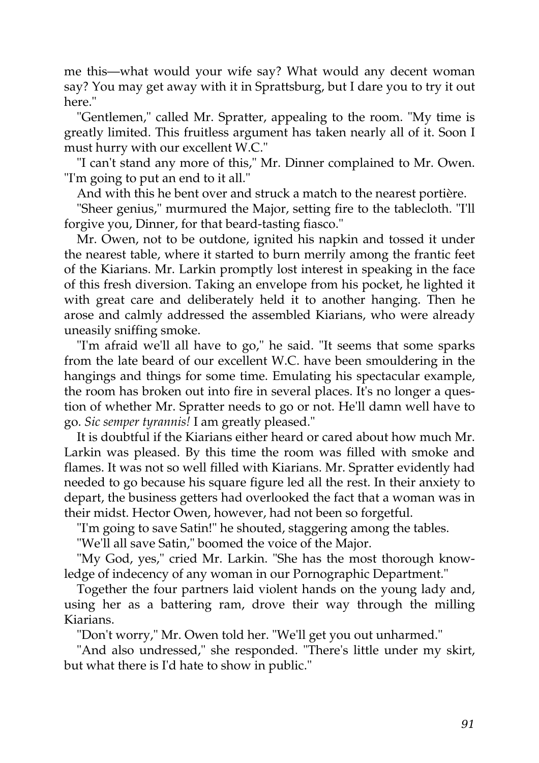me this—what would your wife say? What would any decent woman say? You may get away with it in Sprattsburg, but I dare you to try it out here."

"Gentlemen," called Mr. Spratter, appealing to the room. "My time is greatly limited. This fruitless argument has taken nearly all of it. Soon I must hurry with our excellent W.C."

"I can't stand any more of this," Mr. Dinner complained to Mr. Owen. "I'm going to put an end to it all."

And with this he bent over and struck a match to the nearest portière.

"Sheer genius," murmured the Major, setting fire to the tablecloth. "I'll forgive you, Dinner, for that beard-tasting fiasco."

Mr. Owen, not to be outdone, ignited his napkin and tossed it under the nearest table, where it started to burn merrily among the frantic feet of the Kiarians. Mr. Larkin promptly lost interest in speaking in the face of this fresh diversion. Taking an envelope from his pocket, he lighted it with great care and deliberately held it to another hanging. Then he arose and calmly addressed the assembled Kiarians, who were already uneasily sniffing smoke.

"I'm afraid we'll all have to go," he said. "It seems that some sparks from the late beard of our excellent W.C. have been smouldering in the hangings and things for some time. Emulating his spectacular example, the room has broken out into fire in several places. It's no longer a question of whether Mr. Spratter needs to go or not. He'll damn well have to go. *Sic semper tyrannis!* I am greatly pleased."

It is doubtful if the Kiarians either heard or cared about how much Mr. Larkin was pleased. By this time the room was filled with smoke and flames. It was not so well filled with Kiarians. Mr. Spratter evidently had needed to go because his square figure led all the rest. In their anxiety to depart, the business getters had overlooked the fact that a woman was in their midst. Hector Owen, however, had not been so forgetful.

"I'm going to save Satin!" he shouted, staggering among the tables.

"We'll all save Satin," boomed the voice of the Major.

"My God, yes," cried Mr. Larkin. "She has the most thorough knowledge of indecency of any woman in our Pornographic Department."

Together the four partners laid violent hands on the young lady and, using her as a battering ram, drove their way through the milling Kiarians.

"Don't worry," Mr. Owen told her. "We'll get you out unharmed."

"And also undressed," she responded. "There's little under my skirt, but what there is I'd hate to show in public."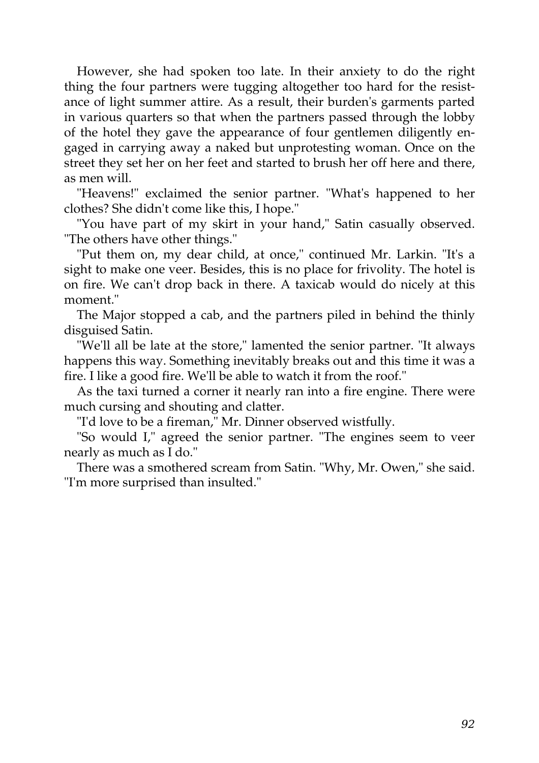However, she had spoken too late. In their anxiety to do the right thing the four partners were tugging altogether too hard for the resistance of light summer attire. As a result, their burden's garments parted in various quarters so that when the partners passed through the lobby of the hotel they gave the appearance of four gentlemen diligently engaged in carrying away a naked but unprotesting woman. Once on the street they set her on her feet and started to brush her off here and there, as men will.

"Heavens!" exclaimed the senior partner. "What's happened to her clothes? She didn't come like this, I hope."

"You have part of my skirt in your hand," Satin casually observed. "The others have other things."

"Put them on, my dear child, at once," continued Mr. Larkin. "It's a sight to make one veer. Besides, this is no place for frivolity. The hotel is on fire. We can't drop back in there. A taxicab would do nicely at this moment."

The Major stopped a cab, and the partners piled in behind the thinly disguised Satin.

"We'll all be late at the store," lamented the senior partner. "It always happens this way. Something inevitably breaks out and this time it was a fire. I like a good fire. We'll be able to watch it from the roof."

As the taxi turned a corner it nearly ran into a fire engine. There were much cursing and shouting and clatter.

"I'd love to be a fireman," Mr. Dinner observed wistfully.

"So would I," agreed the senior partner. "The engines seem to veer nearly as much as I do."

There was a smothered scream from Satin. "Why, Mr. Owen," she said. "I'm more surprised than insulted."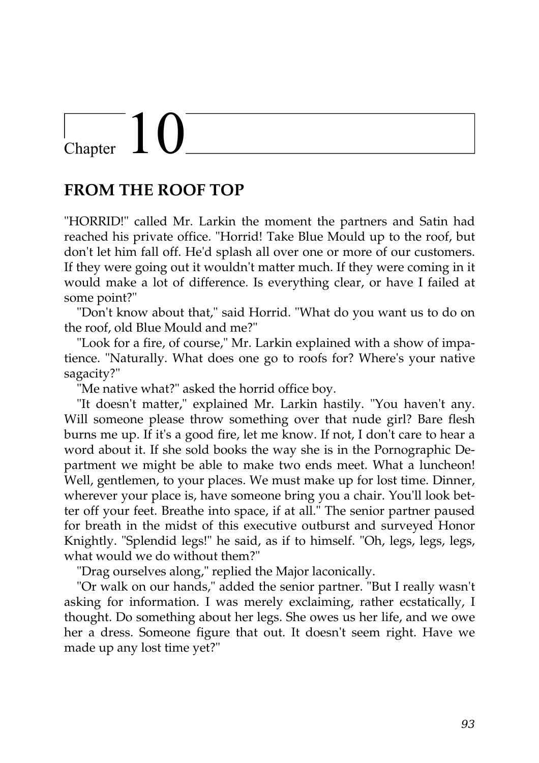# $\begin{array}{c} \begin{array}{c} \end{array}$  Chapter

### **FROM THE ROOF TOP**

"HORRID!" called Mr. Larkin the moment the partners and Satin had reached his private office. "Horrid! Take Blue Mould up to the roof, but don't let him fall off. He'd splash all over one or more of our customers. If they were going out it wouldn't matter much. If they were coming in it would make a lot of difference. Is everything clear, or have I failed at some point?"

"Don't know about that," said Horrid. "What do you want us to do on the roof, old Blue Mould and me?"

"Look for a fire, of course," Mr. Larkin explained with a show of impatience. "Naturally. What does one go to roofs for? Where's your native sagacity?"

"Me native what?" asked the horrid office boy.

"It doesn't matter," explained Mr. Larkin hastily. "You haven't any. Will someone please throw something over that nude girl? Bare flesh burns me up. If it's a good fire, let me know. If not, I don't care to hear a word about it. If she sold books the way she is in the Pornographic Department we might be able to make two ends meet. What a luncheon! Well, gentlemen, to your places. We must make up for lost time. Dinner, wherever your place is, have someone bring you a chair. You'll look better off your feet. Breathe into space, if at all." The senior partner paused for breath in the midst of this executive outburst and surveyed Honor Knightly. "Splendid legs!" he said, as if to himself. "Oh, legs, legs, legs, what would we do without them?"

"Drag ourselves along," replied the Major laconically.

"Or walk on our hands," added the senior partner. "But I really wasn't asking for information. I was merely exclaiming, rather ecstatically, I thought. Do something about her legs. She owes us her life, and we owe her a dress. Someone figure that out. It doesn't seem right. Have we made up any lost time yet?"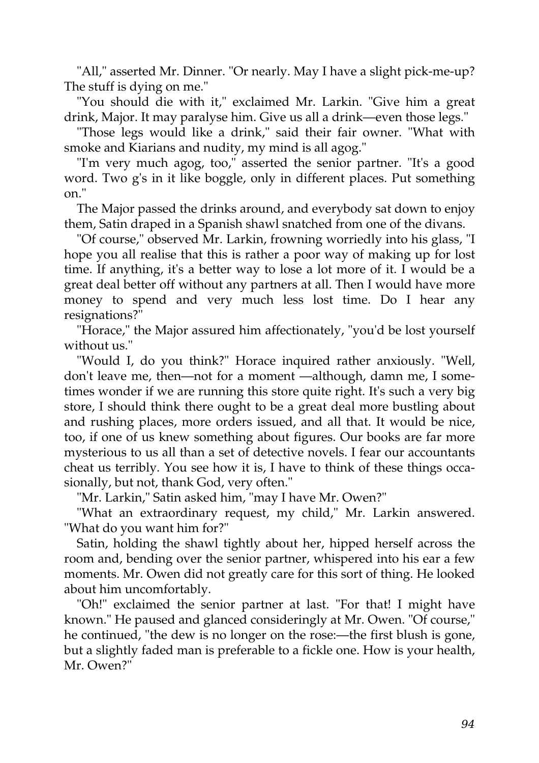"All," asserted Mr. Dinner. "Or nearly. May I have a slight pick-me-up? The stuff is dying on me."

"You should die with it," exclaimed Mr. Larkin. "Give him a great drink, Major. It may paralyse him. Give us all a drink—even those legs."

"Those legs would like a drink," said their fair owner. "What with smoke and Kiarians and nudity, my mind is all agog."

"I'm very much agog, too," asserted the senior partner. "It's a good word. Two g's in it like boggle, only in different places. Put something on."

The Major passed the drinks around, and everybody sat down to enjoy them, Satin draped in a Spanish shawl snatched from one of the divans.

"Of course," observed Mr. Larkin, frowning worriedly into his glass, "I hope you all realise that this is rather a poor way of making up for lost time. If anything, it's a better way to lose a lot more of it. I would be a great deal better off without any partners at all. Then I would have more money to spend and very much less lost time. Do I hear any resignations?"

"Horace," the Major assured him affectionately, "you'd be lost yourself without us."

"Would I, do you think?" Horace inquired rather anxiously. "Well, don't leave me, then—not for a moment —although, damn me, I sometimes wonder if we are running this store quite right. It's such a very big store, I should think there ought to be a great deal more bustling about and rushing places, more orders issued, and all that. It would be nice, too, if one of us knew something about figures. Our books are far more mysterious to us all than a set of detective novels. I fear our accountants cheat us terribly. You see how it is, I have to think of these things occasionally, but not, thank God, very often."

"Mr. Larkin," Satin asked him, "may I have Mr. Owen?"

"What an extraordinary request, my child," Mr. Larkin answered. "What do you want him for?"

Satin, holding the shawl tightly about her, hipped herself across the room and, bending over the senior partner, whispered into his ear a few moments. Mr. Owen did not greatly care for this sort of thing. He looked about him uncomfortably.

"Oh!" exclaimed the senior partner at last. "For that! I might have known." He paused and glanced consideringly at Mr. Owen. "Of course," he continued, "the dew is no longer on the rose:—the first blush is gone, but a slightly faded man is preferable to a fickle one. How is your health, Mr. Owen?"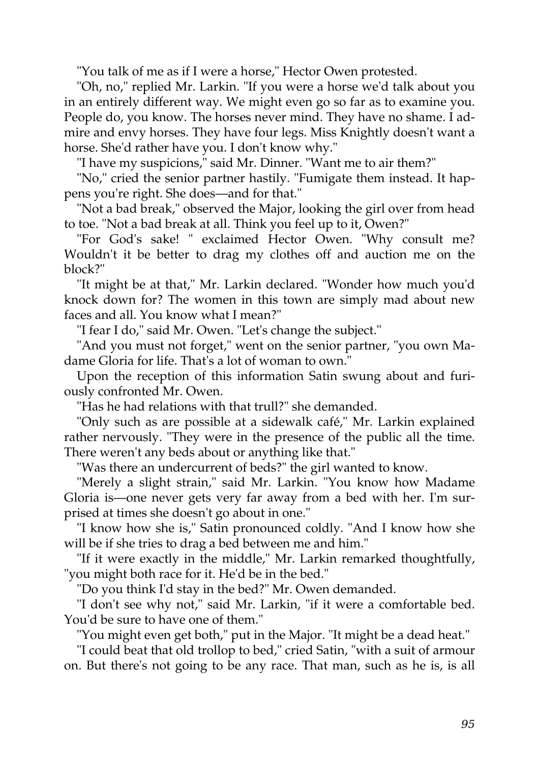"You talk of me as if I were a horse," Hector Owen protested.

"Oh, no," replied Mr. Larkin. "If you were a horse we'd talk about you in an entirely different way. We might even go so far as to examine you. People do, you know. The horses never mind. They have no shame. I admire and envy horses. They have four legs. Miss Knightly doesn't want a horse. She'd rather have you. I don't know why."

"I have my suspicions," said Mr. Dinner. "Want me to air them?"

"No," cried the senior partner hastily. "Fumigate them instead. It happens you're right. She does—and for that."

"Not a bad break," observed the Major, looking the girl over from head to toe. "Not a bad break at all. Think you feel up to it, Owen?"

"For God's sake! " exclaimed Hector Owen. "Why consult me? Wouldn't it be better to drag my clothes off and auction me on the block?"

"It might be at that," Mr. Larkin declared. "Wonder how much you'd knock down for? The women in this town are simply mad about new faces and all. You know what I mean?"

"I fear I do," said Mr. Owen. "Let's change the subject."

"And you must not forget," went on the senior partner, "you own Madame Gloria for life. That's a lot of woman to own."

Upon the reception of this information Satin swung about and furiously confronted Mr. Owen.

"Has he had relations with that trull?" she demanded.

"Only such as are possible at a sidewalk café," Mr. Larkin explained rather nervously. "They were in the presence of the public all the time. There weren't any beds about or anything like that."

"Was there an undercurrent of beds?" the girl wanted to know.

"Merely a slight strain," said Mr. Larkin. "You know how Madame Gloria is—one never gets very far away from a bed with her. I'm surprised at times she doesn't go about in one."

"I know how she is," Satin pronounced coldly. "And I know how she will be if she tries to drag a bed between me and him."

"If it were exactly in the middle," Mr. Larkin remarked thoughtfully, "you might both race for it. He'd be in the bed."

"Do you think I'd stay in the bed?" Mr. Owen demanded.

"I don't see why not," said Mr. Larkin, "if it were a comfortable bed. You'd be sure to have one of them."

"You might even get both," put in the Major. "It might be a dead heat."

"I could beat that old trollop to bed," cried Satin, "with a suit of armour on. But there's not going to be any race. That man, such as he is, is all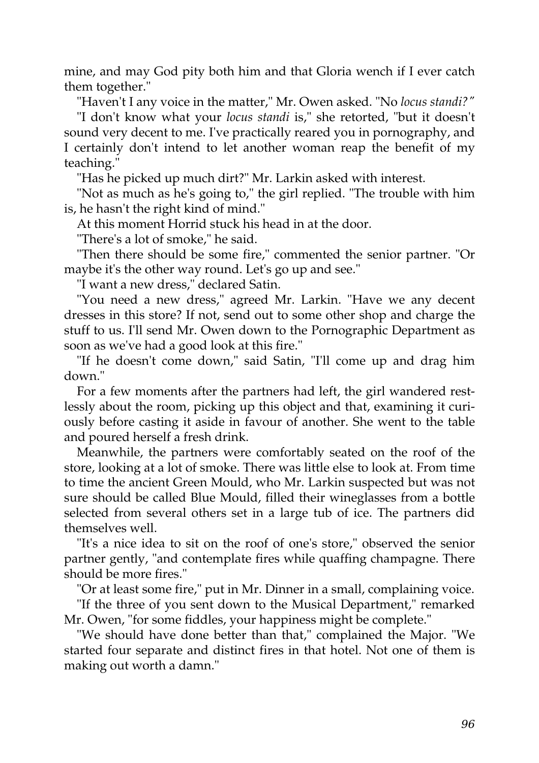mine, and may God pity both him and that Gloria wench if I ever catch them together."

"Haven't I any voice in the matter," Mr. Owen asked. "No *locus standi?"*

"I don't know what your *locus standi* is," she retorted, "but it doesn't sound very decent to me. I've practically reared you in pornography, and I certainly don't intend to let another woman reap the benefit of my teaching."

"Has he picked up much dirt?" Mr. Larkin asked with interest.

"Not as much as he's going to," the girl replied. "The trouble with him is, he hasn't the right kind of mind."

At this moment Horrid stuck his head in at the door.

"There's a lot of smoke," he said.

"Then there should be some fire," commented the senior partner. "Or maybe it's the other way round. Let's go up and see."

"I want a new dress," declared Satin.

"You need a new dress," agreed Mr. Larkin. "Have we any decent dresses in this store? If not, send out to some other shop and charge the stuff to us. I'll send Mr. Owen down to the Pornographic Department as soon as we've had a good look at this fire."

"If he doesn't come down," said Satin, "I'll come up and drag him down."

For a few moments after the partners had left, the girl wandered restlessly about the room, picking up this object and that, examining it curiously before casting it aside in favour of another. She went to the table and poured herself a fresh drink.

Meanwhile, the partners were comfortably seated on the roof of the store, looking at a lot of smoke. There was little else to look at. From time to time the ancient Green Mould, who Mr. Larkin suspected but was not sure should be called Blue Mould, filled their wineglasses from a bottle selected from several others set in a large tub of ice. The partners did themselves well.

"It's a nice idea to sit on the roof of one's store," observed the senior partner gently, "and contemplate fires while quaffing champagne. There should be more fires."

"Or at least some fire," put in Mr. Dinner in a small, complaining voice.

"If the three of you sent down to the Musical Department," remarked Mr. Owen, "for some fiddles, your happiness might be complete."

"We should have done better than that," complained the Major. "We started four separate and distinct fires in that hotel. Not one of them is making out worth a damn."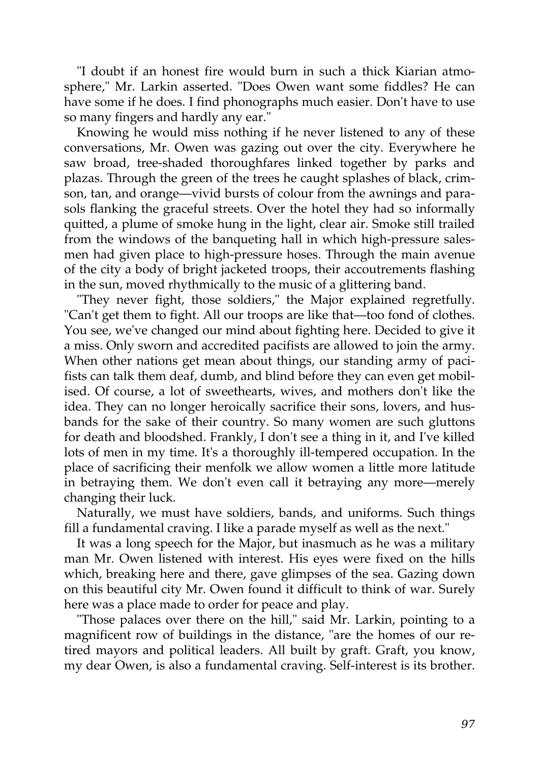"I doubt if an honest fire would burn in such a thick Kiarian atmosphere," Mr. Larkin asserted. "Does Owen want some fiddles? He can have some if he does. I find phonographs much easier. Don't have to use so many fingers and hardly any ear."

Knowing he would miss nothing if he never listened to any of these conversations, Mr. Owen was gazing out over the city. Everywhere he saw broad, tree-shaded thoroughfares linked together by parks and plazas. Through the green of the trees he caught splashes of black, crimson, tan, and orange—vivid bursts of colour from the awnings and parasols flanking the graceful streets. Over the hotel they had so informally quitted, a plume of smoke hung in the light, clear air. Smoke still trailed from the windows of the banqueting hall in which high-pressure salesmen had given place to high-pressure hoses. Through the main avenue of the city a body of bright jacketed troops, their accoutrements flashing in the sun, moved rhythmically to the music of a glittering band.

"They never fight, those soldiers," the Major explained regretfully. "Can't get them to fight. All our troops are like that—too fond of clothes. You see, we've changed our mind about fighting here. Decided to give it a miss. Only sworn and accredited pacifists are allowed to join the army. When other nations get mean about things, our standing army of pacifists can talk them deaf, dumb, and blind before they can even get mobilised. Of course, a lot of sweethearts, wives, and mothers don't like the idea. They can no longer heroically sacrifice their sons, lovers, and husbands for the sake of their country. So many women are such gluttons for death and bloodshed. Frankly, I don't see a thing in it, and I've killed lots of men in my time. It's a thoroughly ill-tempered occupation. In the place of sacrificing their menfolk we allow women a little more latitude in betraying them. We don't even call it betraying any more—merely changing their luck.

Naturally, we must have soldiers, bands, and uniforms. Such things fill a fundamental craving. I like a parade myself as well as the next."

It was a long speech for the Major, but inasmuch as he was a military man Mr. Owen listened with interest. His eyes were fixed on the hills which, breaking here and there, gave glimpses of the sea. Gazing down on this beautiful city Mr. Owen found it difficult to think of war. Surely here was a place made to order for peace and play.

"Those palaces over there on the hill," said Mr. Larkin, pointing to a magnificent row of buildings in the distance, "are the homes of our retired mayors and political leaders. All built by graft. Graft, you know, my dear Owen, is also a fundamental craving. Self-interest is its brother.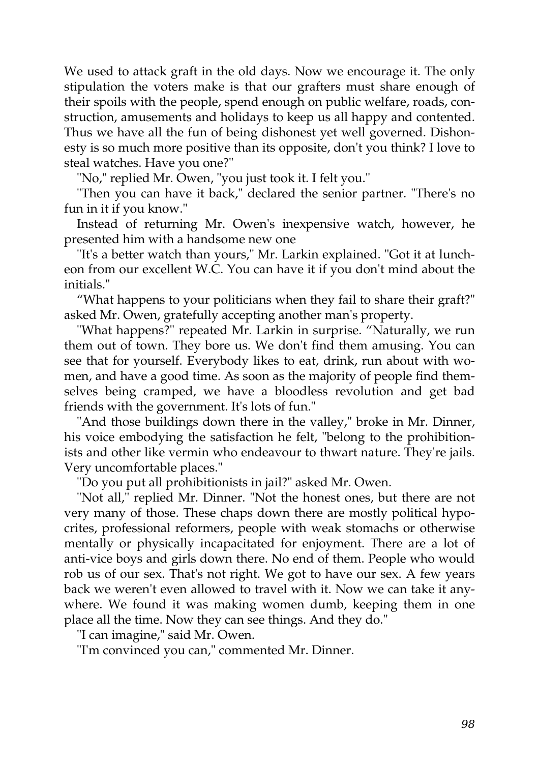We used to attack graft in the old days. Now we encourage it. The only stipulation the voters make is that our grafters must share enough of their spoils with the people, spend enough on public welfare, roads, construction, amusements and holidays to keep us all happy and contented. Thus we have all the fun of being dishonest yet well governed. Dishonesty is so much more positive than its opposite, don't you think? I love to steal watches. Have you one?"

"No," replied Mr. Owen, "you just took it. I felt you."

"Then you can have it back," declared the senior partner. "There's no fun in it if you know."

Instead of returning Mr. Owen's inexpensive watch, however, he presented him with a handsome new one

"It's a better watch than yours," Mr. Larkin explained. "Got it at luncheon from our excellent W.C. You can have it if you don't mind about the initials."

"What happens to your politicians when they fail to share their graft?" asked Mr. Owen, gratefully accepting another man's property.

"What happens?" repeated Mr. Larkin in surprise. "Naturally, we run them out of town. They bore us. We don't find them amusing. You can see that for yourself. Everybody likes to eat, drink, run about with women, and have a good time. As soon as the majority of people find themselves being cramped, we have a bloodless revolution and get bad friends with the government. It's lots of fun."

"And those buildings down there in the valley," broke in Mr. Dinner, his voice embodying the satisfaction he felt, "belong to the prohibitionists and other like vermin who endeavour to thwart nature. They're jails. Very uncomfortable places."

"Do you put all prohibitionists in jail?" asked Mr. Owen.

"Not all," replied Mr. Dinner. "Not the honest ones, but there are not very many of those. These chaps down there are mostly political hypocrites, professional reformers, people with weak stomachs or otherwise mentally or physically incapacitated for enjoyment. There are a lot of anti-vice boys and girls down there. No end of them. People who would rob us of our sex. That's not right. We got to have our sex. A few years back we weren't even allowed to travel with it. Now we can take it anywhere. We found it was making women dumb, keeping them in one place all the time. Now they can see things. And they do."

"I can imagine," said Mr. Owen.

"I'm convinced you can," commented Mr. Dinner.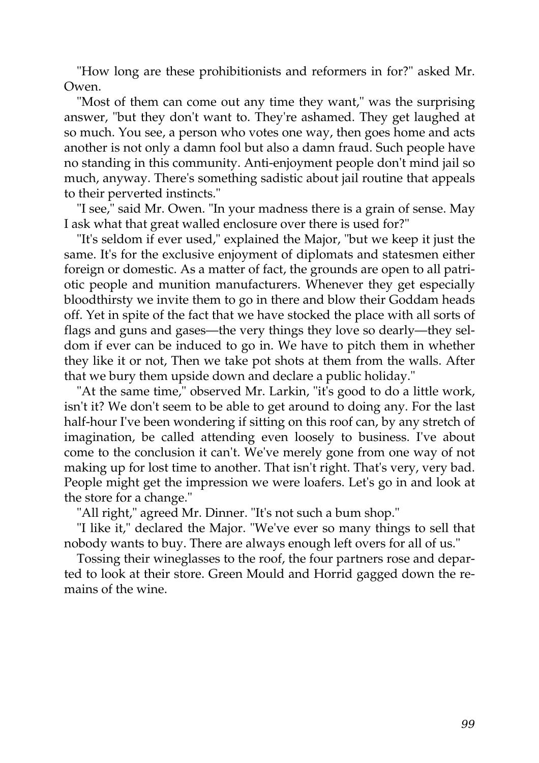"How long are these prohibitionists and reformers in for?" asked Mr. Owen.

"Most of them can come out any time they want," was the surprising answer, "but they don't want to. They're ashamed. They get laughed at so much. You see, a person who votes one way, then goes home and acts another is not only a damn fool but also a damn fraud. Such people have no standing in this community. Anti-enjoyment people don't mind jail so much, anyway. There's something sadistic about jail routine that appeals to their perverted instincts."

"I see," said Mr. Owen. "In your madness there is a grain of sense. May I ask what that great walled enclosure over there is used for?"

"It's seldom if ever used," explained the Major, "but we keep it just the same. It's for the exclusive enjoyment of diplomats and statesmen either foreign or domestic. As a matter of fact, the grounds are open to all patriotic people and munition manufacturers. Whenever they get especially bloodthirsty we invite them to go in there and blow their Goddam heads off. Yet in spite of the fact that we have stocked the place with all sorts of flags and guns and gases—the very things they love so dearly—they seldom if ever can be induced to go in. We have to pitch them in whether they like it or not, Then we take pot shots at them from the walls. After that we bury them upside down and declare a public holiday."

"At the same time," observed Mr. Larkin, "it's good to do a little work, isn't it? We don't seem to be able to get around to doing any. For the last half-hour I've been wondering if sitting on this roof can, by any stretch of imagination, be called attending even loosely to business. I've about come to the conclusion it can't. We've merely gone from one way of not making up for lost time to another. That isn't right. That's very, very bad. People might get the impression we were loafers. Let's go in and look at the store for a change."

"All right," agreed Mr. Dinner. "It's not such a bum shop."

"I like it," declared the Major. "We've ever so many things to sell that nobody wants to buy. There are always enough left overs for all of us."

Tossing their wineglasses to the roof, the four partners rose and departed to look at their store. Green Mould and Horrid gagged down the remains of the wine.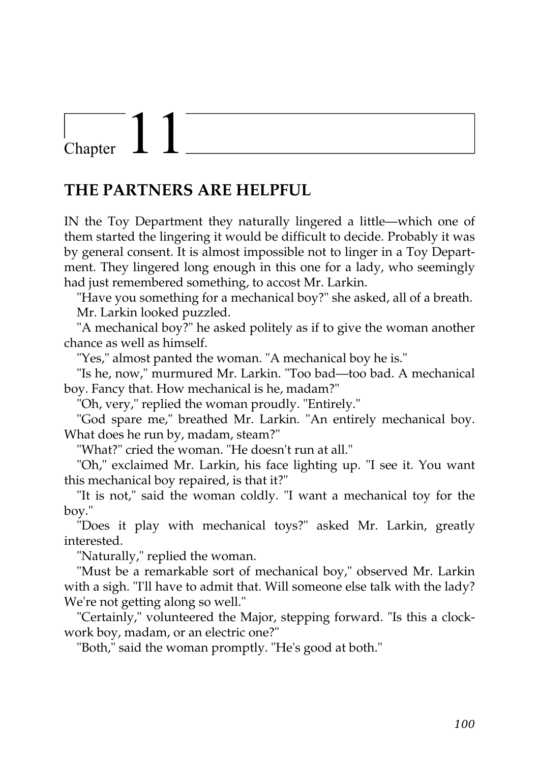### Chapter

### **THE PARTNERS ARE HELPFUL**

IN the Toy Department they naturally lingered a little—which one of them started the lingering it would be difficult to decide. Probably it was by general consent. It is almost impossible not to linger in a Toy Department. They lingered long enough in this one for a lady, who seemingly had just remembered something, to accost Mr. Larkin.

"Have you something for a mechanical boy?" she asked, all of a breath. Mr. Larkin looked puzzled.

"A mechanical boy?" he asked politely as if to give the woman another chance as well as himself.

"Yes," almost panted the woman. "A mechanical boy he is."

"Is he, now," murmured Mr. Larkin. "Too bad—too bad. A mechanical boy. Fancy that. How mechanical is he, madam?"

"Oh, very," replied the woman proudly. "Entirely."

"God spare me," breathed Mr. Larkin. "An entirely mechanical boy. What does he run by, madam, steam?"

"What?" cried the woman. "He doesn't run at all."

"Oh," exclaimed Mr. Larkin, his face lighting up. "I see it. You want this mechanical boy repaired, is that it?"

"It is not," said the woman coldly. "I want a mechanical toy for the boy."

"Does it play with mechanical toys?" asked Mr. Larkin, greatly interested.

"Naturally," replied the woman.

"Must be a remarkable sort of mechanical boy," observed Mr. Larkin with a sigh. "I'll have to admit that. Will someone else talk with the lady? We're not getting along so well."

"Certainly," volunteered the Major, stepping forward. "Is this a clockwork boy, madam, or an electric one?"

"Both," said the woman promptly. "He's good at both."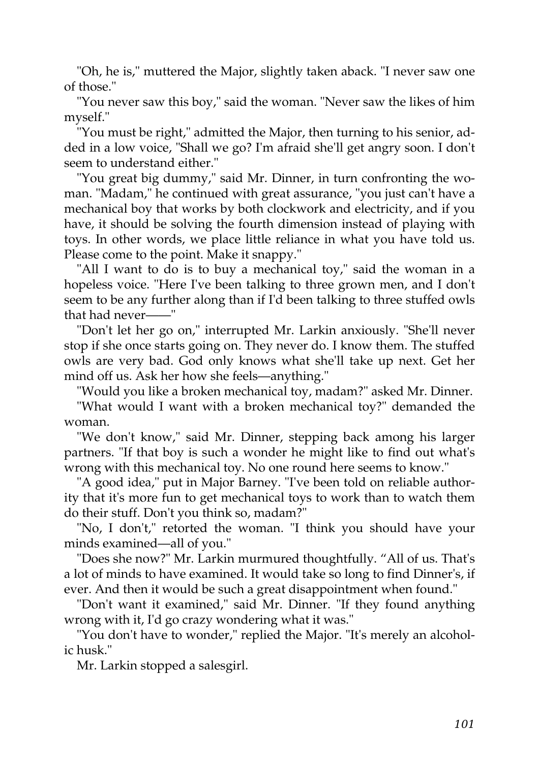"Oh, he is," muttered the Major, slightly taken aback. "I never saw one of those."

"You never saw this boy," said the woman. "Never saw the likes of him myself."

"You must be right," admitted the Major, then turning to his senior, added in a low voice, "Shall we go? I'm afraid she'll get angry soon. I don't seem to understand either."

"You great big dummy," said Mr. Dinner, in turn confronting the woman. "Madam," he continued with great assurance, "you just can't have a mechanical boy that works by both clockwork and electricity, and if you have, it should be solving the fourth dimension instead of playing with toys. In other words, we place little reliance in what you have told us. Please come to the point. Make it snappy."

"All I want to do is to buy a mechanical toy," said the woman in a hopeless voice. "Here I've been talking to three grown men, and I don't seem to be any further along than if I'd been talking to three stuffed owls that had never——"

"Don't let her go on," interrupted Mr. Larkin anxiously. "She'll never stop if she once starts going on. They never do. I know them. The stuffed owls are very bad. God only knows what she'll take up next. Get her mind off us. Ask her how she feels—anything."

"Would you like a broken mechanical toy, madam?" asked Mr. Dinner.

"What would I want with a broken mechanical toy?" demanded the woman.

"We don't know," said Mr. Dinner, stepping back among his larger partners. "If that boy is such a wonder he might like to find out what's wrong with this mechanical toy. No one round here seems to know."

"A good idea," put in Major Barney. "I've been told on reliable authority that it's more fun to get mechanical toys to work than to watch them do their stuff. Don't you think so, madam?"

"No, I don't," retorted the woman. "I think you should have your minds examined—all of you."

"Does she now?" Mr. Larkin murmured thoughtfully. "All of us. That's a lot of minds to have examined. It would take so long to find Dinner's, if ever. And then it would be such a great disappointment when found."

"Don't want it examined," said Mr. Dinner. "If they found anything wrong with it, I'd go crazy wondering what it was."

"You don't have to wonder," replied the Major. "It's merely an alcoholic husk."

Mr. Larkin stopped a salesgirl.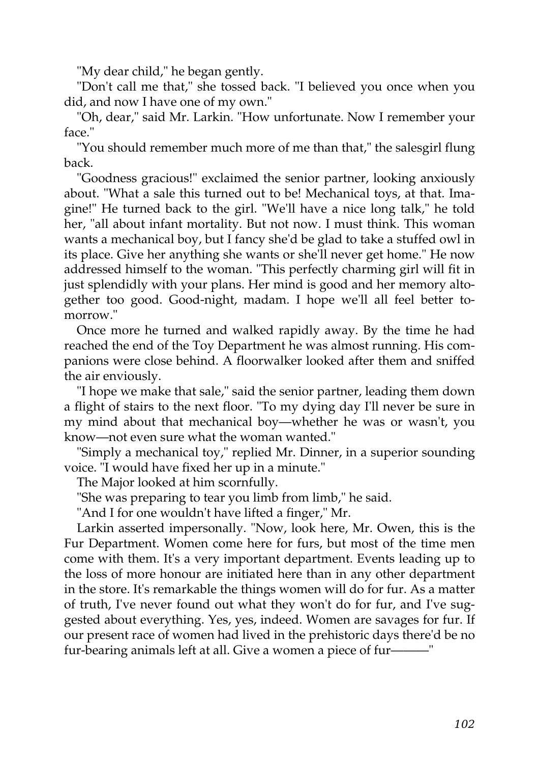"My dear child," he began gently.

"Don't call me that," she tossed back. "I believed you once when you did, and now I have one of my own."

"Oh, dear," said Mr. Larkin. "How unfortunate. Now I remember your face."

"You should remember much more of me than that," the salesgirl flung back.

"Goodness gracious!" exclaimed the senior partner, looking anxiously about. "What a sale this turned out to be! Mechanical toys, at that. Imagine!" He turned back to the girl. "We'll have a nice long talk," he told her, "all about infant mortality. But not now. I must think. This woman wants a mechanical boy, but I fancy she'd be glad to take a stuffed owl in its place. Give her anything she wants or she'll never get home." He now addressed himself to the woman. "This perfectly charming girl will fit in just splendidly with your plans. Her mind is good and her memory altogether too good. Good-night, madam. I hope we'll all feel better tomorrow."

Once more he turned and walked rapidly away. By the time he had reached the end of the Toy Department he was almost running. His companions were close behind. A floorwalker looked after them and sniffed the air enviously.

"I hope we make that sale," said the senior partner, leading them down a flight of stairs to the next floor. "To my dying day I'll never be sure in my mind about that mechanical boy—whether he was or wasn't, you know—not even sure what the woman wanted."

"Simply a mechanical toy," replied Mr. Dinner, in a superior sounding voice. "I would have fixed her up in a minute."

The Major looked at him scornfully.

"She was preparing to tear you limb from limb," he said.

"And I for one wouldn't have lifted a finger," Mr.

Larkin asserted impersonally. "Now, look here, Mr. Owen, this is the Fur Department. Women come here for furs, but most of the time men come with them. It's a very important department. Events leading up to the loss of more honour are initiated here than in any other department in the store. It's remarkable the things women will do for fur. As a matter of truth, I've never found out what they won't do for fur, and I've suggested about everything. Yes, yes, indeed. Women are savages for fur. If our present race of women had lived in the prehistoric days there'd be no fur-bearing animals left at all. Give a women a piece of fur———"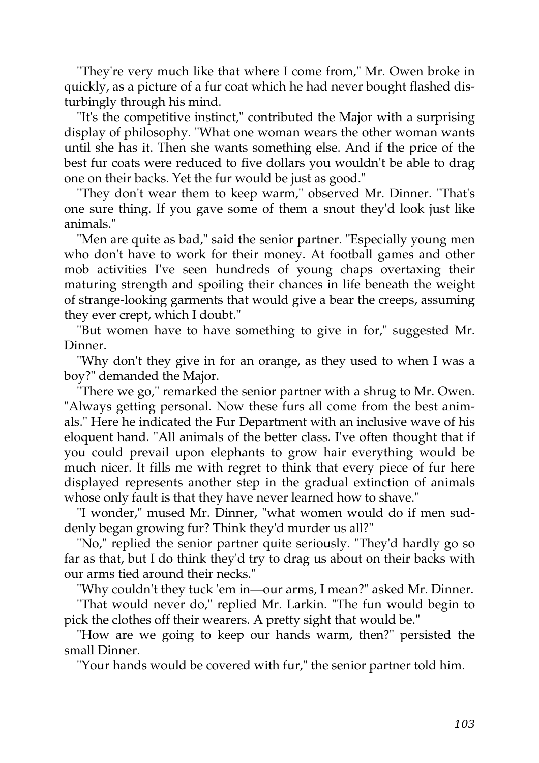"They're very much like that where I come from," Mr. Owen broke in quickly, as a picture of a fur coat which he had never bought flashed disturbingly through his mind.

"It's the competitive instinct," contributed the Major with a surprising display of philosophy. "What one woman wears the other woman wants until she has it. Then she wants something else. And if the price of the best fur coats were reduced to five dollars you wouldn't be able to drag one on their backs. Yet the fur would be just as good."

"They don't wear them to keep warm," observed Mr. Dinner. "That's one sure thing. If you gave some of them a snout they'd look just like animals."

"Men are quite as bad," said the senior partner. "Especially young men who don't have to work for their money. At football games and other mob activities I've seen hundreds of young chaps overtaxing their maturing strength and spoiling their chances in life beneath the weight of strange-looking garments that would give a bear the creeps, assuming they ever crept, which I doubt."

"But women have to have something to give in for," suggested Mr. Dinner.

"Why don't they give in for an orange, as they used to when I was a boy?" demanded the Major.

"There we go," remarked the senior partner with a shrug to Mr. Owen. "Always getting personal. Now these furs all come from the best animals." Here he indicated the Fur Department with an inclusive wave of his eloquent hand. "All animals of the better class. I've often thought that if you could prevail upon elephants to grow hair everything would be much nicer. It fills me with regret to think that every piece of fur here displayed represents another step in the gradual extinction of animals whose only fault is that they have never learned how to shave."

"I wonder," mused Mr. Dinner, "what women would do if men suddenly began growing fur? Think they'd murder us all?"

"No," replied the senior partner quite seriously. "They'd hardly go so far as that, but I do think they'd try to drag us about on their backs with our arms tied around their necks."

"Why couldn't they tuck 'em in—our arms, I mean?" asked Mr. Dinner.

"That would never do," replied Mr. Larkin. "The fun would begin to pick the clothes off their wearers. A pretty sight that would be."

"How are we going to keep our hands warm, then?" persisted the small Dinner.

"Your hands would be covered with fur," the senior partner told him.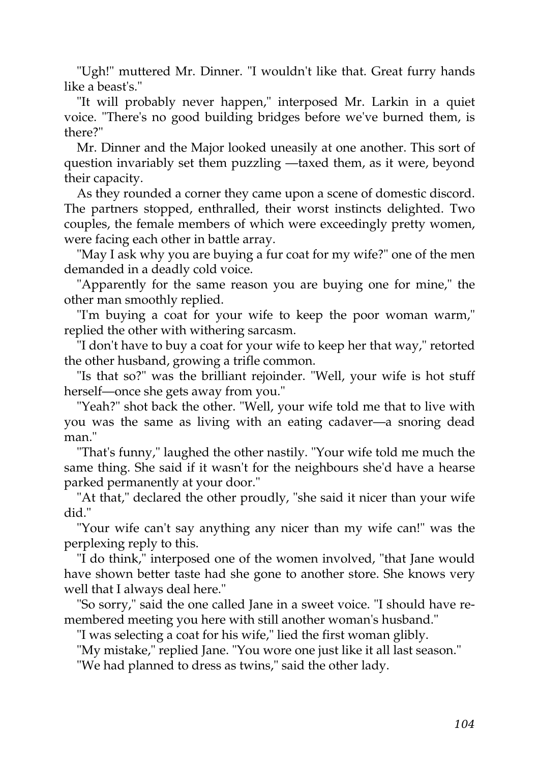"Ugh!" muttered Mr. Dinner. "I wouldn't like that. Great furry hands like a beast's."

"It will probably never happen," interposed Mr. Larkin in a quiet voice. "There's no good building bridges before we've burned them, is there?"

Mr. Dinner and the Major looked uneasily at one another. This sort of question invariably set them puzzling —taxed them, as it were, beyond their capacity.

As they rounded a corner they came upon a scene of domestic discord. The partners stopped, enthralled, their worst instincts delighted. Two couples, the female members of which were exceedingly pretty women, were facing each other in battle array.

"May I ask why you are buying a fur coat for my wife?" one of the men demanded in a deadly cold voice.

"Apparently for the same reason you are buying one for mine," the other man smoothly replied.

"I'm buying a coat for your wife to keep the poor woman warm," replied the other with withering sarcasm.

"I don't have to buy a coat for your wife to keep her that way," retorted the other husband, growing a trifle common.

"Is that so?" was the brilliant rejoinder. "Well, your wife is hot stuff herself—once she gets away from you."

"Yeah?" shot back the other. "Well, your wife told me that to live with you was the same as living with an eating cadaver—a snoring dead man."

"That's funny," laughed the other nastily. "Your wife told me much the same thing. She said if it wasn't for the neighbours she'd have a hearse parked permanently at your door."

"At that," declared the other proudly, "she said it nicer than your wife did."

"Your wife can't say anything any nicer than my wife can!" was the perplexing reply to this.

"I do think," interposed one of the women involved, "that Jane would have shown better taste had she gone to another store. She knows very well that I always deal here."

"So sorry," said the one called Jane in a sweet voice. "I should have remembered meeting you here with still another woman's husband."

"I was selecting a coat for his wife," lied the first woman glibly.

"My mistake," replied Jane. "You wore one just like it all last season."

"We had planned to dress as twins," said the other lady.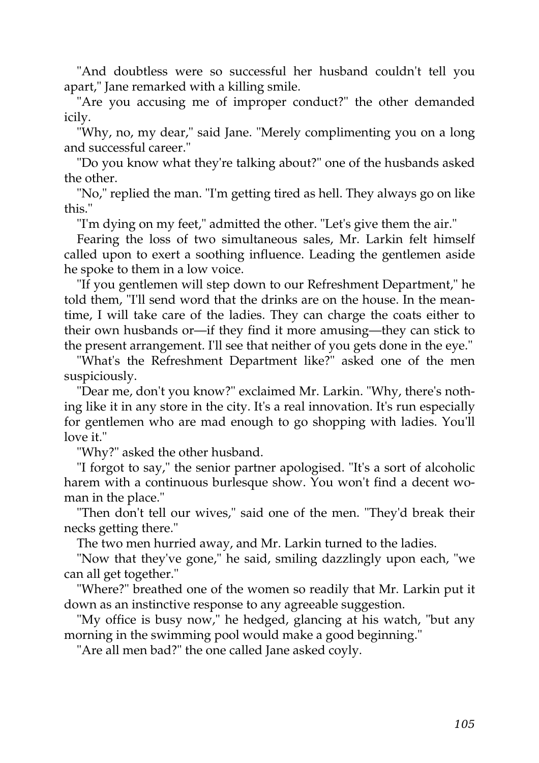"And doubtless were so successful her husband couldn't tell you apart," Jane remarked with a killing smile.

"Are you accusing me of improper conduct?" the other demanded icily.

"Why, no, my dear," said Jane. "Merely complimenting you on a long and successful career."

"Do you know what they're talking about?" one of the husbands asked the other.

"No," replied the man. "I'm getting tired as hell. They always go on like this."

"I'm dying on my feet," admitted the other. "Let's give them the air."

Fearing the loss of two simultaneous sales, Mr. Larkin felt himself called upon to exert a soothing influence. Leading the gentlemen aside he spoke to them in a low voice.

"If you gentlemen will step down to our Refreshment Department," he told them, "I'll send word that the drinks are on the house. In the meantime, I will take care of the ladies. They can charge the coats either to their own husbands or—if they find it more amusing—they can stick to the present arrangement. I'll see that neither of you gets done in the eye."

"What's the Refreshment Department like?" asked one of the men suspiciously.

"Dear me, don't you know?" exclaimed Mr. Larkin. "Why, there's nothing like it in any store in the city. It's a real innovation. It's run especially for gentlemen who are mad enough to go shopping with ladies. You'll love it."

"Why?" asked the other husband.

"I forgot to say," the senior partner apologised. "It's a sort of alcoholic harem with a continuous burlesque show. You won't find a decent woman in the place."

"Then don't tell our wives," said one of the men. "They'd break their necks getting there."

The two men hurried away, and Mr. Larkin turned to the ladies.

"Now that they've gone," he said, smiling dazzlingly upon each, "we can all get together."

"Where?" breathed one of the women so readily that Mr. Larkin put it down as an instinctive response to any agreeable suggestion.

"My office is busy now," he hedged, glancing at his watch, "but any morning in the swimming pool would make a good beginning."

"Are all men bad?" the one called Jane asked coyly.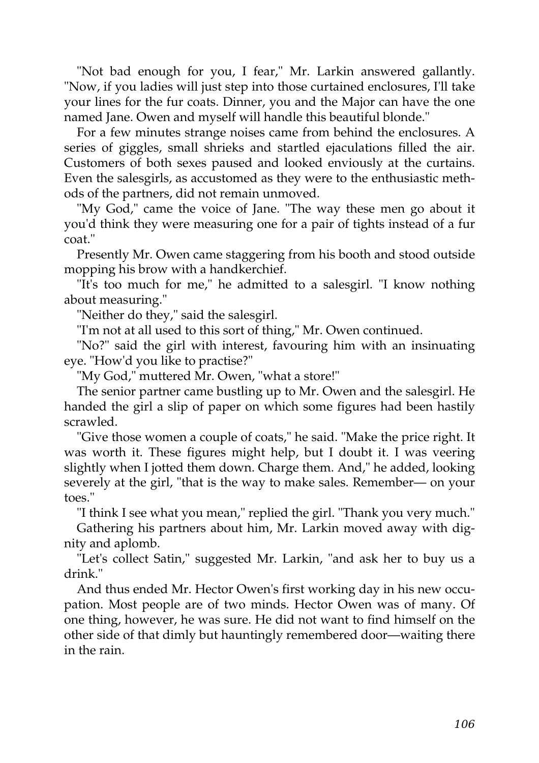"Not bad enough for you, I fear," Mr. Larkin answered gallantly. "Now, if you ladies will just step into those curtained enclosures, I'll take your lines for the fur coats. Dinner, you and the Major can have the one named Jane. Owen and myself will handle this beautiful blonde."

For a few minutes strange noises came from behind the enclosures. A series of giggles, small shrieks and startled ejaculations filled the air. Customers of both sexes paused and looked enviously at the curtains. Even the salesgirls, as accustomed as they were to the enthusiastic methods of the partners, did not remain unmoved.

"My God," came the voice of Jane. "The way these men go about it you'd think they were measuring one for a pair of tights instead of a fur coat."

Presently Mr. Owen came staggering from his booth and stood outside mopping his brow with a handkerchief.

"It's too much for me," he admitted to a salesgirl. "I know nothing about measuring."

"Neither do they," said the salesgirl.

"I'm not at all used to this sort of thing," Mr. Owen continued.

"No?" said the girl with interest, favouring him with an insinuating eye. "How'd you like to practise?"

"My God," muttered Mr. Owen, "what a store!"

The senior partner came bustling up to Mr. Owen and the salesgirl. He handed the girl a slip of paper on which some figures had been hastily scrawled.

"Give those women a couple of coats," he said. "Make the price right. It was worth it. These figures might help, but I doubt it. I was veering slightly when I jotted them down. Charge them. And," he added, looking severely at the girl, "that is the way to make sales. Remember— on your toes."

"I think I see what you mean," replied the girl. "Thank you very much."

Gathering his partners about him, Mr. Larkin moved away with dignity and aplomb.

"Let's collect Satin," suggested Mr. Larkin, "and ask her to buy us a drink."

And thus ended Mr. Hector Owen's first working day in his new occupation. Most people are of two minds. Hector Owen was of many. Of one thing, however, he was sure. He did not want to find himself on the other side of that dimly but hauntingly remembered door—waiting there in the rain.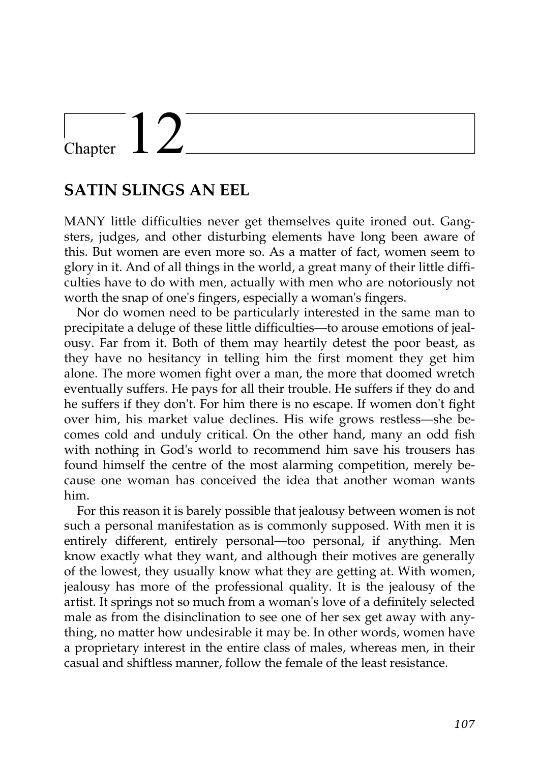# Chapter  $12$

### **SATIN SLINGS AN EEL**

MANY little difficulties never get themselves quite ironed out. Gangsters, judges, and other disturbing elements have long been aware of this. But women are even more so. As a matter of fact, women seem to glory in it. And of all things in the world, a great many of their little difficulties have to do with men, actually with men who are notoriously not worth the snap of one's fingers, especially a woman's fingers.

Nor do women need to be particularly interested in the same man to precipitate a deluge of these little difficulties—to arouse emotions of jealousy. Far from it. Both of them may heartily detest the poor beast, as they have no hesitancy in telling him the first moment they get him alone. The more women fight over a man, the more that doomed wretch eventually suffers. He pays for all their trouble. He suffers if they do and he suffers if they don't. For him there is no escape. If women don't fight over him, his market value declines. His wife grows restless—she becomes cold and unduly critical. On the other hand, many an odd fish with nothing in God's world to recommend him save his trousers has found himself the centre of the most alarming competition, merely because one woman has conceived the idea that another woman wants him.

For this reason it is barely possible that jealousy between women is not such a personal manifestation as is commonly supposed. With men it is entirely different, entirely personal—too personal, if anything. Men know exactly what they want, and although their motives are generally of the lowest, they usually know what they are getting at. With women, jealousy has more of the professional quality. It is the jealousy of the artist. It springs not so much from a woman's love of a definitely selected male as from the disinclination to see one of her sex get away with anything, no matter how undesirable it may be. In other words, women have a proprietary interest in the entire class of males, whereas men, in their casual and shiftless manner, follow the female of the least resistance.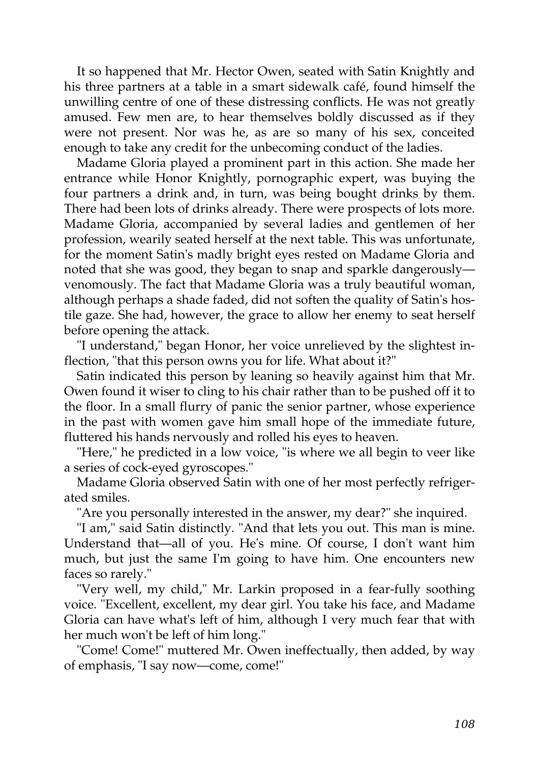It so happened that Mr. Hector Owen, seated with Satin Knightly and his three partners at a table in a smart sidewalk café, found himself the unwilling centre of one of these distressing conflicts. He was not greatly amused. Few men are, to hear themselves boldly discussed as if they were not present. Nor was he, as are so many of his sex, conceited enough to take any credit for the unbecoming conduct of the ladies.

Madame Gloria played a prominent part in this action. She made her entrance while Honor Knightly, pornographic expert, was buying the four partners a drink and, in turn, was being bought drinks by them. There had been lots of drinks already. There were prospects of lots more. Madame Gloria, accompanied by several ladies and gentlemen of her profession, wearily seated herself at the next table. This was unfortunate, for the moment Satin's madly bright eyes rested on Madame Gloria and noted that she was good, they began to snap and sparkle dangerously venomously. The fact that Madame Gloria was a truly beautiful woman, although perhaps a shade faded, did not soften the quality of Satin's hostile gaze. She had, however, the grace to allow her enemy to seat herself before opening the attack.

"I understand," began Honor, her voice unrelieved by the slightest inflection, "that this person owns you for life. What about it?"

Satin indicated this person by leaning so heavily against him that Mr. Owen found it wiser to cling to his chair rather than to be pushed off it to the floor. In a small flurry of panic the senior partner, whose experience in the past with women gave him small hope of the immediate future, fluttered his hands nervously and rolled his eyes to heaven.

"Here," he predicted in a low voice, "is where we all begin to veer like a series of cock-eyed gyroscopes."

Madame Gloria observed Satin with one of her most perfectly refrigerated smiles.

"Are you personally interested in the answer, my dear?" she inquired.

"I am," said Satin distinctly. "And that lets you out. This man is mine. Understand that—all of you. He's mine. Of course, I don't want him much, but just the same I'm going to have him. One encounters new faces so rarely."

"Very well, my child," Mr. Larkin proposed in a fear-fully soothing voice. "Excellent, excellent, my dear girl. You take his face, and Madame Gloria can have what's left of him, although I very much fear that with her much won't be left of him long."

"Come! Come!" muttered Mr. Owen ineffectually, then added, by way of emphasis, "I say now—come, come!"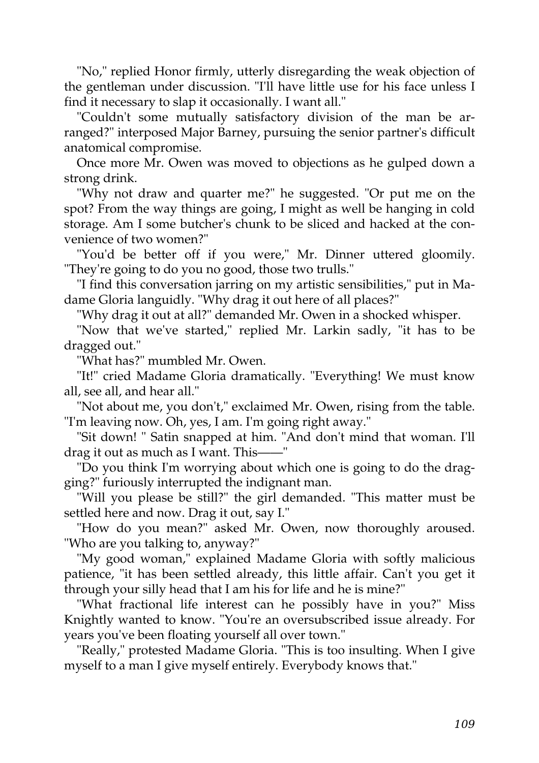"No," replied Honor firmly, utterly disregarding the weak objection of the gentleman under discussion. "I'll have little use for his face unless I find it necessary to slap it occasionally. I want all."

"Couldn't some mutually satisfactory division of the man be arranged?" interposed Major Barney, pursuing the senior partner's difficult anatomical compromise.

Once more Mr. Owen was moved to objections as he gulped down a strong drink.

"Why not draw and quarter me?" he suggested. "Or put me on the spot? From the way things are going, I might as well be hanging in cold storage. Am I some butcher's chunk to be sliced and hacked at the convenience of two women?"

"You'd be better off if you were," Mr. Dinner uttered gloomily. "They're going to do you no good, those two trulls."

"I find this conversation jarring on my artistic sensibilities," put in Madame Gloria languidly. "Why drag it out here of all places?"

"Why drag it out at all?" demanded Mr. Owen in a shocked whisper.

"Now that we've started," replied Mr. Larkin sadly, "it has to be dragged out."

"What has?" mumbled Mr. Owen.

"It!" cried Madame Gloria dramatically. "Everything! We must know all, see all, and hear all."

"Not about me, you don't," exclaimed Mr. Owen, rising from the table. "I'm leaving now. Oh, yes, I am. I'm going right away."

"Sit down! " Satin snapped at him. "And don't mind that woman. I'll drag it out as much as I want. This——"

"Do you think I'm worrying about which one is going to do the dragging?" furiously interrupted the indignant man.

"Will you please be still?" the girl demanded. "This matter must be settled here and now. Drag it out, say I."

"How do you mean?" asked Mr. Owen, now thoroughly aroused. "Who are you talking to, anyway?"

"My good woman," explained Madame Gloria with softly malicious patience, "it has been settled already, this little affair. Can't you get it through your silly head that I am his for life and he is mine?"

"What fractional life interest can he possibly have in you?" Miss Knightly wanted to know. "You're an oversubscribed issue already. For years you've been floating yourself all over town."

"Really," protested Madame Gloria. "This is too insulting. When I give myself to a man I give myself entirely. Everybody knows that."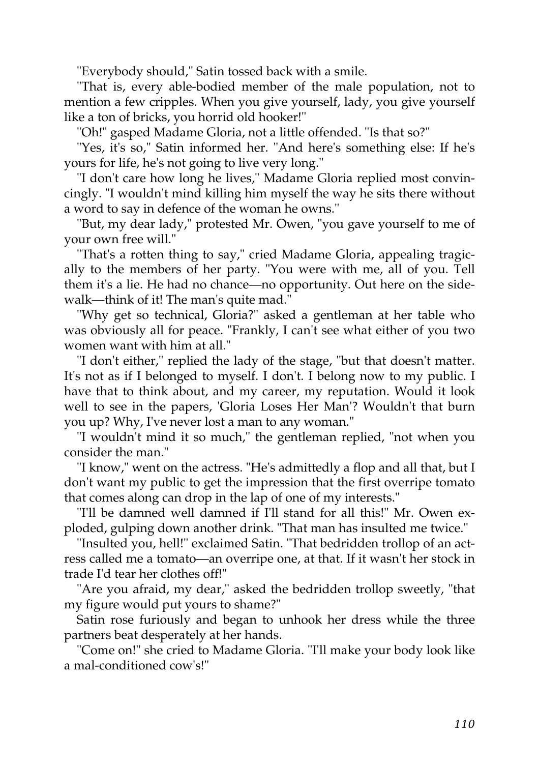"Everybody should," Satin tossed back with a smile.

"That is, every able-bodied member of the male population, not to mention a few cripples. When you give yourself, lady, you give yourself like a ton of bricks, you horrid old hooker!"

"Oh!" gasped Madame Gloria, not a little offended. "Is that so?"

"Yes, it's so," Satin informed her. "And here's something else: If he's yours for life, he's not going to live very long."

"I don't care how long he lives," Madame Gloria replied most convincingly. "I wouldn't mind killing him myself the way he sits there without a word to say in defence of the woman he owns."

"But, my dear lady," protested Mr. Owen, "you gave yourself to me of your own free will."

"That's a rotten thing to say," cried Madame Gloria, appealing tragically to the members of her party. "You were with me, all of you. Tell them it's a lie. He had no chance—no opportunity. Out here on the sidewalk—think of it! The man's quite mad."

"Why get so technical, Gloria?" asked a gentleman at her table who was obviously all for peace. "Frankly, I can't see what either of you two women want with him at all."

"I don't either," replied the lady of the stage, "but that doesn't matter. It's not as if I belonged to myself. I don't. I belong now to my public. I have that to think about, and my career, my reputation. Would it look well to see in the papers, 'Gloria Loses Her Man'? Wouldn't that burn you up? Why, I've never lost a man to any woman."

"I wouldn't mind it so much," the gentleman replied, "not when you consider the man."

"I know," went on the actress. "He's admittedly a flop and all that, but I don't want my public to get the impression that the first overripe tomato that comes along can drop in the lap of one of my interests."

"I'll be damned well damned if I'll stand for all this!" Mr. Owen exploded, gulping down another drink. "That man has insulted me twice."

"Insulted you, hell!" exclaimed Satin. "That bedridden trollop of an actress called me a tomato—an overripe one, at that. If it wasn't her stock in trade I'd tear her clothes off!"

"Are you afraid, my dear," asked the bedridden trollop sweetly, "that my figure would put yours to shame?"

Satin rose furiously and began to unhook her dress while the three partners beat desperately at her hands.

"Come on!" she cried to Madame Gloria. "I'll make your body look like a mal-conditioned cow's!"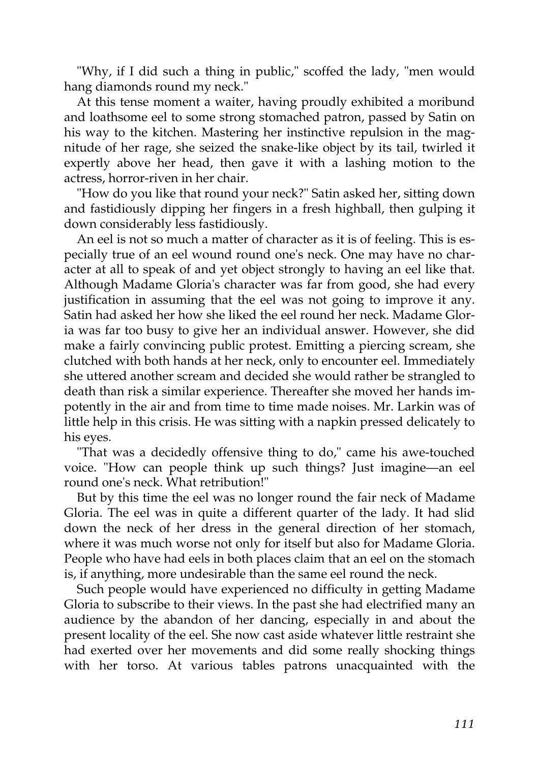"Why, if I did such a thing in public," scoffed the lady, "men would hang diamonds round my neck."

At this tense moment a waiter, having proudly exhibited a moribund and loathsome eel to some strong stomached patron, passed by Satin on his way to the kitchen. Mastering her instinctive repulsion in the magnitude of her rage, she seized the snake-like object by its tail, twirled it expertly above her head, then gave it with a lashing motion to the actress, horror-riven in her chair.

"How do you like that round your neck?" Satin asked her, sitting down and fastidiously dipping her fingers in a fresh highball, then gulping it down considerably less fastidiously.

An eel is not so much a matter of character as it is of feeling. This is especially true of an eel wound round one's neck. One may have no character at all to speak of and yet object strongly to having an eel like that. Although Madame Gloria's character was far from good, she had every justification in assuming that the eel was not going to improve it any. Satin had asked her how she liked the eel round her neck. Madame Gloria was far too busy to give her an individual answer. However, she did make a fairly convincing public protest. Emitting a piercing scream, she clutched with both hands at her neck, only to encounter eel. Immediately she uttered another scream and decided she would rather be strangled to death than risk a similar experience. Thereafter she moved her hands impotently in the air and from time to time made noises. Mr. Larkin was of little help in this crisis. He was sitting with a napkin pressed delicately to his eyes.

"That was a decidedly offensive thing to do," came his awe-touched voice. "How can people think up such things? Just imagine—an eel round one's neck. What retribution!"

But by this time the eel was no longer round the fair neck of Madame Gloria. The eel was in quite a different quarter of the lady. It had slid down the neck of her dress in the general direction of her stomach, where it was much worse not only for itself but also for Madame Gloria. People who have had eels in both places claim that an eel on the stomach is, if anything, more undesirable than the same eel round the neck.

Such people would have experienced no difficulty in getting Madame Gloria to subscribe to their views. In the past she had electrified many an audience by the abandon of her dancing, especially in and about the present locality of the eel. She now cast aside whatever little restraint she had exerted over her movements and did some really shocking things with her torso. At various tables patrons unacquainted with the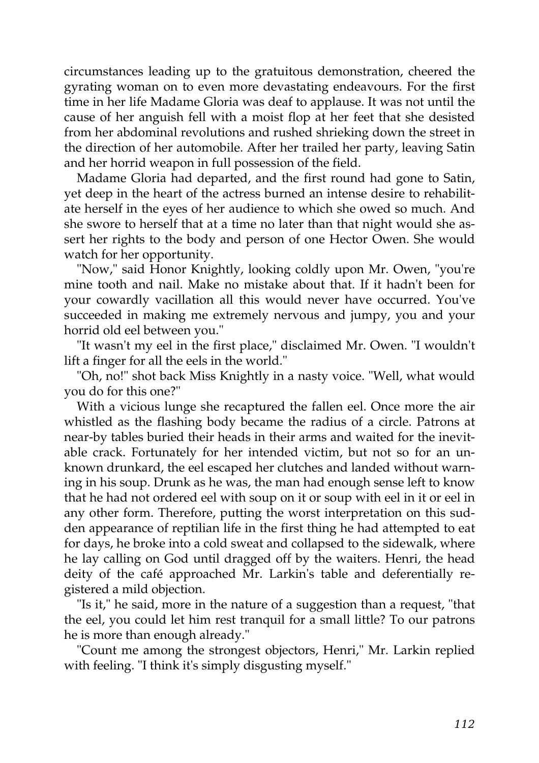circumstances leading up to the gratuitous demonstration, cheered the gyrating woman on to even more devastating endeavours. For the first time in her life Madame Gloria was deaf to applause. It was not until the cause of her anguish fell with a moist flop at her feet that she desisted from her abdominal revolutions and rushed shrieking down the street in the direction of her automobile. After her trailed her party, leaving Satin and her horrid weapon in full possession of the field.

Madame Gloria had departed, and the first round had gone to Satin, yet deep in the heart of the actress burned an intense desire to rehabilitate herself in the eyes of her audience to which she owed so much. And she swore to herself that at a time no later than that night would she assert her rights to the body and person of one Hector Owen. She would watch for her opportunity.

"Now," said Honor Knightly, looking coldly upon Mr. Owen, "you're mine tooth and nail. Make no mistake about that. If it hadn't been for your cowardly vacillation all this would never have occurred. You've succeeded in making me extremely nervous and jumpy, you and your horrid old eel between you."

"It wasn't my eel in the first place," disclaimed Mr. Owen. "I wouldn't lift a finger for all the eels in the world."

"Oh, no!" shot back Miss Knightly in a nasty voice. "Well, what would you do for this one?"

With a vicious lunge she recaptured the fallen eel. Once more the air whistled as the flashing body became the radius of a circle. Patrons at near-by tables buried their heads in their arms and waited for the inevitable crack. Fortunately for her intended victim, but not so for an unknown drunkard, the eel escaped her clutches and landed without warning in his soup. Drunk as he was, the man had enough sense left to know that he had not ordered eel with soup on it or soup with eel in it or eel in any other form. Therefore, putting the worst interpretation on this sudden appearance of reptilian life in the first thing he had attempted to eat for days, he broke into a cold sweat and collapsed to the sidewalk, where he lay calling on God until dragged off by the waiters. Henri, the head deity of the café approached Mr. Larkin's table and deferentially registered a mild objection.

"Is it," he said, more in the nature of a suggestion than a request, "that the eel, you could let him rest tranquil for a small little? To our patrons he is more than enough already."

"Count me among the strongest objectors, Henri," Mr. Larkin replied with feeling. "I think it's simply disgusting myself."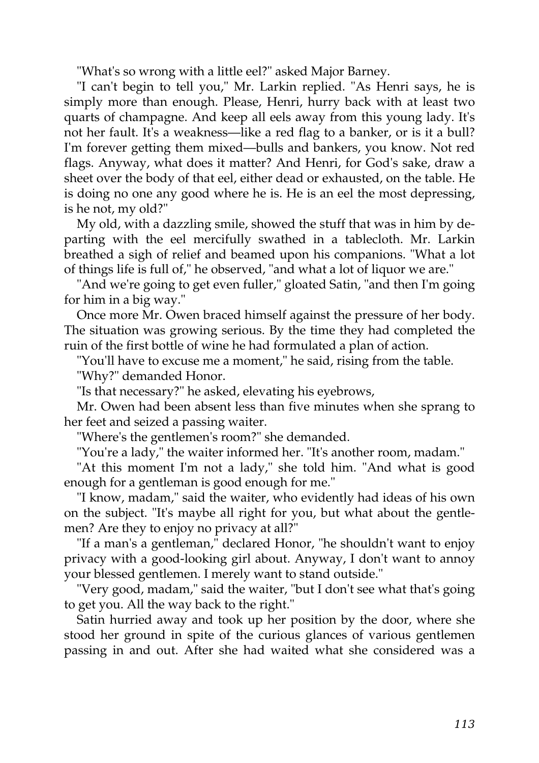"What's so wrong with a little eel?" asked Major Barney.

"I can't begin to tell you," Mr. Larkin replied. "As Henri says, he is simply more than enough. Please, Henri, hurry back with at least two quarts of champagne. And keep all eels away from this young lady. It's not her fault. It's a weakness—like a red flag to a banker, or is it a bull? I'm forever getting them mixed—bulls and bankers, you know. Not red flags. Anyway, what does it matter? And Henri, for God's sake, draw a sheet over the body of that eel, either dead or exhausted, on the table. He is doing no one any good where he is. He is an eel the most depressing, is he not, my old?"

My old, with a dazzling smile, showed the stuff that was in him by departing with the eel mercifully swathed in a tablecloth. Mr. Larkin breathed a sigh of relief and beamed upon his companions. "What a lot of things life is full of," he observed, "and what a lot of liquor we are."

"And we're going to get even fuller," gloated Satin, "and then I'm going for him in a big way."

Once more Mr. Owen braced himself against the pressure of her body. The situation was growing serious. By the time they had completed the ruin of the first bottle of wine he had formulated a plan of action.

"You'll have to excuse me a moment," he said, rising from the table. "Why?" demanded Honor.

"Is that necessary?" he asked, elevating his eyebrows,

Mr. Owen had been absent less than five minutes when she sprang to her feet and seized a passing waiter.

"Where's the gentlemen's room?" she demanded.

"You're a lady," the waiter informed her. "It's another room, madam."

"At this moment I'm not a lady," she told him. "And what is good enough for a gentleman is good enough for me."

"I know, madam," said the waiter, who evidently had ideas of his own on the subject. "It's maybe all right for you, but what about the gentlemen? Are they to enjoy no privacy at all?"

"If a man's a gentleman," declared Honor, "he shouldn't want to enjoy privacy with a good-looking girl about. Anyway, I don't want to annoy your blessed gentlemen. I merely want to stand outside."

"Very good, madam," said the waiter, "but I don't see what that's going to get you. All the way back to the right."

Satin hurried away and took up her position by the door, where she stood her ground in spite of the curious glances of various gentlemen passing in and out. After she had waited what she considered was a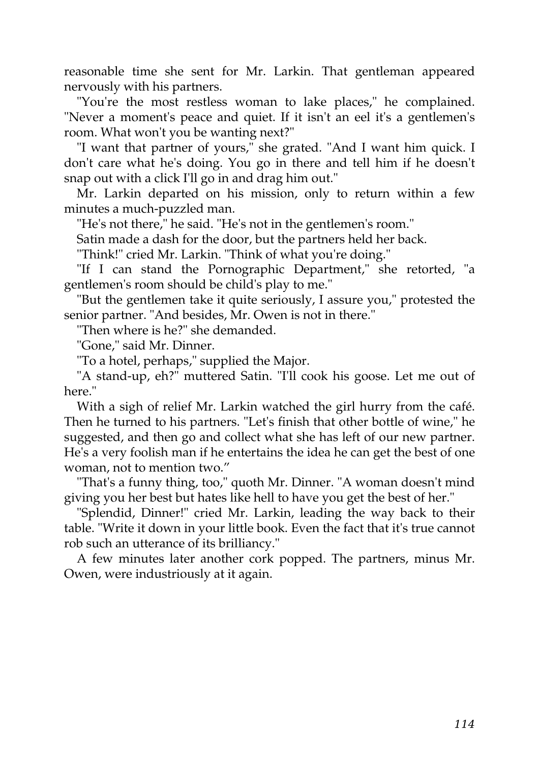reasonable time she sent for Mr. Larkin. That gentleman appeared nervously with his partners.

"You're the most restless woman to lake places," he complained. "Never a moment's peace and quiet. If it isn't an eel it's a gentlemen's room. What won't you be wanting next?"

"I want that partner of yours," she grated. "And I want him quick. I don't care what he's doing. You go in there and tell him if he doesn't snap out with a click I'll go in and drag him out."

Mr. Larkin departed on his mission, only to return within a few minutes a much-puzzled man.

"He's not there," he said. "He's not in the gentlemen's room."

Satin made a dash for the door, but the partners held her back.

"Think!" cried Mr. Larkin. "Think of what you're doing."

"If I can stand the Pornographic Department," she retorted, "a gentlemen's room should be child's play to me."

"But the gentlemen take it quite seriously, I assure you," protested the senior partner. "And besides, Mr. Owen is not in there."

"Then where is he?" she demanded.

"Gone," said Mr. Dinner.

"To a hotel, perhaps," supplied the Major.

"A stand-up, eh?" muttered Satin. "I'll cook his goose. Let me out of here."

With a sigh of relief Mr. Larkin watched the girl hurry from the café. Then he turned to his partners. "Let's finish that other bottle of wine," he suggested, and then go and collect what she has left of our new partner. He's a very foolish man if he entertains the idea he can get the best of one woman, not to mention two."

"That's a funny thing, too," quoth Mr. Dinner. "A woman doesn't mind giving you her best but hates like hell to have you get the best of her."

"Splendid, Dinner!" cried Mr. Larkin, leading the way back to their table. "Write it down in your little book. Even the fact that it's true cannot rob such an utterance of its brilliancy."

A few minutes later another cork popped. The partners, minus Mr. Owen, were industriously at it again.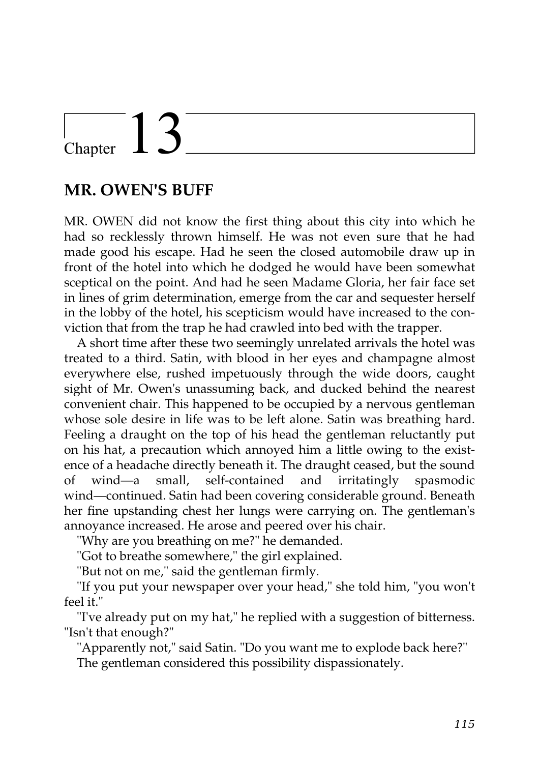# $\frac{1}{3}$

### **MR. OWEN'S BUFF**

MR. OWEN did not know the first thing about this city into which he had so recklessly thrown himself. He was not even sure that he had made good his escape. Had he seen the closed automobile draw up in front of the hotel into which he dodged he would have been somewhat sceptical on the point. And had he seen Madame Gloria, her fair face set in lines of grim determination, emerge from the car and sequester herself in the lobby of the hotel, his scepticism would have increased to the conviction that from the trap he had crawled into bed with the trapper.

A short time after these two seemingly unrelated arrivals the hotel was treated to a third. Satin, with blood in her eyes and champagne almost everywhere else, rushed impetuously through the wide doors, caught sight of Mr. Owen's unassuming back, and ducked behind the nearest convenient chair. This happened to be occupied by a nervous gentleman whose sole desire in life was to be left alone. Satin was breathing hard. Feeling a draught on the top of his head the gentleman reluctantly put on his hat, a precaution which annoyed him a little owing to the existence of a headache directly beneath it. The draught ceased, but the sound of wind—a small, self-contained and irritatingly spasmodic wind—continued. Satin had been covering considerable ground. Beneath her fine upstanding chest her lungs were carrying on. The gentleman's annoyance increased. He arose and peered over his chair.

"Why are you breathing on me?" he demanded.

"Got to breathe somewhere," the girl explained.

"But not on me," said the gentleman firmly.

"If you put your newspaper over your head," she told him, "you won't feel it."

"I've already put on my hat," he replied with a suggestion of bitterness. "Isn't that enough?"

"Apparently not," said Satin. "Do you want me to explode back here?" The gentleman considered this possibility dispassionately.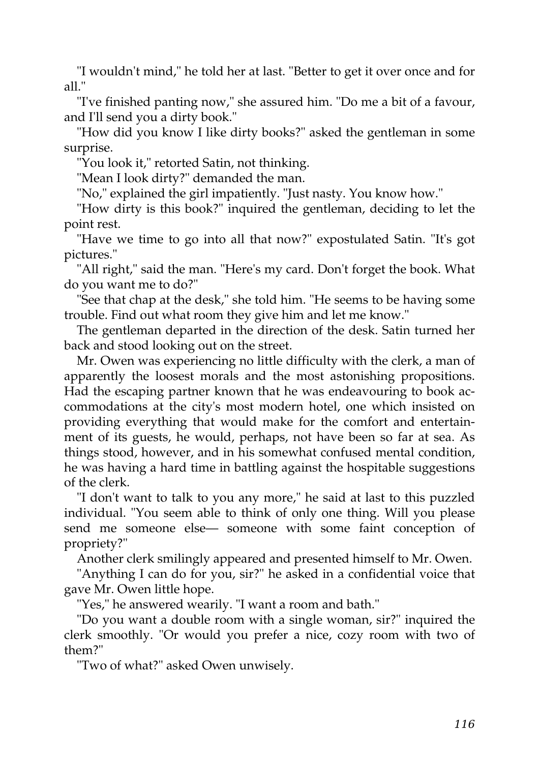"I wouldn't mind," he told her at last. "Better to get it over once and for all."

"I've finished panting now," she assured him. "Do me a bit of a favour, and I'll send you a dirty book."

"How did you know I like dirty books?" asked the gentleman in some surprise.

"You look it," retorted Satin, not thinking.

"Mean I look dirty?" demanded the man.

"No," explained the girl impatiently. "Just nasty. You know how."

"How dirty is this book?" inquired the gentleman, deciding to let the point rest.

"Have we time to go into all that now?" expostulated Satin. "It's got pictures."

"All right," said the man. "Here's my card. Don't forget the book. What do you want me to do?"

"See that chap at the desk," she told him. "He seems to be having some trouble. Find out what room they give him and let me know."

The gentleman departed in the direction of the desk. Satin turned her back and stood looking out on the street.

Mr. Owen was experiencing no little difficulty with the clerk, a man of apparently the loosest morals and the most astonishing propositions. Had the escaping partner known that he was endeavouring to book accommodations at the city's most modern hotel, one which insisted on providing everything that would make for the comfort and entertainment of its guests, he would, perhaps, not have been so far at sea. As things stood, however, and in his somewhat confused mental condition, he was having a hard time in battling against the hospitable suggestions of the clerk.

"I don't want to talk to you any more," he said at last to this puzzled individual. "You seem able to think of only one thing. Will you please send me someone else— someone with some faint conception of propriety?"

Another clerk smilingly appeared and presented himself to Mr. Owen.

"Anything I can do for you, sir?" he asked in a confidential voice that gave Mr. Owen little hope.

"Yes," he answered wearily. "I want a room and bath."

"Do you want a double room with a single woman, sir?" inquired the clerk smoothly. "Or would you prefer a nice, cozy room with two of them?"

"Two of what?" asked Owen unwisely.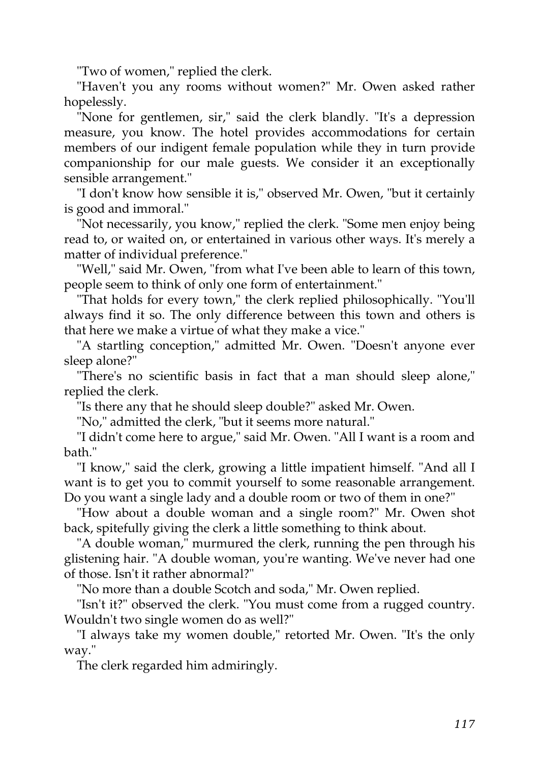"Two of women," replied the clerk.

"Haven't you any rooms without women?" Mr. Owen asked rather hopelessly.

"None for gentlemen, sir," said the clerk blandly. "It's a depression measure, you know. The hotel provides accommodations for certain members of our indigent female population while they in turn provide companionship for our male guests. We consider it an exceptionally sensible arrangement."

"I don't know how sensible it is," observed Mr. Owen, "but it certainly is good and immoral."

"Not necessarily, you know," replied the clerk. "Some men enjoy being read to, or waited on, or entertained in various other ways. It's merely a matter of individual preference."

"Well," said Mr. Owen, "from what I've been able to learn of this town, people seem to think of only one form of entertainment."

"That holds for every town," the clerk replied philosophically. "You'll always find it so. The only difference between this town and others is that here we make a virtue of what they make a vice."

"A startling conception," admitted Mr. Owen. "Doesn't anyone ever sleep alone?"

"There's no scientific basis in fact that a man should sleep alone," replied the clerk.

"Is there any that he should sleep double?" asked Mr. Owen.

"No," admitted the clerk, "but it seems more natural."

"I didn't come here to argue," said Mr. Owen. "All I want is a room and bath."

"I know," said the clerk, growing a little impatient himself. "And all I want is to get you to commit yourself to some reasonable arrangement. Do you want a single lady and a double room or two of them in one?"

"How about a double woman and a single room?" Mr. Owen shot back, spitefully giving the clerk a little something to think about.

"A double woman," murmured the clerk, running the pen through his glistening hair. "A double woman, you're wanting. We've never had one of those. Isn't it rather abnormal?"

"No more than a double Scotch and soda," Mr. Owen replied.

"Isn't it?" observed the clerk. "You must come from a rugged country. Wouldn't two single women do as well?"

"I always take my women double," retorted Mr. Owen. "It's the only way."

The clerk regarded him admiringly.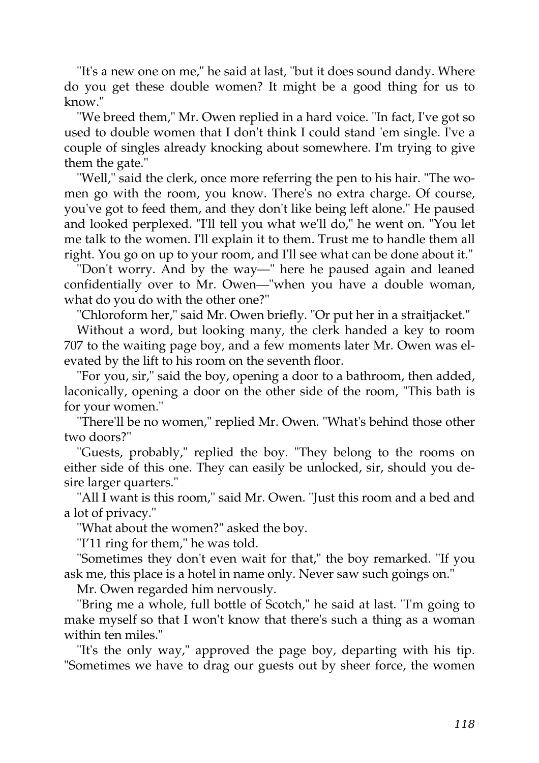"It's a new one on me," he said at last, "but it does sound dandy. Where do you get these double women? It might be a good thing for us to know."

"We breed them," Mr. Owen replied in a hard voice. "In fact, I've got so used to double women that I don't think I could stand 'em single. I've a couple of singles already knocking about somewhere. I'm trying to give them the gate."

"Well," said the clerk, once more referring the pen to his hair. "The women go with the room, you know. There's no extra charge. Of course, you've got to feed them, and they don't like being left alone." He paused and looked perplexed. "I'll tell you what we'll do," he went on. "You let me talk to the women. I'll explain it to them. Trust me to handle them all right. You go on up to your room, and I'll see what can be done about it."

"Don't worry. And by the way—" here he paused again and leaned confidentially over to Mr. Owen—"when you have a double woman, what do you do with the other one?"

"Chloroform her," said Mr. Owen briefly. "Or put her in a straitjacket."

Without a word, but looking many, the clerk handed a key to room 707 to the waiting page boy, and a few moments later Mr. Owen was elevated by the lift to his room on the seventh floor.

"For you, sir," said the boy, opening a door to a bathroom, then added, laconically, opening a door on the other side of the room, "This bath is for your women."

"There'll be no women," replied Mr. Owen. "What's behind those other two doors?"

"Guests, probably," replied the boy. "They belong to the rooms on either side of this one. They can easily be unlocked, sir, should you desire larger quarters."

"All I want is this room," said Mr. Owen. "Just this room and a bed and a lot of privacy."

"What about the women?" asked the boy.

"I'11 ring for them," he was told.

"Sometimes they don't even wait for that," the boy remarked. "If you ask me, this place is a hotel in name only. Never saw such goings on."

Mr. Owen regarded him nervously.

"Bring me a whole, full bottle of Scotch," he said at last. "I'm going to make myself so that I won't know that there's such a thing as a woman within ten miles."

"It's the only way," approved the page boy, departing with his tip. "Sometimes we have to drag our guests out by sheer force, the women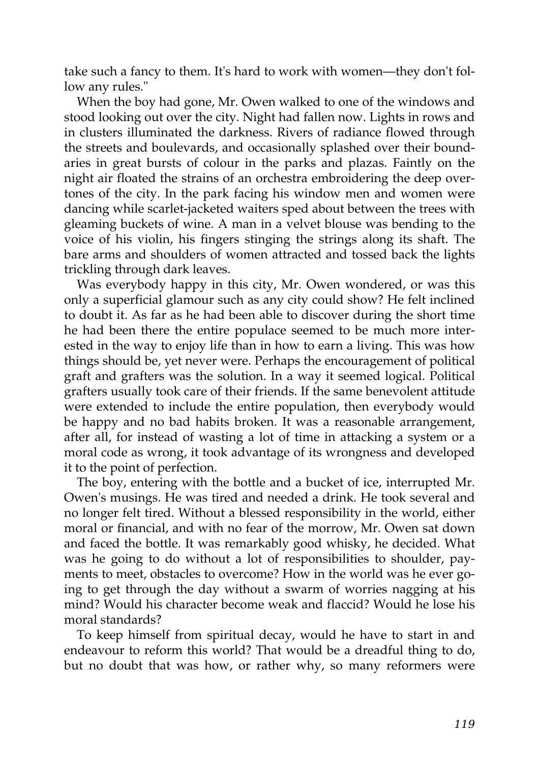take such a fancy to them. It's hard to work with women—they don't follow any rules."

When the boy had gone, Mr. Owen walked to one of the windows and stood looking out over the city. Night had fallen now. Lights in rows and in clusters illuminated the darkness. Rivers of radiance flowed through the streets and boulevards, and occasionally splashed over their boundaries in great bursts of colour in the parks and plazas. Faintly on the night air floated the strains of an orchestra embroidering the deep overtones of the city. In the park facing his window men and women were dancing while scarlet-jacketed waiters sped about between the trees with gleaming buckets of wine. A man in a velvet blouse was bending to the voice of his violin, his fingers stinging the strings along its shaft. The bare arms and shoulders of women attracted and tossed back the lights trickling through dark leaves.

Was everybody happy in this city, Mr. Owen wondered, or was this only a superficial glamour such as any city could show? He felt inclined to doubt it. As far as he had been able to discover during the short time he had been there the entire populace seemed to be much more interested in the way to enjoy life than in how to earn a living. This was how things should be, yet never were. Perhaps the encouragement of political graft and grafters was the solution. In a way it seemed logical. Political grafters usually took care of their friends. If the same benevolent attitude were extended to include the entire population, then everybody would be happy and no bad habits broken. It was a reasonable arrangement, after all, for instead of wasting a lot of time in attacking a system or a moral code as wrong, it took advantage of its wrongness and developed it to the point of perfection.

The boy, entering with the bottle and a bucket of ice, interrupted Mr. Owen's musings. He was tired and needed a drink. He took several and no longer felt tired. Without a blessed responsibility in the world, either moral or financial, and with no fear of the morrow, Mr. Owen sat down and faced the bottle. It was remarkably good whisky, he decided. What was he going to do without a lot of responsibilities to shoulder, payments to meet, obstacles to overcome? How in the world was he ever going to get through the day without a swarm of worries nagging at his mind? Would his character become weak and flaccid? Would he lose his moral standards?

To keep himself from spiritual decay, would he have to start in and endeavour to reform this world? That would be a dreadful thing to do, but no doubt that was how, or rather why, so many reformers were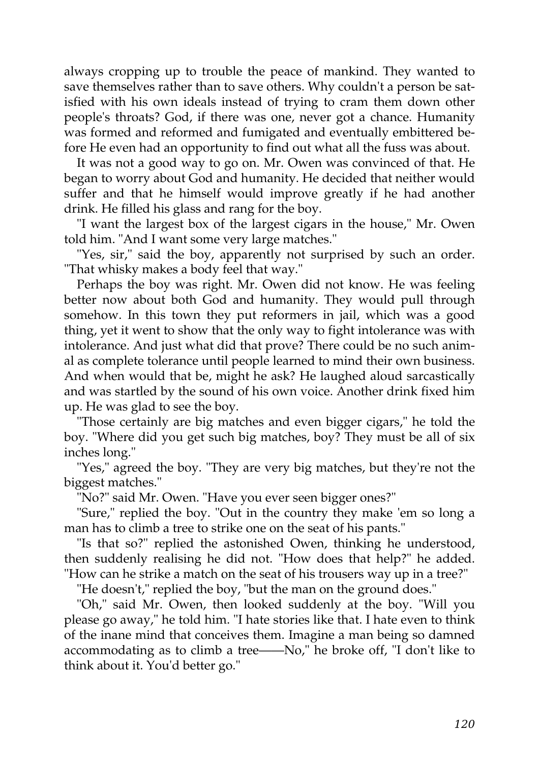always cropping up to trouble the peace of mankind. They wanted to save themselves rather than to save others. Why couldn't a person be satisfied with his own ideals instead of trying to cram them down other people's throats? God, if there was one, never got a chance. Humanity was formed and reformed and fumigated and eventually embittered before He even had an opportunity to find out what all the fuss was about.

It was not a good way to go on. Mr. Owen was convinced of that. He began to worry about God and humanity. He decided that neither would suffer and that he himself would improve greatly if he had another drink. He filled his glass and rang for the boy.

"I want the largest box of the largest cigars in the house," Mr. Owen told him. "And I want some very large matches."

"Yes, sir," said the boy, apparently not surprised by such an order. "That whisky makes a body feel that way."

Perhaps the boy was right. Mr. Owen did not know. He was feeling better now about both God and humanity. They would pull through somehow. In this town they put reformers in jail, which was a good thing, yet it went to show that the only way to fight intolerance was with intolerance. And just what did that prove? There could be no such animal as complete tolerance until people learned to mind their own business. And when would that be, might he ask? He laughed aloud sarcastically and was startled by the sound of his own voice. Another drink fixed him up. He was glad to see the boy.

"Those certainly are big matches and even bigger cigars," he told the boy. "Where did you get such big matches, boy? They must be all of six inches long."

"Yes," agreed the boy. "They are very big matches, but they're not the biggest matches."

"No?" said Mr. Owen. "Have you ever seen bigger ones?"

"Sure," replied the boy. "Out in the country they make 'em so long a man has to climb a tree to strike one on the seat of his pants."

"Is that so?" replied the astonished Owen, thinking he understood, then suddenly realising he did not. "How does that help?" he added. "How can he strike a match on the seat of his trousers way up in a tree?"

"He doesn't," replied the boy, "but the man on the ground does."

"Oh," said Mr. Owen, then looked suddenly at the boy. "Will you please go away," he told him. "I hate stories like that. I hate even to think of the inane mind that conceives them. Imagine a man being so damned accommodating as to climb a tree——No," he broke off, "I don't like to think about it. You'd better go."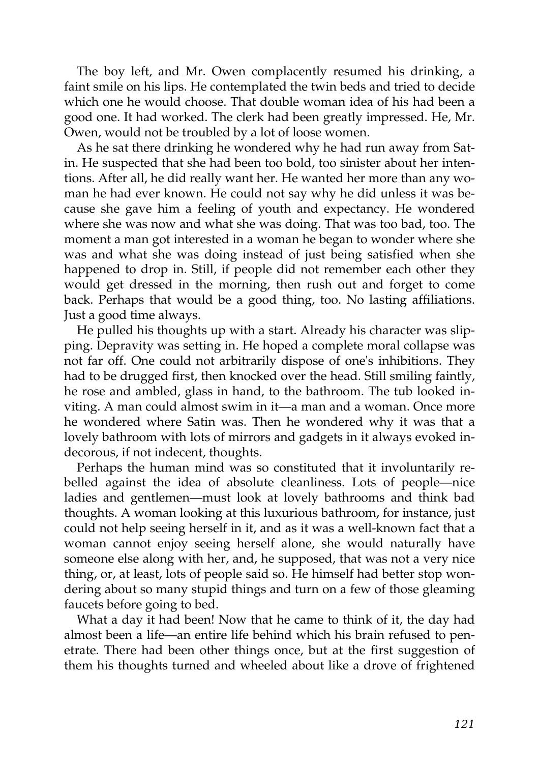The boy left, and Mr. Owen complacently resumed his drinking, a faint smile on his lips. He contemplated the twin beds and tried to decide which one he would choose. That double woman idea of his had been a good one. It had worked. The clerk had been greatly impressed. He, Mr. Owen, would not be troubled by a lot of loose women.

As he sat there drinking he wondered why he had run away from Satin. He suspected that she had been too bold, too sinister about her intentions. After all, he did really want her. He wanted her more than any woman he had ever known. He could not say why he did unless it was because she gave him a feeling of youth and expectancy. He wondered where she was now and what she was doing. That was too bad, too. The moment a man got interested in a woman he began to wonder where she was and what she was doing instead of just being satisfied when she happened to drop in. Still, if people did not remember each other they would get dressed in the morning, then rush out and forget to come back. Perhaps that would be a good thing, too. No lasting affiliations. Just a good time always.

He pulled his thoughts up with a start. Already his character was slipping. Depravity was setting in. He hoped a complete moral collapse was not far off. One could not arbitrarily dispose of one's inhibitions. They had to be drugged first, then knocked over the head. Still smiling faintly, he rose and ambled, glass in hand, to the bathroom. The tub looked inviting. A man could almost swim in it—a man and a woman. Once more he wondered where Satin was. Then he wondered why it was that a lovely bathroom with lots of mirrors and gadgets in it always evoked indecorous, if not indecent, thoughts.

Perhaps the human mind was so constituted that it involuntarily rebelled against the idea of absolute cleanliness. Lots of people—nice ladies and gentlemen—must look at lovely bathrooms and think bad thoughts. A woman looking at this luxurious bathroom, for instance, just could not help seeing herself in it, and as it was a well-known fact that a woman cannot enjoy seeing herself alone, she would naturally have someone else along with her, and, he supposed, that was not a very nice thing, or, at least, lots of people said so. He himself had better stop wondering about so many stupid things and turn on a few of those gleaming faucets before going to bed.

What a day it had been! Now that he came to think of it, the day had almost been a life—an entire life behind which his brain refused to penetrate. There had been other things once, but at the first suggestion of them his thoughts turned and wheeled about like a drove of frightened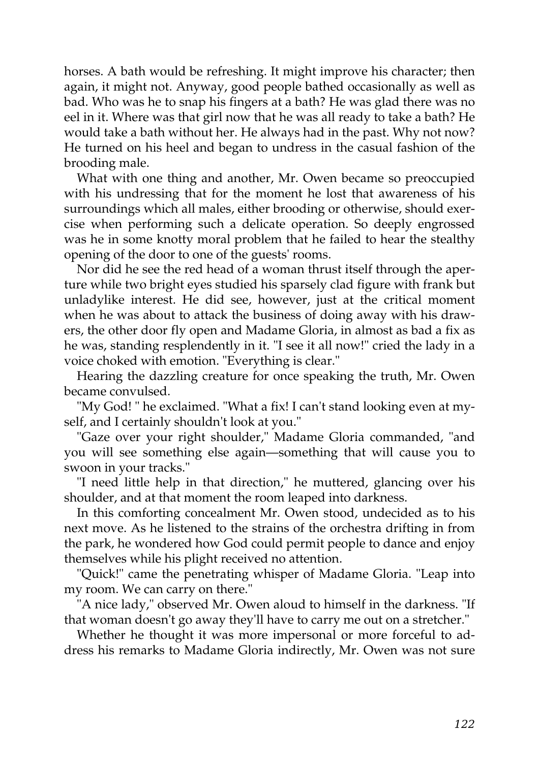horses. A bath would be refreshing. It might improve his character; then again, it might not. Anyway, good people bathed occasionally as well as bad. Who was he to snap his fingers at a bath? He was glad there was no eel in it. Where was that girl now that he was all ready to take a bath? He would take a bath without her. He always had in the past. Why not now? He turned on his heel and began to undress in the casual fashion of the brooding male.

What with one thing and another, Mr. Owen became so preoccupied with his undressing that for the moment he lost that awareness of his surroundings which all males, either brooding or otherwise, should exercise when performing such a delicate operation. So deeply engrossed was he in some knotty moral problem that he failed to hear the stealthy opening of the door to one of the guests' rooms.

Nor did he see the red head of a woman thrust itself through the aperture while two bright eyes studied his sparsely clad figure with frank but unladylike interest. He did see, however, just at the critical moment when he was about to attack the business of doing away with his drawers, the other door fly open and Madame Gloria, in almost as bad a fix as he was, standing resplendently in it. "I see it all now!" cried the lady in a voice choked with emotion. "Everything is clear."

Hearing the dazzling creature for once speaking the truth, Mr. Owen became convulsed.

"My God! " he exclaimed. "What a fix! I can't stand looking even at myself, and I certainly shouldn't look at you."

"Gaze over your right shoulder," Madame Gloria commanded, "and you will see something else again—something that will cause you to swoon in your tracks."

"I need little help in that direction," he muttered, glancing over his shoulder, and at that moment the room leaped into darkness.

In this comforting concealment Mr. Owen stood, undecided as to his next move. As he listened to the strains of the orchestra drifting in from the park, he wondered how God could permit people to dance and enjoy themselves while his plight received no attention.

"Quick!" came the penetrating whisper of Madame Gloria. "Leap into my room. We can carry on there."

"A nice lady," observed Mr. Owen aloud to himself in the darkness. "If that woman doesn't go away they'll have to carry me out on a stretcher."

Whether he thought it was more impersonal or more forceful to address his remarks to Madame Gloria indirectly, Mr. Owen was not sure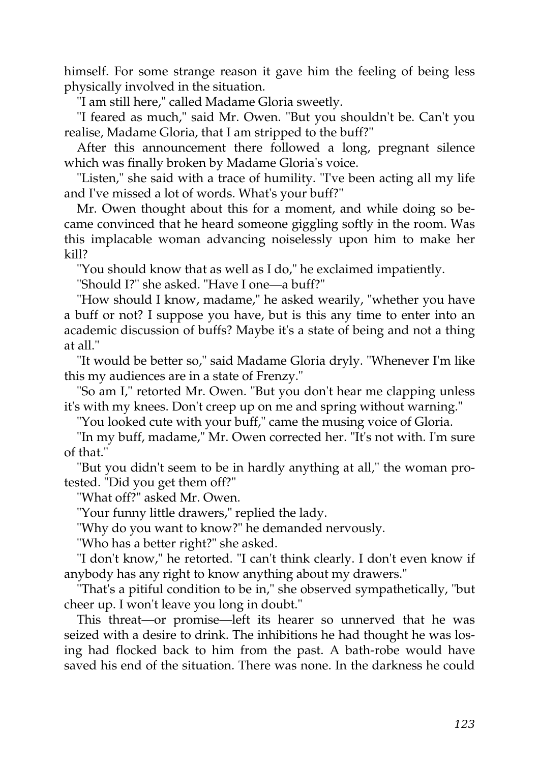himself. For some strange reason it gave him the feeling of being less physically involved in the situation.

"I am still here," called Madame Gloria sweetly.

"I feared as much," said Mr. Owen. "But you shouldn't be. Can't you realise, Madame Gloria, that I am stripped to the buff?"

After this announcement there followed a long, pregnant silence which was finally broken by Madame Gloria's voice.

"Listen," she said with a trace of humility. "I've been acting all my life and I've missed a lot of words. What's your buff?"

Mr. Owen thought about this for a moment, and while doing so became convinced that he heard someone giggling softly in the room. Was this implacable woman advancing noiselessly upon him to make her kill?

"You should know that as well as I do," he exclaimed impatiently.

"Should I?" she asked. "Have I one—a buff?"

"How should I know, madame," he asked wearily, "whether you have a buff or not? I suppose you have, but is this any time to enter into an academic discussion of buffs? Maybe it's a state of being and not a thing at all."

"It would be better so," said Madame Gloria dryly. "Whenever I'm like this my audiences are in a state of Frenzy."

"So am I," retorted Mr. Owen. "But you don't hear me clapping unless it's with my knees. Don't creep up on me and spring without warning."

"You looked cute with your buff," came the musing voice of Gloria.

"In my buff, madame," Mr. Owen corrected her. "It's not with. I'm sure of that."

"But you didn't seem to be in hardly anything at all," the woman protested. "Did you get them off?"

"What off?" asked Mr. Owen.

"Your funny little drawers," replied the lady.

"Why do you want to know?" he demanded nervously.

"Who has a better right?" she asked.

"I don't know," he retorted. "I can't think clearly. I don't even know if anybody has any right to know anything about my drawers."

"That's a pitiful condition to be in," she observed sympathetically, "but cheer up. I won't leave you long in doubt."

This threat—or promise—left its hearer so unnerved that he was seized with a desire to drink. The inhibitions he had thought he was losing had flocked back to him from the past. A bath-robe would have saved his end of the situation. There was none. In the darkness he could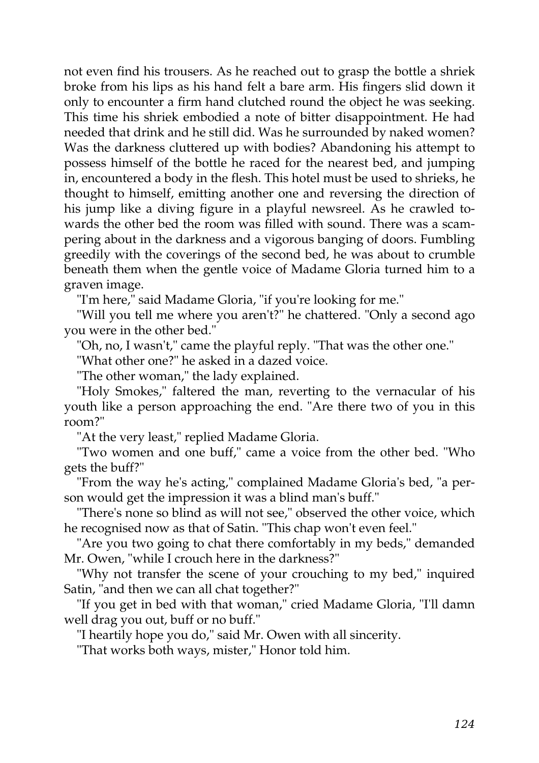not even find his trousers. As he reached out to grasp the bottle a shriek broke from his lips as his hand felt a bare arm. His fingers slid down it only to encounter a firm hand clutched round the object he was seeking. This time his shriek embodied a note of bitter disappointment. He had needed that drink and he still did. Was he surrounded by naked women? Was the darkness cluttered up with bodies? Abandoning his attempt to possess himself of the bottle he raced for the nearest bed, and jumping in, encountered a body in the flesh. This hotel must be used to shrieks, he thought to himself, emitting another one and reversing the direction of his jump like a diving figure in a playful newsreel. As he crawled towards the other bed the room was filled with sound. There was a scampering about in the darkness and a vigorous banging of doors. Fumbling greedily with the coverings of the second bed, he was about to crumble beneath them when the gentle voice of Madame Gloria turned him to a graven image.

"I'm here," said Madame Gloria, "if you're looking for me."

"Will you tell me where you aren't?" he chattered. "Only a second ago you were in the other bed."

"Oh, no, I wasn't," came the playful reply. "That was the other one."

"What other one?" he asked in a dazed voice.

"The other woman," the lady explained.

"Holy Smokes," faltered the man, reverting to the vernacular of his youth like a person approaching the end. "Are there two of you in this room?"

"At the very least," replied Madame Gloria.

"Two women and one buff," came a voice from the other bed. "Who gets the buff?"

"From the way he's acting," complained Madame Gloria's bed, "a person would get the impression it was a blind man's buff."

"There's none so blind as will not see," observed the other voice, which he recognised now as that of Satin. "This chap won't even feel."

"Are you two going to chat there comfortably in my beds," demanded Mr. Owen, "while I crouch here in the darkness?"

"Why not transfer the scene of your crouching to my bed," inquired Satin, "and then we can all chat together?"

"If you get in bed with that woman," cried Madame Gloria, "I'll damn well drag you out, buff or no buff."

"I heartily hope you do," said Mr. Owen with all sincerity.

"That works both ways, mister," Honor told him.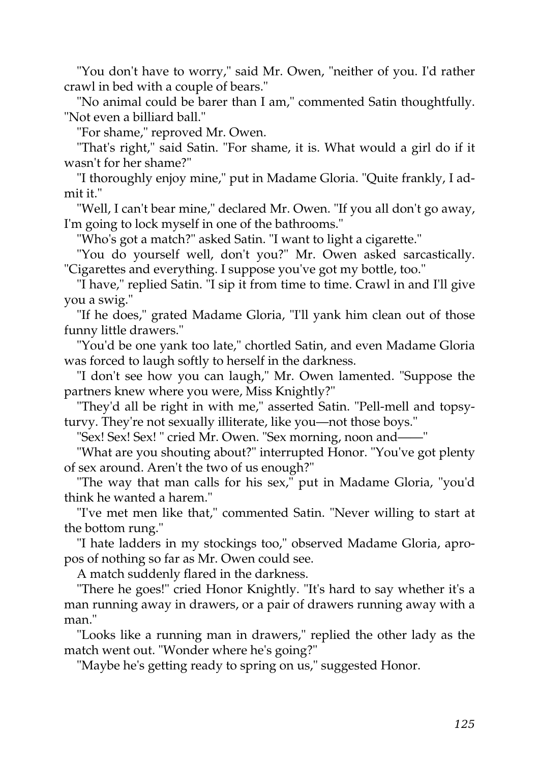"You don't have to worry," said Mr. Owen, "neither of you. I'd rather crawl in bed with a couple of bears."

"No animal could be barer than I am," commented Satin thoughtfully. "Not even a billiard ball."

"For shame," reproved Mr. Owen.

"That's right," said Satin. "For shame, it is. What would a girl do if it wasn't for her shame?"

"I thoroughly enjoy mine," put in Madame Gloria. "Quite frankly, I admit it."

"Well, I can't bear mine," declared Mr. Owen. "If you all don't go away, I'm going to lock myself in one of the bathrooms."

"Who's got a match?" asked Satin. "I want to light a cigarette."

"You do yourself well, don't you?" Mr. Owen asked sarcastically. "Cigarettes and everything. I suppose you've got my bottle, too."

"I have," replied Satin. "I sip it from time to time. Crawl in and I'll give you a swig."

"If he does," grated Madame Gloria, "I'll yank him clean out of those funny little drawers."

"You'd be one yank too late," chortled Satin, and even Madame Gloria was forced to laugh softly to herself in the darkness.

"I don't see how you can laugh," Mr. Owen lamented. "Suppose the partners knew where you were, Miss Knightly?"

"They'd all be right in with me," asserted Satin. "Pell-mell and topsyturvy. They're not sexually illiterate, like you—not those boys."

"Sex! Sex! Sex! " cried Mr. Owen. "Sex morning, noon and——"

"What are you shouting about?" interrupted Honor. "You've got plenty of sex around. Aren't the two of us enough?"

"The way that man calls for his sex," put in Madame Gloria, "you'd think he wanted a harem."

"I've met men like that," commented Satin. "Never willing to start at the bottom rung."

"I hate ladders in my stockings too," observed Madame Gloria, apropos of nothing so far as Mr. Owen could see.

A match suddenly flared in the darkness.

"There he goes!" cried Honor Knightly. "It's hard to say whether it's a man running away in drawers, or a pair of drawers running away with a man."

"Looks like a running man in drawers," replied the other lady as the match went out. "Wonder where he's going?"

"Maybe he's getting ready to spring on us," suggested Honor.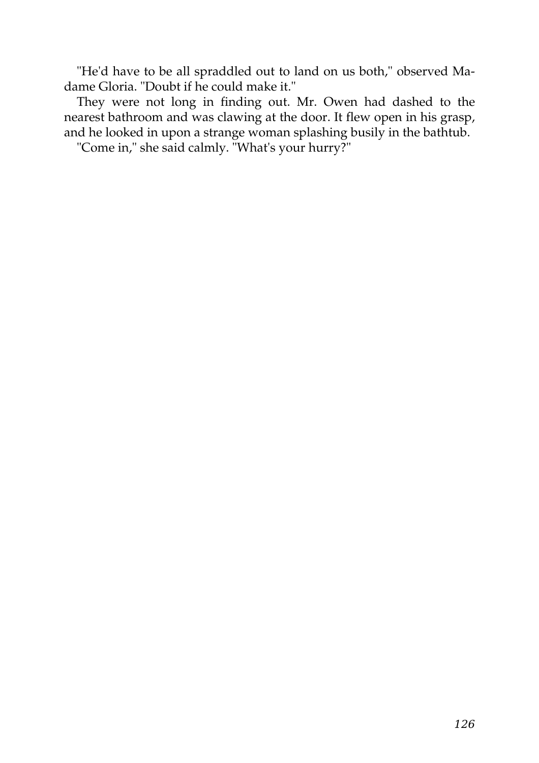"He'd have to be all spraddled out to land on us both," observed Madame Gloria. "Doubt if he could make it."

They were not long in finding out. Mr. Owen had dashed to the nearest bathroom and was clawing at the door. It flew open in his grasp, and he looked in upon a strange woman splashing busily in the bathtub.

"Come in," she said calmly. "What's your hurry?"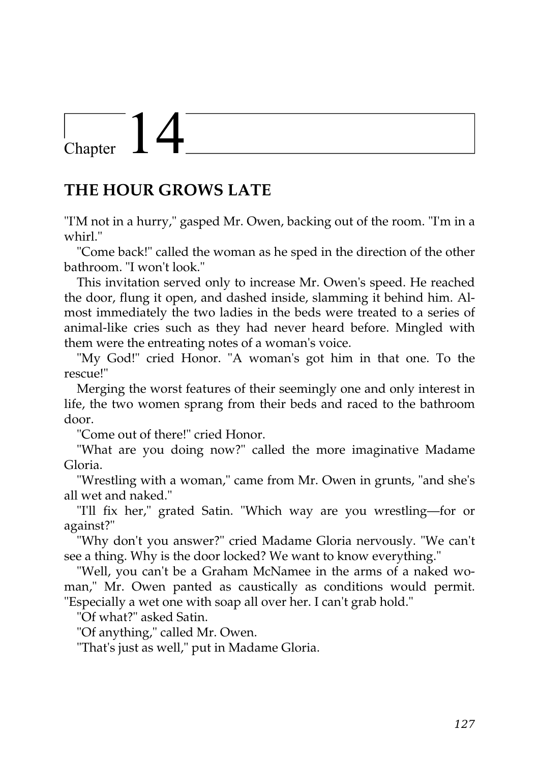# $\begin{array}{c} \begin{array}{c} \end{array}$  Chapter  $\begin{array}{c} \end{array}$

### **THE HOUR GROWS LATE**

"I'M not in a hurry," gasped Mr. Owen, backing out of the room. "I'm in a whirl."

"Come back!" called the woman as he sped in the direction of the other bathroom. "I won't look."

This invitation served only to increase Mr. Owen's speed. He reached the door, flung it open, and dashed inside, slamming it behind him. Almost immediately the two ladies in the beds were treated to a series of animal-like cries such as they had never heard before. Mingled with them were the entreating notes of a woman's voice.

"My God!" cried Honor. "A woman's got him in that one. To the rescue!"

Merging the worst features of their seemingly one and only interest in life, the two women sprang from their beds and raced to the bathroom door.

"Come out of there!" cried Honor.

"What are you doing now?" called the more imaginative Madame Gloria.

"Wrestling with a woman," came from Mr. Owen in grunts, "and she's all wet and naked."

"I'll fix her," grated Satin. "Which way are you wrestling—for or against?"

"Why don't you answer?" cried Madame Gloria nervously. "We can't see a thing. Why is the door locked? We want to know everything."

"Well, you can't be a Graham McNamee in the arms of a naked woman," Mr. Owen panted as caustically as conditions would permit. "Especially a wet one with soap all over her. I can't grab hold."

"Of what?" asked Satin.

"Of anything," called Mr. Owen.

"That's just as well," put in Madame Gloria.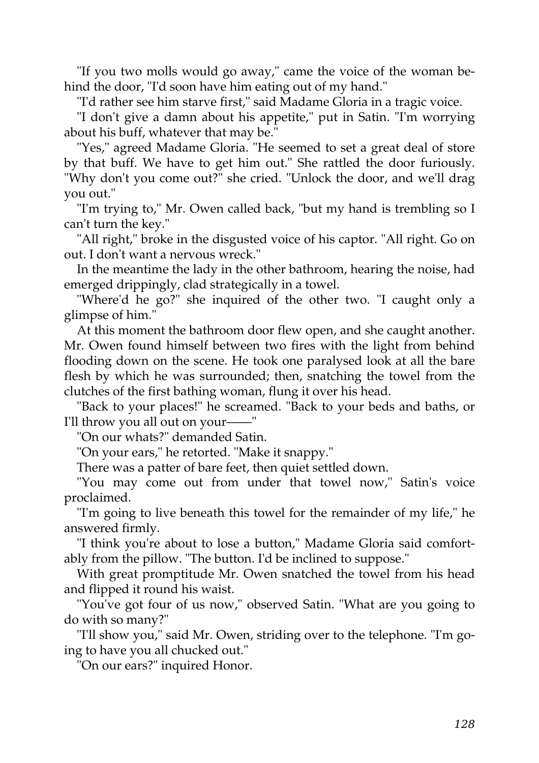"If you two molls would go away," came the voice of the woman behind the door, "I'd soon have him eating out of my hand."

"I'd rather see him starve first," said Madame Gloria in a tragic voice.

"I don't give a damn about his appetite," put in Satin. "I'm worrying about his buff, whatever that may be."

"Yes," agreed Madame Gloria. "He seemed to set a great deal of store by that buff. We have to get him out." She rattled the door furiously. "Why don't you come out?" she cried. "Unlock the door, and we'll drag you out."

"I'm trying to," Mr. Owen called back, "but my hand is trembling so I can't turn the key."

"All right," broke in the disgusted voice of his captor. "All right. Go on out. I don't want a nervous wreck."

In the meantime the lady in the other bathroom, hearing the noise, had emerged drippingly, clad strategically in a towel.

"Where'd he go?" she inquired of the other two. "I caught only a glimpse of him."

At this moment the bathroom door flew open, and she caught another. Mr. Owen found himself between two fires with the light from behind flooding down on the scene. He took one paralysed look at all the bare flesh by which he was surrounded; then, snatching the towel from the clutches of the first bathing woman, flung it over his head.

"Back to your places!" he screamed. "Back to your beds and baths, or I'll throw you all out on your——"

"On our whats?" demanded Satin.

"On your ears," he retorted. "Make it snappy."

There was a patter of bare feet, then quiet settled down.

"You may come out from under that towel now," Satin's voice proclaimed.

"I'm going to live beneath this towel for the remainder of my life," he answered firmly.

"I think you're about to lose a button," Madame Gloria said comfortably from the pillow. "The button. I'd be inclined to suppose."

With great promptitude Mr. Owen snatched the towel from his head and flipped it round his waist.

"You've got four of us now," observed Satin. "What are you going to do with so many?"

"I'll show you," said Mr. Owen, striding over to the telephone. "I'm going to have you all chucked out."

"On our ears?" inquired Honor.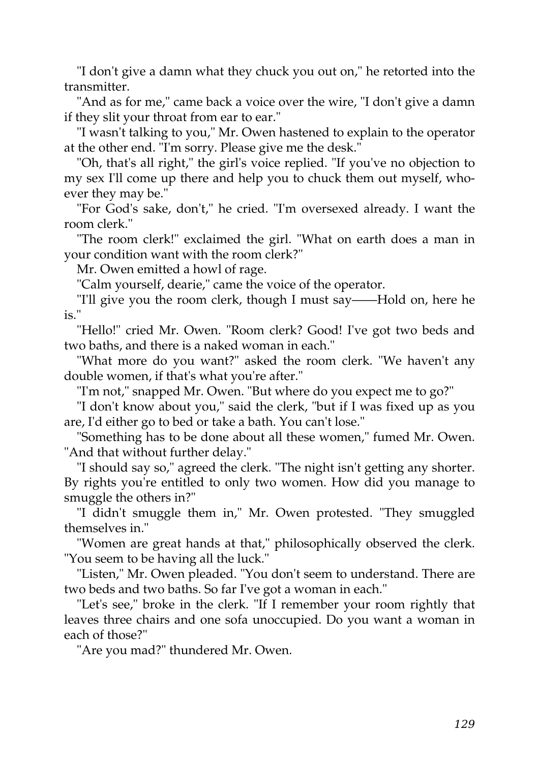"I don't give a damn what they chuck you out on," he retorted into the transmitter.

"And as for me," came back a voice over the wire, "I don't give a damn if they slit your throat from ear to ear."

"I wasn't talking to you," Mr. Owen hastened to explain to the operator at the other end. "I'm sorry. Please give me the desk."

"Oh, that's all right," the girl's voice replied. "If you've no objection to my sex I'll come up there and help you to chuck them out myself, whoever they may be."

"For God's sake, don't," he cried. "I'm oversexed already. I want the room clerk."

"The room clerk!" exclaimed the girl. "What on earth does a man in your condition want with the room clerk?"

Mr. Owen emitted a howl of rage.

"Calm yourself, dearie," came the voice of the operator.

"I'll give you the room clerk, though I must say——Hold on, here he is."

"Hello!" cried Mr. Owen. "Room clerk? Good! I've got two beds and two baths, and there is a naked woman in each."

"What more do you want?" asked the room clerk. "We haven't any double women, if that's what you're after."

"I'm not," snapped Mr. Owen. "But where do you expect me to go?"

"I don't know about you," said the clerk, "but if I was fixed up as you are, I'd either go to bed or take a bath. You can't lose."

"Something has to be done about all these women," fumed Mr. Owen. "And that without further delay."

"I should say so," agreed the clerk. "The night isn't getting any shorter. By rights you're entitled to only two women. How did you manage to smuggle the others in?"

"I didn't smuggle them in," Mr. Owen protested. "They smuggled themselves in."

"Women are great hands at that," philosophically observed the clerk. "You seem to be having all the luck."

"Listen," Mr. Owen pleaded. "You don't seem to understand. There are two beds and two baths. So far I've got a woman in each."

"Let's see," broke in the clerk. "If I remember your room rightly that leaves three chairs and one sofa unoccupied. Do you want a woman in each of those?"

"Are you mad?" thundered Mr. Owen.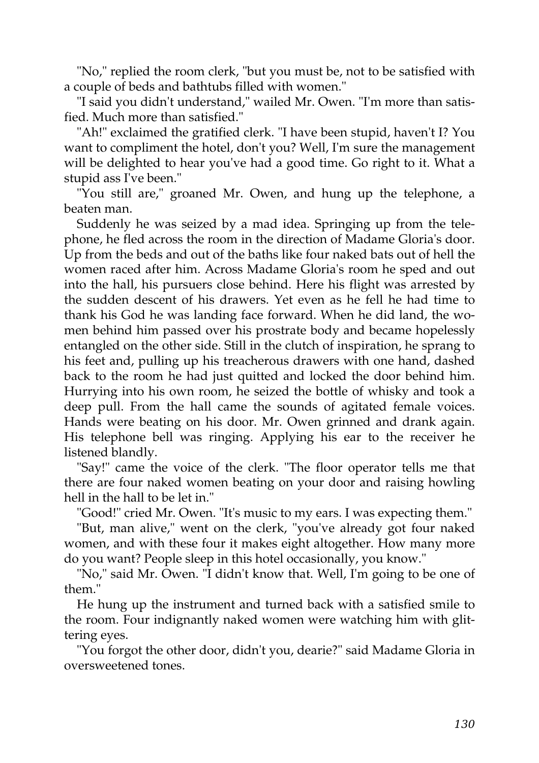"No," replied the room clerk, "but you must be, not to be satisfied with a couple of beds and bathtubs filled with women."

"I said you didn't understand," wailed Mr. Owen. "I'm more than satisfied. Much more than satisfied."

"Ah!" exclaimed the gratified clerk. "I have been stupid, haven't I? You want to compliment the hotel, don't you? Well, I'm sure the management will be delighted to hear you've had a good time. Go right to it. What a stupid ass I've been."

"You still are," groaned Mr. Owen, and hung up the telephone, a beaten man.

Suddenly he was seized by a mad idea. Springing up from the telephone, he fled across the room in the direction of Madame Gloria's door. Up from the beds and out of the baths like four naked bats out of hell the women raced after him. Across Madame Gloria's room he sped and out into the hall, his pursuers close behind. Here his flight was arrested by the sudden descent of his drawers. Yet even as he fell he had time to thank his God he was landing face forward. When he did land, the women behind him passed over his prostrate body and became hopelessly entangled on the other side. Still in the clutch of inspiration, he sprang to his feet and, pulling up his treacherous drawers with one hand, dashed back to the room he had just quitted and locked the door behind him. Hurrying into his own room, he seized the bottle of whisky and took a deep pull. From the hall came the sounds of agitated female voices. Hands were beating on his door. Mr. Owen grinned and drank again. His telephone bell was ringing. Applying his ear to the receiver he listened blandly.

"Say!" came the voice of the clerk. "The floor operator tells me that there are four naked women beating on your door and raising howling hell in the hall to be let in."

"Good!" cried Mr. Owen. "It's music to my ears. I was expecting them."

"But, man alive," went on the clerk, "you've already got four naked women, and with these four it makes eight altogether. How many more do you want? People sleep in this hotel occasionally, you know."

"No," said Mr. Owen. "I didn't know that. Well, I'm going to be one of them."

He hung up the instrument and turned back with a satisfied smile to the room. Four indignantly naked women were watching him with glittering eyes.

"You forgot the other door, didn't you, dearie?" said Madame Gloria in oversweetened tones.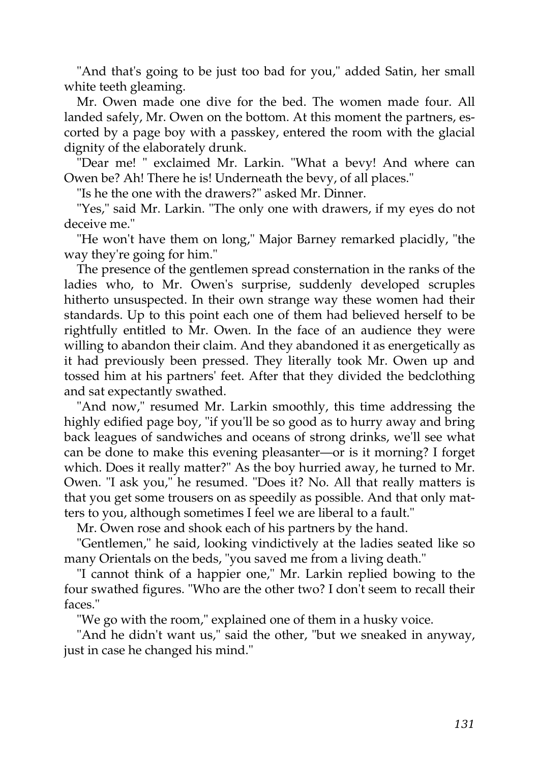"And that's going to be just too bad for you," added Satin, her small white teeth gleaming.

Mr. Owen made one dive for the bed. The women made four. All landed safely, Mr. Owen on the bottom. At this moment the partners, escorted by a page boy with a passkey, entered the room with the glacial dignity of the elaborately drunk.

"Dear me! " exclaimed Mr. Larkin. "What a bevy! And where can Owen be? Ah! There he is! Underneath the bevy, of all places."

"Is he the one with the drawers?" asked Mr. Dinner.

"Yes," said Mr. Larkin. "The only one with drawers, if my eyes do not deceive me."

"He won't have them on long," Major Barney remarked placidly, "the way they're going for him."

The presence of the gentlemen spread consternation in the ranks of the ladies who, to Mr. Owen's surprise, suddenly developed scruples hitherto unsuspected. In their own strange way these women had their standards. Up to this point each one of them had believed herself to be rightfully entitled to Mr. Owen. In the face of an audience they were willing to abandon their claim. And they abandoned it as energetically as it had previously been pressed. They literally took Mr. Owen up and tossed him at his partners' feet. After that they divided the bedclothing and sat expectantly swathed.

"And now," resumed Mr. Larkin smoothly, this time addressing the highly edified page boy, "if you'll be so good as to hurry away and bring back leagues of sandwiches and oceans of strong drinks, we'll see what can be done to make this evening pleasanter—or is it morning? I forget which. Does it really matter?" As the boy hurried away, he turned to Mr. Owen. "I ask you," he resumed. "Does it? No. All that really matters is that you get some trousers on as speedily as possible. And that only matters to you, although sometimes I feel we are liberal to a fault."

Mr. Owen rose and shook each of his partners by the hand.

"Gentlemen," he said, looking vindictively at the ladies seated like so many Orientals on the beds, "you saved me from a living death."

"I cannot think of a happier one," Mr. Larkin replied bowing to the four swathed figures. "Who are the other two? I don't seem to recall their faces."

"We go with the room," explained one of them in a husky voice.

"And he didn't want us," said the other, "but we sneaked in anyway, just in case he changed his mind."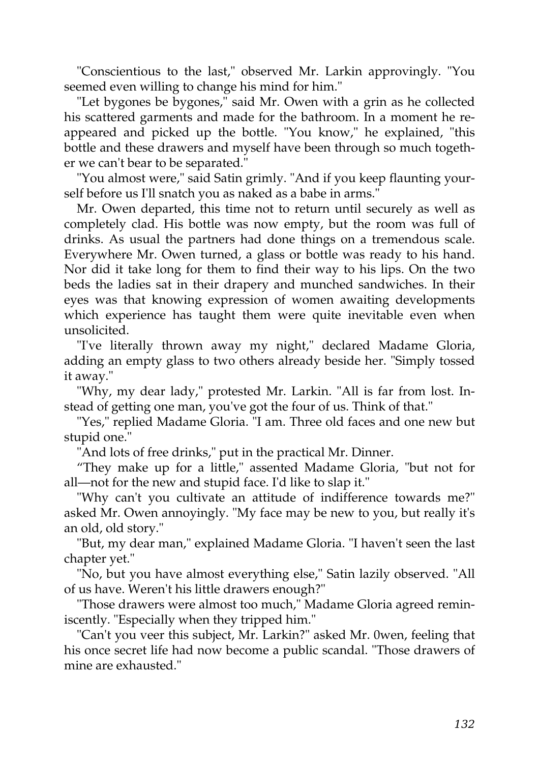"Conscientious to the last," observed Mr. Larkin approvingly. "You seemed even willing to change his mind for him."

"Let bygones be bygones," said Mr. Owen with a grin as he collected his scattered garments and made for the bathroom. In a moment he reappeared and picked up the bottle. "You know," he explained, "this bottle and these drawers and myself have been through so much together we can't bear to be separated."

"You almost were," said Satin grimly. "And if you keep flaunting yourself before us I'll snatch you as naked as a babe in arms."

Mr. Owen departed, this time not to return until securely as well as completely clad. His bottle was now empty, but the room was full of drinks. As usual the partners had done things on a tremendous scale. Everywhere Mr. Owen turned, a glass or bottle was ready to his hand. Nor did it take long for them to find their way to his lips. On the two beds the ladies sat in their drapery and munched sandwiches. In their eyes was that knowing expression of women awaiting developments which experience has taught them were quite inevitable even when unsolicited.

"I've literally thrown away my night," declared Madame Gloria, adding an empty glass to two others already beside her. "Simply tossed it away."

"Why, my dear lady," protested Mr. Larkin. "All is far from lost. Instead of getting one man, you've got the four of us. Think of that."

"Yes," replied Madame Gloria. "I am. Three old faces and one new but stupid one."

"And lots of free drinks," put in the practical Mr. Dinner.

"They make up for a little," assented Madame Gloria, "but not for all—not for the new and stupid face. I'd like to slap it."

"Why can't you cultivate an attitude of indifference towards me?" asked Mr. Owen annoyingly. "My face may be new to you, but really it's an old, old story."

"But, my dear man," explained Madame Gloria. "I haven't seen the last chapter yet."

"No, but you have almost everything else," Satin lazily observed. "All of us have. Weren't his little drawers enough?"

"Those drawers were almost too much," Madame Gloria agreed reminiscently. "Especially when they tripped him."

"Can't you veer this subject, Mr. Larkin?" asked Mr. 0wen, feeling that his once secret life had now become a public scandal. "Those drawers of mine are exhausted."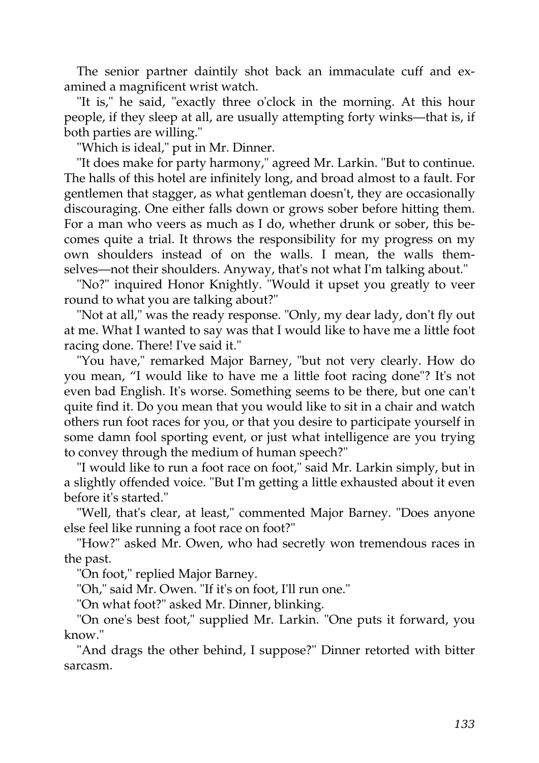The senior partner daintily shot back an immaculate cuff and examined a magnificent wrist watch.

"It is," he said, "exactly three o'clock in the morning. At this hour people, if they sleep at all, are usually attempting forty winks—that is, if both parties are willing."

"Which is ideal," put in Mr. Dinner.

"It does make for party harmony," agreed Mr. Larkin. "But to continue. The halls of this hotel are infinitely long, and broad almost to a fault. For gentlemen that stagger, as what gentleman doesn't, they are occasionally discouraging. One either falls down or grows sober before hitting them. For a man who veers as much as I do, whether drunk or sober, this becomes quite a trial. It throws the responsibility for my progress on my own shoulders instead of on the walls. I mean, the walls themselves—not their shoulders. Anyway, that's not what I'm talking about."

"No?" inquired Honor Knightly. "Would it upset you greatly to veer round to what you are talking about?"

"Not at all," was the ready response. "Only, my dear lady, don't fly out at me. What I wanted to say was that I would like to have me a little foot racing done. There! I've said it."

"You have," remarked Major Barney, "but not very clearly. How do you mean, "I would like to have me a little foot racing done"? It's not even bad English. It's worse. Something seems to be there, but one can't quite find it. Do you mean that you would like to sit in a chair and watch others run foot races for you, or that you desire to participate yourself in some damn fool sporting event, or just what intelligence are you trying to convey through the medium of human speech?"

"I would like to run a foot race on foot," said Mr. Larkin simply, but in a slightly offended voice. "But I'm getting a little exhausted about it even before it's started."

"Well, that's clear, at least," commented Major Barney. "Does anyone else feel like running a foot race on foot?"

"How?" asked Mr. Owen, who had secretly won tremendous races in the past.

"On foot," replied Major Barney.

"Oh," said Mr. Owen. "If it's on foot, I'll run one."

"On what foot?" asked Mr. Dinner, blinking.

"On one's best foot," supplied Mr. Larkin. "One puts it forward, you know."

"And drags the other behind, I suppose?" Dinner retorted with bitter sarcasm.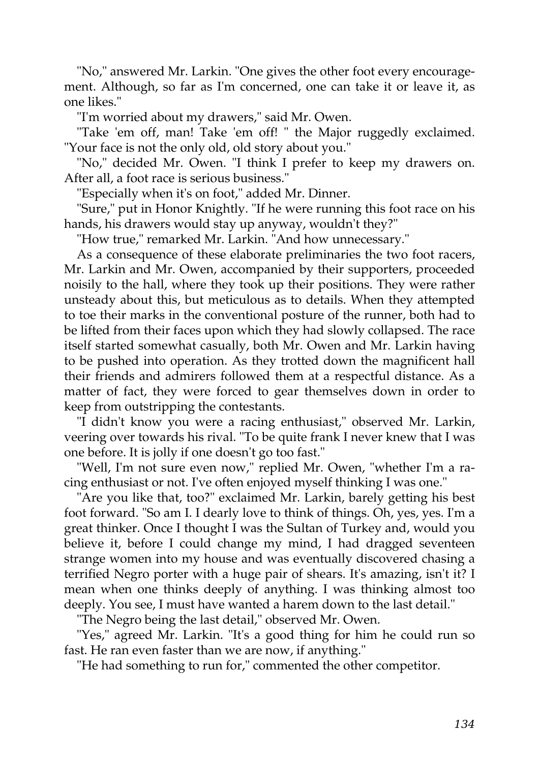"No," answered Mr. Larkin. "One gives the other foot every encouragement. Although, so far as I'm concerned, one can take it or leave it, as one likes."

"I'm worried about my drawers," said Mr. Owen.

"Take 'em off, man! Take 'em off! " the Major ruggedly exclaimed. "Your face is not the only old, old story about you."

"No," decided Mr. Owen. "I think I prefer to keep my drawers on. After all, a foot race is serious business."

"Especially when it's on foot," added Mr. Dinner.

"Sure," put in Honor Knightly. "If he were running this foot race on his hands, his drawers would stay up anyway, wouldn't they?"

"How true," remarked Mr. Larkin. "And how unnecessary."

As a consequence of these elaborate preliminaries the two foot racers, Mr. Larkin and Mr. Owen, accompanied by their supporters, proceeded noisily to the hall, where they took up their positions. They were rather unsteady about this, but meticulous as to details. When they attempted to toe their marks in the conventional posture of the runner, both had to be lifted from their faces upon which they had slowly collapsed. The race itself started somewhat casually, both Mr. Owen and Mr. Larkin having to be pushed into operation. As they trotted down the magnificent hall their friends and admirers followed them at a respectful distance. As a matter of fact, they were forced to gear themselves down in order to keep from outstripping the contestants.

"I didn't know you were a racing enthusiast," observed Mr. Larkin, veering over towards his rival. "To be quite frank I never knew that I was one before. It is jolly if one doesn't go too fast."

"Well, I'm not sure even now," replied Mr. Owen, "whether I'm a racing enthusiast or not. I've often enjoyed myself thinking I was one."

"Are you like that, too?" exclaimed Mr. Larkin, barely getting his best foot forward. "So am I. I dearly love to think of things. Oh, yes, yes. I'm a great thinker. Once I thought I was the Sultan of Turkey and, would you believe it, before I could change my mind, I had dragged seventeen strange women into my house and was eventually discovered chasing a terrified Negro porter with a huge pair of shears. It's amazing, isn't it? I mean when one thinks deeply of anything. I was thinking almost too deeply. You see, I must have wanted a harem down to the last detail."

"The Negro being the last detail," observed Mr. Owen.

"Yes," agreed Mr. Larkin. "It's a good thing for him he could run so fast. He ran even faster than we are now, if anything."

"He had something to run for," commented the other competitor.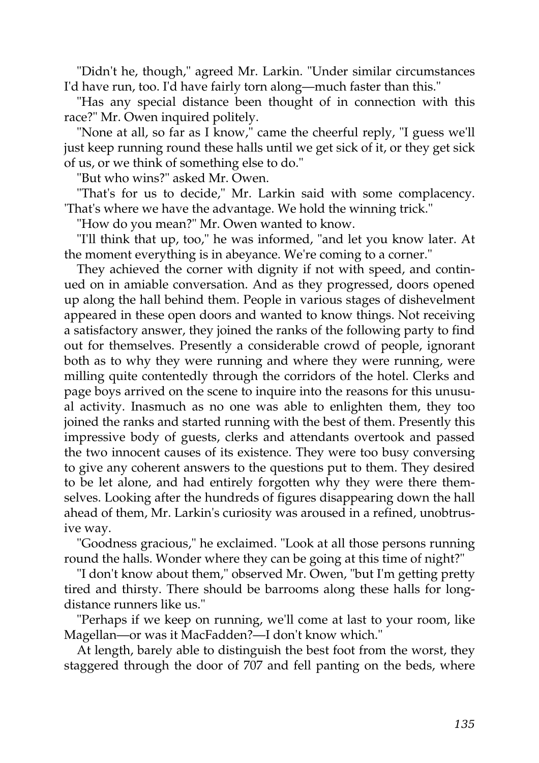"Didn't he, though," agreed Mr. Larkin. "Under similar circumstances I'd have run, too. I'd have fairly torn along—much faster than this."

"Has any special distance been thought of in connection with this race?" Mr. Owen inquired politely.

"None at all, so far as I know," came the cheerful reply, "I guess we'll just keep running round these halls until we get sick of it, or they get sick of us, or we think of something else to do."

"But who wins?" asked Mr. Owen.

"That's for us to decide," Mr. Larkin said with some complacency. 'That's where we have the advantage. We hold the winning trick."

"How do you mean?" Mr. Owen wanted to know.

"I'll think that up, too," he was informed, "and let you know later. At the moment everything is in abeyance. We're coming to a corner."

They achieved the corner with dignity if not with speed, and continued on in amiable conversation. And as they progressed, doors opened up along the hall behind them. People in various stages of dishevelment appeared in these open doors and wanted to know things. Not receiving a satisfactory answer, they joined the ranks of the following party to find out for themselves. Presently a considerable crowd of people, ignorant both as to why they were running and where they were running, were milling quite contentedly through the corridors of the hotel. Clerks and page boys arrived on the scene to inquire into the reasons for this unusual activity. Inasmuch as no one was able to enlighten them, they too joined the ranks and started running with the best of them. Presently this impressive body of guests, clerks and attendants overtook and passed the two innocent causes of its existence. They were too busy conversing to give any coherent answers to the questions put to them. They desired to be let alone, and had entirely forgotten why they were there themselves. Looking after the hundreds of figures disappearing down the hall ahead of them, Mr. Larkin's curiosity was aroused in a refined, unobtrusive way.

"Goodness gracious," he exclaimed. "Look at all those persons running round the halls. Wonder where they can be going at this time of night?"

"I don't know about them," observed Mr. Owen, "but I'm getting pretty tired and thirsty. There should be barrooms along these halls for longdistance runners like us."

"Perhaps if we keep on running, we'll come at last to your room, like Magellan—or was it MacFadden?—I don't know which."

At length, barely able to distinguish the best foot from the worst, they staggered through the door of 707 and fell panting on the beds, where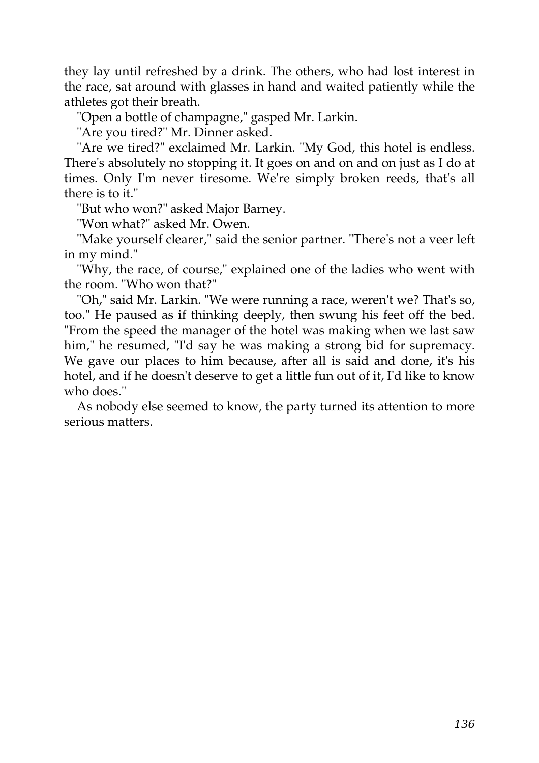they lay until refreshed by a drink. The others, who had lost interest in the race, sat around with glasses in hand and waited patiently while the athletes got their breath.

"Open a bottle of champagne," gasped Mr. Larkin.

"Are you tired?" Mr. Dinner asked.

"Are we tired?" exclaimed Mr. Larkin. "My God, this hotel is endless. There's absolutely no stopping it. It goes on and on and on just as I do at times. Only I'm never tiresome. We're simply broken reeds, that's all there is to it."

"But who won?" asked Major Barney.

"Won what?" asked Mr. Owen.

"Make yourself clearer," said the senior partner. "There's not a veer left in my mind."

"Why, the race, of course," explained one of the ladies who went with the room. "Who won that?"

"Oh," said Mr. Larkin. "We were running a race, weren't we? That's so, too." He paused as if thinking deeply, then swung his feet off the bed. "From the speed the manager of the hotel was making when we last saw him," he resumed, "I'd say he was making a strong bid for supremacy. We gave our places to him because, after all is said and done, it's his hotel, and if he doesn't deserve to get a little fun out of it, I'd like to know who does."

As nobody else seemed to know, the party turned its attention to more serious matters.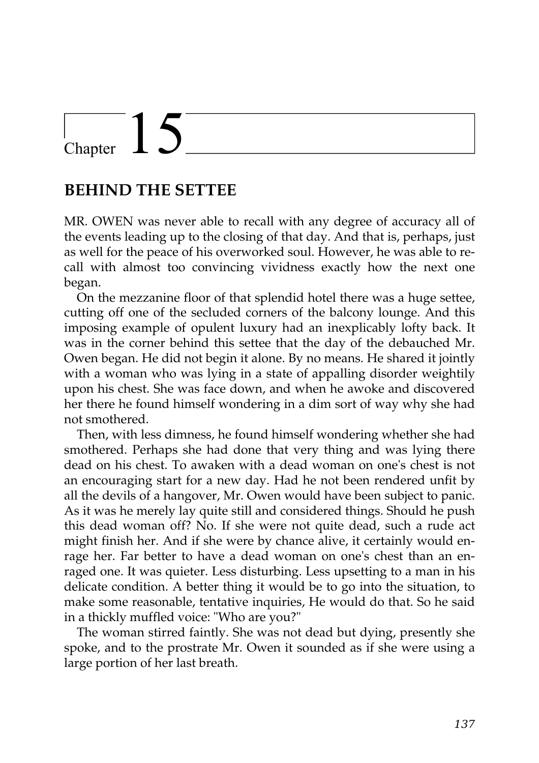# Chapter  $15$

### **BEHIND THE SETTEE**

MR. OWEN was never able to recall with any degree of accuracy all of the events leading up to the closing of that day. And that is, perhaps, just as well for the peace of his overworked soul. However, he was able to recall with almost too convincing vividness exactly how the next one began.

On the mezzanine floor of that splendid hotel there was a huge settee, cutting off one of the secluded corners of the balcony lounge. And this imposing example of opulent luxury had an inexplicably lofty back. It was in the corner behind this settee that the day of the debauched Mr. Owen began. He did not begin it alone. By no means. He shared it jointly with a woman who was lying in a state of appalling disorder weightily upon his chest. She was face down, and when he awoke and discovered her there he found himself wondering in a dim sort of way why she had not smothered.

Then, with less dimness, he found himself wondering whether she had smothered. Perhaps she had done that very thing and was lying there dead on his chest. To awaken with a dead woman on one's chest is not an encouraging start for a new day. Had he not been rendered unfit by all the devils of a hangover, Mr. Owen would have been subject to panic. As it was he merely lay quite still and considered things. Should he push this dead woman off? No. If she were not quite dead, such a rude act might finish her. And if she were by chance alive, it certainly would enrage her. Far better to have a dead woman on one's chest than an enraged one. It was quieter. Less disturbing. Less upsetting to a man in his delicate condition. A better thing it would be to go into the situation, to make some reasonable, tentative inquiries, He would do that. So he said in a thickly muffled voice: "Who are you?"

The woman stirred faintly. She was not dead but dying, presently she spoke, and to the prostrate Mr. Owen it sounded as if she were using a large portion of her last breath.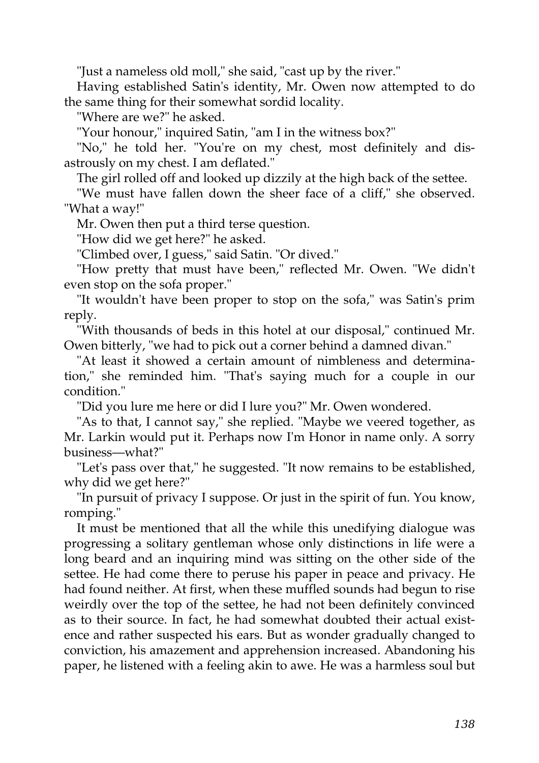"Just a nameless old moll," she said, "cast up by the river."

Having established Satin's identity, Mr. Owen now attempted to do the same thing for their somewhat sordid locality.

"Where are we?" he asked.

"Your honour," inquired Satin, "am I in the witness box?"

"No," he told her. "You're on my chest, most definitely and disastrously on my chest. I am deflated."

The girl rolled off and looked up dizzily at the high back of the settee.

"We must have fallen down the sheer face of a cliff," she observed. "What a way!"

Mr. Owen then put a third terse question.

"How did we get here?" he asked.

"Climbed over, I guess," said Satin. "Or dived."

"How pretty that must have been," reflected Mr. Owen. "We didn't even stop on the sofa proper."

"It wouldn't have been proper to stop on the sofa," was Satin's prim reply.

"With thousands of beds in this hotel at our disposal," continued Mr. Owen bitterly, "we had to pick out a corner behind a damned divan."

"At least it showed a certain amount of nimbleness and determination," she reminded him. "That's saying much for a couple in our condition."

"Did you lure me here or did I lure you?" Mr. Owen wondered.

"As to that, I cannot say," she replied. "Maybe we veered together, as Mr. Larkin would put it. Perhaps now I'm Honor in name only. A sorry business—what?"

"Let's pass over that," he suggested. "It now remains to be established, why did we get here?"

"In pursuit of privacy I suppose. Or just in the spirit of fun. You know, romping."

It must be mentioned that all the while this unedifying dialogue was progressing a solitary gentleman whose only distinctions in life were a long beard and an inquiring mind was sitting on the other side of the settee. He had come there to peruse his paper in peace and privacy. He had found neither. At first, when these muffled sounds had begun to rise weirdly over the top of the settee, he had not been definitely convinced as to their source. In fact, he had somewhat doubted their actual existence and rather suspected his ears. But as wonder gradually changed to conviction, his amazement and apprehension increased. Abandoning his paper, he listened with a feeling akin to awe. He was a harmless soul but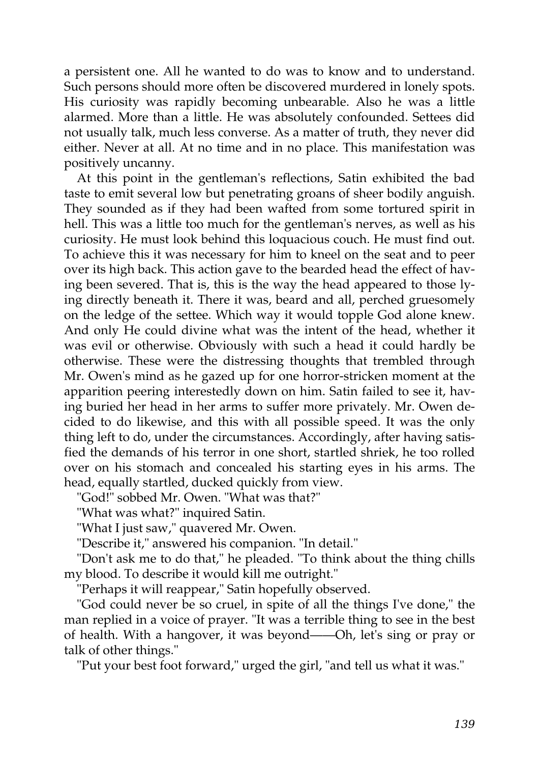a persistent one. All he wanted to do was to know and to understand. Such persons should more often be discovered murdered in lonely spots. His curiosity was rapidly becoming unbearable. Also he was a little alarmed. More than a little. He was absolutely confounded. Settees did not usually talk, much less converse. As a matter of truth, they never did either. Never at all. At no time and in no place. This manifestation was positively uncanny.

At this point in the gentleman's reflections, Satin exhibited the bad taste to emit several low but penetrating groans of sheer bodily anguish. They sounded as if they had been wafted from some tortured spirit in hell. This was a little too much for the gentleman's nerves, as well as his curiosity. He must look behind this loquacious couch. He must find out. To achieve this it was necessary for him to kneel on the seat and to peer over its high back. This action gave to the bearded head the effect of having been severed. That is, this is the way the head appeared to those lying directly beneath it. There it was, beard and all, perched gruesomely on the ledge of the settee. Which way it would topple God alone knew. And only He could divine what was the intent of the head, whether it was evil or otherwise. Obviously with such a head it could hardly be otherwise. These were the distressing thoughts that trembled through Mr. Owen's mind as he gazed up for one horror-stricken moment at the apparition peering interestedly down on him. Satin failed to see it, having buried her head in her arms to suffer more privately. Mr. Owen decided to do likewise, and this with all possible speed. It was the only thing left to do, under the circumstances. Accordingly, after having satisfied the demands of his terror in one short, startled shriek, he too rolled over on his stomach and concealed his starting eyes in his arms. The head, equally startled, ducked quickly from view.

"God!" sobbed Mr. Owen. "What was that?"

"What was what?" inquired Satin.

"What I just saw," quavered Mr. Owen.

"Describe it," answered his companion. "In detail."

"Don't ask me to do that," he pleaded. "To think about the thing chills my blood. To describe it would kill me outright."

"Perhaps it will reappear," Satin hopefully observed.

"God could never be so cruel, in spite of all the things I've done," the man replied in a voice of prayer. "It was a terrible thing to see in the best of health. With a hangover, it was beyond——Oh, let's sing or pray or talk of other things."

"Put your best foot forward," urged the girl, "and tell us what it was."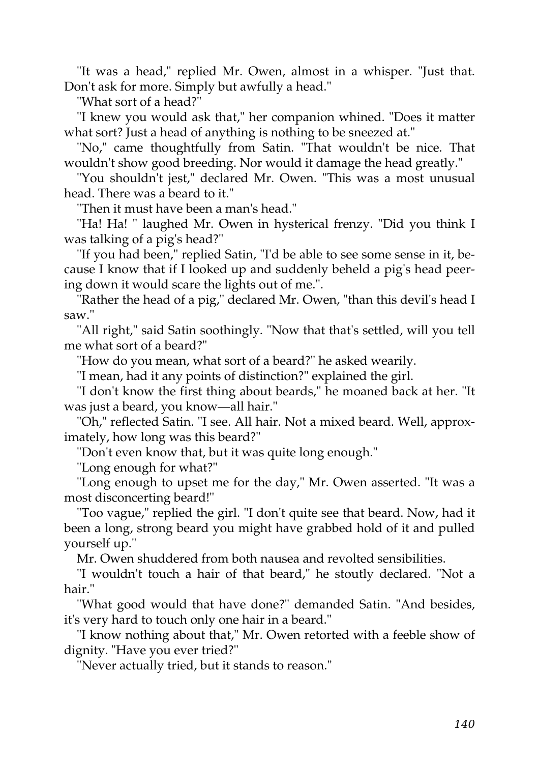"It was a head," replied Mr. Owen, almost in a whisper. "Just that. Don't ask for more. Simply but awfully a head."

"What sort of a head?"

"I knew you would ask that," her companion whined. "Does it matter what sort? Just a head of anything is nothing to be sneezed at."

"No," came thoughtfully from Satin. "That wouldn't be nice. That wouldn't show good breeding. Nor would it damage the head greatly."

"You shouldn't jest," declared Mr. Owen. "This was a most unusual head. There was a beard to it."

"Then it must have been a man's head."

"Ha! Ha! " laughed Mr. Owen in hysterical frenzy. "Did you think I was talking of a pig's head?"

"If you had been," replied Satin, "I'd be able to see some sense in it, because I know that if I looked up and suddenly beheld a pig's head peering down it would scare the lights out of me.".

"Rather the head of a pig," declared Mr. Owen, "than this devil's head I saw."

"All right," said Satin soothingly. "Now that that's settled, will you tell me what sort of a beard?"

"How do you mean, what sort of a beard?" he asked wearily.

"I mean, had it any points of distinction?" explained the girl.

"I don't know the first thing about beards," he moaned back at her. "It was just a beard, you know—all hair."

"Oh," reflected Satin. "I see. All hair. Not a mixed beard. Well, approximately, how long was this beard?"

"Don't even know that, but it was quite long enough."

"Long enough for what?"

"Long enough to upset me for the day," Mr. Owen asserted. "It was a most disconcerting beard!"

"Too vague," replied the girl. "I don't quite see that beard. Now, had it been a long, strong beard you might have grabbed hold of it and pulled yourself up."

Mr. Owen shuddered from both nausea and revolted sensibilities.

"I wouldn't touch a hair of that beard," he stoutly declared. "Not a hair."

"What good would that have done?" demanded Satin. "And besides, it's very hard to touch only one hair in a beard."

"I know nothing about that," Mr. Owen retorted with a feeble show of dignity. "Have you ever tried?"

"Never actually tried, but it stands to reason."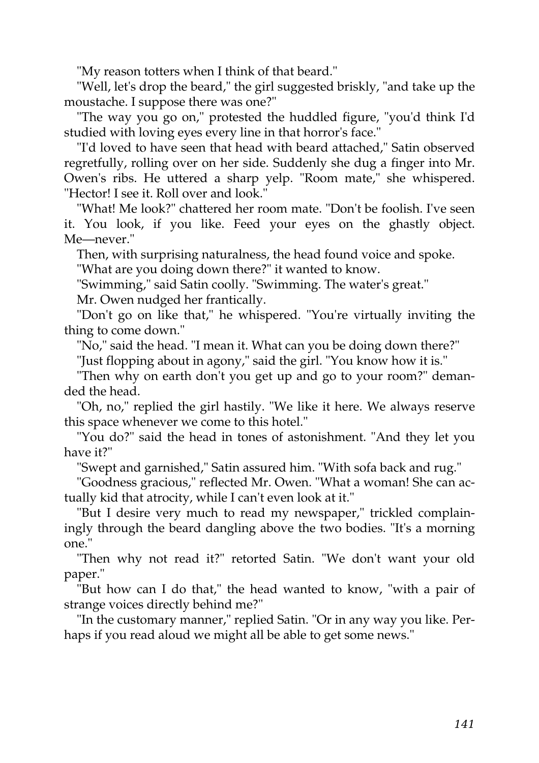"My reason totters when I think of that beard."

"Well, let's drop the beard," the girl suggested briskly, "and take up the moustache. I suppose there was one?"

"The way you go on," protested the huddled figure, "you'd think I'd studied with loving eyes every line in that horror's face."

"I'd loved to have seen that head with beard attached," Satin observed regretfully, rolling over on her side. Suddenly she dug a finger into Mr. Owen's ribs. He uttered a sharp yelp. "Room mate," she whispered. "Hector! I see it. Roll over and look."

"What! Me look?" chattered her room mate. "Don't be foolish. I've seen it. You look, if you like. Feed your eyes on the ghastly object. Me—never."

Then, with surprising naturalness, the head found voice and spoke.

"What are you doing down there?" it wanted to know.

"Swimming," said Satin coolly. "Swimming. The water's great."

Mr. Owen nudged her frantically.

"Don't go on like that," he whispered. "You're virtually inviting the thing to come down."

"No," said the head. "I mean it. What can you be doing down there?"

"Just flopping about in agony," said the girl. "You know how it is."

"Then why on earth don't you get up and go to your room?" demanded the head.

"Oh, no," replied the girl hastily. "We like it here. We always reserve this space whenever we come to this hotel."

"You do?" said the head in tones of astonishment. "And they let you have it?"

"Swept and garnished," Satin assured him. "With sofa back and rug."

"Goodness gracious," reflected Mr. Owen. "What a woman! She can actually kid that atrocity, while I can't even look at it."

"But I desire very much to read my newspaper," trickled complainingly through the beard dangling above the two bodies. "It's a morning one."

"Then why not read it?" retorted Satin. "We don't want your old paper."

"But how can I do that," the head wanted to know, "with a pair of strange voices directly behind me?"

"In the customary manner," replied Satin. "Or in any way you like. Perhaps if you read aloud we might all be able to get some news."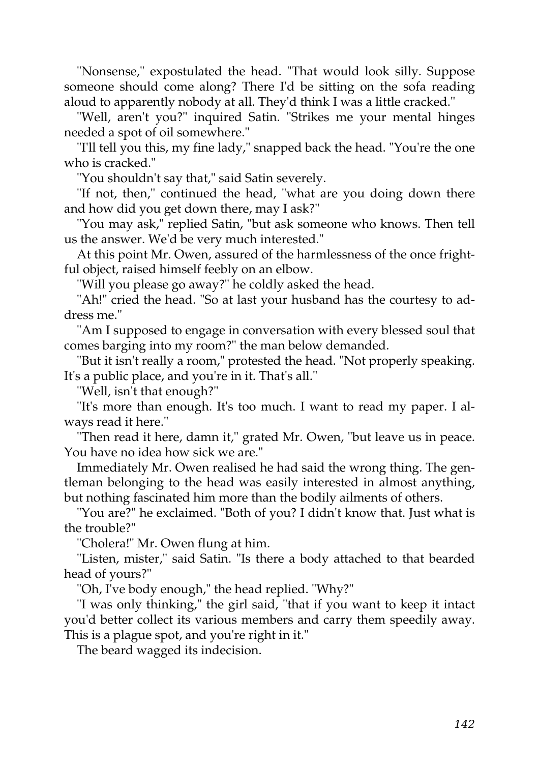"Nonsense," expostulated the head. "That would look silly. Suppose someone should come along? There I'd be sitting on the sofa reading aloud to apparently nobody at all. They'd think I was a little cracked."

"Well, aren't you?" inquired Satin. "Strikes me your mental hinges needed a spot of oil somewhere."

"I'll tell you this, my fine lady," snapped back the head. "You're the one who is cracked."

"You shouldn't say that," said Satin severely.

"If not, then," continued the head, "what are you doing down there and how did you get down there, may I ask?"

"You may ask," replied Satin, "but ask someone who knows. Then tell us the answer. We'd be very much interested."

At this point Mr. Owen, assured of the harmlessness of the once frightful object, raised himself feebly on an elbow.

"Will you please go away?" he coldly asked the head.

"Ah!" cried the head. "So at last your husband has the courtesy to address me."

"Am I supposed to engage in conversation with every blessed soul that comes barging into my room?" the man below demanded.

"But it isn't really a room," protested the head. "Not properly speaking. It's a public place, and you're in it. That's all."

"Well, isn't that enough?"

"It's more than enough. It's too much. I want to read my paper. I always read it here."

"Then read it here, damn it," grated Mr. Owen, "but leave us in peace. You have no idea how sick we are."

Immediately Mr. Owen realised he had said the wrong thing. The gentleman belonging to the head was easily interested in almost anything, but nothing fascinated him more than the bodily ailments of others.

"You are?" he exclaimed. "Both of you? I didn't know that. Just what is the trouble?"

"Cholera!" Mr. Owen flung at him.

"Listen, mister," said Satin. "Is there a body attached to that bearded head of yours?"

"Oh, I've body enough," the head replied. "Why?"

"I was only thinking," the girl said, "that if you want to keep it intact you'd better collect its various members and carry them speedily away. This is a plague spot, and you're right in it."

The beard wagged its indecision.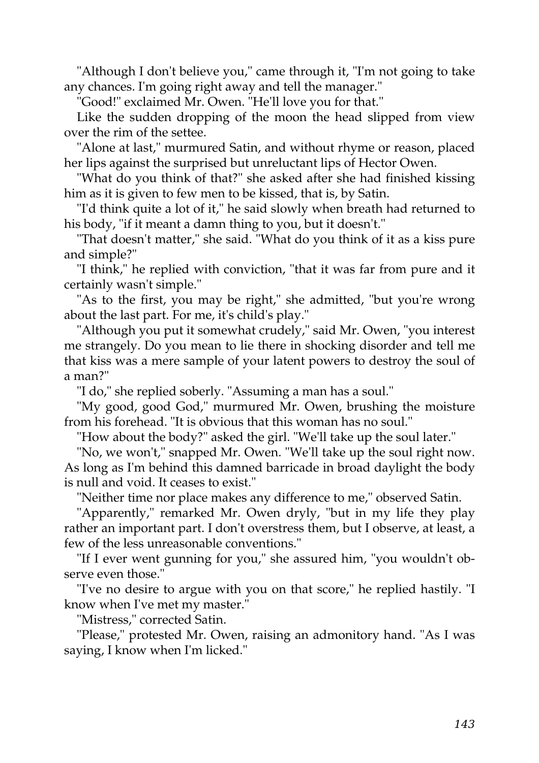"Although I don't believe you," came through it, "I'm not going to take any chances. I'm going right away and tell the manager."

"Good!" exclaimed Mr. Owen. "He'll love you for that."

Like the sudden dropping of the moon the head slipped from view over the rim of the settee.

"Alone at last," murmured Satin, and without rhyme or reason, placed her lips against the surprised but unreluctant lips of Hector Owen.

"What do you think of that?" she asked after she had finished kissing him as it is given to few men to be kissed, that is, by Satin.

"I'd think quite a lot of it," he said slowly when breath had returned to his body, "if it meant a damn thing to you, but it doesn't."

"That doesn't matter," she said. "What do you think of it as a kiss pure and simple?"

"I think," he replied with conviction, "that it was far from pure and it certainly wasn't simple."

"As to the first, you may be right," she admitted, "but you're wrong about the last part. For me, it's child's play."

"Although you put it somewhat crudely," said Mr. Owen, "you interest me strangely. Do you mean to lie there in shocking disorder and tell me that kiss was a mere sample of your latent powers to destroy the soul of a man?"

"I do," she replied soberly. "Assuming a man has a soul."

"My good, good God," murmured Mr. Owen, brushing the moisture from his forehead. "It is obvious that this woman has no soul."

"How about the body?" asked the girl. "We'll take up the soul later."

"No, we won't," snapped Mr. Owen. "We'll take up the soul right now. As long as I'm behind this damned barricade in broad daylight the body is null and void. It ceases to exist."

"Neither time nor place makes any difference to me," observed Satin.

"Apparently," remarked Mr. Owen dryly, "but in my life they play rather an important part. I don't overstress them, but I observe, at least, a few of the less unreasonable conventions."

"If I ever went gunning for you," she assured him, "you wouldn't observe even those."

"I've no desire to argue with you on that score," he replied hastily. "I know when I've met my master."

"Mistress," corrected Satin.

"Please," protested Mr. Owen, raising an admonitory hand. "As I was saying, I know when I'm licked."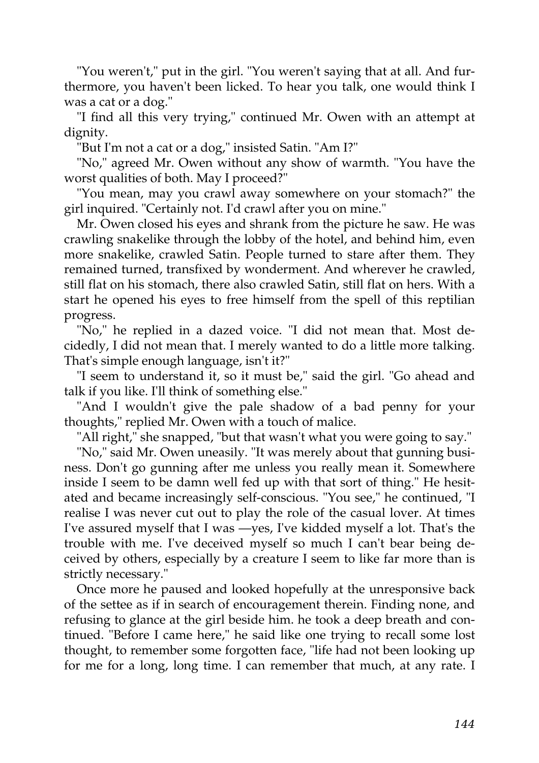"You weren't," put in the girl. "You weren't saying that at all. And furthermore, you haven't been licked. To hear you talk, one would think I was a cat or a dog."

"I find all this very trying," continued Mr. Owen with an attempt at dignity.

"But I'm not a cat or a dog," insisted Satin. "Am I?"

"No," agreed Mr. Owen without any show of warmth. "You have the worst qualities of both. May I proceed?"

"You mean, may you crawl away somewhere on your stomach?" the girl inquired. "Certainly not. I'd crawl after you on mine."

Mr. Owen closed his eyes and shrank from the picture he saw. He was crawling snakelike through the lobby of the hotel, and behind him, even more snakelike, crawled Satin. People turned to stare after them. They remained turned, transfixed by wonderment. And wherever he crawled, still flat on his stomach, there also crawled Satin, still flat on hers. With a start he opened his eyes to free himself from the spell of this reptilian progress.

"No," he replied in a dazed voice. "I did not mean that. Most decidedly, I did not mean that. I merely wanted to do a little more talking. That's simple enough language, isn't it?"

"I seem to understand it, so it must be," said the girl. "Go ahead and talk if you like. I'll think of something else."

"And I wouldn't give the pale shadow of a bad penny for your thoughts," replied Mr. Owen with a touch of malice.

"All right," she snapped, "but that wasn't what you were going to say."

"No," said Mr. Owen uneasily. "It was merely about that gunning business. Don't go gunning after me unless you really mean it. Somewhere inside I seem to be damn well fed up with that sort of thing." He hesitated and became increasingly self-conscious. "You see," he continued, "I realise I was never cut out to play the role of the casual lover. At times I've assured myself that I was —yes, I've kidded myself a lot. That's the trouble with me. I've deceived myself so much I can't bear being deceived by others, especially by a creature I seem to like far more than is strictly necessary."

Once more he paused and looked hopefully at the unresponsive back of the settee as if in search of encouragement therein. Finding none, and refusing to glance at the girl beside him. he took a deep breath and continued. "Before I came here," he said like one trying to recall some lost thought, to remember some forgotten face, "life had not been looking up for me for a long, long time. I can remember that much, at any rate. I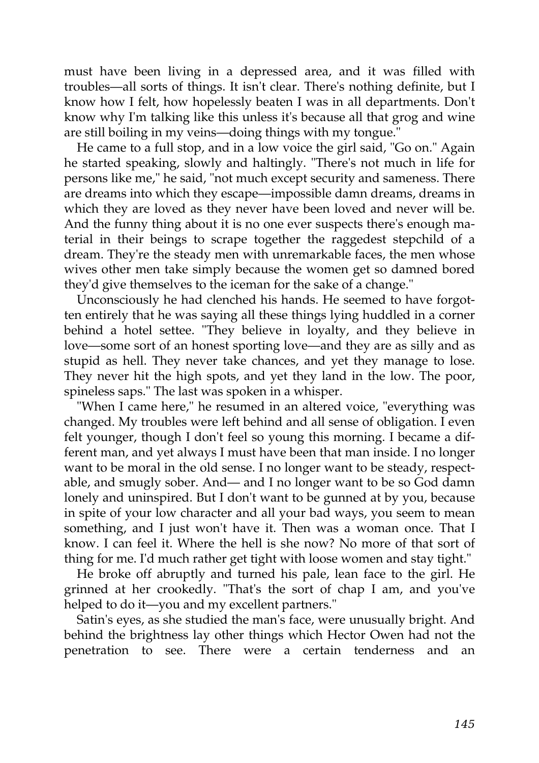must have been living in a depressed area, and it was filled with troubles—all sorts of things. It isn't clear. There's nothing definite, but I know how I felt, how hopelessly beaten I was in all departments. Don't know why I'm talking like this unless it's because all that grog and wine are still boiling in my veins—doing things with my tongue."

He came to a full stop, and in a low voice the girl said, "Go on." Again he started speaking, slowly and haltingly. "There's not much in life for persons like me," he said, "not much except security and sameness. There are dreams into which they escape—impossible damn dreams, dreams in which they are loved as they never have been loved and never will be. And the funny thing about it is no one ever suspects there's enough material in their beings to scrape together the raggedest stepchild of a dream. They're the steady men with unremarkable faces, the men whose wives other men take simply because the women get so damned bored they'd give themselves to the iceman for the sake of a change."

Unconsciously he had clenched his hands. He seemed to have forgotten entirely that he was saying all these things lying huddled in a corner behind a hotel settee. "They believe in loyalty, and they believe in love—some sort of an honest sporting love—and they are as silly and as stupid as hell. They never take chances, and yet they manage to lose. They never hit the high spots, and yet they land in the low. The poor, spineless saps." The last was spoken in a whisper.

"When I came here," he resumed in an altered voice, "everything was changed. My troubles were left behind and all sense of obligation. I even felt younger, though I don't feel so young this morning. I became a different man, and yet always I must have been that man inside. I no longer want to be moral in the old sense. I no longer want to be steady, respectable, and smugly sober. And— and I no longer want to be so God damn lonely and uninspired. But I don't want to be gunned at by you, because in spite of your low character and all your bad ways, you seem to mean something, and I just won't have it. Then was a woman once. That I know. I can feel it. Where the hell is she now? No more of that sort of thing for me. I'd much rather get tight with loose women and stay tight."

He broke off abruptly and turned his pale, lean face to the girl. He grinned at her crookedly. "That's the sort of chap I am, and you've helped to do it—you and my excellent partners."

Satin's eyes, as she studied the man's face, were unusually bright. And behind the brightness lay other things which Hector Owen had not the penetration to see. There were a certain tenderness and an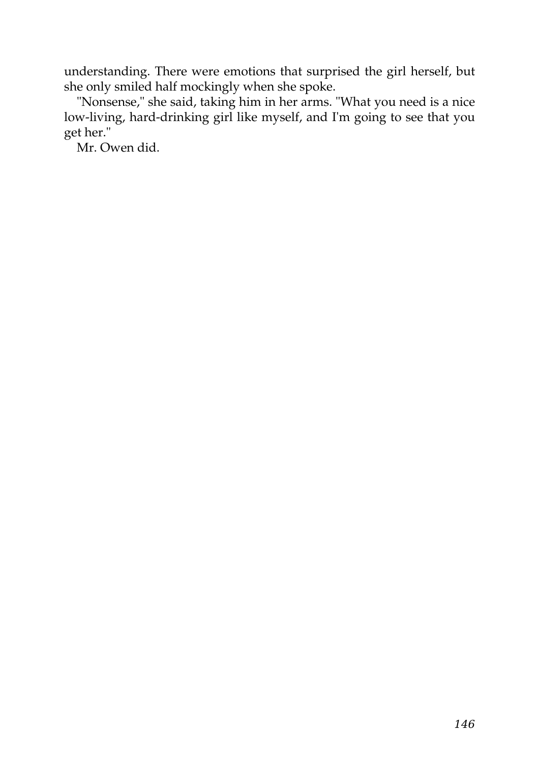understanding. There were emotions that surprised the girl herself, but she only smiled half mockingly when she spoke.

"Nonsense," she said, taking him in her arms. "What you need is a nice low-living, hard-drinking girl like myself, and I'm going to see that you get her."

Mr. Owen did.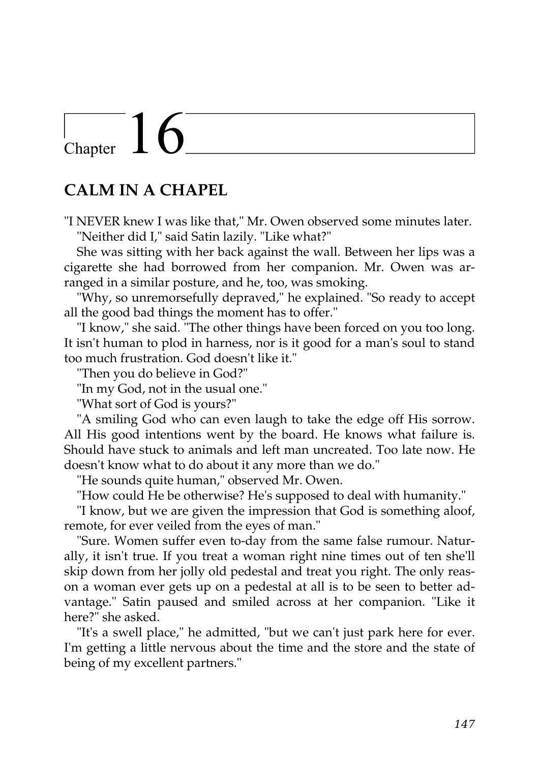# $\frac{1}{2}$ Chapter  $16$

### **CALM IN A CHAPEL**

"I NEVER knew I was like that," Mr. Owen observed some minutes later. "Neither did I," said Satin lazily. "Like what?"

She was sitting with her back against the wall. Between her lips was a cigarette she had borrowed from her companion. Mr. Owen was arranged in a similar posture, and he, too, was smoking.

"Why, so unremorsefully depraved," he explained. "So ready to accept all the good bad things the moment has to offer."

"I know," she said. "The other things have been forced on you too long. It isn't human to plod in harness, nor is it good for a man's soul to stand too much frustration. God doesn't like it."

"Then you do believe in God?"

"In my God, not in the usual one."

"What sort of God is yours?"

"A smiling God who can even laugh to take the edge off His sorrow. All His good intentions went by the board. He knows what failure is. Should have stuck to animals and left man uncreated. Too late now. He doesn't know what to do about it any more than we do."

"He sounds quite human," observed Mr. Owen.

"How could He be otherwise? He's supposed to deal with humanity."

"I know, but we are given the impression that God is something aloof, remote, for ever veiled from the eyes of man."

"Sure. Women suffer even to-day from the same false rumour. Naturally, it isn't true. If you treat a woman right nine times out of ten she'll skip down from her jolly old pedestal and treat you right. The only reason a woman ever gets up on a pedestal at all is to be seen to better advantage." Satin paused and smiled across at her companion. "Like it here?" she asked.

"It's a swell place," he admitted, "but we can't just park here for ever. I'm getting a little nervous about the time and the store and the state of being of my excellent partners."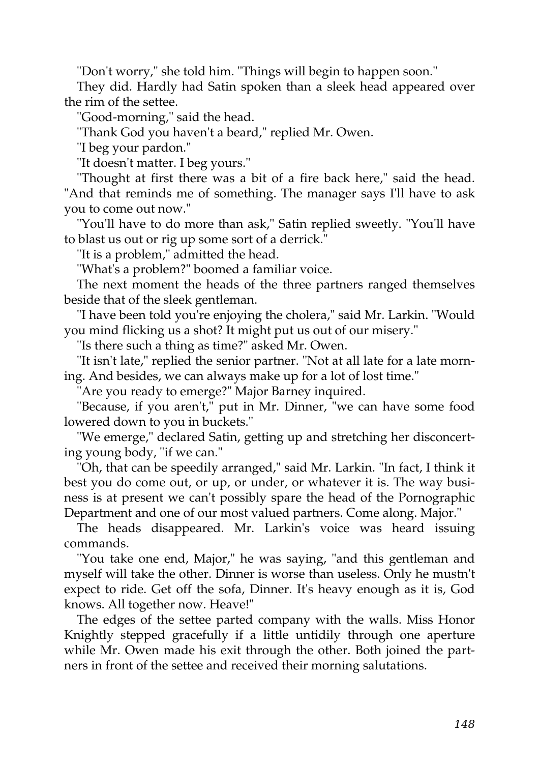"Don't worry," she told him. "Things will begin to happen soon."

They did. Hardly had Satin spoken than a sleek head appeared over the rim of the settee.

"Good-morning," said the head.

"Thank God you haven't a beard," replied Mr. Owen.

"I beg your pardon."

"It doesn't matter. I beg yours."

"Thought at first there was a bit of a fire back here," said the head. "And that reminds me of something. The manager says I'll have to ask you to come out now."

"You'll have to do more than ask," Satin replied sweetly. "You'll have to blast us out or rig up some sort of a derrick."

"It is a problem," admitted the head.

"What's a problem?" boomed a familiar voice.

The next moment the heads of the three partners ranged themselves beside that of the sleek gentleman.

"I have been told you're enjoying the cholera," said Mr. Larkin. "Would you mind flicking us a shot? It might put us out of our misery."

"Is there such a thing as time?" asked Mr. Owen.

"It isn't late," replied the senior partner. "Not at all late for a late morning. And besides, we can always make up for a lot of lost time."

"Are you ready to emerge?" Major Barney inquired.

"Because, if you aren't," put in Mr. Dinner, "we can have some food lowered down to you in buckets."

"We emerge," declared Satin, getting up and stretching her disconcerting young body, "if we can."

"Oh, that can be speedily arranged," said Mr. Larkin. "In fact, I think it best you do come out, or up, or under, or whatever it is. The way business is at present we can't possibly spare the head of the Pornographic Department and one of our most valued partners. Come along. Major."

The heads disappeared. Mr. Larkin's voice was heard issuing commands.

"You take one end, Major," he was saying, "and this gentleman and myself will take the other. Dinner is worse than useless. Only he mustn't expect to ride. Get off the sofa, Dinner. It's heavy enough as it is, God knows. All together now. Heave!"

The edges of the settee parted company with the walls. Miss Honor Knightly stepped gracefully if a little untidily through one aperture while Mr. Owen made his exit through the other. Both joined the partners in front of the settee and received their morning salutations.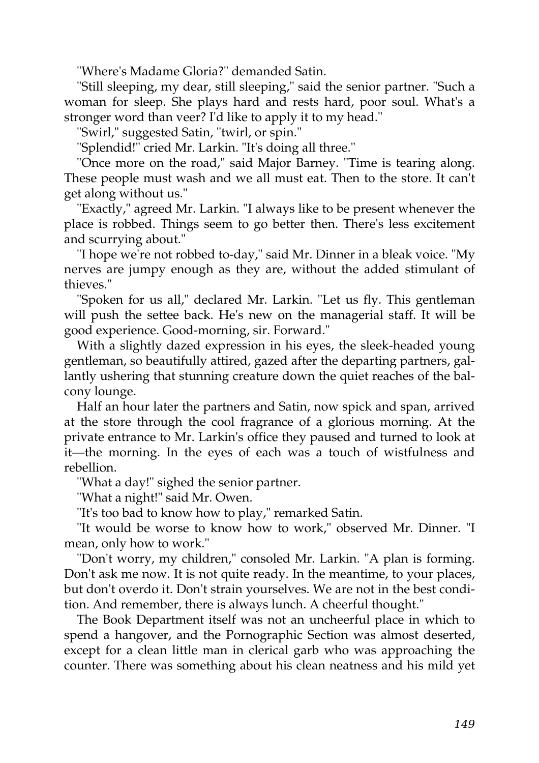"Where's Madame Gloria?" demanded Satin.

"Still sleeping, my dear, still sleeping," said the senior partner. "Such a woman for sleep. She plays hard and rests hard, poor soul. What's a stronger word than veer? I'd like to apply it to my head."

"Swirl," suggested Satin, "twirl, or spin."

"Splendid!" cried Mr. Larkin. "It's doing all three."

"Once more on the road," said Major Barney. "Time is tearing along. These people must wash and we all must eat. Then to the store. It can't get along without us."

"Exactly," agreed Mr. Larkin. "I always like to be present whenever the place is robbed. Things seem to go better then. There's less excitement and scurrying about."

"I hope we're not robbed to-day," said Mr. Dinner in a bleak voice. "My nerves are jumpy enough as they are, without the added stimulant of thieves."

"Spoken for us all," declared Mr. Larkin. "Let us fly. This gentleman will push the settee back. He's new on the managerial staff. It will be good experience. Good-morning, sir. Forward."

With a slightly dazed expression in his eyes, the sleek-headed young gentleman, so beautifully attired, gazed after the departing partners, gallantly ushering that stunning creature down the quiet reaches of the balcony lounge.

Half an hour later the partners and Satin, now spick and span, arrived at the store through the cool fragrance of a glorious morning. At the private entrance to Mr. Larkin's office they paused and turned to look at it—the morning. In the eyes of each was a touch of wistfulness and rebellion.

"What a day!" sighed the senior partner.

"What a night!" said Mr. Owen.

"It's too bad to know how to play," remarked Satin.

"It would be worse to know how to work," observed Mr. Dinner. "I mean, only how to work."

"Don't worry, my children," consoled Mr. Larkin. "A plan is forming. Don't ask me now. It is not quite ready. In the meantime, to your places, but don't overdo it. Don't strain yourselves. We are not in the best condition. And remember, there is always lunch. A cheerful thought."

The Book Department itself was not an uncheerful place in which to spend a hangover, and the Pornographic Section was almost deserted, except for a clean little man in clerical garb who was approaching the counter. There was something about his clean neatness and his mild yet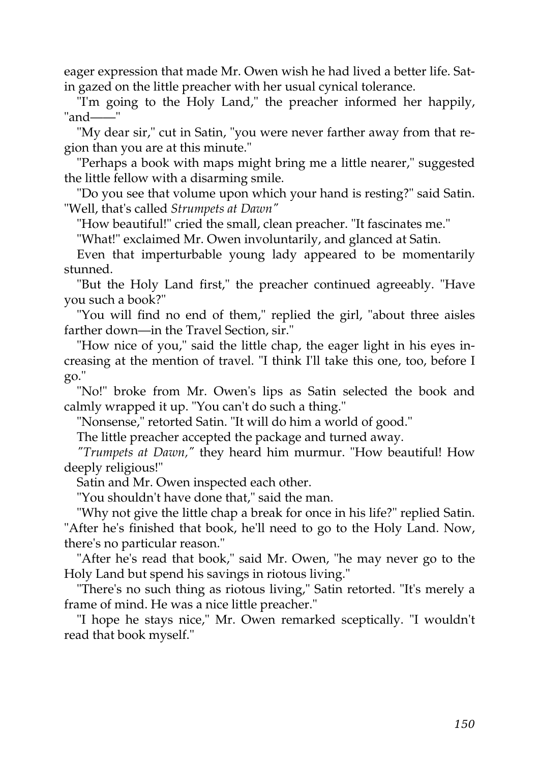eager expression that made Mr. Owen wish he had lived a better life. Satin gazed on the little preacher with her usual cynical tolerance.

"I'm going to the Holy Land," the preacher informed her happily, "and-

"My dear sir," cut in Satin, "you were never farther away from that region than you are at this minute."

"Perhaps a book with maps might bring me a little nearer," suggested the little fellow with a disarming smile.

"Do you see that volume upon which your hand is resting?" said Satin. "Well, that's called *Strumpets at Dawn"*

"How beautiful!" cried the small, clean preacher. "It fascinates me."

"What!" exclaimed Mr. Owen involuntarily, and glanced at Satin.

Even that imperturbable young lady appeared to be momentarily stunned.

"But the Holy Land first," the preacher continued agreeably. "Have you such a book?"

"You will find no end of them," replied the girl, "about three aisles farther down—in the Travel Section, sir."

"How nice of you," said the little chap, the eager light in his eyes increasing at the mention of travel. "I think I'll take this one, too, before I go."

"No!" broke from Mr. Owen's lips as Satin selected the book and calmly wrapped it up. "You can't do such a thing."

"Nonsense," retorted Satin. "It will do him a world of good."

The little preacher accepted the package and turned away.

*"Trumpets at Dawn,"* they heard him murmur. "How beautiful! How deeply religious!"

Satin and Mr. Owen inspected each other.

"You shouldn't have done that," said the man.

"Why not give the little chap a break for once in his life?" replied Satin. "After he's finished that book, he'll need to go to the Holy Land. Now, there's no particular reason."

"After he's read that book," said Mr. Owen, "he may never go to the Holy Land but spend his savings in riotous living."

"There's no such thing as riotous living," Satin retorted. "It's merely a frame of mind. He was a nice little preacher."

"I hope he stays nice," Mr. Owen remarked sceptically. "I wouldn't read that book myself."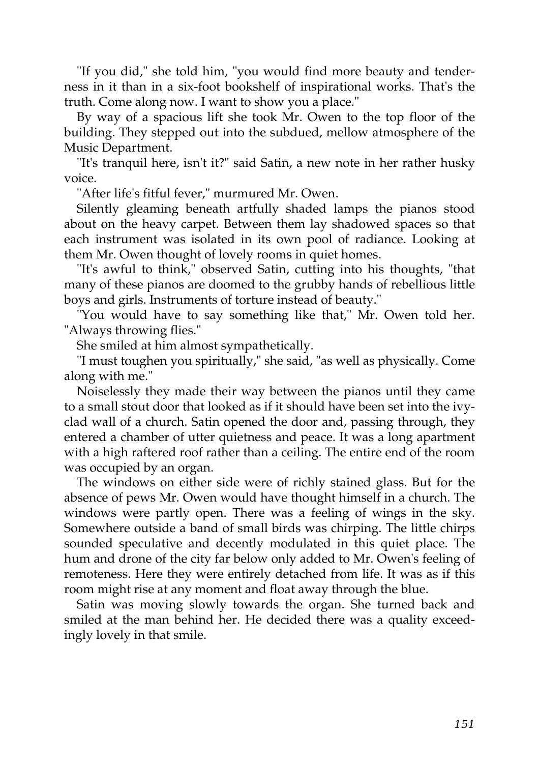"If you did," she told him, "you would find more beauty and tenderness in it than in a six-foot bookshelf of inspirational works. That's the truth. Come along now. I want to show you a place."

By way of a spacious lift she took Mr. Owen to the top floor of the building. They stepped out into the subdued, mellow atmosphere of the Music Department.

"It's tranquil here, isn't it?" said Satin, a new note in her rather husky voice.

"After life's fitful fever," murmured Mr. Owen.

Silently gleaming beneath artfully shaded lamps the pianos stood about on the heavy carpet. Between them lay shadowed spaces so that each instrument was isolated in its own pool of radiance. Looking at them Mr. Owen thought of lovely rooms in quiet homes.

"It's awful to think," observed Satin, cutting into his thoughts, "that many of these pianos are doomed to the grubby hands of rebellious little boys and girls. Instruments of torture instead of beauty."

"You would have to say something like that," Mr. Owen told her. "Always throwing flies."

She smiled at him almost sympathetically.

"I must toughen you spiritually," she said, "as well as physically. Come along with me."

Noiselessly they made their way between the pianos until they came to a small stout door that looked as if it should have been set into the ivyclad wall of a church. Satin opened the door and, passing through, they entered a chamber of utter quietness and peace. It was a long apartment with a high raftered roof rather than a ceiling. The entire end of the room was occupied by an organ.

The windows on either side were of richly stained glass. But for the absence of pews Mr. Owen would have thought himself in a church. The windows were partly open. There was a feeling of wings in the sky. Somewhere outside a band of small birds was chirping. The little chirps sounded speculative and decently modulated in this quiet place. The hum and drone of the city far below only added to Mr. Owen's feeling of remoteness. Here they were entirely detached from life. It was as if this room might rise at any moment and float away through the blue.

Satin was moving slowly towards the organ. She turned back and smiled at the man behind her. He decided there was a quality exceedingly lovely in that smile.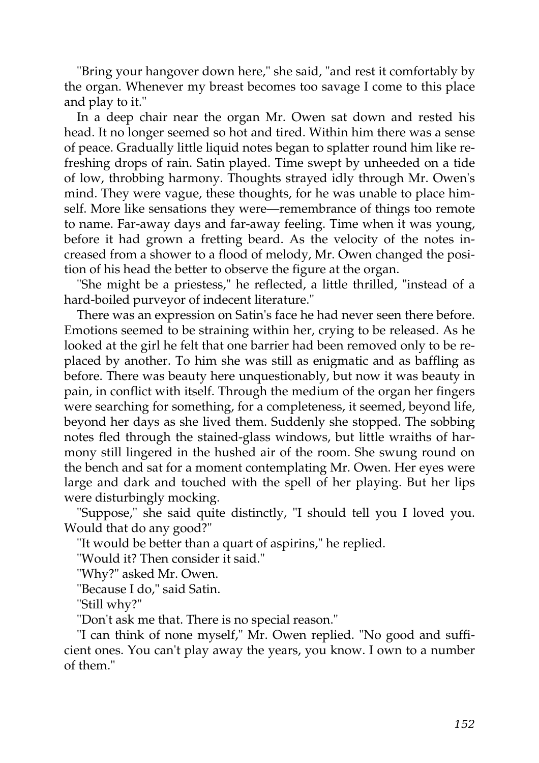"Bring your hangover down here," she said, "and rest it comfortably by the organ. Whenever my breast becomes too savage I come to this place and play to it."

In a deep chair near the organ Mr. Owen sat down and rested his head. It no longer seemed so hot and tired. Within him there was a sense of peace. Gradually little liquid notes began to splatter round him like refreshing drops of rain. Satin played. Time swept by unheeded on a tide of low, throbbing harmony. Thoughts strayed idly through Mr. Owen's mind. They were vague, these thoughts, for he was unable to place himself. More like sensations they were—remembrance of things too remote to name. Far-away days and far-away feeling. Time when it was young, before it had grown a fretting beard. As the velocity of the notes increased from a shower to a flood of melody, Mr. Owen changed the position of his head the better to observe the figure at the organ.

"She might be a priestess," he reflected, a little thrilled, "instead of a hard-boiled purveyor of indecent literature."

There was an expression on Satin's face he had never seen there before. Emotions seemed to be straining within her, crying to be released. As he looked at the girl he felt that one barrier had been removed only to be replaced by another. To him she was still as enigmatic and as baffling as before. There was beauty here unquestionably, but now it was beauty in pain, in conflict with itself. Through the medium of the organ her fingers were searching for something, for a completeness, it seemed, beyond life, beyond her days as she lived them. Suddenly she stopped. The sobbing notes fled through the stained-glass windows, but little wraiths of harmony still lingered in the hushed air of the room. She swung round on the bench and sat for a moment contemplating Mr. Owen. Her eyes were large and dark and touched with the spell of her playing. But her lips were disturbingly mocking.

"Suppose," she said quite distinctly, "I should tell you I loved you. Would that do any good?"

"It would be better than a quart of aspirins," he replied.

"Would it? Then consider it said."

"Why?" asked Mr. Owen.

"Because I do," said Satin.

"Still why?"

"Don't ask me that. There is no special reason."

"I can think of none myself," Mr. Owen replied. "No good and sufficient ones. You can't play away the years, you know. I own to a number of them."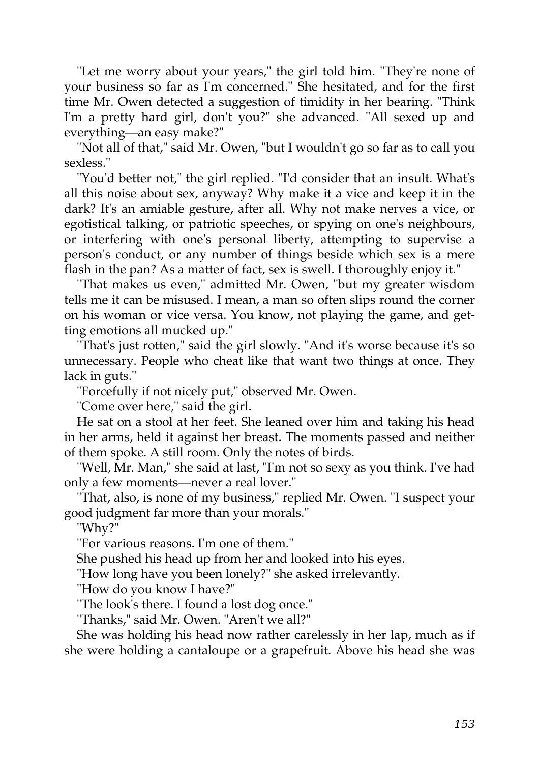"Let me worry about your years," the girl told him. "They're none of your business so far as I'm concerned." She hesitated, and for the first time Mr. Owen detected a suggestion of timidity in her bearing. "Think I'm a pretty hard girl, don't you?" she advanced. "All sexed up and everything—an easy make?"

"Not all of that," said Mr. Owen, "but I wouldn't go so far as to call you sexless."

"You'd better not," the girl replied. "I'd consider that an insult. What's all this noise about sex, anyway? Why make it a vice and keep it in the dark? It's an amiable gesture, after all. Why not make nerves a vice, or egotistical talking, or patriotic speeches, or spying on one's neighbours, or interfering with one's personal liberty, attempting to supervise a person's conduct, or any number of things beside which sex is a mere flash in the pan? As a matter of fact, sex is swell. I thoroughly enjoy it."

"That makes us even," admitted Mr. Owen, "but my greater wisdom tells me it can be misused. I mean, a man so often slips round the corner on his woman or vice versa. You know, not playing the game, and getting emotions all mucked up."

"That's just rotten," said the girl slowly. "And it's worse because it's so unnecessary. People who cheat like that want two things at once. They lack in guts."

"Forcefully if not nicely put," observed Mr. Owen.

"Come over here," said the girl.

He sat on a stool at her feet. She leaned over him and taking his head in her arms, held it against her breast. The moments passed and neither of them spoke. A still room. Only the notes of birds.

"Well, Mr. Man," she said at last, "I'm not so sexy as you think. I've had only a few moments—never a real lover."

"That, also, is none of my business," replied Mr. Owen. "I suspect your good judgment far more than your morals."

"Why?"

"For various reasons. I'm one of them."

She pushed his head up from her and looked into his eyes.

"How long have you been lonely?" she asked irrelevantly.

"How do you know I have?"

"The look's there. I found a lost dog once."

"Thanks," said Mr. Owen. "Aren't we all?"

She was holding his head now rather carelessly in her lap, much as if she were holding a cantaloupe or a grapefruit. Above his head she was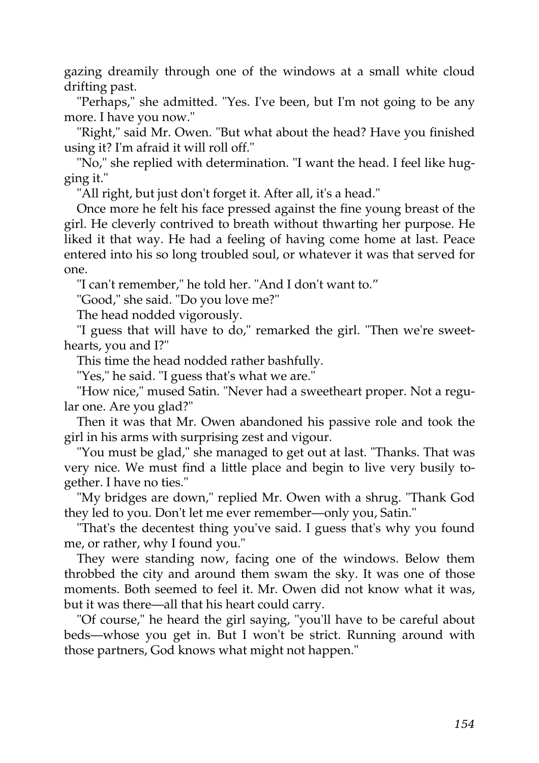gazing dreamily through one of the windows at a small white cloud drifting past.

"Perhaps," she admitted. "Yes. I've been, but I'm not going to be any more. I have you now."

"Right," said Mr. Owen. "But what about the head? Have you finished using it? I'm afraid it will roll off."

"No," she replied with determination. "I want the head. I feel like hugging it."

"All right, but just don't forget it. After all, it's a head."

Once more he felt his face pressed against the fine young breast of the girl. He cleverly contrived to breath without thwarting her purpose. He liked it that way. He had a feeling of having come home at last. Peace entered into his so long troubled soul, or whatever it was that served for one.

"I can't remember," he told her. "And I don't want to."

"Good," she said. "Do you love me?"

The head nodded vigorously.

"I guess that will have to do," remarked the girl. "Then we're sweethearts, you and I?"

This time the head nodded rather bashfully.

"Yes," he said. "I guess that's what we are."

"How nice," mused Satin. "Never had a sweetheart proper. Not a regular one. Are you glad?"

Then it was that Mr. Owen abandoned his passive role and took the girl in his arms with surprising zest and vigour.

"You must be glad," she managed to get out at last. "Thanks. That was very nice. We must find a little place and begin to live very busily together. I have no ties."

"My bridges are down," replied Mr. Owen with a shrug. "Thank God they led to you. Don't let me ever remember—only you, Satin."

"That's the decentest thing you've said. I guess that's why you found me, or rather, why I found you."

They were standing now, facing one of the windows. Below them throbbed the city and around them swam the sky. It was one of those moments. Both seemed to feel it. Mr. Owen did not know what it was, but it was there—all that his heart could carry.

"Of course," he heard the girl saying, "you'll have to be careful about beds—whose you get in. But I won't be strict. Running around with those partners, God knows what might not happen."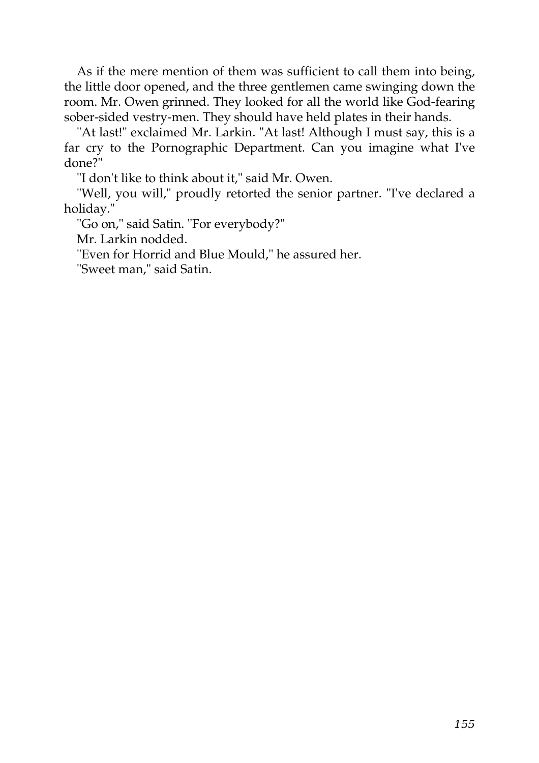As if the mere mention of them was sufficient to call them into being, the little door opened, and the three gentlemen came swinging down the room. Mr. Owen grinned. They looked for all the world like God-fearing sober-sided vestry-men. They should have held plates in their hands.

"At last!" exclaimed Mr. Larkin. "At last! Although I must say, this is a far cry to the Pornographic Department. Can you imagine what I've done?"

"I don't like to think about it," said Mr. Owen.

"Well, you will," proudly retorted the senior partner. "I've declared a holiday."

"Go on," said Satin. "For everybody?"

Mr. Larkin nodded.

"Even for Horrid and Blue Mould," he assured her.

"Sweet man," said Satin.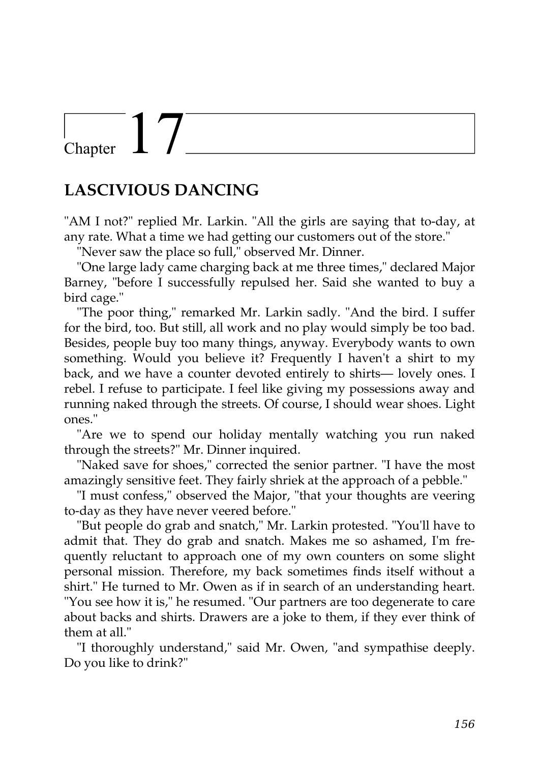# $\begin{bmatrix} 1 & 1 \\ 1 & 1 \end{bmatrix}$

### **LASCIVIOUS DANCING**

"AM I not?" replied Mr. Larkin. "All the girls are saying that to-day, at any rate. What a time we had getting our customers out of the store."

"Never saw the place so full," observed Mr. Dinner.

"One large lady came charging back at me three times," declared Major Barney, "before I successfully repulsed her. Said she wanted to buy a bird cage."

"The poor thing," remarked Mr. Larkin sadly. "And the bird. I suffer for the bird, too. But still, all work and no play would simply be too bad. Besides, people buy too many things, anyway. Everybody wants to own something. Would you believe it? Frequently I haven't a shirt to my back, and we have a counter devoted entirely to shirts— lovely ones. I rebel. I refuse to participate. I feel like giving my possessions away and running naked through the streets. Of course, I should wear shoes. Light ones."

"Are we to spend our holiday mentally watching you run naked through the streets?" Mr. Dinner inquired.

"Naked save for shoes," corrected the senior partner. "I have the most amazingly sensitive feet. They fairly shriek at the approach of a pebble."

"I must confess," observed the Major, "that your thoughts are veering to-day as they have never veered before."

"But people do grab and snatch," Mr. Larkin protested. "You'll have to admit that. They do grab and snatch. Makes me so ashamed, I'm frequently reluctant to approach one of my own counters on some slight personal mission. Therefore, my back sometimes finds itself without a shirt." He turned to Mr. Owen as if in search of an understanding heart. "You see how it is," he resumed. "Our partners are too degenerate to care about backs and shirts. Drawers are a joke to them, if they ever think of them at all."

"I thoroughly understand," said Mr. Owen, "and sympathise deeply. Do you like to drink?"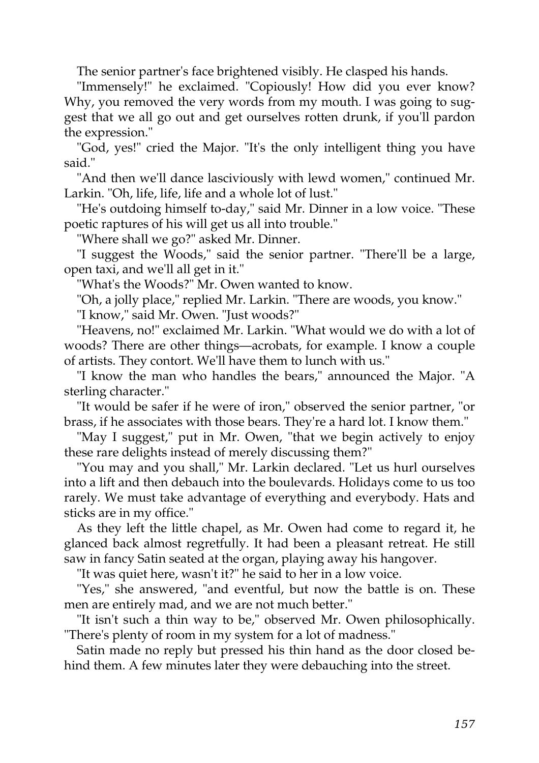The senior partner's face brightened visibly. He clasped his hands.

"Immensely!" he exclaimed. "Copiously! How did you ever know? Why, you removed the very words from my mouth. I was going to suggest that we all go out and get ourselves rotten drunk, if you'll pardon the expression."

"God, yes!" cried the Major. "It's the only intelligent thing you have said."

"And then we'll dance lasciviously with lewd women," continued Mr. Larkin. "Oh, life, life, life and a whole lot of lust."

"He's outdoing himself to-day," said Mr. Dinner in a low voice. "These poetic raptures of his will get us all into trouble."

"Where shall we go?" asked Mr. Dinner.

"I suggest the Woods," said the senior partner. "There'll be a large, open taxi, and we'll all get in it."

"What's the Woods?" Mr. Owen wanted to know.

"Oh, a jolly place," replied Mr. Larkin. "There are woods, you know."

"I know," said Mr. Owen. "Just woods?"

"Heavens, no!" exclaimed Mr. Larkin. "What would we do with a lot of woods? There are other things—acrobats, for example. I know a couple of artists. They contort. We'll have them to lunch with us."

"I know the man who handles the bears," announced the Major. "A sterling character."

"It would be safer if he were of iron," observed the senior partner, "or brass, if he associates with those bears. They're a hard lot. I know them."

"May I suggest," put in Mr. Owen, "that we begin actively to enjoy these rare delights instead of merely discussing them?"

"You may and you shall," Mr. Larkin declared. "Let us hurl ourselves into a lift and then debauch into the boulevards. Holidays come to us too rarely. We must take advantage of everything and everybody. Hats and sticks are in my office."

As they left the little chapel, as Mr. Owen had come to regard it, he glanced back almost regretfully. It had been a pleasant retreat. He still saw in fancy Satin seated at the organ, playing away his hangover.

"It was quiet here, wasn't it?" he said to her in a low voice.

"Yes," she answered, "and eventful, but now the battle is on. These men are entirely mad, and we are not much better."

"It isn't such a thin way to be," observed Mr. Owen philosophically. "There's plenty of room in my system for a lot of madness."

Satin made no reply but pressed his thin hand as the door closed behind them. A few minutes later they were debauching into the street.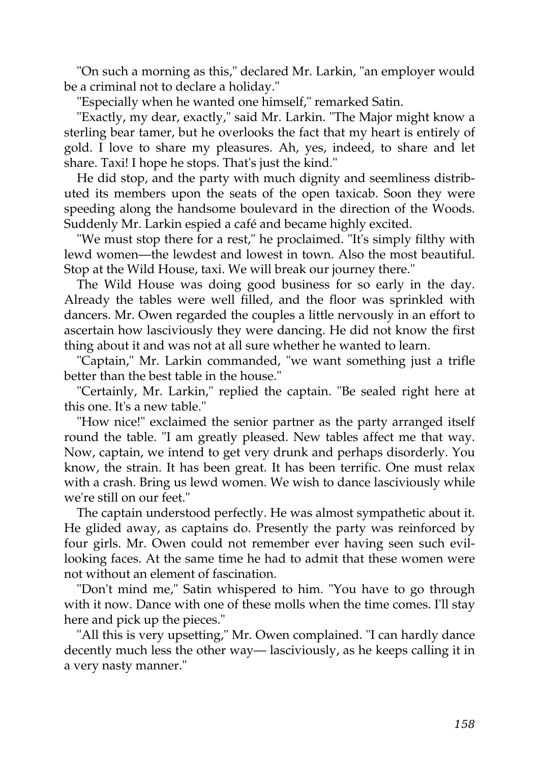"On such a morning as this," declared Mr. Larkin, "an employer would be a criminal not to declare a holiday."

"Especially when he wanted one himself," remarked Satin.

"Exactly, my dear, exactly," said Mr. Larkin. "The Major might know a sterling bear tamer, but he overlooks the fact that my heart is entirely of gold. I love to share my pleasures. Ah, yes, indeed, to share and let share. Taxi! I hope he stops. That's just the kind."

He did stop, and the party with much dignity and seemliness distributed its members upon the seats of the open taxicab. Soon they were speeding along the handsome boulevard in the direction of the Woods. Suddenly Mr. Larkin espied a café and became highly excited.

"We must stop there for a rest," he proclaimed. "It's simply filthy with lewd women—the lewdest and lowest in town. Also the most beautiful. Stop at the Wild House, taxi. We will break our journey there."

The Wild House was doing good business for so early in the day. Already the tables were well filled, and the floor was sprinkled with dancers. Mr. Owen regarded the couples a little nervously in an effort to ascertain how lasciviously they were dancing. He did not know the first thing about it and was not at all sure whether he wanted to learn.

"Captain," Mr. Larkin commanded, "we want something just a trifle better than the best table in the house."

"Certainly, Mr. Larkin," replied the captain. "Be sealed right here at this one. It's a new table."

"How nice!" exclaimed the senior partner as the party arranged itself round the table. "I am greatly pleased. New tables affect me that way. Now, captain, we intend to get very drunk and perhaps disorderly. You know, the strain. It has been great. It has been terrific. One must relax with a crash. Bring us lewd women. We wish to dance lasciviously while we're still on our feet."

The captain understood perfectly. He was almost sympathetic about it. He glided away, as captains do. Presently the party was reinforced by four girls. Mr. Owen could not remember ever having seen such evillooking faces. At the same time he had to admit that these women were not without an element of fascination.

"Don't mind me," Satin whispered to him. "You have to go through with it now. Dance with one of these molls when the time comes. I'll stay here and pick up the pieces."

"All this is very upsetting," Mr. Owen complained. "I can hardly dance decently much less the other way— lasciviously, as he keeps calling it in a very nasty manner."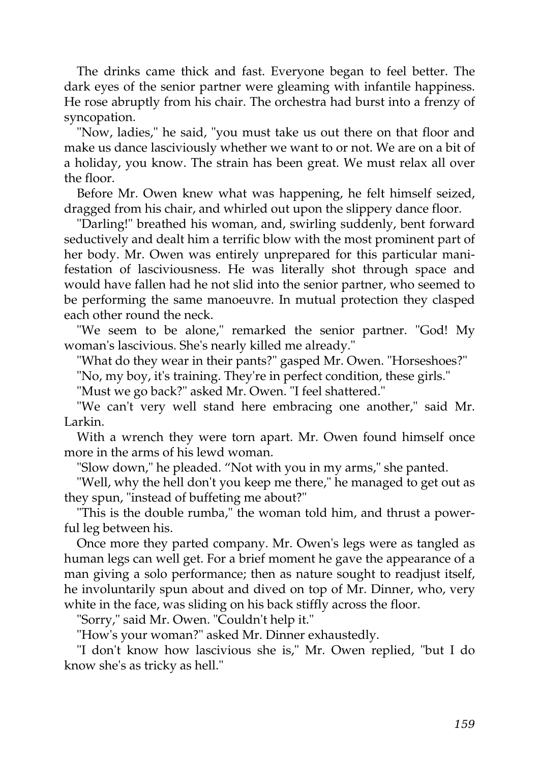The drinks came thick and fast. Everyone began to feel better. The dark eyes of the senior partner were gleaming with infantile happiness. He rose abruptly from his chair. The orchestra had burst into a frenzy of syncopation.

"Now, ladies," he said, "you must take us out there on that floor and make us dance lasciviously whether we want to or not. We are on a bit of a holiday, you know. The strain has been great. We must relax all over the floor.

Before Mr. Owen knew what was happening, he felt himself seized, dragged from his chair, and whirled out upon the slippery dance floor.

"Darling!" breathed his woman, and, swirling suddenly, bent forward seductively and dealt him a terrific blow with the most prominent part of her body. Mr. Owen was entirely unprepared for this particular manifestation of lasciviousness. He was literally shot through space and would have fallen had he not slid into the senior partner, who seemed to be performing the same manoeuvre. In mutual protection they clasped each other round the neck.

"We seem to be alone," remarked the senior partner. "God! My woman's lascivious. She's nearly killed me already."

"What do they wear in their pants?" gasped Mr. Owen. "Horseshoes?"

"No, my boy, it's training. They're in perfect condition, these girls."

"Must we go back?" asked Mr. Owen. "I feel shattered."

"We can't very well stand here embracing one another," said Mr. Larkin.

With a wrench they were torn apart. Mr. Owen found himself once more in the arms of his lewd woman.

"Slow down," he pleaded. "Not with you in my arms," she panted.

"Well, why the hell don't you keep me there," he managed to get out as they spun, "instead of buffeting me about?"

"This is the double rumba," the woman told him, and thrust a powerful leg between his.

Once more they parted company. Mr. Owen's legs were as tangled as human legs can well get. For a brief moment he gave the appearance of a man giving a solo performance; then as nature sought to readjust itself, he involuntarily spun about and dived on top of Mr. Dinner, who, very white in the face, was sliding on his back stiffly across the floor.

"Sorry," said Mr. Owen. "Couldn't help it."

"How's your woman?" asked Mr. Dinner exhaustedly.

"I don't know how lascivious she is," Mr. Owen replied, "but I do know she's as tricky as hell."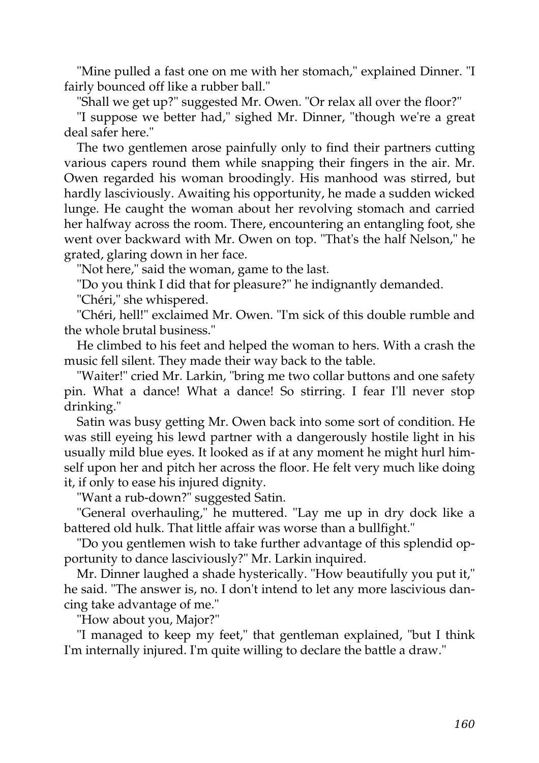"Mine pulled a fast one on me with her stomach," explained Dinner. "I fairly bounced off like a rubber ball."

"Shall we get up?" suggested Mr. Owen. "Or relax all over the floor?"

"I suppose we better had," sighed Mr. Dinner, "though we're a great deal safer here."

The two gentlemen arose painfully only to find their partners cutting various capers round them while snapping their fingers in the air. Mr. Owen regarded his woman broodingly. His manhood was stirred, but hardly lasciviously. Awaiting his opportunity, he made a sudden wicked lunge. He caught the woman about her revolving stomach and carried her halfway across the room. There, encountering an entangling foot, she went over backward with Mr. Owen on top. "That's the half Nelson," he grated, glaring down in her face.

"Not here," said the woman, game to the last.

"Do you think I did that for pleasure?" he indignantly demanded.

"Chéri," she whispered.

"Chéri, hell!" exclaimed Mr. Owen. "I'm sick of this double rumble and the whole brutal business."

He climbed to his feet and helped the woman to hers. With a crash the music fell silent. They made their way back to the table.

"Waiter!" cried Mr. Larkin, "bring me two collar buttons and one safety pin. What a dance! What a dance! So stirring. I fear I'll never stop drinking."

Satin was busy getting Mr. Owen back into some sort of condition. He was still eyeing his lewd partner with a dangerously hostile light in his usually mild blue eyes. It looked as if at any moment he might hurl himself upon her and pitch her across the floor. He felt very much like doing it, if only to ease his injured dignity.

"Want a rub-down?" suggested Satin.

"General overhauling," he muttered. "Lay me up in dry dock like a battered old hulk. That little affair was worse than a bullfight."

"Do you gentlemen wish to take further advantage of this splendid opportunity to dance lasciviously?" Mr. Larkin inquired.

Mr. Dinner laughed a shade hysterically. "How beautifully you put it," he said. "The answer is, no. I don't intend to let any more lascivious dancing take advantage of me."

"How about you, Major?"

"I managed to keep my feet," that gentleman explained, "but I think I'm internally injured. I'm quite willing to declare the battle a draw."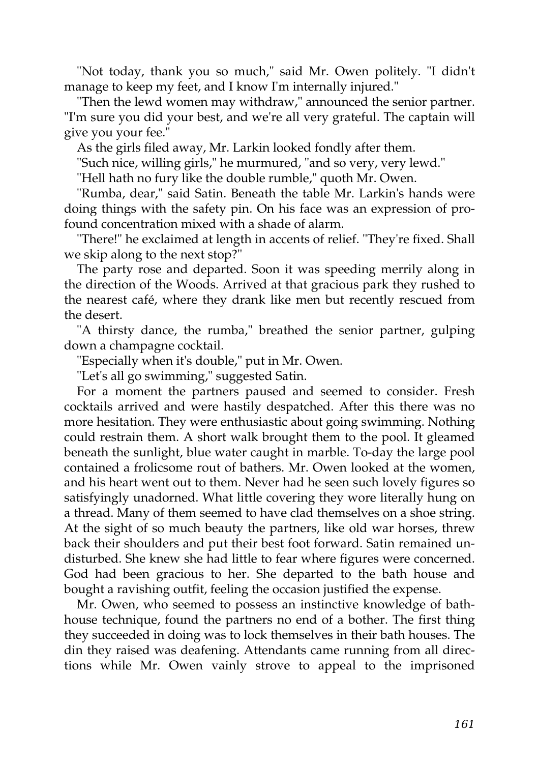"Not today, thank you so much," said Mr. Owen politely. "I didn't manage to keep my feet, and I know I'm internally injured."

"Then the lewd women may withdraw," announced the senior partner. "I'm sure you did your best, and we're all very grateful. The captain will give you your fee."

As the girls filed away, Mr. Larkin looked fondly after them.

"Such nice, willing girls," he murmured, "and so very, very lewd."

"Hell hath no fury like the double rumble," quoth Mr. Owen.

"Rumba, dear," said Satin. Beneath the table Mr. Larkin's hands were doing things with the safety pin. On his face was an expression of profound concentration mixed with a shade of alarm.

"There!" he exclaimed at length in accents of relief. "They're fixed. Shall we skip along to the next stop?"

The party rose and departed. Soon it was speeding merrily along in the direction of the Woods. Arrived at that gracious park they rushed to the nearest café, where they drank like men but recently rescued from the desert.

"A thirsty dance, the rumba," breathed the senior partner, gulping down a champagne cocktail.

"Especially when it's double," put in Mr. Owen.

"Let's all go swimming," suggested Satin.

For a moment the partners paused and seemed to consider. Fresh cocktails arrived and were hastily despatched. After this there was no more hesitation. They were enthusiastic about going swimming. Nothing could restrain them. A short walk brought them to the pool. It gleamed beneath the sunlight, blue water caught in marble. To-day the large pool contained a frolicsome rout of bathers. Mr. Owen looked at the women, and his heart went out to them. Never had he seen such lovely figures so satisfyingly unadorned. What little covering they wore literally hung on a thread. Many of them seemed to have clad themselves on a shoe string. At the sight of so much beauty the partners, like old war horses, threw back their shoulders and put their best foot forward. Satin remained undisturbed. She knew she had little to fear where figures were concerned. God had been gracious to her. She departed to the bath house and bought a ravishing outfit, feeling the occasion justified the expense.

Mr. Owen, who seemed to possess an instinctive knowledge of bathhouse technique, found the partners no end of a bother. The first thing they succeeded in doing was to lock themselves in their bath houses. The din they raised was deafening. Attendants came running from all directions while Mr. Owen vainly strove to appeal to the imprisoned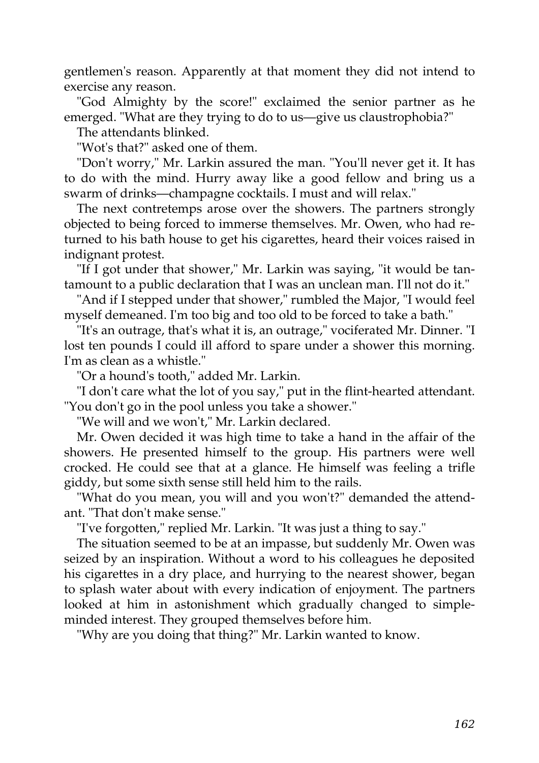gentlemen's reason. Apparently at that moment they did not intend to exercise any reason.

"God Almighty by the score!" exclaimed the senior partner as he emerged. "What are they trying to do to us—give us claustrophobia?"

The attendants blinked.

"Wot's that?" asked one of them.

"Don't worry," Mr. Larkin assured the man. "You'll never get it. It has to do with the mind. Hurry away like a good fellow and bring us a swarm of drinks—champagne cocktails. I must and will relax."

The next contretemps arose over the showers. The partners strongly objected to being forced to immerse themselves. Mr. Owen, who had returned to his bath house to get his cigarettes, heard their voices raised in indignant protest.

"If I got under that shower," Mr. Larkin was saying, "it would be tantamount to a public declaration that I was an unclean man. I'll not do it."

"And if I stepped under that shower," rumbled the Major, "I would feel myself demeaned. I'm too big and too old to be forced to take a bath."

"It's an outrage, that's what it is, an outrage," vociferated Mr. Dinner. "I lost ten pounds I could ill afford to spare under a shower this morning. I'm as clean as a whistle."

"Or a hound's tooth," added Mr. Larkin.

"I don't care what the lot of you say," put in the flint-hearted attendant. "You don't go in the pool unless you take a shower."

"We will and we won't," Mr. Larkin declared.

Mr. Owen decided it was high time to take a hand in the affair of the showers. He presented himself to the group. His partners were well crocked. He could see that at a glance. He himself was feeling a trifle giddy, but some sixth sense still held him to the rails.

"What do you mean, you will and you won't?" demanded the attendant. "That don't make sense."

"I've forgotten," replied Mr. Larkin. "It was just a thing to say."

The situation seemed to be at an impasse, but suddenly Mr. Owen was seized by an inspiration. Without a word to his colleagues he deposited his cigarettes in a dry place, and hurrying to the nearest shower, began to splash water about with every indication of enjoyment. The partners looked at him in astonishment which gradually changed to simpleminded interest. They grouped themselves before him.

"Why are you doing that thing?" Mr. Larkin wanted to know.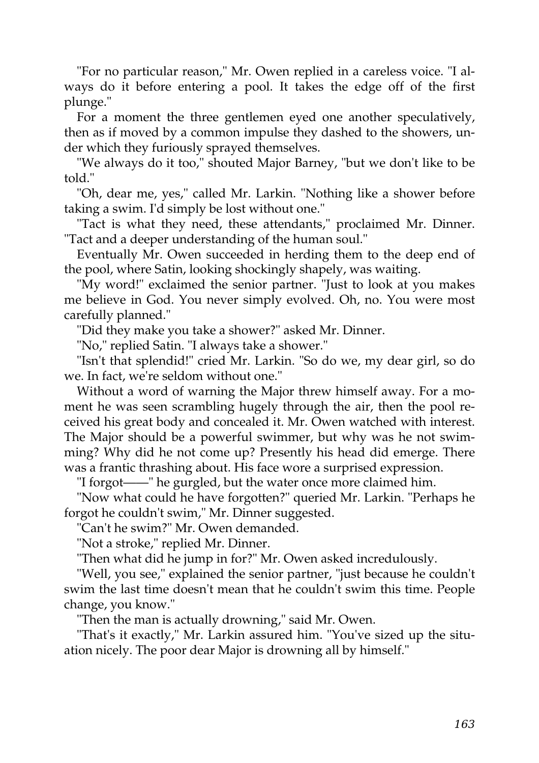"For no particular reason," Mr. Owen replied in a careless voice. "I always do it before entering a pool. It takes the edge off of the first plunge."

For a moment the three gentlemen eyed one another speculatively, then as if moved by a common impulse they dashed to the showers, under which they furiously sprayed themselves.

"We always do it too," shouted Major Barney, "but we don't like to be told."

"Oh, dear me, yes," called Mr. Larkin. "Nothing like a shower before taking a swim. I'd simply be lost without one."

"Tact is what they need, these attendants," proclaimed Mr. Dinner. "Tact and a deeper understanding of the human soul."

Eventually Mr. Owen succeeded in herding them to the deep end of the pool, where Satin, looking shockingly shapely, was waiting.

"My word!" exclaimed the senior partner. "Just to look at you makes me believe in God. You never simply evolved. Oh, no. You were most carefully planned."

"Did they make you take a shower?" asked Mr. Dinner.

"No," replied Satin. "I always take a shower."

"Isn't that splendid!" cried Mr. Larkin. "So do we, my dear girl, so do we. In fact, we're seldom without one."

Without a word of warning the Major threw himself away. For a moment he was seen scrambling hugely through the air, then the pool received his great body and concealed it. Mr. Owen watched with interest. The Major should be a powerful swimmer, but why was he not swimming? Why did he not come up? Presently his head did emerge. There was a frantic thrashing about. His face wore a surprised expression.

"I forgot——" he gurgled, but the water once more claimed him.

"Now what could he have forgotten?" queried Mr. Larkin. "Perhaps he forgot he couldn't swim," Mr. Dinner suggested.

"Can't he swim?" Mr. Owen demanded.

"Not a stroke," replied Mr. Dinner.

"Then what did he jump in for?" Mr. Owen asked incredulously.

"Well, you see," explained the senior partner, "just because he couldn't swim the last time doesn't mean that he couldn't swim this time. People change, you know."

"Then the man is actually drowning," said Mr. Owen.

"That's it exactly," Mr. Larkin assured him. "You've sized up the situation nicely. The poor dear Major is drowning all by himself."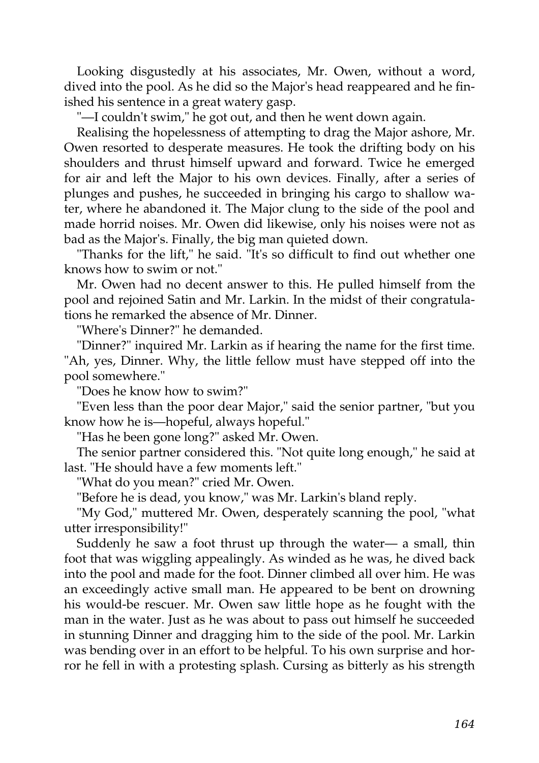Looking disgustedly at his associates, Mr. Owen, without a word, dived into the pool. As he did so the Major's head reappeared and he finished his sentence in a great watery gasp.

"—I couldn't swim," he got out, and then he went down again.

Realising the hopelessness of attempting to drag the Major ashore, Mr. Owen resorted to desperate measures. He took the drifting body on his shoulders and thrust himself upward and forward. Twice he emerged for air and left the Major to his own devices. Finally, after a series of plunges and pushes, he succeeded in bringing his cargo to shallow water, where he abandoned it. The Major clung to the side of the pool and made horrid noises. Mr. Owen did likewise, only his noises were not as bad as the Major's. Finally, the big man quieted down.

"Thanks for the lift," he said. "It's so difficult to find out whether one knows how to swim or not."

Mr. Owen had no decent answer to this. He pulled himself from the pool and rejoined Satin and Mr. Larkin. In the midst of their congratulations he remarked the absence of Mr. Dinner.

"Where's Dinner?" he demanded.

"Dinner?" inquired Mr. Larkin as if hearing the name for the first time. "Ah, yes, Dinner. Why, the little fellow must have stepped off into the pool somewhere."

"Does he know how to swim?"

"Even less than the poor dear Major," said the senior partner, "but you know how he is—hopeful, always hopeful."

"Has he been gone long?" asked Mr. Owen.

The senior partner considered this. "Not quite long enough," he said at last. "He should have a few moments left."

"What do you mean?" cried Mr. Owen.

"Before he is dead, you know," was Mr. Larkin's bland reply.

"My God," muttered Mr. Owen, desperately scanning the pool, "what utter irresponsibility!"

Suddenly he saw a foot thrust up through the water— a small, thin foot that was wiggling appealingly. As winded as he was, he dived back into the pool and made for the foot. Dinner climbed all over him. He was an exceedingly active small man. He appeared to be bent on drowning his would-be rescuer. Mr. Owen saw little hope as he fought with the man in the water. Just as he was about to pass out himself he succeeded in stunning Dinner and dragging him to the side of the pool. Mr. Larkin was bending over in an effort to be helpful. To his own surprise and horror he fell in with a protesting splash. Cursing as bitterly as his strength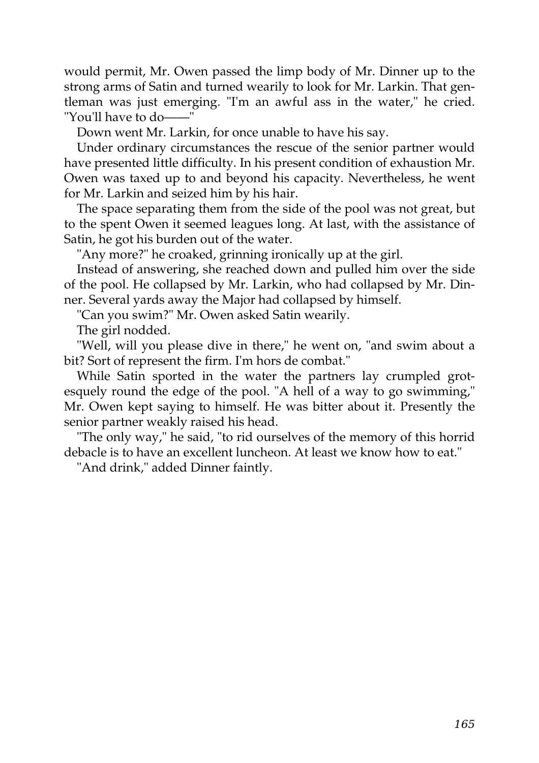would permit, Mr. Owen passed the limp body of Mr. Dinner up to the strong arms of Satin and turned wearily to look for Mr. Larkin. That gentleman was just emerging. "I'm an awful ass in the water," he cried. "You'll have to do-

Down went Mr. Larkin, for once unable to have his say.

Under ordinary circumstances the rescue of the senior partner would have presented little difficulty. In his present condition of exhaustion Mr. Owen was taxed up to and beyond his capacity. Nevertheless, he went for Mr. Larkin and seized him by his hair.

The space separating them from the side of the pool was not great, but to the spent Owen it seemed leagues long. At last, with the assistance of Satin, he got his burden out of the water.

"Any more?" he croaked, grinning ironically up at the girl.

Instead of answering, she reached down and pulled him over the side of the pool. He collapsed by Mr. Larkin, who had collapsed by Mr. Dinner. Several yards away the Major had collapsed by himself.

"Can you swim?" Mr. Owen asked Satin wearily.

The girl nodded.

"Well, will you please dive in there," he went on, "and swim about a bit? Sort of represent the firm. I'm hors de combat."

While Satin sported in the water the partners lay crumpled grotesquely round the edge of the pool. "A hell of a way to go swimming," Mr. Owen kept saying to himself. He was bitter about it. Presently the senior partner weakly raised his head.

"The only way," he said, "to rid ourselves of the memory of this horrid debacle is to have an excellent luncheon. At least we know how to eat."

"And drink," added Dinner faintly.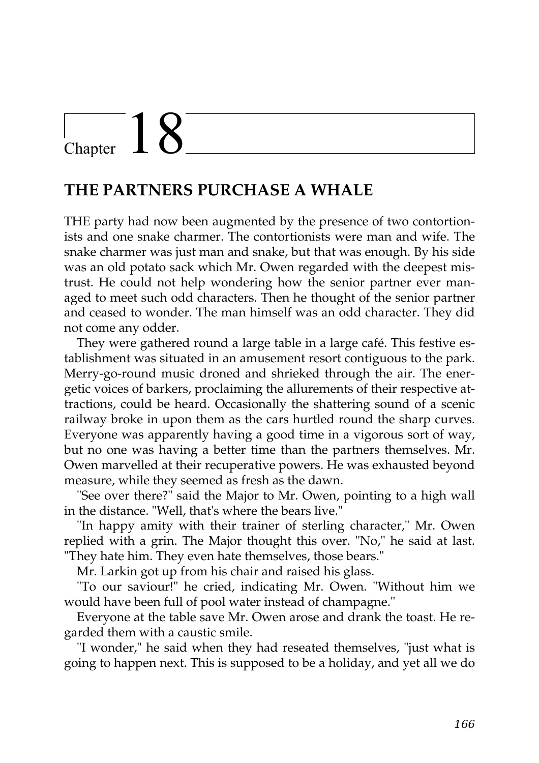# $\vert$  Chapter  $18$

#### **THE PARTNERS PURCHASE A WHALE**

THE party had now been augmented by the presence of two contortionists and one snake charmer. The contortionists were man and wife. The snake charmer was just man and snake, but that was enough. By his side was an old potato sack which Mr. Owen regarded with the deepest mistrust. He could not help wondering how the senior partner ever managed to meet such odd characters. Then he thought of the senior partner and ceased to wonder. The man himself was an odd character. They did not come any odder.

They were gathered round a large table in a large café. This festive establishment was situated in an amusement resort contiguous to the park. Merry-go-round music droned and shrieked through the air. The energetic voices of barkers, proclaiming the allurements of their respective attractions, could be heard. Occasionally the shattering sound of a scenic railway broke in upon them as the cars hurtled round the sharp curves. Everyone was apparently having a good time in a vigorous sort of way, but no one was having a better time than the partners themselves. Mr. Owen marvelled at their recuperative powers. He was exhausted beyond measure, while they seemed as fresh as the dawn.

"See over there?" said the Major to Mr. Owen, pointing to a high wall in the distance. "Well, that's where the bears live."

"In happy amity with their trainer of sterling character," Mr. Owen replied with a grin. The Major thought this over. "No," he said at last. "They hate him. They even hate themselves, those bears."

Mr. Larkin got up from his chair and raised his glass.

"To our saviour!" he cried, indicating Mr. Owen. "Without him we would have been full of pool water instead of champagne."

Everyone at the table save Mr. Owen arose and drank the toast. He regarded them with a caustic smile.

"I wonder," he said when they had reseated themselves, "just what is going to happen next. This is supposed to be a holiday, and yet all we do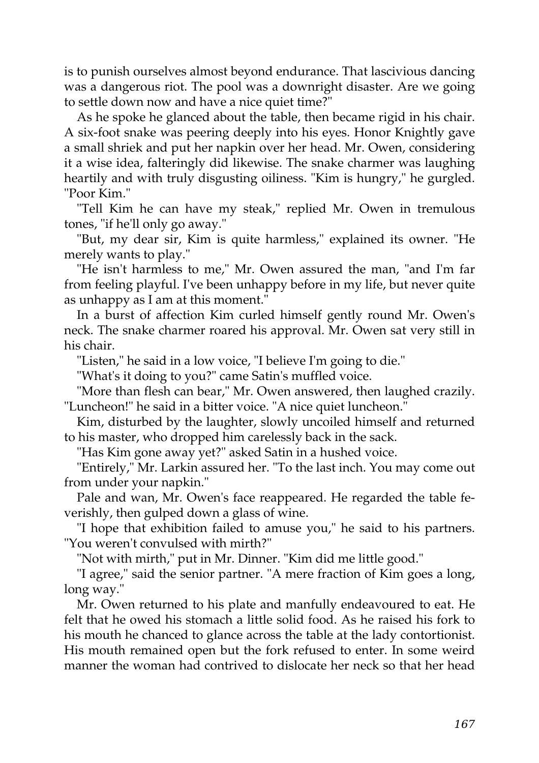is to punish ourselves almost beyond endurance. That lascivious dancing was a dangerous riot. The pool was a downright disaster. Are we going to settle down now and have a nice quiet time?"

As he spoke he glanced about the table, then became rigid in his chair. A six-foot snake was peering deeply into his eyes. Honor Knightly gave a small shriek and put her napkin over her head. Mr. Owen, considering it a wise idea, falteringly did likewise. The snake charmer was laughing heartily and with truly disgusting oiliness. "Kim is hungry," he gurgled. "Poor Kim."

"Tell Kim he can have my steak," replied Mr. Owen in tremulous tones, "if he'll only go away."

"But, my dear sir, Kim is quite harmless," explained its owner. "He merely wants to play."

"He isn't harmless to me," Mr. Owen assured the man, "and I'm far from feeling playful. I've been unhappy before in my life, but never quite as unhappy as I am at this moment."

In a burst of affection Kim curled himself gently round Mr. Owen's neck. The snake charmer roared his approval. Mr. Owen sat very still in his chair.

"Listen," he said in a low voice, "I believe I'm going to die."

"What's it doing to you?" came Satin's muffled voice.

"More than flesh can bear," Mr. Owen answered, then laughed crazily. "Luncheon!" he said in a bitter voice. "A nice quiet luncheon."

Kim, disturbed by the laughter, slowly uncoiled himself and returned to his master, who dropped him carelessly back in the sack.

"Has Kim gone away yet?" asked Satin in a hushed voice.

"Entirely," Mr. Larkin assured her. "To the last inch. You may come out from under your napkin."

Pale and wan, Mr. Owen's face reappeared. He regarded the table feverishly, then gulped down a glass of wine.

"I hope that exhibition failed to amuse you," he said to his partners. "You weren't convulsed with mirth?"

"Not with mirth," put in Mr. Dinner. "Kim did me little good."

"I agree," said the senior partner. "A mere fraction of Kim goes a long, long way."

Mr. Owen returned to his plate and manfully endeavoured to eat. He felt that he owed his stomach a little solid food. As he raised his fork to his mouth he chanced to glance across the table at the lady contortionist. His mouth remained open but the fork refused to enter. In some weird manner the woman had contrived to dislocate her neck so that her head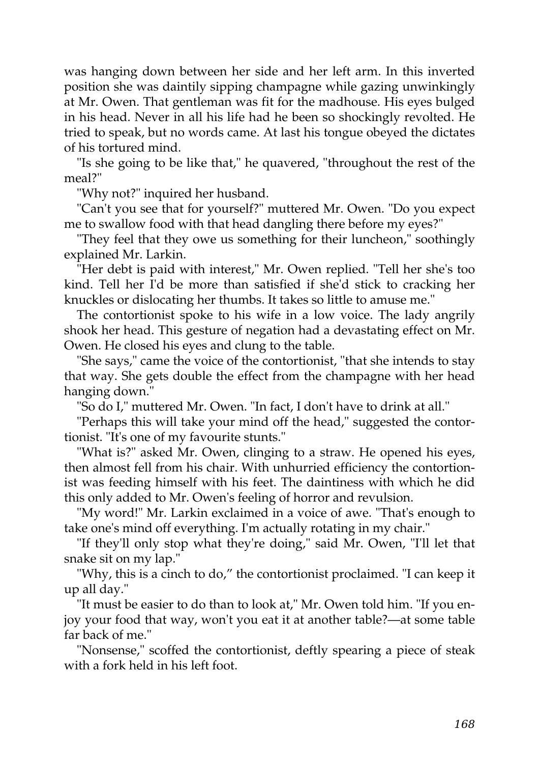was hanging down between her side and her left arm. In this inverted position she was daintily sipping champagne while gazing unwinkingly at Mr. Owen. That gentleman was fit for the madhouse. His eyes bulged in his head. Never in all his life had he been so shockingly revolted. He tried to speak, but no words came. At last his tongue obeyed the dictates of his tortured mind.

"Is she going to be like that," he quavered, "throughout the rest of the meal?"

"Why not?" inquired her husband.

"Can't you see that for yourself?" muttered Mr. Owen. "Do you expect me to swallow food with that head dangling there before my eyes?"

"They feel that they owe us something for their luncheon," soothingly explained Mr. Larkin.

"Her debt is paid with interest," Mr. Owen replied. "Tell her she's too kind. Tell her I'd be more than satisfied if she'd stick to cracking her knuckles or dislocating her thumbs. It takes so little to amuse me."

The contortionist spoke to his wife in a low voice. The lady angrily shook her head. This gesture of negation had a devastating effect on Mr. Owen. He closed his eyes and clung to the table.

"She says," came the voice of the contortionist, "that she intends to stay that way. She gets double the effect from the champagne with her head hanging down."

"So do I," muttered Mr. Owen. "In fact, I don't have to drink at all."

"Perhaps this will take your mind off the head," suggested the contortionist. "It's one of my favourite stunts."

"What is?" asked Mr. Owen, clinging to a straw. He opened his eyes, then almost fell from his chair. With unhurried efficiency the contortionist was feeding himself with his feet. The daintiness with which he did this only added to Mr. Owen's feeling of horror and revulsion.

"My word!" Mr. Larkin exclaimed in a voice of awe. "That's enough to take one's mind off everything. I'm actually rotating in my chair."

"If they'll only stop what they're doing," said Mr. Owen, "I'll let that snake sit on my lap."

"Why, this is a cinch to do," the contortionist proclaimed. "I can keep it up all day."

"It must be easier to do than to look at," Mr. Owen told him. "If you enjoy your food that way, won't you eat it at another table?—at some table far back of me."

"Nonsense," scoffed the contortionist, deftly spearing a piece of steak with a fork held in his left foot.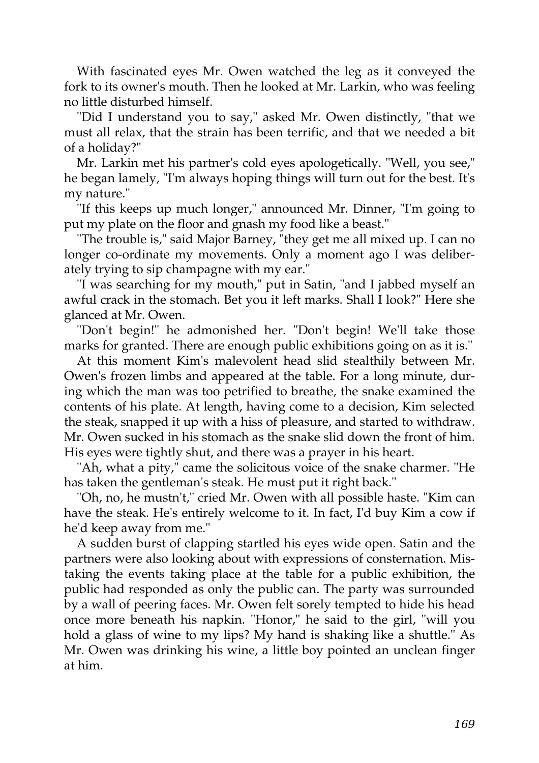With fascinated eyes Mr. Owen watched the leg as it conveyed the fork to its owner's mouth. Then he looked at Mr. Larkin, who was feeling no little disturbed himself.

"Did I understand you to say," asked Mr. Owen distinctly, "that we must all relax, that the strain has been terrific, and that we needed a bit of a holiday?"

Mr. Larkin met his partner's cold eyes apologetically. "Well, you see," he began lamely, "I'm always hoping things will turn out for the best. It's my nature."

"If this keeps up much longer," announced Mr. Dinner, "I'm going to put my plate on the floor and gnash my food like a beast."

"The trouble is," said Major Barney, "they get me all mixed up. I can no longer co-ordinate my movements. Only a moment ago I was deliberately trying to sip champagne with my ear."

"I was searching for my mouth," put in Satin, "and I jabbed myself an awful crack in the stomach. Bet you it left marks. Shall I look?" Here she glanced at Mr. Owen.

"Don't begin!" he admonished her. "Don't begin! We'll take those marks for granted. There are enough public exhibitions going on as it is."

At this moment Kim's malevolent head slid stealthily between Mr. Owen's frozen limbs and appeared at the table. For a long minute, during which the man was too petrified to breathe, the snake examined the contents of his plate. At length, having come to a decision, Kim selected the steak, snapped it up with a hiss of pleasure, and started to withdraw. Mr. Owen sucked in his stomach as the snake slid down the front of him. His eyes were tightly shut, and there was a prayer in his heart.

"Ah, what a pity," came the solicitous voice of the snake charmer. "He has taken the gentleman's steak. He must put it right back."

"Oh, no, he mustn't," cried Mr. Owen with all possible haste. "Kim can have the steak. He's entirely welcome to it. In fact, I'd buy Kim a cow if he'd keep away from me."

A sudden burst of clapping startled his eyes wide open. Satin and the partners were also looking about with expressions of consternation. Mistaking the events taking place at the table for a public exhibition, the public had responded as only the public can. The party was surrounded by a wall of peering faces. Mr. Owen felt sorely tempted to hide his head once more beneath his napkin. "Honor," he said to the girl, "will you hold a glass of wine to my lips? My hand is shaking like a shuttle." As Mr. Owen was drinking his wine, a little boy pointed an unclean finger at him.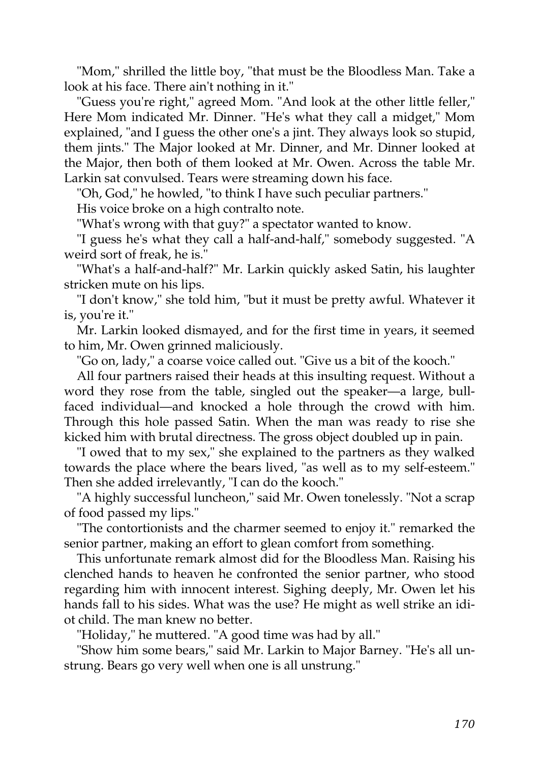"Mom," shrilled the little boy, "that must be the Bloodless Man. Take a look at his face. There ain't nothing in it."

"Guess you're right," agreed Mom. "And look at the other little feller," Here Mom indicated Mr. Dinner. "He's what they call a midget," Mom explained, "and I guess the other one's a jint. They always look so stupid, them jints." The Major looked at Mr. Dinner, and Mr. Dinner looked at the Major, then both of them looked at Mr. Owen. Across the table Mr. Larkin sat convulsed. Tears were streaming down his face.

"Oh, God," he howled, "to think I have such peculiar partners."

His voice broke on a high contralto note.

"What's wrong with that guy?" a spectator wanted to know.

"I guess he's what they call a half-and-half," somebody suggested. "A weird sort of freak, he is."

"What's a half-and-half?" Mr. Larkin quickly asked Satin, his laughter stricken mute on his lips.

"I don't know," she told him, "but it must be pretty awful. Whatever it is, you're it."

Mr. Larkin looked dismayed, and for the first time in years, it seemed to him, Mr. Owen grinned maliciously.

"Go on, lady," a coarse voice called out. "Give us a bit of the kooch."

All four partners raised their heads at this insulting request. Without a word they rose from the table, singled out the speaker—a large, bullfaced individual—and knocked a hole through the crowd with him. Through this hole passed Satin. When the man was ready to rise she kicked him with brutal directness. The gross object doubled up in pain.

"I owed that to my sex," she explained to the partners as they walked towards the place where the bears lived, "as well as to my self-esteem." Then she added irrelevantly, "I can do the kooch."

"A highly successful luncheon," said Mr. Owen tonelessly. "Not a scrap of food passed my lips."

"The contortionists and the charmer seemed to enjoy it." remarked the senior partner, making an effort to glean comfort from something.

This unfortunate remark almost did for the Bloodless Man. Raising his clenched hands to heaven he confronted the senior partner, who stood regarding him with innocent interest. Sighing deeply, Mr. Owen let his hands fall to his sides. What was the use? He might as well strike an idiot child. The man knew no better.

"Holiday," he muttered. "A good time was had by all."

"Show him some bears," said Mr. Larkin to Major Barney. "He's all unstrung. Bears go very well when one is all unstrung."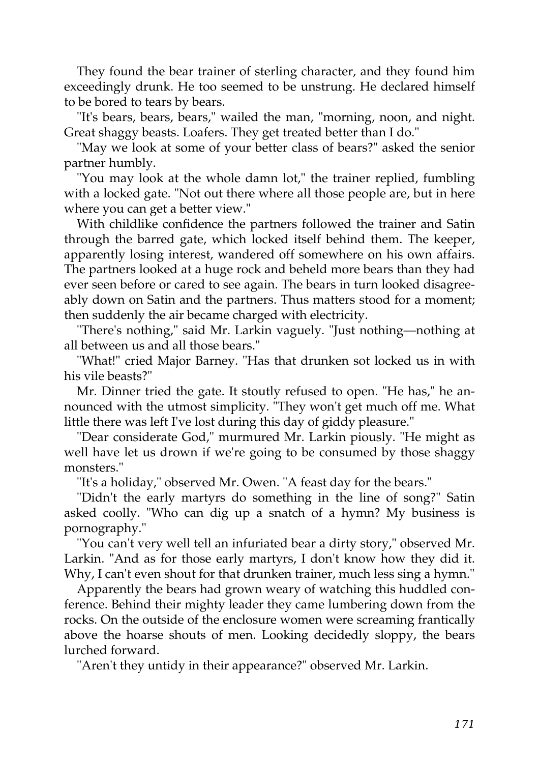They found the bear trainer of sterling character, and they found him exceedingly drunk. He too seemed to be unstrung. He declared himself to be bored to tears by bears.

"It's bears, bears, bears," wailed the man, "morning, noon, and night. Great shaggy beasts. Loafers. They get treated better than I do."

"May we look at some of your better class of bears?" asked the senior partner humbly.

"You may look at the whole damn lot," the trainer replied, fumbling with a locked gate. "Not out there where all those people are, but in here where you can get a better view."

With childlike confidence the partners followed the trainer and Satin through the barred gate, which locked itself behind them. The keeper, apparently losing interest, wandered off somewhere on his own affairs. The partners looked at a huge rock and beheld more bears than they had ever seen before or cared to see again. The bears in turn looked disagreeably down on Satin and the partners. Thus matters stood for a moment; then suddenly the air became charged with electricity.

"There's nothing," said Mr. Larkin vaguely. "Just nothing—nothing at all between us and all those bears."

"What!" cried Major Barney. "Has that drunken sot locked us in with his vile beasts?"

Mr. Dinner tried the gate. It stoutly refused to open. "He has," he announced with the utmost simplicity. "They won't get much off me. What little there was left I've lost during this day of giddy pleasure."

"Dear considerate God," murmured Mr. Larkin piously. "He might as well have let us drown if we're going to be consumed by those shaggy monsters."

"It's a holiday," observed Mr. Owen. "A feast day for the bears."

"Didn't the early martyrs do something in the line of song?" Satin asked coolly. "Who can dig up a snatch of a hymn? My business is pornography."

"You can't very well tell an infuriated bear a dirty story," observed Mr. Larkin. "And as for those early martyrs, I don't know how they did it. Why, I can't even shout for that drunken trainer, much less sing a hymn."

Apparently the bears had grown weary of watching this huddled conference. Behind their mighty leader they came lumbering down from the rocks. On the outside of the enclosure women were screaming frantically above the hoarse shouts of men. Looking decidedly sloppy, the bears lurched forward.

"Aren't they untidy in their appearance?" observed Mr. Larkin.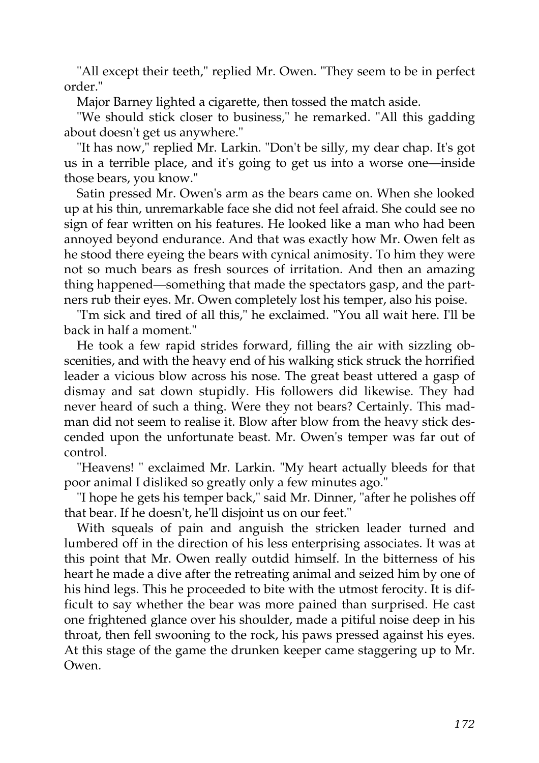"All except their teeth," replied Mr. Owen. "They seem to be in perfect order."

Major Barney lighted a cigarette, then tossed the match aside.

"We should stick closer to business," he remarked. "All this gadding about doesn't get us anywhere."

"It has now," replied Mr. Larkin. "Don't be silly, my dear chap. It's got us in a terrible place, and it's going to get us into a worse one—inside those bears, you know."

Satin pressed Mr. Owen's arm as the bears came on. When she looked up at his thin, unremarkable face she did not feel afraid. She could see no sign of fear written on his features. He looked like a man who had been annoyed beyond endurance. And that was exactly how Mr. Owen felt as he stood there eyeing the bears with cynical animosity. To him they were not so much bears as fresh sources of irritation. And then an amazing thing happened—something that made the spectators gasp, and the partners rub their eyes. Mr. Owen completely lost his temper, also his poise.

"I'm sick and tired of all this," he exclaimed. "You all wait here. I'll be back in half a moment."

He took a few rapid strides forward, filling the air with sizzling obscenities, and with the heavy end of his walking stick struck the horrified leader a vicious blow across his nose. The great beast uttered a gasp of dismay and sat down stupidly. His followers did likewise. They had never heard of such a thing. Were they not bears? Certainly. This madman did not seem to realise it. Blow after blow from the heavy stick descended upon the unfortunate beast. Mr. Owen's temper was far out of control.

"Heavens! " exclaimed Mr. Larkin. "My heart actually bleeds for that poor animal I disliked so greatly only a few minutes ago."

"I hope he gets his temper back," said Mr. Dinner, "after he polishes off that bear. If he doesn't, he'll disjoint us on our feet."

With squeals of pain and anguish the stricken leader turned and lumbered off in the direction of his less enterprising associates. It was at this point that Mr. Owen really outdid himself. In the bitterness of his heart he made a dive after the retreating animal and seized him by one of his hind legs. This he proceeded to bite with the utmost ferocity. It is difficult to say whether the bear was more pained than surprised. He cast one frightened glance over his shoulder, made a pitiful noise deep in his throat, then fell swooning to the rock, his paws pressed against his eyes. At this stage of the game the drunken keeper came staggering up to Mr. Owen.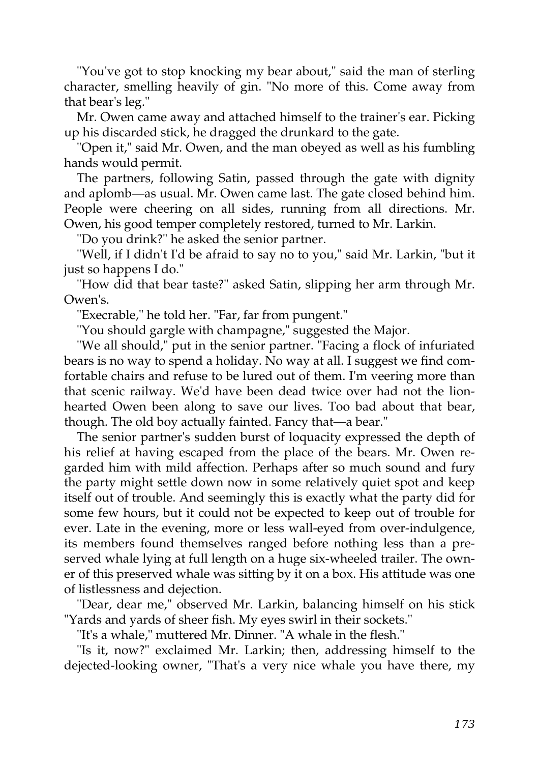"You've got to stop knocking my bear about," said the man of sterling character, smelling heavily of gin. "No more of this. Come away from that bear's leg."

Mr. Owen came away and attached himself to the trainer's ear. Picking up his discarded stick, he dragged the drunkard to the gate.

"Open it," said Mr. Owen, and the man obeyed as well as his fumbling hands would permit.

The partners, following Satin, passed through the gate with dignity and aplomb—as usual. Mr. Owen came last. The gate closed behind him. People were cheering on all sides, running from all directions. Mr. Owen, his good temper completely restored, turned to Mr. Larkin.

"Do you drink?" he asked the senior partner.

"Well, if I didn't I'd be afraid to say no to you," said Mr. Larkin, "but it just so happens I do."

"How did that bear taste?" asked Satin, slipping her arm through Mr. Owen's.

"Execrable," he told her. "Far, far from pungent."

"You should gargle with champagne," suggested the Major.

"We all should," put in the senior partner. "Facing a flock of infuriated bears is no way to spend a holiday. No way at all. I suggest we find comfortable chairs and refuse to be lured out of them. I'm veering more than that scenic railway. We'd have been dead twice over had not the lionhearted Owen been along to save our lives. Too bad about that bear, though. The old boy actually fainted. Fancy that—a bear."

The senior partner's sudden burst of loquacity expressed the depth of his relief at having escaped from the place of the bears. Mr. Owen regarded him with mild affection. Perhaps after so much sound and fury the party might settle down now in some relatively quiet spot and keep itself out of trouble. And seemingly this is exactly what the party did for some few hours, but it could not be expected to keep out of trouble for ever. Late in the evening, more or less wall-eyed from over-indulgence, its members found themselves ranged before nothing less than a preserved whale lying at full length on a huge six-wheeled trailer. The owner of this preserved whale was sitting by it on a box. His attitude was one of listlessness and dejection.

"Dear, dear me," observed Mr. Larkin, balancing himself on his stick "Yards and yards of sheer fish. My eyes swirl in their sockets."

"It's a whale," muttered Mr. Dinner. "A whale in the flesh."

"Is it, now?" exclaimed Mr. Larkin; then, addressing himself to the dejected-looking owner, "That's a very nice whale you have there, my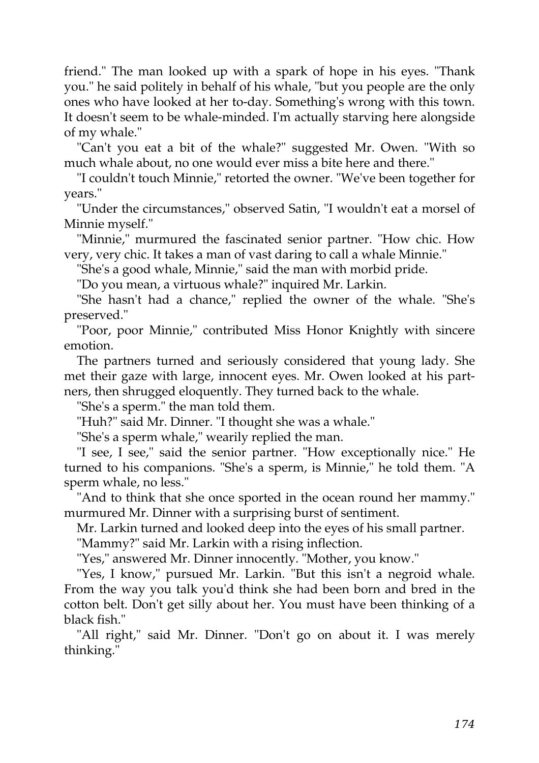friend." The man looked up with a spark of hope in his eyes. "Thank you." he said politely in behalf of his whale, "but you people are the only ones who have looked at her to-day. Something's wrong with this town. It doesn't seem to be whale-minded. I'm actually starving here alongside of my whale."

"Can't you eat a bit of the whale?" suggested Mr. Owen. "With so much whale about, no one would ever miss a bite here and there."

"I couldn't touch Minnie," retorted the owner. "We've been together for years."

"Under the circumstances," observed Satin, "I wouldn't eat a morsel of Minnie myself."

"Minnie," murmured the fascinated senior partner. "How chic. How very, very chic. It takes a man of vast daring to call a whale Minnie."

"She's a good whale, Minnie," said the man with morbid pride.

"Do you mean, a virtuous whale?" inquired Mr. Larkin.

"She hasn't had a chance," replied the owner of the whale. "She's preserved."

"Poor, poor Minnie," contributed Miss Honor Knightly with sincere emotion.

The partners turned and seriously considered that young lady. She met their gaze with large, innocent eyes. Mr. Owen looked at his partners, then shrugged eloquently. They turned back to the whale.

"She's a sperm." the man told them.

"Huh?" said Mr. Dinner. "I thought she was a whale."

"She's a sperm whale," wearily replied the man.

"I see, I see," said the senior partner. "How exceptionally nice." He turned to his companions. "She's a sperm, is Minnie," he told them. "A sperm whale, no less."

"And to think that she once sported in the ocean round her mammy." murmured Mr. Dinner with a surprising burst of sentiment.

Mr. Larkin turned and looked deep into the eyes of his small partner.

"Mammy?" said Mr. Larkin with a rising inflection.

"Yes," answered Mr. Dinner innocently. "Mother, you know."

"Yes, I know," pursued Mr. Larkin. "But this isn't a negroid whale. From the way you talk you'd think she had been born and bred in the cotton belt. Don't get silly about her. You must have been thinking of a black fish."

"All right," said Mr. Dinner. "Don't go on about it. I was merely thinking."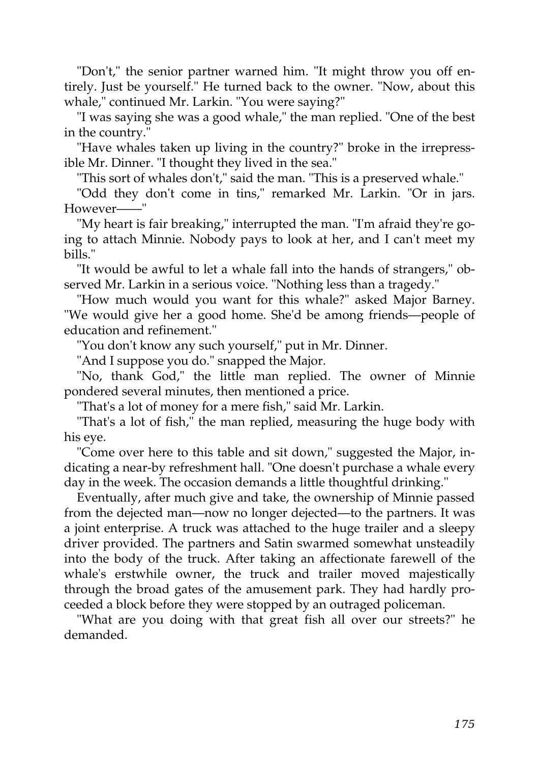"Don't," the senior partner warned him. "It might throw you off entirely. Just be yourself." He turned back to the owner. "Now, about this whale," continued Mr. Larkin. "You were saying?"

"I was saying she was a good whale," the man replied. "One of the best in the country."

"Have whales taken up living in the country?" broke in the irrepressible Mr. Dinner. "I thought they lived in the sea."

"This sort of whales don't," said the man. "This is a preserved whale."

"Odd they don't come in tins," remarked Mr. Larkin. "Or in jars. However-

"My heart is fair breaking," interrupted the man. "I'm afraid they're going to attach Minnie. Nobody pays to look at her, and I can't meet my bills."

"It would be awful to let a whale fall into the hands of strangers," observed Mr. Larkin in a serious voice. "Nothing less than a tragedy."

"How much would you want for this whale?" asked Major Barney. "We would give her a good home. She'd be among friends—people of education and refinement."

"You don't know any such yourself," put in Mr. Dinner.

"And I suppose you do." snapped the Major.

"No, thank God," the little man replied. The owner of Minnie pondered several minutes, then mentioned a price.

"That's a lot of money for a mere fish," said Mr. Larkin.

"That's a lot of fish," the man replied, measuring the huge body with his eye.

"Come over here to this table and sit down," suggested the Major, indicating a near-by refreshment hall. "One doesn't purchase a whale every day in the week. The occasion demands a little thoughtful drinking."

Eventually, after much give and take, the ownership of Minnie passed from the dejected man—now no longer dejected—to the partners. It was a joint enterprise. A truck was attached to the huge trailer and a sleepy driver provided. The partners and Satin swarmed somewhat unsteadily into the body of the truck. After taking an affectionate farewell of the whale's erstwhile owner, the truck and trailer moved majestically through the broad gates of the amusement park. They had hardly proceeded a block before they were stopped by an outraged policeman.

"What are you doing with that great fish all over our streets?" he demanded.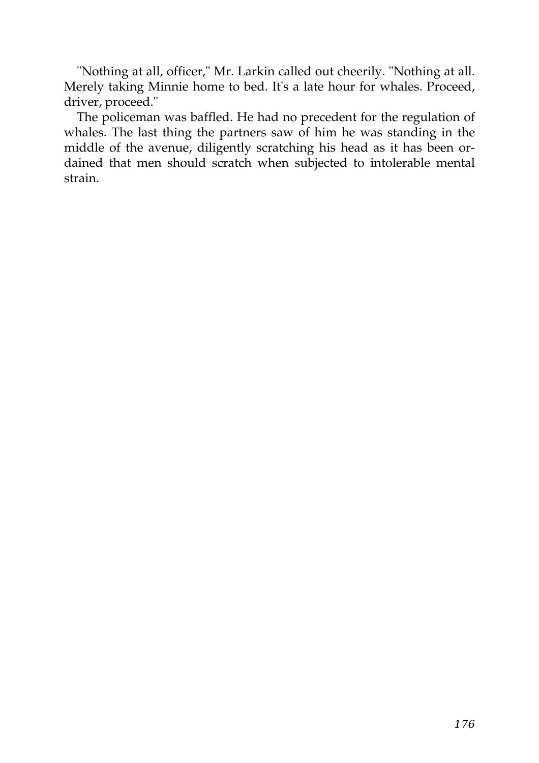"Nothing at all, officer," Mr. Larkin called out cheerily. "Nothing at all. Merely taking Minnie home to bed. It's a late hour for whales. Proceed, driver, proceed."

The policeman was baffled. He had no precedent for the regulation of whales. The last thing the partners saw of him he was standing in the middle of the avenue, diligently scratching his head as it has been ordained that men should scratch when subjected to intolerable mental strain.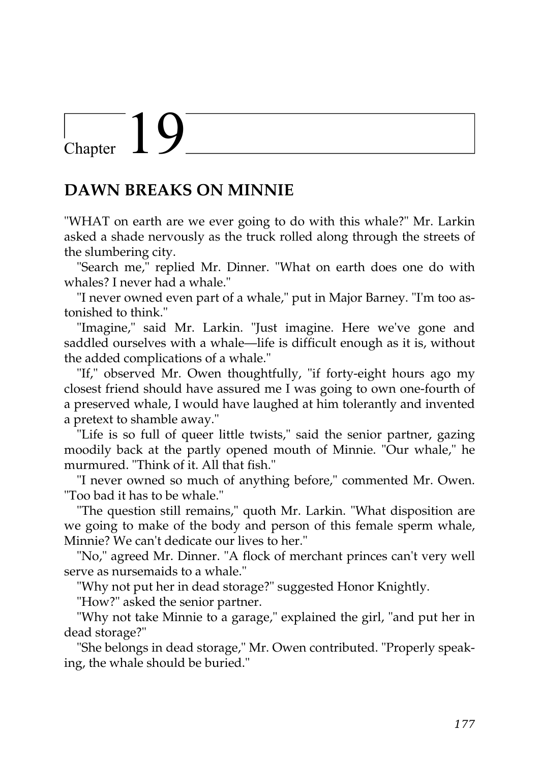# $\begin{matrix} \end{matrix}$  Chapter  $\begin{matrix} 1 \end{matrix}$

#### **DAWN BREAKS ON MINNIE**

"WHAT on earth are we ever going to do with this whale?" Mr. Larkin asked a shade nervously as the truck rolled along through the streets of the slumbering city.

"Search me," replied Mr. Dinner. "What on earth does one do with whales? I never had a whale."

"I never owned even part of a whale," put in Major Barney. "I'm too astonished to think."

"Imagine," said Mr. Larkin. "Just imagine. Here we've gone and saddled ourselves with a whale—life is difficult enough as it is, without the added complications of a whale."

"If," observed Mr. Owen thoughtfully, "if forty-eight hours ago my closest friend should have assured me I was going to own one-fourth of a preserved whale, I would have laughed at him tolerantly and invented a pretext to shamble away."

"Life is so full of queer little twists," said the senior partner, gazing moodily back at the partly opened mouth of Minnie. "Our whale," he murmured. "Think of it. All that fish."

"I never owned so much of anything before," commented Mr. Owen. "Too bad it has to be whale."

"The question still remains," quoth Mr. Larkin. "What disposition are we going to make of the body and person of this female sperm whale, Minnie? We can't dedicate our lives to her."

"No," agreed Mr. Dinner. "A flock of merchant princes can't very well serve as nursemaids to a whale."

"Why not put her in dead storage?" suggested Honor Knightly.

"How?" asked the senior partner.

"Why not take Minnie to a garage," explained the girl, "and put her in dead storage?"

"She belongs in dead storage," Mr. Owen contributed. "Properly speaking, the whale should be buried."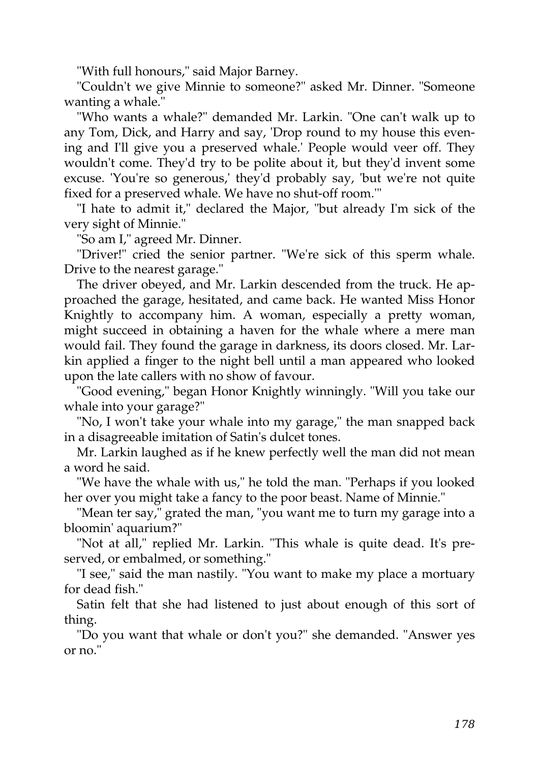"With full honours," said Major Barney.

"Couldn't we give Minnie to someone?" asked Mr. Dinner. "Someone wanting a whale."

"Who wants a whale?" demanded Mr. Larkin. "One can't walk up to any Tom, Dick, and Harry and say, 'Drop round to my house this evening and I'll give you a preserved whale.' People would veer off. They wouldn't come. They'd try to be polite about it, but they'd invent some excuse. 'You're so generous,' they'd probably say, 'but we're not quite fixed for a preserved whale. We have no shut-off room.'"

"I hate to admit it," declared the Major, "but already I'm sick of the very sight of Minnie."

"So am I," agreed Mr. Dinner.

"Driver!" cried the senior partner. "We're sick of this sperm whale. Drive to the nearest garage."

The driver obeyed, and Mr. Larkin descended from the truck. He approached the garage, hesitated, and came back. He wanted Miss Honor Knightly to accompany him. A woman, especially a pretty woman, might succeed in obtaining a haven for the whale where a mere man would fail. They found the garage in darkness, its doors closed. Mr. Larkin applied a finger to the night bell until a man appeared who looked upon the late callers with no show of favour.

"Good evening," began Honor Knightly winningly. "Will you take our whale into your garage?"

"No, I won't take your whale into my garage," the man snapped back in a disagreeable imitation of Satin's dulcet tones.

Mr. Larkin laughed as if he knew perfectly well the man did not mean a word he said.

"We have the whale with us," he told the man. "Perhaps if you looked her over you might take a fancy to the poor beast. Name of Minnie."

"Mean ter say," grated the man, "you want me to turn my garage into a bloomin' aquarium?"

"Not at all," replied Mr. Larkin. "This whale is quite dead. It's preserved, or embalmed, or something."

"I see," said the man nastily. "You want to make my place a mortuary for dead fish."

Satin felt that she had listened to just about enough of this sort of thing.

"Do you want that whale or don't you?" she demanded. "Answer yes or no."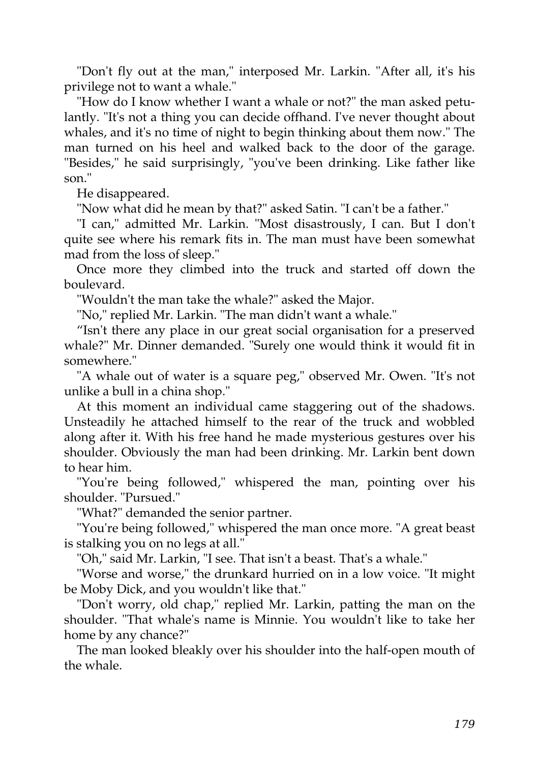"Don't fly out at the man," interposed Mr. Larkin. "After all, it's his privilege not to want a whale."

"How do I know whether I want a whale or not?" the man asked petulantly. "It's not a thing you can decide offhand. I've never thought about whales, and it's no time of night to begin thinking about them now." The man turned on his heel and walked back to the door of the garage. "Besides," he said surprisingly, "you've been drinking. Like father like son."

He disappeared.

"Now what did he mean by that?" asked Satin. "I can't be a father."

"I can," admitted Mr. Larkin. "Most disastrously, I can. But I don't quite see where his remark fits in. The man must have been somewhat mad from the loss of sleep."

Once more they climbed into the truck and started off down the boulevard.

"Wouldn't the man take the whale?" asked the Major.

"No," replied Mr. Larkin. "The man didn't want a whale."

"Isn't there any place in our great social organisation for a preserved whale?" Mr. Dinner demanded. "Surely one would think it would fit in somewhere."

"A whale out of water is a square peg," observed Mr. Owen. "It's not unlike a bull in a china shop."

At this moment an individual came staggering out of the shadows. Unsteadily he attached himself to the rear of the truck and wobbled along after it. With his free hand he made mysterious gestures over his shoulder. Obviously the man had been drinking. Mr. Larkin bent down to hear him.

"You're being followed," whispered the man, pointing over his shoulder. "Pursued."

"What?" demanded the senior partner.

"You're being followed," whispered the man once more. "A great beast is stalking you on no legs at all."

"Oh," said Mr. Larkin, "I see. That isn't a beast. That's a whale."

"Worse and worse," the drunkard hurried on in a low voice. "It might be Moby Dick, and you wouldn't like that."

"Don't worry, old chap," replied Mr. Larkin, patting the man on the shoulder. "That whale's name is Minnie. You wouldn't like to take her home by any chance?"

The man looked bleakly over his shoulder into the half-open mouth of the whale.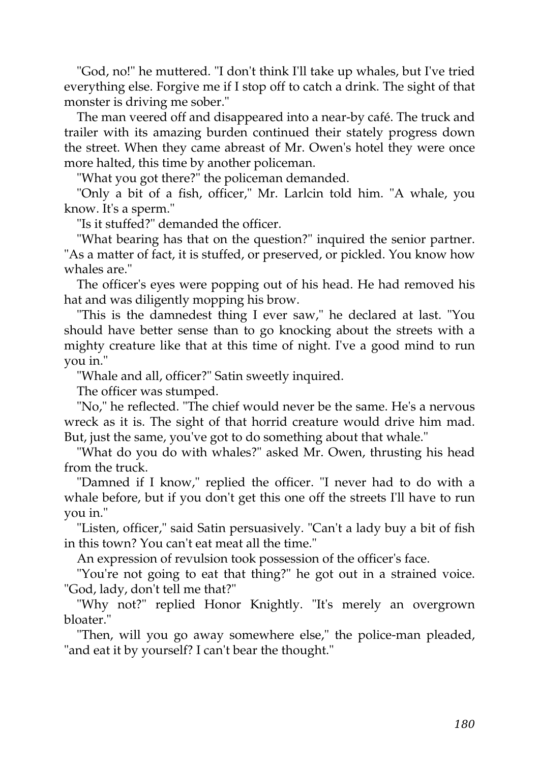"God, no!" he muttered. "I don't think I'll take up whales, but I've tried everything else. Forgive me if I stop off to catch a drink. The sight of that monster is driving me sober."

The man veered off and disappeared into a near-by café. The truck and trailer with its amazing burden continued their stately progress down the street. When they came abreast of Mr. Owen's hotel they were once more halted, this time by another policeman.

"What you got there?" the policeman demanded.

"Only a bit of a fish, officer," Mr. Larlcin told him. "A whale, you know. It's a sperm."

"Is it stuffed?" demanded the officer.

"What bearing has that on the question?" inquired the senior partner. "As a matter of fact, it is stuffed, or preserved, or pickled. You know how whales are."

The officer's eyes were popping out of his head. He had removed his hat and was diligently mopping his brow.

"This is the damnedest thing I ever saw," he declared at last. "You should have better sense than to go knocking about the streets with a mighty creature like that at this time of night. I've a good mind to run you in."

"Whale and all, officer?" Satin sweetly inquired.

The officer was stumped.

"No," he reflected. "The chief would never be the same. He's a nervous wreck as it is. The sight of that horrid creature would drive him mad. But, just the same, you've got to do something about that whale."

"What do you do with whales?" asked Mr. Owen, thrusting his head from the truck.

"Damned if I know," replied the officer. "I never had to do with a whale before, but if you don't get this one off the streets I'll have to run you in."

"Listen, officer," said Satin persuasively. "Can't a lady buy a bit of fish in this town? You can't eat meat all the time."

An expression of revulsion took possession of the officer's face.

"You're not going to eat that thing?" he got out in a strained voice. "God, lady, don't tell me that?"

"Why not?" replied Honor Knightly. "It's merely an overgrown bloater."

"Then, will you go away somewhere else," the police-man pleaded, "and eat it by yourself? I can't bear the thought."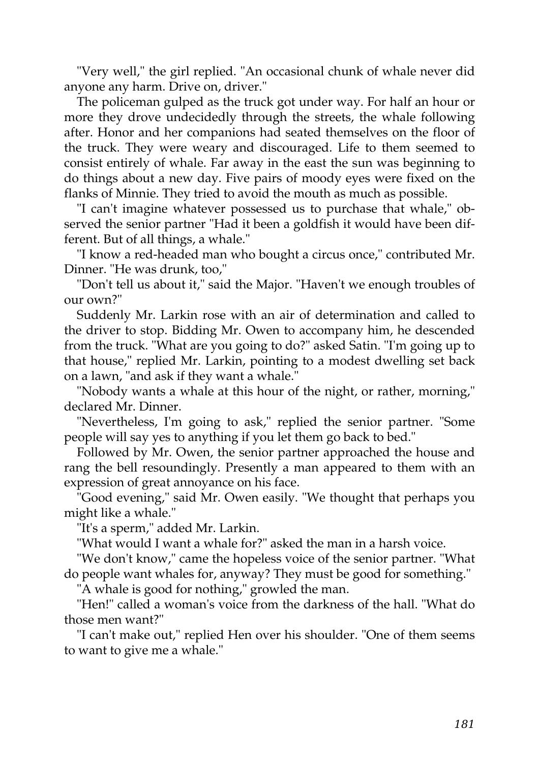"Very well," the girl replied. "An occasional chunk of whale never did anyone any harm. Drive on, driver."

The policeman gulped as the truck got under way. For half an hour or more they drove undecidedly through the streets, the whale following after. Honor and her companions had seated themselves on the floor of the truck. They were weary and discouraged. Life to them seemed to consist entirely of whale. Far away in the east the sun was beginning to do things about a new day. Five pairs of moody eyes were fixed on the flanks of Minnie. They tried to avoid the mouth as much as possible.

"I can't imagine whatever possessed us to purchase that whale," observed the senior partner "Had it been a goldfish it would have been different. But of all things, a whale."

"I know a red-headed man who bought a circus once," contributed Mr. Dinner. "He was drunk, too,"

"Don't tell us about it," said the Major. "Haven't we enough troubles of our own?"

Suddenly Mr. Larkin rose with an air of determination and called to the driver to stop. Bidding Mr. Owen to accompany him, he descended from the truck. "What are you going to do?" asked Satin. "I'm going up to that house," replied Mr. Larkin, pointing to a modest dwelling set back on a lawn, "and ask if they want a whale."

"Nobody wants a whale at this hour of the night, or rather, morning," declared Mr. Dinner.

"Nevertheless, I'm going to ask," replied the senior partner. "Some people will say yes to anything if you let them go back to bed."

Followed by Mr. Owen, the senior partner approached the house and rang the bell resoundingly. Presently a man appeared to them with an expression of great annoyance on his face.

"Good evening," said Mr. Owen easily. "We thought that perhaps you might like a whale."

"It's a sperm," added Mr. Larkin.

"What would I want a whale for?" asked the man in a harsh voice.

"We don't know," came the hopeless voice of the senior partner. "What do people want whales for, anyway? They must be good for something."

"A whale is good for nothing," growled the man.

"Hen!" called a woman's voice from the darkness of the hall. "What do those men want?"

"I can't make out," replied Hen over his shoulder. "One of them seems to want to give me a whale."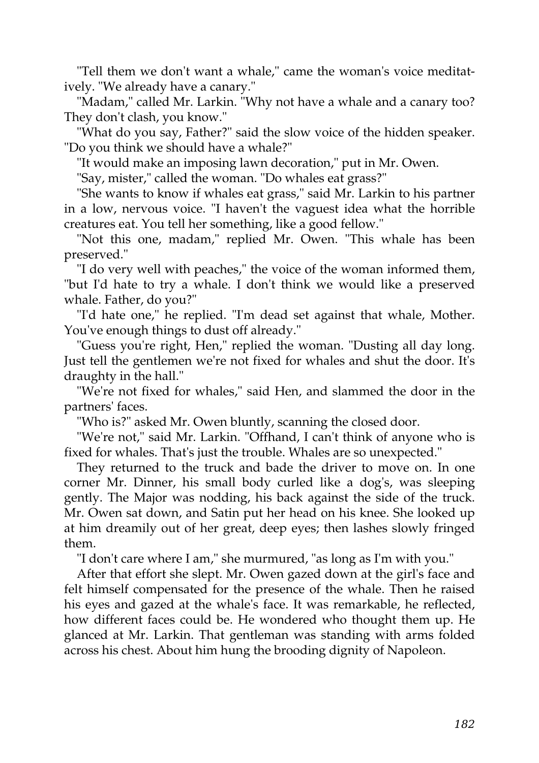"Tell them we don't want a whale," came the woman's voice meditatively. "We already have a canary."

"Madam," called Mr. Larkin. "Why not have a whale and a canary too? They don't clash, you know."

"What do you say, Father?" said the slow voice of the hidden speaker. "Do you think we should have a whale?"

"It would make an imposing lawn decoration," put in Mr. Owen.

"Say, mister," called the woman. "Do whales eat grass?"

"She wants to know if whales eat grass," said Mr. Larkin to his partner in a low, nervous voice. "I haven't the vaguest idea what the horrible creatures eat. You tell her something, like a good fellow."

"Not this one, madam," replied Mr. Owen. "This whale has been preserved."

"I do very well with peaches," the voice of the woman informed them, "but I'd hate to try a whale. I don't think we would like a preserved whale. Father, do you?"

"I'd hate one," he replied. "I'm dead set against that whale, Mother. You've enough things to dust off already."

"Guess you're right, Hen," replied the woman. "Dusting all day long. Just tell the gentlemen we're not fixed for whales and shut the door. It's draughty in the hall."

"We're not fixed for whales," said Hen, and slammed the door in the partners' faces.

"Who is?" asked Mr. Owen bluntly, scanning the closed door.

"We're not," said Mr. Larkin. "Offhand, I can't think of anyone who is fixed for whales. That's just the trouble. Whales are so unexpected."

They returned to the truck and bade the driver to move on. In one corner Mr. Dinner, his small body curled like a dog's, was sleeping gently. The Major was nodding, his back against the side of the truck. Mr. Owen sat down, and Satin put her head on his knee. She looked up at him dreamily out of her great, deep eyes; then lashes slowly fringed them.

"I don't care where I am," she murmured, "as long as I'm with you."

After that effort she slept. Mr. Owen gazed down at the girl's face and felt himself compensated for the presence of the whale. Then he raised his eyes and gazed at the whale's face. It was remarkable, he reflected, how different faces could be. He wondered who thought them up. He glanced at Mr. Larkin. That gentleman was standing with arms folded across his chest. About him hung the brooding dignity of Napoleon.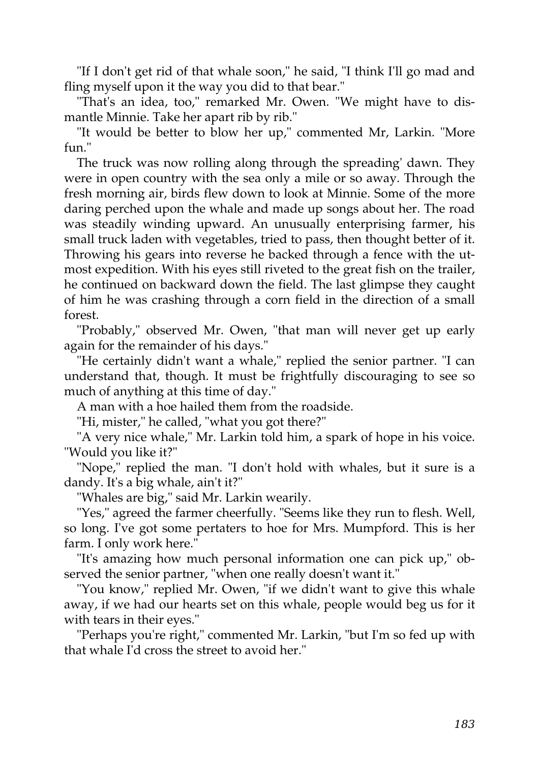"If I don't get rid of that whale soon," he said, "I think I'll go mad and fling myself upon it the way you did to that bear."

"That's an idea, too," remarked Mr. Owen. "We might have to dismantle Minnie. Take her apart rib by rib."

"It would be better to blow her up," commented Mr, Larkin. "More fun."

The truck was now rolling along through the spreading' dawn. They were in open country with the sea only a mile or so away. Through the fresh morning air, birds flew down to look at Minnie. Some of the more daring perched upon the whale and made up songs about her. The road was steadily winding upward. An unusually enterprising farmer, his small truck laden with vegetables, tried to pass, then thought better of it. Throwing his gears into reverse he backed through a fence with the utmost expedition. With his eyes still riveted to the great fish on the trailer, he continued on backward down the field. The last glimpse they caught of him he was crashing through a corn field in the direction of a small forest.

"Probably," observed Mr. Owen, "that man will never get up early again for the remainder of his days."

"He certainly didn't want a whale," replied the senior partner. "I can understand that, though. It must be frightfully discouraging to see so much of anything at this time of day."

A man with a hoe hailed them from the roadside.

"Hi, mister," he called, "what you got there?"

"A very nice whale," Mr. Larkin told him, a spark of hope in his voice. "Would you like it?"

"Nope," replied the man. "I don't hold with whales, but it sure is a dandy. It's a big whale, ain't it?"

"Whales are big," said Mr. Larkin wearily.

"Yes," agreed the farmer cheerfully. "Seems like they run to flesh. Well, so long. I've got some pertaters to hoe for Mrs. Mumpford. This is her farm. I only work here."

"It's amazing how much personal information one can pick up," observed the senior partner, "when one really doesn't want it."

"You know," replied Mr. Owen, "if we didn't want to give this whale away, if we had our hearts set on this whale, people would beg us for it with tears in their eyes."

"Perhaps you're right," commented Mr. Larkin, "but I'm so fed up with that whale I'd cross the street to avoid her."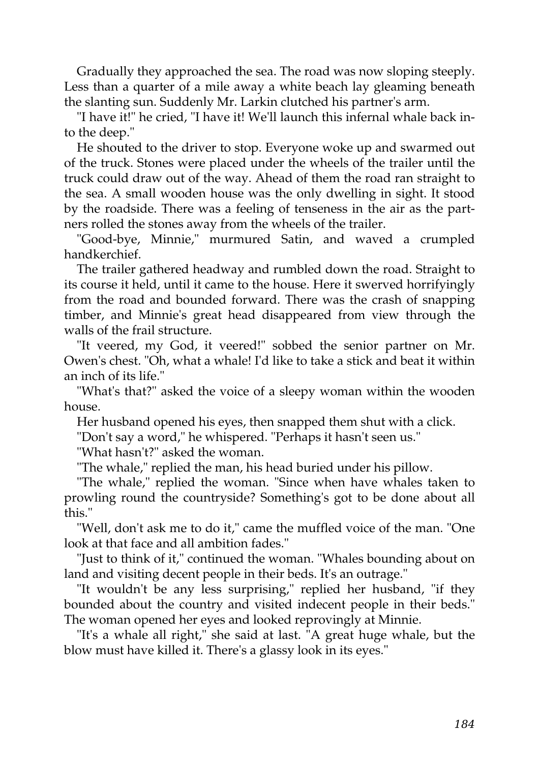Gradually they approached the sea. The road was now sloping steeply. Less than a quarter of a mile away a white beach lay gleaming beneath the slanting sun. Suddenly Mr. Larkin clutched his partner's arm.

"I have it!" he cried, "I have it! We'll launch this infernal whale back into the deep."

He shouted to the driver to stop. Everyone woke up and swarmed out of the truck. Stones were placed under the wheels of the trailer until the truck could draw out of the way. Ahead of them the road ran straight to the sea. A small wooden house was the only dwelling in sight. It stood by the roadside. There was a feeling of tenseness in the air as the partners rolled the stones away from the wheels of the trailer.

"Good-bye, Minnie," murmured Satin, and waved a crumpled handkerchief.

The trailer gathered headway and rumbled down the road. Straight to its course it held, until it came to the house. Here it swerved horrifyingly from the road and bounded forward. There was the crash of snapping timber, and Minnie's great head disappeared from view through the walls of the frail structure.

"It veered, my God, it veered!" sobbed the senior partner on Mr. Owen's chest. "Oh, what a whale! I'd like to take a stick and beat it within an inch of its life."

"What's that?" asked the voice of a sleepy woman within the wooden house.

Her husband opened his eyes, then snapped them shut with a click.

"Don't say a word," he whispered. "Perhaps it hasn't seen us."

"What hasn't?" asked the woman.

"The whale," replied the man, his head buried under his pillow.

"The whale," replied the woman. "Since when have whales taken to prowling round the countryside? Something's got to be done about all this."

"Well, don't ask me to do it," came the muffled voice of the man. "One look at that face and all ambition fades."

"Just to think of it," continued the woman. "Whales bounding about on land and visiting decent people in their beds. It's an outrage."

"It wouldn't be any less surprising," replied her husband, "if they bounded about the country and visited indecent people in their beds." The woman opened her eyes and looked reprovingly at Minnie.

"It's a whale all right," she said at last. "A great huge whale, but the blow must have killed it. There's a glassy look in its eyes."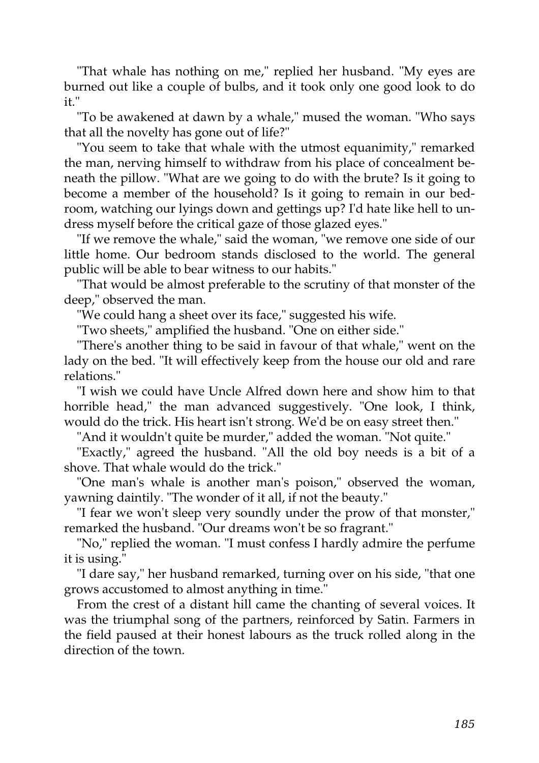"That whale has nothing on me," replied her husband. "My eyes are burned out like a couple of bulbs, and it took only one good look to do it."

"To be awakened at dawn by a whale," mused the woman. "Who says that all the novelty has gone out of life?"

"You seem to take that whale with the utmost equanimity," remarked the man, nerving himself to withdraw from his place of concealment beneath the pillow. "What are we going to do with the brute? Is it going to become a member of the household? Is it going to remain in our bedroom, watching our lyings down and gettings up? I'd hate like hell to undress myself before the critical gaze of those glazed eyes."

"If we remove the whale," said the woman, "we remove one side of our little home. Our bedroom stands disclosed to the world. The general public will be able to bear witness to our habits."

"That would be almost preferable to the scrutiny of that monster of the deep," observed the man.

"We could hang a sheet over its face," suggested his wife.

"Two sheets," amplified the husband. "One on either side."

"There's another thing to be said in favour of that whale," went on the lady on the bed. "It will effectively keep from the house our old and rare relations."

"I wish we could have Uncle Alfred down here and show him to that horrible head," the man advanced suggestively. "One look, I think, would do the trick. His heart isn't strong. We'd be on easy street then."

"And it wouldn't quite be murder," added the woman. "Not quite."

"Exactly," agreed the husband. "All the old boy needs is a bit of a shove. That whale would do the trick."

"One man's whale is another man's poison," observed the woman, yawning daintily. "The wonder of it all, if not the beauty."

"I fear we won't sleep very soundly under the prow of that monster," remarked the husband. "Our dreams won't be so fragrant."

"No," replied the woman. "I must confess I hardly admire the perfume it is using."

"I dare say," her husband remarked, turning over on his side, "that one grows accustomed to almost anything in time."

From the crest of a distant hill came the chanting of several voices. It was the triumphal song of the partners, reinforced by Satin. Farmers in the field paused at their honest labours as the truck rolled along in the direction of the town.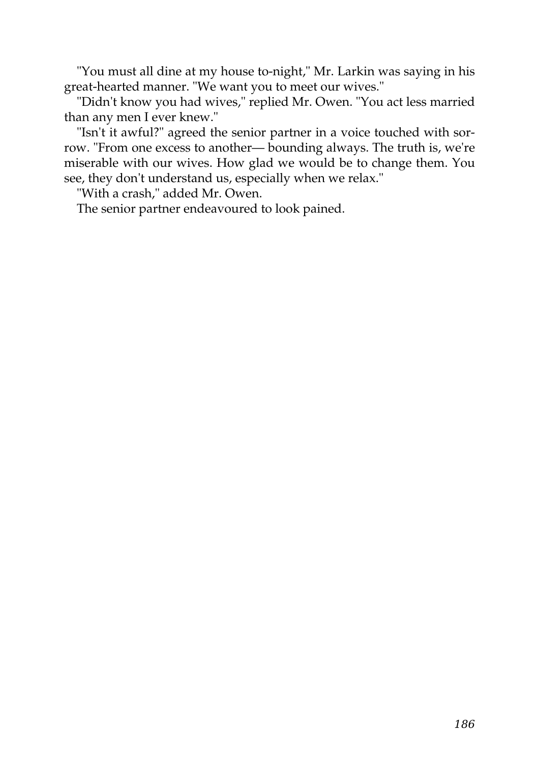"You must all dine at my house to-night," Mr. Larkin was saying in his great-hearted manner. "We want you to meet our wives."

"Didn't know you had wives," replied Mr. Owen. "You act less married than any men I ever knew."

"Isn't it awful?" agreed the senior partner in a voice touched with sorrow. "From one excess to another— bounding always. The truth is, we're miserable with our wives. How glad we would be to change them. You see, they don't understand us, especially when we relax."

"With a crash," added Mr. Owen.

The senior partner endeavoured to look pained.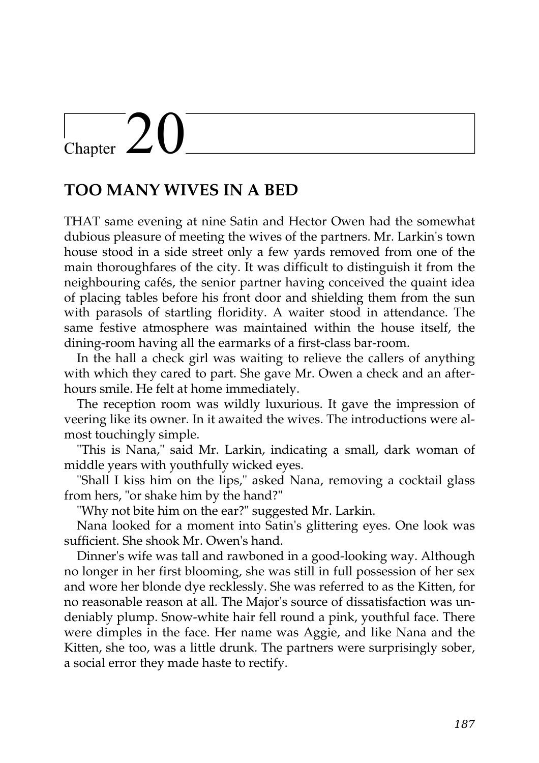# Chapter  $20$

### **TOO MANY WIVES IN A BED**

THAT same evening at nine Satin and Hector Owen had the somewhat dubious pleasure of meeting the wives of the partners. Mr. Larkin's town house stood in a side street only a few yards removed from one of the main thoroughfares of the city. It was difficult to distinguish it from the neighbouring cafés, the senior partner having conceived the quaint idea of placing tables before his front door and shielding them from the sun with parasols of startling floridity. A waiter stood in attendance. The same festive atmosphere was maintained within the house itself, the dining-room having all the earmarks of a first-class bar-room.

In the hall a check girl was waiting to relieve the callers of anything with which they cared to part. She gave Mr. Owen a check and an afterhours smile. He felt at home immediately.

The reception room was wildly luxurious. It gave the impression of veering like its owner. In it awaited the wives. The introductions were almost touchingly simple.

"This is Nana," said Mr. Larkin, indicating a small, dark woman of middle years with youthfully wicked eyes.

"Shall I kiss him on the lips," asked Nana, removing a cocktail glass from hers, "or shake him by the hand?"

"Why not bite him on the ear?" suggested Mr. Larkin.

Nana looked for a moment into Satin's glittering eyes. One look was sufficient. She shook Mr. Owen's hand.

Dinner's wife was tall and rawboned in a good-looking way. Although no longer in her first blooming, she was still in full possession of her sex and wore her blonde dye recklessly. She was referred to as the Kitten, for no reasonable reason at all. The Major's source of dissatisfaction was undeniably plump. Snow-white hair fell round a pink, youthful face. There were dimples in the face. Her name was Aggie, and like Nana and the Kitten, she too, was a little drunk. The partners were surprisingly sober, a social error they made haste to rectify.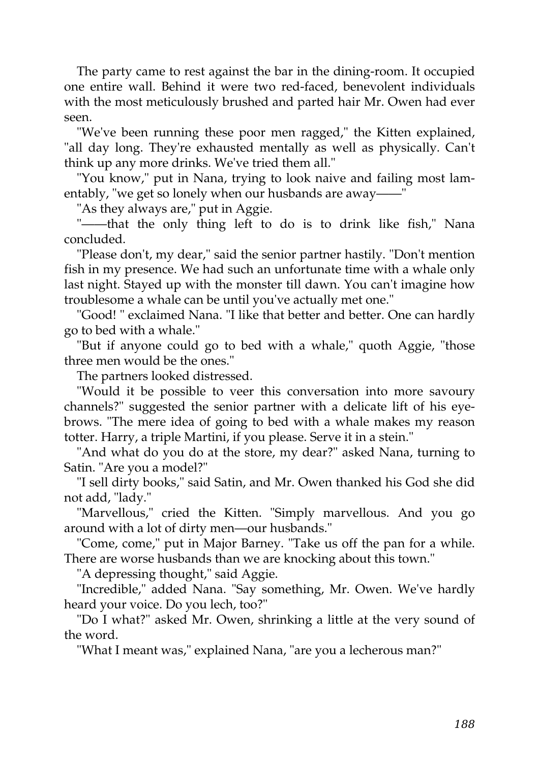The party came to rest against the bar in the dining-room. It occupied one entire wall. Behind it were two red-faced, benevolent individuals with the most meticulously brushed and parted hair Mr. Owen had ever seen.

"We've been running these poor men ragged," the Kitten explained, "all day long. They're exhausted mentally as well as physically. Can't think up any more drinks. We've tried them all."

"You know," put in Nana, trying to look naive and failing most lamentably, "we get so lonely when our husbands are away——"

"As they always are," put in Aggie.

"——that the only thing left to do is to drink like fish," Nana concluded.

"Please don't, my dear," said the senior partner hastily. "Don't mention fish in my presence. We had such an unfortunate time with a whale only last night. Stayed up with the monster till dawn. You can't imagine how troublesome a whale can be until you've actually met one."

"Good! " exclaimed Nana. "I like that better and better. One can hardly go to bed with a whale."

"But if anyone could go to bed with a whale," quoth Aggie, "those three men would be the ones."

The partners looked distressed.

"Would it be possible to veer this conversation into more savoury channels?" suggested the senior partner with a delicate lift of his eyebrows. "The mere idea of going to bed with a whale makes my reason totter. Harry, a triple Martini, if you please. Serve it in a stein."

"And what do you do at the store, my dear?" asked Nana, turning to Satin. "Are you a model?"

"I sell dirty books," said Satin, and Mr. Owen thanked his God she did not add, "lady."

"Marvellous," cried the Kitten. "Simply marvellous. And you go around with a lot of dirty men—our husbands."

"Come, come," put in Major Barney. "Take us off the pan for a while. There are worse husbands than we are knocking about this town."

"A depressing thought," said Aggie.

"Incredible," added Nana. "Say something, Mr. Owen. We've hardly heard your voice. Do you lech, too?"

"Do I what?" asked Mr. Owen, shrinking a little at the very sound of the word.

"What I meant was," explained Nana, "are you a lecherous man?"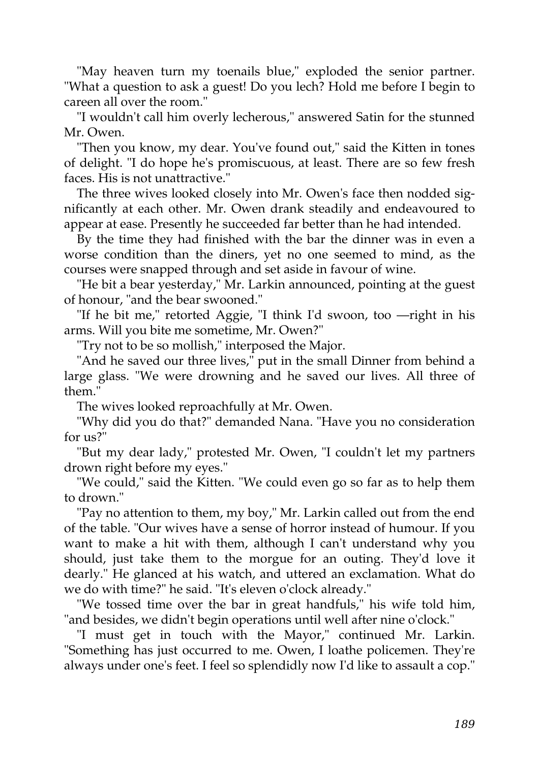"May heaven turn my toenails blue," exploded the senior partner. "What a question to ask a guest! Do you lech? Hold me before I begin to careen all over the room."

"I wouldn't call him overly lecherous," answered Satin for the stunned Mr. Owen.

"Then you know, my dear. You've found out," said the Kitten in tones of delight. "I do hope he's promiscuous, at least. There are so few fresh faces. His is not unattractive."

The three wives looked closely into Mr. Owen's face then nodded significantly at each other. Mr. Owen drank steadily and endeavoured to appear at ease. Presently he succeeded far better than he had intended.

By the time they had finished with the bar the dinner was in even a worse condition than the diners, yet no one seemed to mind, as the courses were snapped through and set aside in favour of wine.

"He bit a bear yesterday," Mr. Larkin announced, pointing at the guest of honour, "and the bear swooned."

"If he bit me," retorted Aggie, "I think I'd swoon, too —right in his arms. Will you bite me sometime, Mr. Owen?"

"Try not to be so mollish," interposed the Major.

"And he saved our three lives," put in the small Dinner from behind a large glass. "We were drowning and he saved our lives. All three of them."

The wives looked reproachfully at Mr. Owen.

"Why did you do that?" demanded Nana. "Have you no consideration for us?"

"But my dear lady," protested Mr. Owen, "I couldn't let my partners drown right before my eyes."

"We could," said the Kitten. "We could even go so far as to help them to drown."

"Pay no attention to them, my boy," Mr. Larkin called out from the end of the table. "Our wives have a sense of horror instead of humour. If you want to make a hit with them, although I can't understand why you should, just take them to the morgue for an outing. They'd love it dearly." He glanced at his watch, and uttered an exclamation. What do we do with time?" he said. "It's eleven o'clock already."

"We tossed time over the bar in great handfuls," his wife told him, "and besides, we didn't begin operations until well after nine o'clock."

"I must get in touch with the Mayor," continued Mr. Larkin. "Something has just occurred to me. Owen, I loathe policemen. They're always under one's feet. I feel so splendidly now I'd like to assault a cop."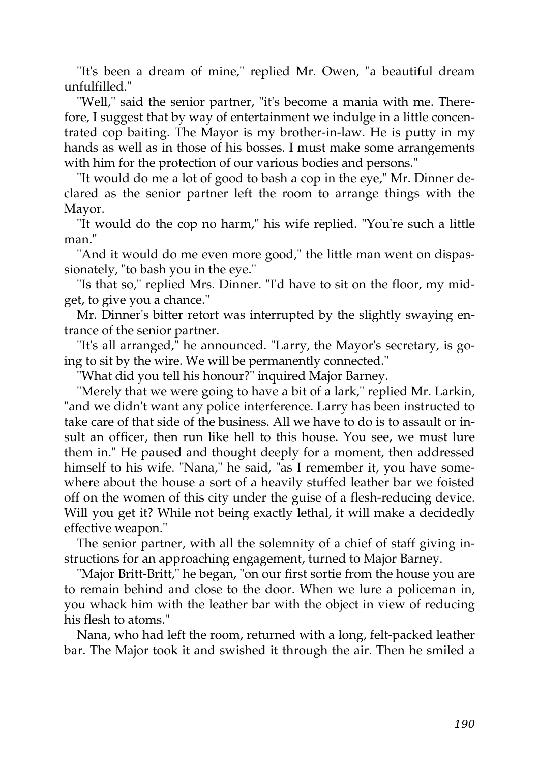"It's been a dream of mine," replied Mr. Owen, "a beautiful dream unfulfilled."

"Well," said the senior partner, "it's become a mania with me. Therefore, I suggest that by way of entertainment we indulge in a little concentrated cop baiting. The Mayor is my brother-in-law. He is putty in my hands as well as in those of his bosses. I must make some arrangements with him for the protection of our various bodies and persons."

"It would do me a lot of good to bash a cop in the eye," Mr. Dinner declared as the senior partner left the room to arrange things with the Mayor.

"It would do the cop no harm," his wife replied. "You're such a little man."

"And it would do me even more good," the little man went on dispassionately, "to bash you in the eye."

"Is that so," replied Mrs. Dinner. "I'd have to sit on the floor, my midget, to give you a chance."

Mr. Dinner's bitter retort was interrupted by the slightly swaying entrance of the senior partner.

"It's all arranged," he announced. "Larry, the Mayor's secretary, is going to sit by the wire. We will be permanently connected."

"What did you tell his honour?" inquired Major Barney.

"Merely that we were going to have a bit of a lark," replied Mr. Larkin, "and we didn't want any police interference. Larry has been instructed to take care of that side of the business. All we have to do is to assault or insult an officer, then run like hell to this house. You see, we must lure them in." He paused and thought deeply for a moment, then addressed himself to his wife. "Nana," he said, "as I remember it, you have somewhere about the house a sort of a heavily stuffed leather bar we foisted off on the women of this city under the guise of a flesh-reducing device. Will you get it? While not being exactly lethal, it will make a decidedly effective weapon."

The senior partner, with all the solemnity of a chief of staff giving instructions for an approaching engagement, turned to Major Barney.

"Major Britt-Britt," he began, "on our first sortie from the house you are to remain behind and close to the door. When we lure a policeman in, you whack him with the leather bar with the object in view of reducing his flesh to atoms."

Nana, who had left the room, returned with a long, felt-packed leather bar. The Major took it and swished it through the air. Then he smiled a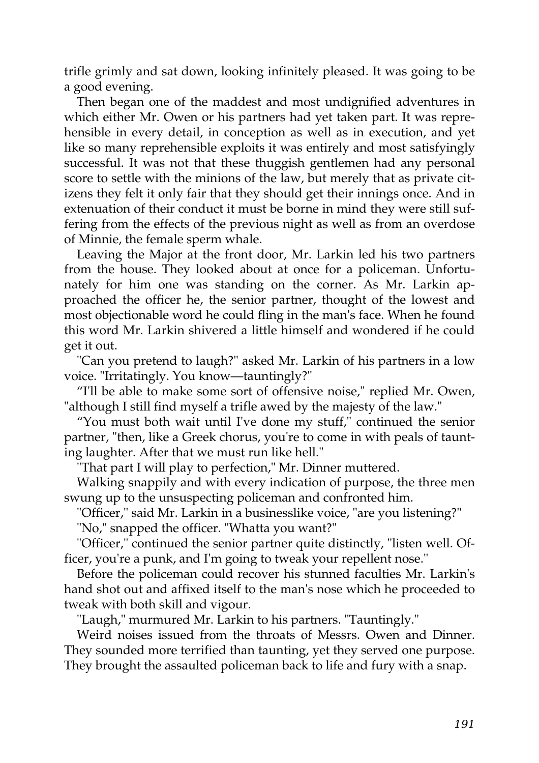trifle grimly and sat down, looking infinitely pleased. It was going to be a good evening.

Then began one of the maddest and most undignified adventures in which either Mr. Owen or his partners had yet taken part. It was reprehensible in every detail, in conception as well as in execution, and yet like so many reprehensible exploits it was entirely and most satisfyingly successful. It was not that these thuggish gentlemen had any personal score to settle with the minions of the law, but merely that as private citizens they felt it only fair that they should get their innings once. And in extenuation of their conduct it must be borne in mind they were still suffering from the effects of the previous night as well as from an overdose of Minnie, the female sperm whale.

Leaving the Major at the front door, Mr. Larkin led his two partners from the house. They looked about at once for a policeman. Unfortunately for him one was standing on the corner. As Mr. Larkin approached the officer he, the senior partner, thought of the lowest and most objectionable word he could fling in the man's face. When he found this word Mr. Larkin shivered a little himself and wondered if he could get it out.

"Can you pretend to laugh?" asked Mr. Larkin of his partners in a low voice. "Irritatingly. You know—tauntingly?"

"I'll be able to make some sort of offensive noise," replied Mr. Owen, "although I still find myself a trifle awed by the majesty of the law."

"You must both wait until I've done my stuff," continued the senior partner, "then, like a Greek chorus, you're to come in with peals of taunting laughter. After that we must run like hell."

"That part I will play to perfection," Mr. Dinner muttered.

Walking snappily and with every indication of purpose, the three men swung up to the unsuspecting policeman and confronted him.

"Officer," said Mr. Larkin in a businesslike voice, "are you listening?"

"No," snapped the officer. "Whatta you want?"

"Officer," continued the senior partner quite distinctly, "listen well. Officer, you're a punk, and I'm going to tweak your repellent nose."

Before the policeman could recover his stunned faculties Mr. Larkin's hand shot out and affixed itself to the man's nose which he proceeded to tweak with both skill and vigour.

"Laugh," murmured Mr. Larkin to his partners. "Tauntingly."

Weird noises issued from the throats of Messrs. Owen and Dinner. They sounded more terrified than taunting, yet they served one purpose. They brought the assaulted policeman back to life and fury with a snap.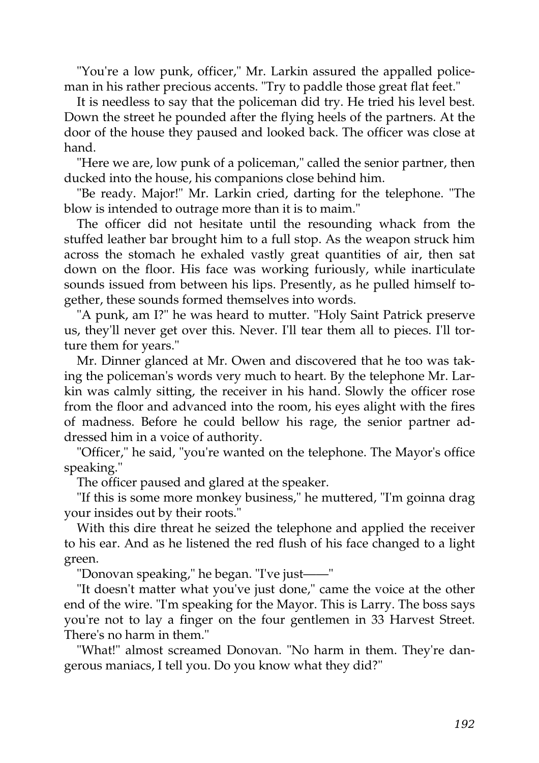"You're a low punk, officer," Mr. Larkin assured the appalled policeman in his rather precious accents. "Try to paddle those great flat feet."

It is needless to say that the policeman did try. He tried his level best. Down the street he pounded after the flying heels of the partners. At the door of the house they paused and looked back. The officer was close at hand.

"Here we are, low punk of a policeman," called the senior partner, then ducked into the house, his companions close behind him.

"Be ready. Major!" Mr. Larkin cried, darting for the telephone. "The blow is intended to outrage more than it is to maim."

The officer did not hesitate until the resounding whack from the stuffed leather bar brought him to a full stop. As the weapon struck him across the stomach he exhaled vastly great quantities of air, then sat down on the floor. His face was working furiously, while inarticulate sounds issued from between his lips. Presently, as he pulled himself together, these sounds formed themselves into words.

"A punk, am I?" he was heard to mutter. "Holy Saint Patrick preserve us, they'll never get over this. Never. I'll tear them all to pieces. I'll torture them for years."

Mr. Dinner glanced at Mr. Owen and discovered that he too was taking the policeman's words very much to heart. By the telephone Mr. Larkin was calmly sitting, the receiver in his hand. Slowly the officer rose from the floor and advanced into the room, his eyes alight with the fires of madness. Before he could bellow his rage, the senior partner addressed him in a voice of authority.

"Officer," he said, "you're wanted on the telephone. The Mayor's office speaking."

The officer paused and glared at the speaker.

"If this is some more monkey business," he muttered, "I'm goinna drag your insides out by their roots."

With this dire threat he seized the telephone and applied the receiver to his ear. And as he listened the red flush of his face changed to a light green.

"Donovan speaking," he began. "I've just——"

"It doesn't matter what you've just done," came the voice at the other end of the wire. "I'm speaking for the Mayor. This is Larry. The boss says you're not to lay a finger on the four gentlemen in 33 Harvest Street. There's no harm in them."

"What!" almost screamed Donovan. "No harm in them. They're dangerous maniacs, I tell you. Do you know what they did?"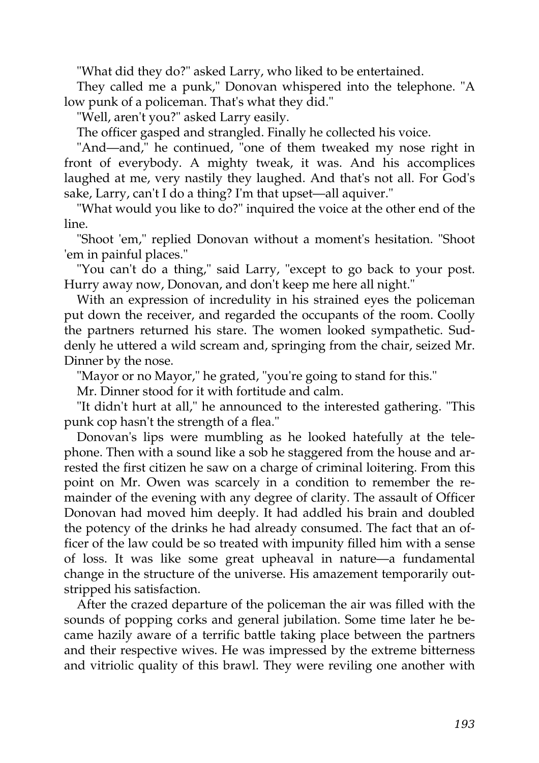"What did they do?" asked Larry, who liked to be entertained.

They called me a punk," Donovan whispered into the telephone. "A low punk of a policeman. That's what they did."

"Well, aren't you?" asked Larry easily.

The officer gasped and strangled. Finally he collected his voice.

"And—and," he continued, "one of them tweaked my nose right in front of everybody. A mighty tweak, it was. And his accomplices laughed at me, very nastily they laughed. And that's not all. For God's sake, Larry, can't I do a thing? I'm that upset—all aquiver."

"What would you like to do?" inquired the voice at the other end of the line.

"Shoot 'em," replied Donovan without a moment's hesitation. "Shoot 'em in painful places."

"You can't do a thing," said Larry, "except to go back to your post. Hurry away now, Donovan, and don't keep me here all night."

With an expression of incredulity in his strained eyes the policeman put down the receiver, and regarded the occupants of the room. Coolly the partners returned his stare. The women looked sympathetic. Suddenly he uttered a wild scream and, springing from the chair, seized Mr. Dinner by the nose.

"Mayor or no Mayor," he grated, "you're going to stand for this."

Mr. Dinner stood for it with fortitude and calm.

"It didn't hurt at all," he announced to the interested gathering. "This punk cop hasn't the strength of a flea."

Donovan's lips were mumbling as he looked hatefully at the telephone. Then with a sound like a sob he staggered from the house and arrested the first citizen he saw on a charge of criminal loitering. From this point on Mr. Owen was scarcely in a condition to remember the remainder of the evening with any degree of clarity. The assault of Officer Donovan had moved him deeply. It had addled his brain and doubled the potency of the drinks he had already consumed. The fact that an officer of the law could be so treated with impunity filled him with a sense of loss. It was like some great upheaval in nature—a fundamental change in the structure of the universe. His amazement temporarily outstripped his satisfaction.

After the crazed departure of the policeman the air was filled with the sounds of popping corks and general jubilation. Some time later he became hazily aware of a terrific battle taking place between the partners and their respective wives. He was impressed by the extreme bitterness and vitriolic quality of this brawl. They were reviling one another with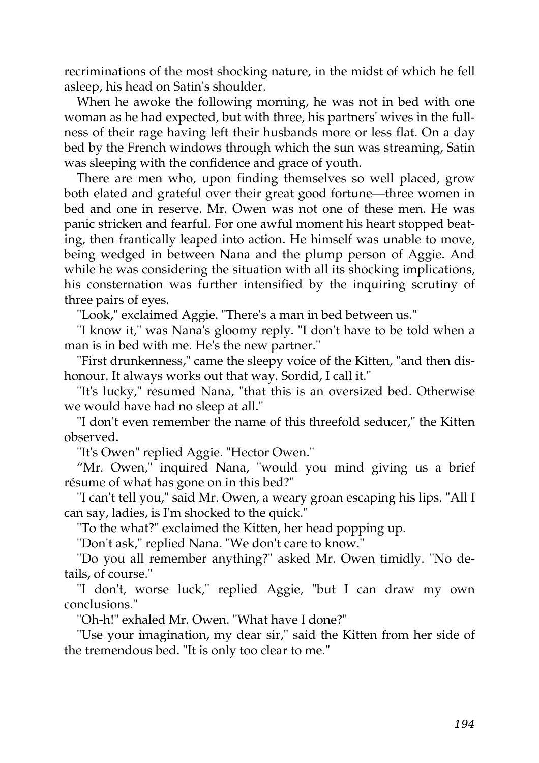recriminations of the most shocking nature, in the midst of which he fell asleep, his head on Satin's shoulder.

When he awoke the following morning, he was not in bed with one woman as he had expected, but with three, his partners' wives in the fullness of their rage having left their husbands more or less flat. On a day bed by the French windows through which the sun was streaming, Satin was sleeping with the confidence and grace of youth.

There are men who, upon finding themselves so well placed, grow both elated and grateful over their great good fortune—three women in bed and one in reserve. Mr. Owen was not one of these men. He was panic stricken and fearful. For one awful moment his heart stopped beating, then frantically leaped into action. He himself was unable to move, being wedged in between Nana and the plump person of Aggie. And while he was considering the situation with all its shocking implications, his consternation was further intensified by the inquiring scrutiny of three pairs of eyes.

"Look," exclaimed Aggie. "There's a man in bed between us."

"I know it," was Nana's gloomy reply. "I don't have to be told when a man is in bed with me. He's the new partner."

"First drunkenness," came the sleepy voice of the Kitten, "and then dishonour. It always works out that way. Sordid, I call it."

"It's lucky," resumed Nana, "that this is an oversized bed. Otherwise we would have had no sleep at all."

"I don't even remember the name of this threefold seducer," the Kitten observed.

"It's Owen" replied Aggie. "Hector Owen."

"Mr. Owen," inquired Nana, "would you mind giving us a brief résume of what has gone on in this bed?"

"I can't tell you," said Mr. Owen, a weary groan escaping his lips. "All I can say, ladies, is I'm shocked to the quick."

"To the what?" exclaimed the Kitten, her head popping up.

"Don't ask," replied Nana. "We don't care to know."

"Do you all remember anything?" asked Mr. Owen timidly. "No details, of course."

"I don't, worse luck," replied Aggie, "but I can draw my own conclusions."

"Oh-h!" exhaled Mr. Owen. "What have I done?"

"Use your imagination, my dear sir," said the Kitten from her side of the tremendous bed. "It is only too clear to me."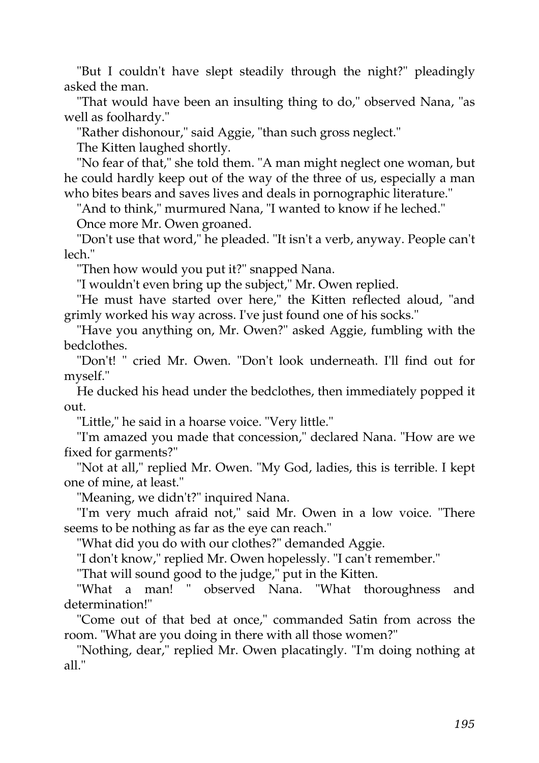"But I couldn't have slept steadily through the night?" pleadingly asked the man.

"That would have been an insulting thing to do," observed Nana, "as well as foolhardy."

"Rather dishonour," said Aggie, "than such gross neglect."

The Kitten laughed shortly.

"No fear of that," she told them. "A man might neglect one woman, but he could hardly keep out of the way of the three of us, especially a man who bites bears and saves lives and deals in pornographic literature."

"And to think," murmured Nana, "I wanted to know if he leched."

Once more Mr. Owen groaned.

"Don't use that word," he pleaded. "It isn't a verb, anyway. People can't lech."

"Then how would you put it?" snapped Nana.

"I wouldn't even bring up the subject," Mr. Owen replied.

"He must have started over here," the Kitten reflected aloud, "and grimly worked his way across. I've just found one of his socks."

"Have you anything on, Mr. Owen?" asked Aggie, fumbling with the bedclothes.

"Don't! " cried Mr. Owen. "Don't look underneath. I'll find out for myself."

He ducked his head under the bedclothes, then immediately popped it out.

"Little," he said in a hoarse voice. "Very little."

"I'm amazed you made that concession," declared Nana. "How are we fixed for garments?"

"Not at all," replied Mr. Owen. "My God, ladies, this is terrible. I kept one of mine, at least."

"Meaning, we didn't?" inquired Nana.

"I'm very much afraid not," said Mr. Owen in a low voice. "There seems to be nothing as far as the eye can reach."

"What did you do with our clothes?" demanded Aggie.

"I don't know," replied Mr. Owen hopelessly. "I can't remember."

"That will sound good to the judge," put in the Kitten.

"What a man! " observed Nana. "What thoroughness and determination!"

"Come out of that bed at once," commanded Satin from across the room. "What are you doing in there with all those women?"

"Nothing, dear," replied Mr. Owen placatingly. "I'm doing nothing at all."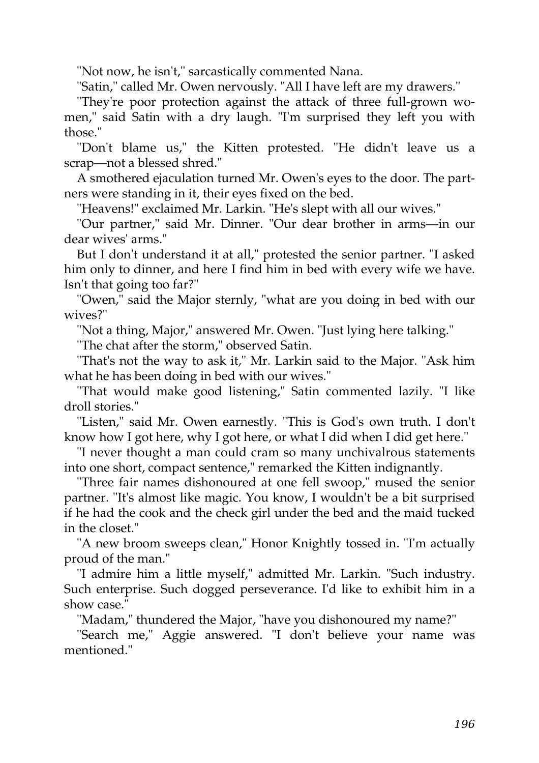"Not now, he isn't," sarcastically commented Nana.

"Satin," called Mr. Owen nervously. "All I have left are my drawers."

"They're poor protection against the attack of three full-grown women," said Satin with a dry laugh. "I'm surprised they left you with those."

"Don't blame us," the Kitten protested. "He didn't leave us a scrap—not a blessed shred."

A smothered ejaculation turned Mr. Owen's eyes to the door. The partners were standing in it, their eyes fixed on the bed.

"Heavens!" exclaimed Mr. Larkin. "He's slept with all our wives."

"Our partner," said Mr. Dinner. "Our dear brother in arms—in our dear wives' arms."

But I don't understand it at all," protested the senior partner. "I asked him only to dinner, and here I find him in bed with every wife we have. Isn't that going too far?"

"Owen," said the Major sternly, "what are you doing in bed with our wives?"

"Not a thing, Major," answered Mr. Owen. "Just lying here talking."

"The chat after the storm," observed Satin.

"That's not the way to ask it," Mr. Larkin said to the Major. "Ask him what he has been doing in bed with our wives."

"That would make good listening," Satin commented lazily. "I like droll stories."

"Listen," said Mr. Owen earnestly. "This is God's own truth. I don't know how I got here, why I got here, or what I did when I did get here."

"I never thought a man could cram so many unchivalrous statements into one short, compact sentence," remarked the Kitten indignantly.

"Three fair names dishonoured at one fell swoop," mused the senior partner. "It's almost like magic. You know, I wouldn't be a bit surprised if he had the cook and the check girl under the bed and the maid tucked in the closet."

"A new broom sweeps clean," Honor Knightly tossed in. "I'm actually proud of the man."

"I admire him a little myself," admitted Mr. Larkin. "Such industry. Such enterprise. Such dogged perseverance. I'd like to exhibit him in a show case."

"Madam," thundered the Major, "have you dishonoured my name?"

"Search me," Aggie answered. "I don't believe your name was mentioned."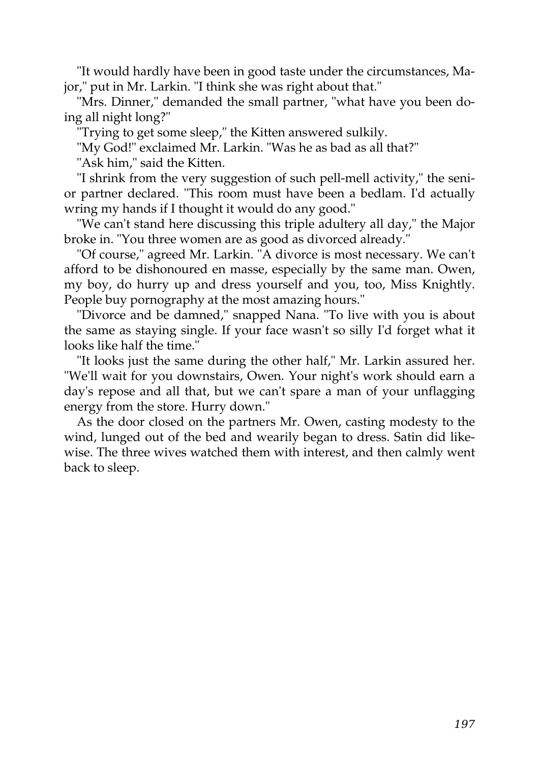"It would hardly have been in good taste under the circumstances, Major," put in Mr. Larkin. "I think she was right about that."

"Mrs. Dinner," demanded the small partner, "what have you been doing all night long?"

"Trying to get some sleep," the Kitten answered sulkily.

"My God!" exclaimed Mr. Larkin. "Was he as bad as all that?"

"Ask him," said the Kitten.

"I shrink from the very suggestion of such pell-mell activity," the senior partner declared. "This room must have been a bedlam. I'd actually wring my hands if I thought it would do any good."

"We can't stand here discussing this triple adultery all day," the Major broke in. "You three women are as good as divorced already."

"Of course," agreed Mr. Larkin. "A divorce is most necessary. We can't afford to be dishonoured en masse, especially by the same man. Owen, my boy, do hurry up and dress yourself and you, too, Miss Knightly. People buy pornography at the most amazing hours."

"Divorce and be damned," snapped Nana. "To live with you is about the same as staying single. If your face wasn't so silly I'd forget what it looks like half the time."

"It looks just the same during the other half," Mr. Larkin assured her. "We'll wait for you downstairs, Owen. Your night's work should earn a day's repose and all that, but we can't spare a man of your unflagging energy from the store. Hurry down."

As the door closed on the partners Mr. Owen, casting modesty to the wind, lunged out of the bed and wearily began to dress. Satin did likewise. The three wives watched them with interest, and then calmly went back to sleep.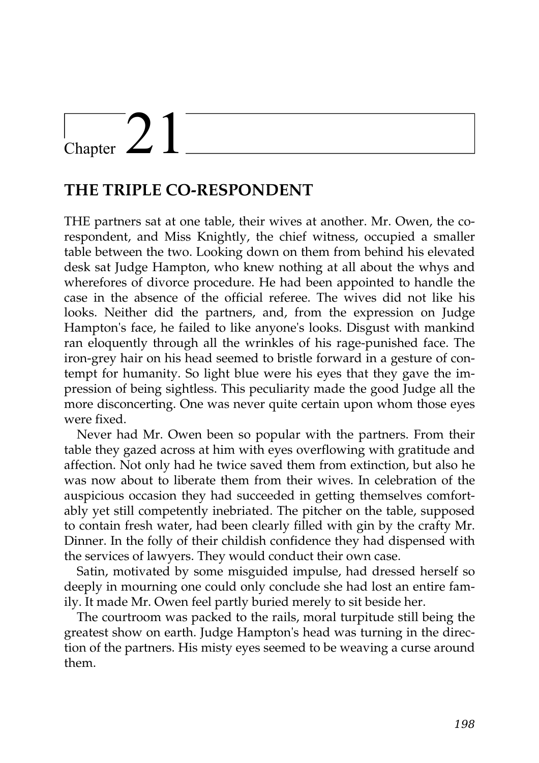## $\sum$

### **THE TRIPLE CO-RESPONDENT**

THE partners sat at one table, their wives at another. Mr. Owen, the corespondent, and Miss Knightly, the chief witness, occupied a smaller table between the two. Looking down on them from behind his elevated desk sat Judge Hampton, who knew nothing at all about the whys and wherefores of divorce procedure. He had been appointed to handle the case in the absence of the official referee. The wives did not like his looks. Neither did the partners, and, from the expression on Judge Hampton's face, he failed to like anyone's looks. Disgust with mankind ran eloquently through all the wrinkles of his rage-punished face. The iron-grey hair on his head seemed to bristle forward in a gesture of contempt for humanity. So light blue were his eyes that they gave the impression of being sightless. This peculiarity made the good Judge all the more disconcerting. One was never quite certain upon whom those eyes were fixed.

Never had Mr. Owen been so popular with the partners. From their table they gazed across at him with eyes overflowing with gratitude and affection. Not only had he twice saved them from extinction, but also he was now about to liberate them from their wives. In celebration of the auspicious occasion they had succeeded in getting themselves comfortably yet still competently inebriated. The pitcher on the table, supposed to contain fresh water, had been clearly filled with gin by the crafty Mr. Dinner. In the folly of their childish confidence they had dispensed with the services of lawyers. They would conduct their own case.

Satin, motivated by some misguided impulse, had dressed herself so deeply in mourning one could only conclude she had lost an entire family. It made Mr. Owen feel partly buried merely to sit beside her.

The courtroom was packed to the rails, moral turpitude still being the greatest show on earth. Judge Hampton's head was turning in the direction of the partners. His misty eyes seemed to be weaving a curse around them.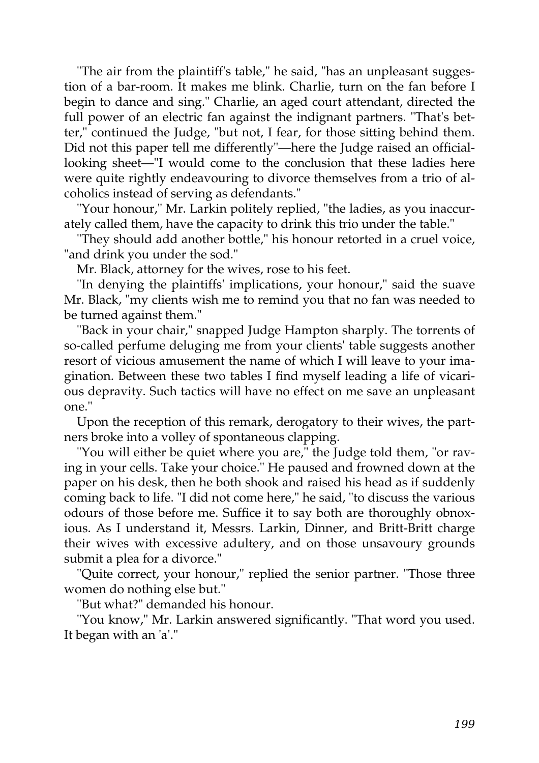"The air from the plaintiff's table," he said, "has an unpleasant suggestion of a bar-room. It makes me blink. Charlie, turn on the fan before I begin to dance and sing." Charlie, an aged court attendant, directed the full power of an electric fan against the indignant partners. "That's better," continued the Judge, "but not, I fear, for those sitting behind them. Did not this paper tell me differently"—here the Judge raised an officiallooking sheet—"I would come to the conclusion that these ladies here were quite rightly endeavouring to divorce themselves from a trio of alcoholics instead of serving as defendants."

"Your honour," Mr. Larkin politely replied, "the ladies, as you inaccurately called them, have the capacity to drink this trio under the table."

"They should add another bottle," his honour retorted in a cruel voice, "and drink you under the sod."

Mr. Black, attorney for the wives, rose to his feet.

"In denying the plaintiffs' implications, your honour," said the suave Mr. Black, "my clients wish me to remind you that no fan was needed to be turned against them."

"Back in your chair," snapped Judge Hampton sharply. The torrents of so-called perfume deluging me from your clients' table suggests another resort of vicious amusement the name of which I will leave to your imagination. Between these two tables I find myself leading a life of vicarious depravity. Such tactics will have no effect on me save an unpleasant one."

Upon the reception of this remark, derogatory to their wives, the partners broke into a volley of spontaneous clapping.

"You will either be quiet where you are," the Judge told them, "or raving in your cells. Take your choice." He paused and frowned down at the paper on his desk, then he both shook and raised his head as if suddenly coming back to life. "I did not come here," he said, "to discuss the various odours of those before me. Suffice it to say both are thoroughly obnoxious. As I understand it, Messrs. Larkin, Dinner, and Britt-Britt charge their wives with excessive adultery, and on those unsavoury grounds submit a plea for a divorce."

"Quite correct, your honour," replied the senior partner. "Those three women do nothing else but."

"But what?" demanded his honour.

"You know," Mr. Larkin answered significantly. "That word you used. It began with an 'a'."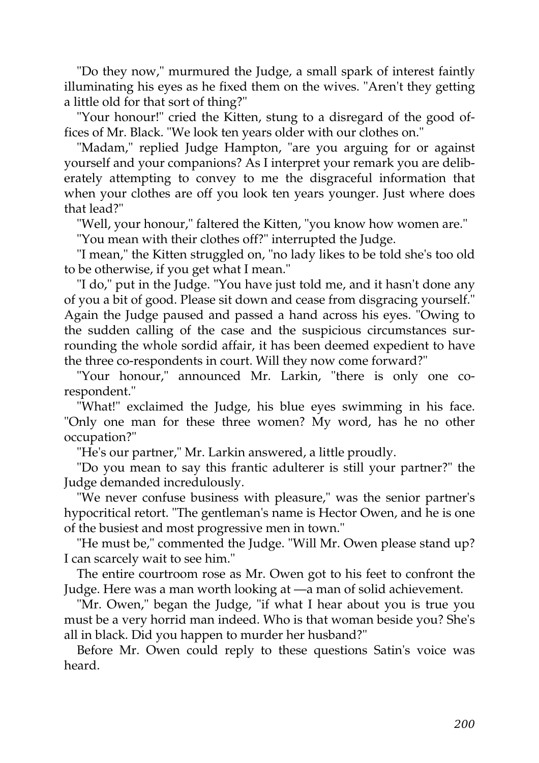"Do they now," murmured the Judge, a small spark of interest faintly illuminating his eyes as he fixed them on the wives. "Aren't they getting a little old for that sort of thing?"

"Your honour!" cried the Kitten, stung to a disregard of the good offices of Mr. Black. "We look ten years older with our clothes on."

"Madam," replied Judge Hampton, "are you arguing for or against yourself and your companions? As I interpret your remark you are deliberately attempting to convey to me the disgraceful information that when your clothes are off you look ten years younger. Just where does that lead?"

"Well, your honour," faltered the Kitten, "you know how women are."

"You mean with their clothes off?" interrupted the Judge.

"I mean," the Kitten struggled on, "no lady likes to be told she's too old to be otherwise, if you get what I mean."

"I do," put in the Judge. "You have just told me, and it hasn't done any of you a bit of good. Please sit down and cease from disgracing yourself." Again the Judge paused and passed a hand across his eyes. "Owing to the sudden calling of the case and the suspicious circumstances surrounding the whole sordid affair, it has been deemed expedient to have the three co-respondents in court. Will they now come forward?"

"Your honour," announced Mr. Larkin, "there is only one corespondent."

"What!" exclaimed the Judge, his blue eyes swimming in his face. "Only one man for these three women? My word, has he no other occupation?"

"He's our partner," Mr. Larkin answered, a little proudly.

"Do you mean to say this frantic adulterer is still your partner?" the Judge demanded incredulously.

"We never confuse business with pleasure," was the senior partner's hypocritical retort. "The gentleman's name is Hector Owen, and he is one of the busiest and most progressive men in town."

"He must be," commented the Judge. "Will Mr. Owen please stand up? I can scarcely wait to see him."

The entire courtroom rose as Mr. Owen got to his feet to confront the Judge. Here was a man worth looking at —a man of solid achievement.

"Mr. Owen," began the Judge, "if what I hear about you is true you must be a very horrid man indeed. Who is that woman beside you? She's all in black. Did you happen to murder her husband?"

Before Mr. Owen could reply to these questions Satin's voice was heard.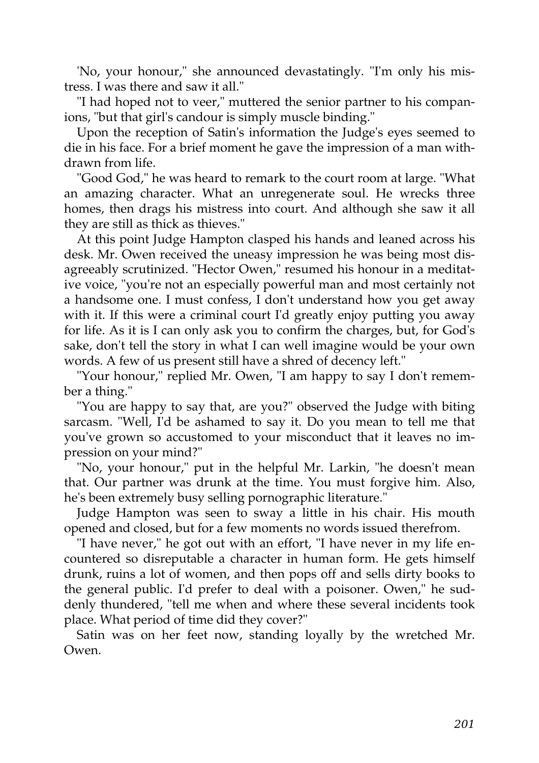'No, your honour," she announced devastatingly. "I'm only his mistress. I was there and saw it all."

"I had hoped not to veer," muttered the senior partner to his companions, "but that girl's candour is simply muscle binding."

Upon the reception of Satin's information the Judge's eyes seemed to die in his face. For a brief moment he gave the impression of a man withdrawn from life.

"Good God," he was heard to remark to the court room at large. "What an amazing character. What an unregenerate soul. He wrecks three homes, then drags his mistress into court. And although she saw it all they are still as thick as thieves."

At this point Judge Hampton clasped his hands and leaned across his desk. Mr. Owen received the uneasy impression he was being most disagreeably scrutinized. "Hector Owen," resumed his honour in a meditative voice, "you're not an especially powerful man and most certainly not a handsome one. I must confess, I don't understand how you get away with it. If this were a criminal court I'd greatly enjoy putting you away for life. As it is I can only ask you to confirm the charges, but, for God's sake, don't tell the story in what I can well imagine would be your own words. A few of us present still have a shred of decency left."

"Your honour," replied Mr. Owen, "I am happy to say I don't remember a thing."

"You are happy to say that, are you?" observed the Judge with biting sarcasm. "Well, I'd be ashamed to say it. Do you mean to tell me that you've grown so accustomed to your misconduct that it leaves no impression on your mind?"

"No, your honour," put in the helpful Mr. Larkin, "he doesn't mean that. Our partner was drunk at the time. You must forgive him. Also, he's been extremely busy selling pornographic literature."

Judge Hampton was seen to sway a little in his chair. His mouth opened and closed, but for a few moments no words issued therefrom.

"I have never," he got out with an effort, "I have never in my life encountered so disreputable a character in human form. He gets himself drunk, ruins a lot of women, and then pops off and sells dirty books to the general public. I'd prefer to deal with a poisoner. Owen," he suddenly thundered, "tell me when and where these several incidents took place. What period of time did they cover?"

Satin was on her feet now, standing loyally by the wretched Mr. Owen.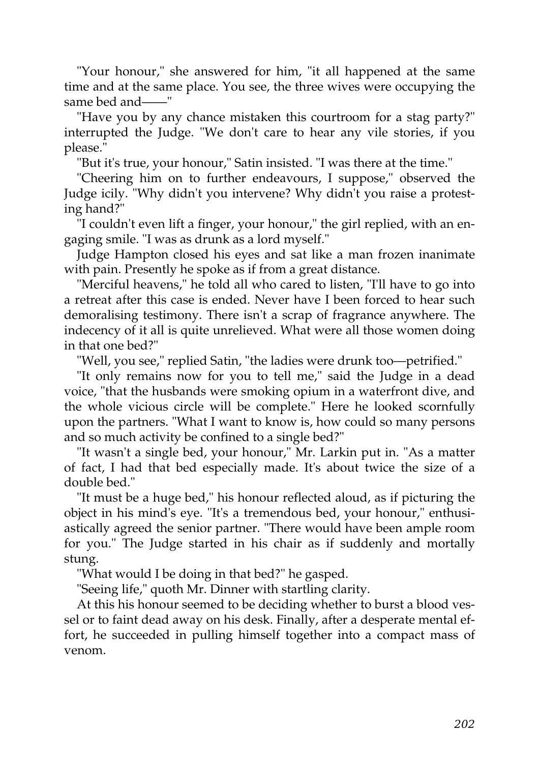"Your honour," she answered for him, "it all happened at the same time and at the same place. You see, the three wives were occupying the same bed and-

"Have you by any chance mistaken this courtroom for a stag party?" interrupted the Judge. "We don't care to hear any vile stories, if you please."

"But it's true, your honour," Satin insisted. "I was there at the time."

"Cheering him on to further endeavours, I suppose," observed the Judge icily. "Why didn't you intervene? Why didn't you raise a protesting hand?"

"I couldn't even lift a finger, your honour," the girl replied, with an engaging smile. "I was as drunk as a lord myself."

Judge Hampton closed his eyes and sat like a man frozen inanimate with pain. Presently he spoke as if from a great distance.

"Merciful heavens," he told all who cared to listen, "I'll have to go into a retreat after this case is ended. Never have I been forced to hear such demoralising testimony. There isn't a scrap of fragrance anywhere. The indecency of it all is quite unrelieved. What were all those women doing in that one bed?"

"Well, you see," replied Satin, "the ladies were drunk too—petrified."

"It only remains now for you to tell me," said the Judge in a dead voice, "that the husbands were smoking opium in a waterfront dive, and the whole vicious circle will be complete." Here he looked scornfully upon the partners. "What I want to know is, how could so many persons and so much activity be confined to a single bed?"

"It wasn't a single bed, your honour," Mr. Larkin put in. "As a matter of fact, I had that bed especially made. It's about twice the size of a double bed."

"It must be a huge bed," his honour reflected aloud, as if picturing the object in his mind's eye. "It's a tremendous bed, your honour," enthusiastically agreed the senior partner. "There would have been ample room for you." The Judge started in his chair as if suddenly and mortally stung.

"What would I be doing in that bed?" he gasped.

"Seeing life," quoth Mr. Dinner with startling clarity.

At this his honour seemed to be deciding whether to burst a blood vessel or to faint dead away on his desk. Finally, after a desperate mental effort, he succeeded in pulling himself together into a compact mass of venom.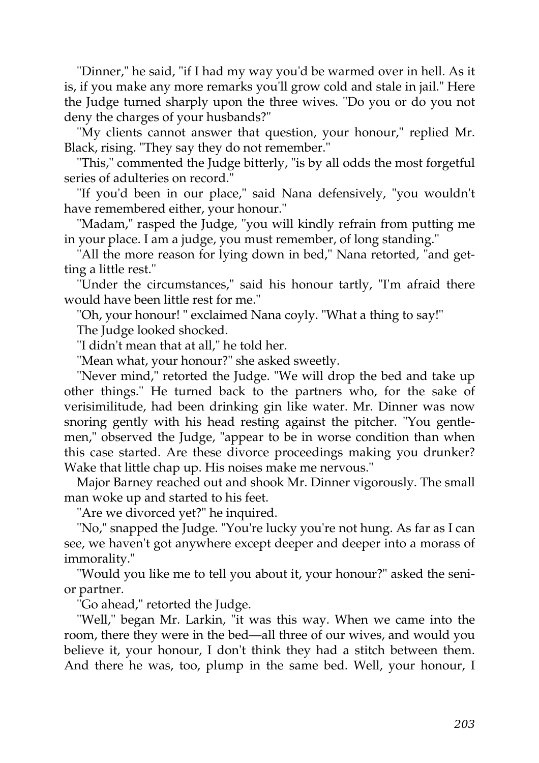"Dinner," he said, "if I had my way you'd be warmed over in hell. As it is, if you make any more remarks you'll grow cold and stale in jail." Here the Judge turned sharply upon the three wives. "Do you or do you not deny the charges of your husbands?"

"My clients cannot answer that question, your honour," replied Mr. Black, rising. "They say they do not remember."

"This," commented the Judge bitterly, "is by all odds the most forgetful series of adulteries on record."

"If you'd been in our place," said Nana defensively, "you wouldn't have remembered either, your honour."

"Madam," rasped the Judge, "you will kindly refrain from putting me in your place. I am a judge, you must remember, of long standing."

"All the more reason for lying down in bed," Nana retorted, "and getting a little rest."

"Under the circumstances," said his honour tartly, "I'm afraid there would have been little rest for me."

"Oh, your honour! " exclaimed Nana coyly. "What a thing to say!"

The Judge looked shocked.

"I didn't mean that at all," he told her.

"Mean what, your honour?" she asked sweetly.

"Never mind," retorted the Judge. "We will drop the bed and take up other things." He turned back to the partners who, for the sake of verisimilitude, had been drinking gin like water. Mr. Dinner was now snoring gently with his head resting against the pitcher. "You gentlemen," observed the Judge, "appear to be in worse condition than when this case started. Are these divorce proceedings making you drunker? Wake that little chap up. His noises make me nervous."

Major Barney reached out and shook Mr. Dinner vigorously. The small man woke up and started to his feet.

"Are we divorced yet?" he inquired.

"No," snapped the Judge. "You're lucky you're not hung. As far as I can see, we haven't got anywhere except deeper and deeper into a morass of immorality."

"Would you like me to tell you about it, your honour?" asked the senior partner.

"Go ahead," retorted the Judge.

"Well," began Mr. Larkin, "it was this way. When we came into the room, there they were in the bed—all three of our wives, and would you believe it, your honour, I don't think they had a stitch between them. And there he was, too, plump in the same bed. Well, your honour, I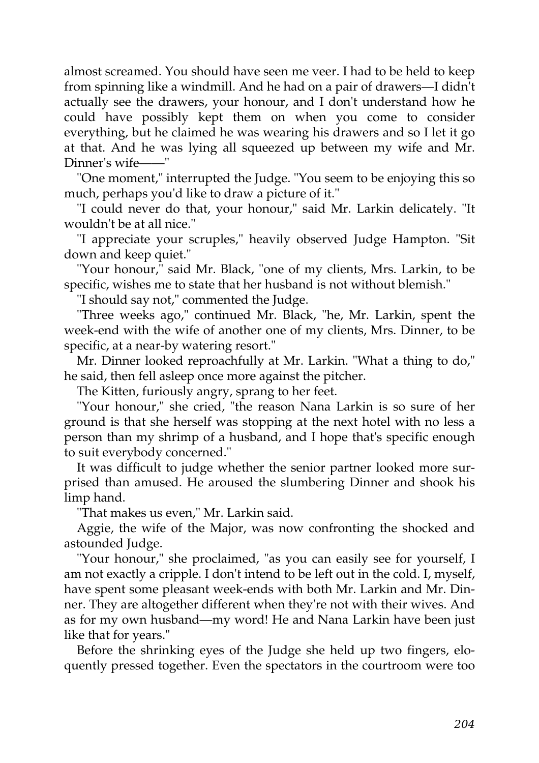almost screamed. You should have seen me veer. I had to be held to keep from spinning like a windmill. And he had on a pair of drawers—I didn't actually see the drawers, your honour, and I don't understand how he could have possibly kept them on when you come to consider everything, but he claimed he was wearing his drawers and so I let it go at that. And he was lying all squeezed up between my wife and Mr. Dinner's wife—

"One moment," interrupted the Judge. "You seem to be enjoying this so much, perhaps you'd like to draw a picture of it."

"I could never do that, your honour," said Mr. Larkin delicately. "It wouldn't be at all nice."

"I appreciate your scruples," heavily observed Judge Hampton. "Sit down and keep quiet."

"Your honour," said Mr. Black, "one of my clients, Mrs. Larkin, to be specific, wishes me to state that her husband is not without blemish."

"I should say not," commented the Judge.

"Three weeks ago," continued Mr. Black, "he, Mr. Larkin, spent the week-end with the wife of another one of my clients, Mrs. Dinner, to be specific, at a near-by watering resort."

Mr. Dinner looked reproachfully at Mr. Larkin. "What a thing to do," he said, then fell asleep once more against the pitcher.

The Kitten, furiously angry, sprang to her feet.

"Your honour," she cried, "the reason Nana Larkin is so sure of her ground is that she herself was stopping at the next hotel with no less a person than my shrimp of a husband, and I hope that's specific enough to suit everybody concerned."

It was difficult to judge whether the senior partner looked more surprised than amused. He aroused the slumbering Dinner and shook his limp hand.

"That makes us even," Mr. Larkin said.

Aggie, the wife of the Major, was now confronting the shocked and astounded Judge.

"Your honour," she proclaimed, "as you can easily see for yourself, I am not exactly a cripple. I don't intend to be left out in the cold. I, myself, have spent some pleasant week-ends with both Mr. Larkin and Mr. Dinner. They are altogether different when they're not with their wives. And as for my own husband—my word! He and Nana Larkin have been just like that for years."

Before the shrinking eyes of the Judge she held up two fingers, eloquently pressed together. Even the spectators in the courtroom were too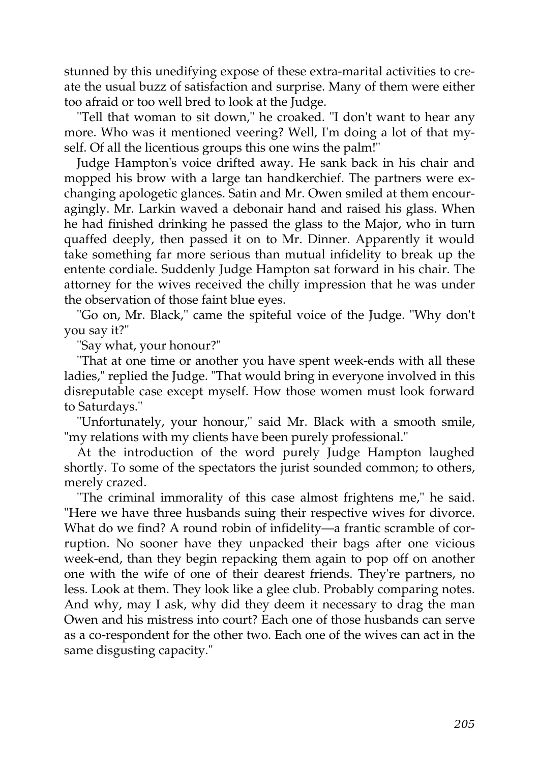stunned by this unedifying expose of these extra-marital activities to create the usual buzz of satisfaction and surprise. Many of them were either too afraid or too well bred to look at the Judge.

"Tell that woman to sit down," he croaked. "I don't want to hear any more. Who was it mentioned veering? Well, I'm doing a lot of that myself. Of all the licentious groups this one wins the palm!"

Judge Hampton's voice drifted away. He sank back in his chair and mopped his brow with a large tan handkerchief. The partners were exchanging apologetic glances. Satin and Mr. Owen smiled at them encouragingly. Mr. Larkin waved a debonair hand and raised his glass. When he had finished drinking he passed the glass to the Major, who in turn quaffed deeply, then passed it on to Mr. Dinner. Apparently it would take something far more serious than mutual infidelity to break up the entente cordiale. Suddenly Judge Hampton sat forward in his chair. The attorney for the wives received the chilly impression that he was under the observation of those faint blue eyes.

"Go on, Mr. Black," came the spiteful voice of the Judge. "Why don't you say it?"

"Say what, your honour?"

"That at one time or another you have spent week-ends with all these ladies," replied the Judge. "That would bring in everyone involved in this disreputable case except myself. How those women must look forward to Saturdays."

"Unfortunately, your honour," said Mr. Black with a smooth smile, "my relations with my clients have been purely professional."

At the introduction of the word purely Judge Hampton laughed shortly. To some of the spectators the jurist sounded common; to others, merely crazed.

"The criminal immorality of this case almost frightens me," he said. "Here we have three husbands suing their respective wives for divorce. What do we find? A round robin of infidelity—a frantic scramble of corruption. No sooner have they unpacked their bags after one vicious week-end, than they begin repacking them again to pop off on another one with the wife of one of their dearest friends. They're partners, no less. Look at them. They look like a glee club. Probably comparing notes. And why, may I ask, why did they deem it necessary to drag the man Owen and his mistress into court? Each one of those husbands can serve as a co-respondent for the other two. Each one of the wives can act in the same disgusting capacity."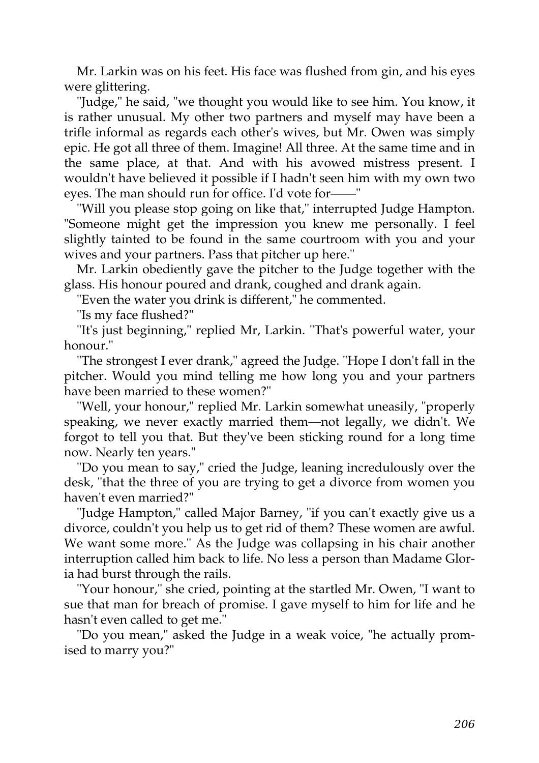Mr. Larkin was on his feet. His face was flushed from gin, and his eyes were glittering.

"Judge," he said, "we thought you would like to see him. You know, it is rather unusual. My other two partners and myself may have been a trifle informal as regards each other's wives, but Mr. Owen was simply epic. He got all three of them. Imagine! All three. At the same time and in the same place, at that. And with his avowed mistress present. I wouldn't have believed it possible if I hadn't seen him with my own two eyes. The man should run for office. I'd vote for——"

"Will you please stop going on like that," interrupted Judge Hampton. "Someone might get the impression you knew me personally. I feel slightly tainted to be found in the same courtroom with you and your wives and your partners. Pass that pitcher up here."

Mr. Larkin obediently gave the pitcher to the Judge together with the glass. His honour poured and drank, coughed and drank again.

"Even the water you drink is different," he commented.

"Is my face flushed?"

"It's just beginning," replied Mr, Larkin. "That's powerful water, your honour."

"The strongest I ever drank," agreed the Judge. "Hope I don't fall in the pitcher. Would you mind telling me how long you and your partners have been married to these women?"

"Well, your honour," replied Mr. Larkin somewhat uneasily, "properly speaking, we never exactly married them—not legally, we didn't. We forgot to tell you that. But they've been sticking round for a long time now. Nearly ten years."

"Do you mean to say," cried the Judge, leaning incredulously over the desk, "that the three of you are trying to get a divorce from women you haven't even married?"

"Judge Hampton," called Major Barney, "if you can't exactly give us a divorce, couldn't you help us to get rid of them? These women are awful. We want some more." As the Judge was collapsing in his chair another interruption called him back to life. No less a person than Madame Gloria had burst through the rails.

"Your honour," she cried, pointing at the startled Mr. Owen, "I want to sue that man for breach of promise. I gave myself to him for life and he hasn't even called to get me."

"Do you mean," asked the Judge in a weak voice, "he actually promised to marry you?"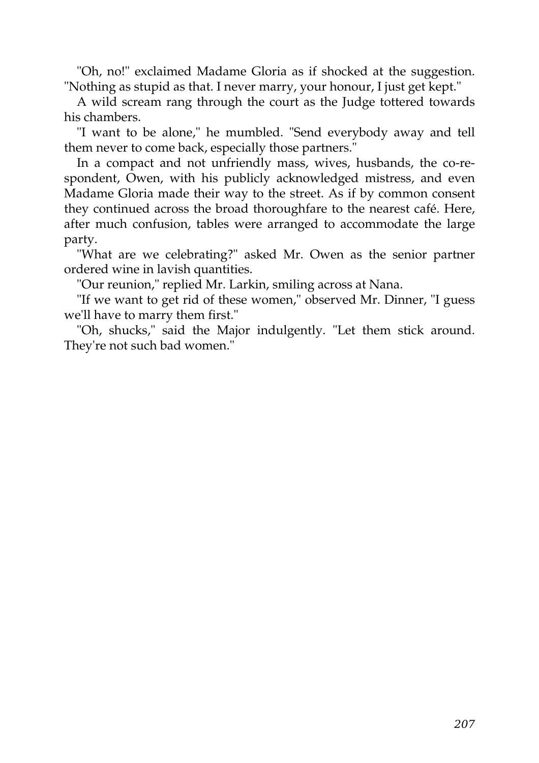"Oh, no!" exclaimed Madame Gloria as if shocked at the suggestion. "Nothing as stupid as that. I never marry, your honour, I just get kept."

A wild scream rang through the court as the Judge tottered towards his chambers.

"I want to be alone," he mumbled. "Send everybody away and tell them never to come back, especially those partners."

In a compact and not unfriendly mass, wives, husbands, the co-respondent, Owen, with his publicly acknowledged mistress, and even Madame Gloria made their way to the street. As if by common consent they continued across the broad thoroughfare to the nearest café. Here, after much confusion, tables were arranged to accommodate the large party.

"What are we celebrating?" asked Mr. Owen as the senior partner ordered wine in lavish quantities.

"Our reunion," replied Mr. Larkin, smiling across at Nana.

"If we want to get rid of these women," observed Mr. Dinner, "I guess we'll have to marry them first."

"Oh, shucks," said the Major indulgently. "Let them stick around. They're not such bad women."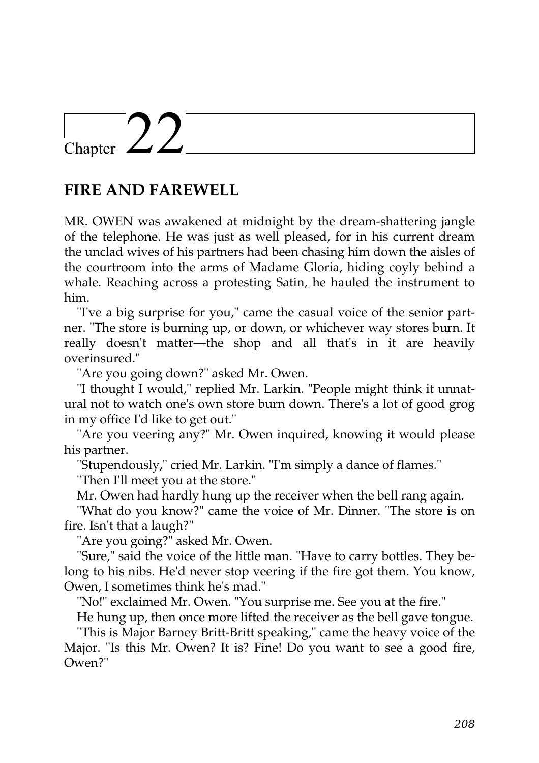### Chapter  $22$

#### **FIRE AND FAREWELL**

MR. OWEN was awakened at midnight by the dream-shattering jangle of the telephone. He was just as well pleased, for in his current dream the unclad wives of his partners had been chasing him down the aisles of the courtroom into the arms of Madame Gloria, hiding coyly behind a whale. Reaching across a protesting Satin, he hauled the instrument to him.

"I've a big surprise for you," came the casual voice of the senior partner. "The store is burning up, or down, or whichever way stores burn. It really doesn't matter—the shop and all that's in it are heavily overinsured."

"Are you going down?" asked Mr. Owen.

"I thought I would," replied Mr. Larkin. "People might think it unnatural not to watch one's own store burn down. There's a lot of good grog in my office I'd like to get out."

"Are you veering any?" Mr. Owen inquired, knowing it would please his partner.

"Stupendously," cried Mr. Larkin. "I'm simply a dance of flames."

"Then I'll meet you at the store."

Mr. Owen had hardly hung up the receiver when the bell rang again.

"What do you know?" came the voice of Mr. Dinner. "The store is on fire. Isn't that a laugh?"

"Are you going?" asked Mr. Owen.

"Sure," said the voice of the little man. "Have to carry bottles. They belong to his nibs. He'd never stop veering if the fire got them. You know, Owen, I sometimes think he's mad."

"No!" exclaimed Mr. Owen. "You surprise me. See you at the fire."

He hung up, then once more lifted the receiver as the bell gave tongue.

"This is Major Barney Britt-Britt speaking," came the heavy voice of the Major. "Is this Mr. Owen? It is? Fine! Do you want to see a good fire, Owen?"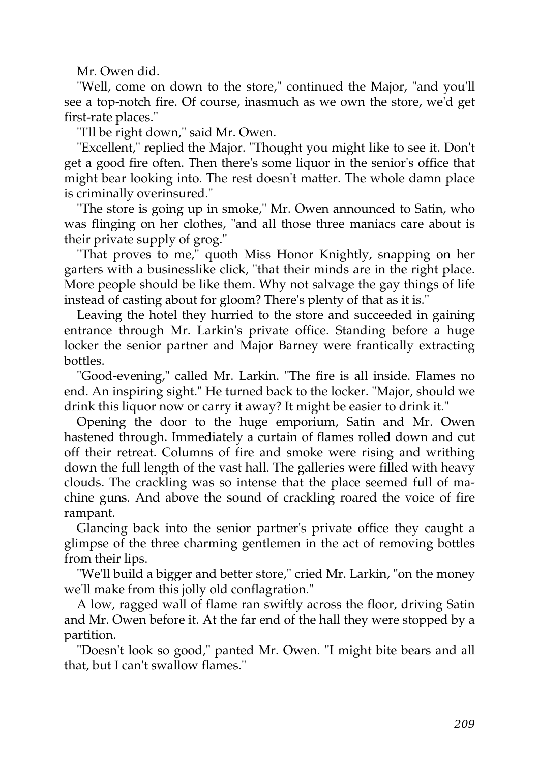Mr. Owen did.

"Well, come on down to the store," continued the Major, "and you'll see a top-notch fire. Of course, inasmuch as we own the store, we'd get first-rate places."

"I'll be right down," said Mr. Owen.

"Excellent," replied the Major. "Thought you might like to see it. Don't get a good fire often. Then there's some liquor in the senior's office that might bear looking into. The rest doesn't matter. The whole damn place is criminally overinsured."

"The store is going up in smoke," Mr. Owen announced to Satin, who was flinging on her clothes, "and all those three maniacs care about is their private supply of grog."

"That proves to me," quoth Miss Honor Knightly, snapping on her garters with a businesslike click, "that their minds are in the right place. More people should be like them. Why not salvage the gay things of life instead of casting about for gloom? There's plenty of that as it is."

Leaving the hotel they hurried to the store and succeeded in gaining entrance through Mr. Larkin's private office. Standing before a huge locker the senior partner and Major Barney were frantically extracting bottles.

"Good-evening," called Mr. Larkin. "The fire is all inside. Flames no end. An inspiring sight." He turned back to the locker. "Major, should we drink this liquor now or carry it away? It might be easier to drink it."

Opening the door to the huge emporium, Satin and Mr. Owen hastened through. Immediately a curtain of flames rolled down and cut off their retreat. Columns of fire and smoke were rising and writhing down the full length of the vast hall. The galleries were filled with heavy clouds. The crackling was so intense that the place seemed full of machine guns. And above the sound of crackling roared the voice of fire rampant.

Glancing back into the senior partner's private office they caught a glimpse of the three charming gentlemen in the act of removing bottles from their lips.

"We'll build a bigger and better store," cried Mr. Larkin, "on the money we'll make from this jolly old conflagration."

A low, ragged wall of flame ran swiftly across the floor, driving Satin and Mr. Owen before it. At the far end of the hall they were stopped by a partition.

"Doesn't look so good," panted Mr. Owen. "I might bite bears and all that, but I can't swallow flames."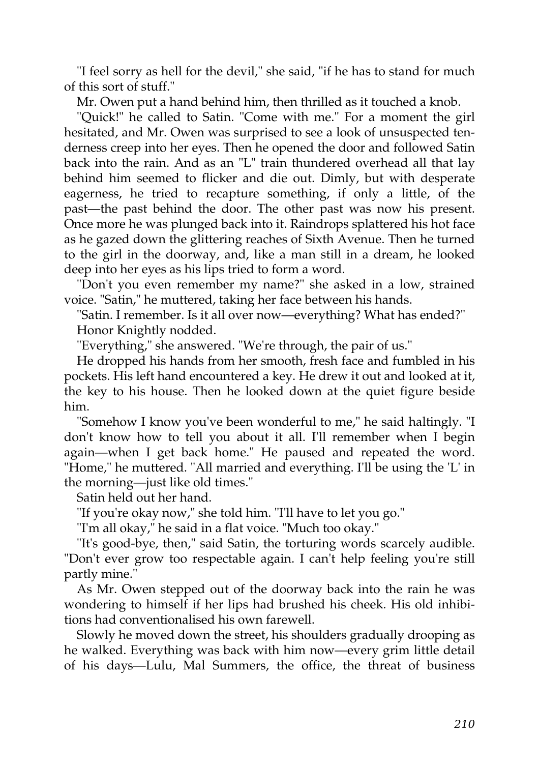"I feel sorry as hell for the devil," she said, "if he has to stand for much of this sort of stuff."

Mr. Owen put a hand behind him, then thrilled as it touched a knob.

"Quick!" he called to Satin. "Come with me." For a moment the girl hesitated, and Mr. Owen was surprised to see a look of unsuspected tenderness creep into her eyes. Then he opened the door and followed Satin back into the rain. And as an "L" train thundered overhead all that lay behind him seemed to flicker and die out. Dimly, but with desperate eagerness, he tried to recapture something, if only a little, of the past—the past behind the door. The other past was now his present. Once more he was plunged back into it. Raindrops splattered his hot face as he gazed down the glittering reaches of Sixth Avenue. Then he turned to the girl in the doorway, and, like a man still in a dream, he looked deep into her eyes as his lips tried to form a word.

"Don't you even remember my name?" she asked in a low, strained voice. "Satin," he muttered, taking her face between his hands.

"Satin. I remember. Is it all over now—everything? What has ended?" Honor Knightly nodded.

"Everything," she answered. "We're through, the pair of us."

He dropped his hands from her smooth, fresh face and fumbled in his pockets. His left hand encountered a key. He drew it out and looked at it, the key to his house. Then he looked down at the quiet figure beside him.

"Somehow I know you've been wonderful to me," he said haltingly. "I don't know how to tell you about it all. I'll remember when I begin again—when I get back home." He paused and repeated the word. "Home," he muttered. "All married and everything. I'll be using the 'L' in the morning—just like old times."

Satin held out her hand.

"If you're okay now," she told him. "I'll have to let you go."

"I'm all okay," he said in a flat voice. "Much too okay."

"It's good-bye, then," said Satin, the torturing words scarcely audible. "Don't ever grow too respectable again. I can't help feeling you're still partly mine."

As Mr. Owen stepped out of the doorway back into the rain he was wondering to himself if her lips had brushed his cheek. His old inhibitions had conventionalised his own farewell.

Slowly he moved down the street, his shoulders gradually drooping as he walked. Everything was back with him now—every grim little detail of his days—Lulu, Mal Summers, the office, the threat of business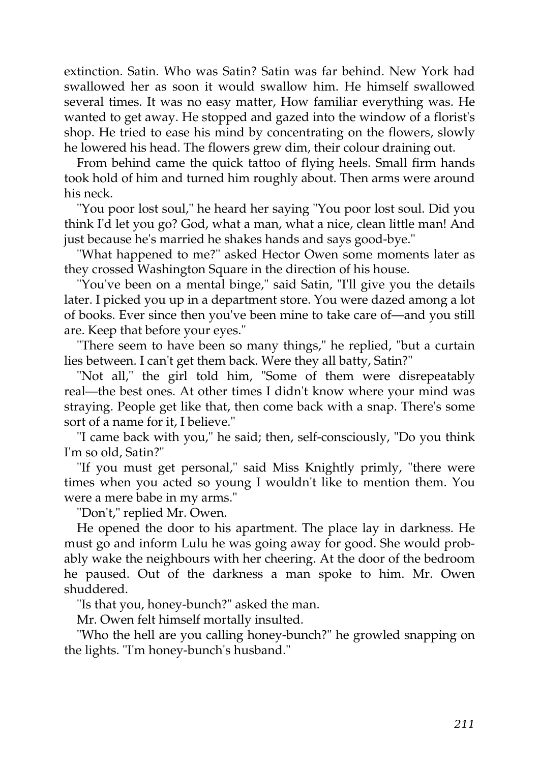extinction. Satin. Who was Satin? Satin was far behind. New York had swallowed her as soon it would swallow him. He himself swallowed several times. It was no easy matter, How familiar everything was. He wanted to get away. He stopped and gazed into the window of a florist's shop. He tried to ease his mind by concentrating on the flowers, slowly he lowered his head. The flowers grew dim, their colour draining out.

From behind came the quick tattoo of flying heels. Small firm hands took hold of him and turned him roughly about. Then arms were around his neck.

"You poor lost soul," he heard her saying "You poor lost soul. Did you think I'd let you go? God, what a man, what a nice, clean little man! And just because he's married he shakes hands and says good-bye."

"What happened to me?" asked Hector Owen some moments later as they crossed Washington Square in the direction of his house.

"You've been on a mental binge," said Satin, "I'll give you the details later. I picked you up in a department store. You were dazed among a lot of books. Ever since then you've been mine to take care of—and you still are. Keep that before your eyes."

"There seem to have been so many things," he replied, "but a curtain lies between. I can't get them back. Were they all batty, Satin?"

"Not all," the girl told him, "Some of them were disrepeatably real—the best ones. At other times I didn't know where your mind was straying. People get like that, then come back with a snap. There's some sort of a name for it, I believe."

"I came back with you," he said; then, self-consciously, "Do you think I'm so old, Satin?"

"If you must get personal," said Miss Knightly primly, "there were times when you acted so young I wouldn't like to mention them. You were a mere babe in my arms."

"Don't," replied Mr. Owen.

He opened the door to his apartment. The place lay in darkness. He must go and inform Lulu he was going away for good. She would probably wake the neighbours with her cheering. At the door of the bedroom he paused. Out of the darkness a man spoke to him. Mr. Owen shuddered.

"Is that you, honey-bunch?" asked the man.

Mr. Owen felt himself mortally insulted.

"Who the hell are you calling honey-bunch?" he growled snapping on the lights. "I'm honey-bunch's husband."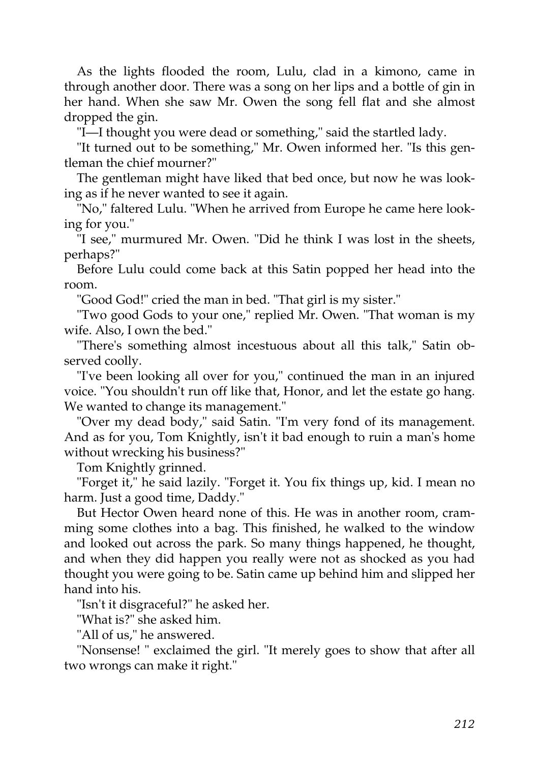As the lights flooded the room, Lulu, clad in a kimono, came in through another door. There was a song on her lips and a bottle of gin in her hand. When she saw Mr. Owen the song fell flat and she almost dropped the gin.

"I—I thought you were dead or something," said the startled lady.

"It turned out to be something," Mr. Owen informed her. "Is this gentleman the chief mourner?"

The gentleman might have liked that bed once, but now he was looking as if he never wanted to see it again.

"No," faltered Lulu. "When he arrived from Europe he came here looking for you."

"I see," murmured Mr. Owen. "Did he think I was lost in the sheets, perhaps?"

Before Lulu could come back at this Satin popped her head into the room.

"Good God!" cried the man in bed. "That girl is my sister."

"Two good Gods to your one," replied Mr. Owen. "That woman is my wife. Also, I own the bed."

"There's something almost incestuous about all this talk," Satin observed coolly.

"I've been looking all over for you," continued the man in an injured voice. "You shouldn't run off like that, Honor, and let the estate go hang. We wanted to change its management."

"Over my dead body," said Satin. "I'm very fond of its management. And as for you, Tom Knightly, isn't it bad enough to ruin a man's home without wrecking his business?"

Tom Knightly grinned.

"Forget it," he said lazily. "Forget it. You fix things up, kid. I mean no harm. Just a good time, Daddy."

But Hector Owen heard none of this. He was in another room, cramming some clothes into a bag. This finished, he walked to the window and looked out across the park. So many things happened, he thought, and when they did happen you really were not as shocked as you had thought you were going to be. Satin came up behind him and slipped her hand into his.

"Isn't it disgraceful?" he asked her.

"What is?" she asked him.

"All of us," he answered.

"Nonsense! " exclaimed the girl. "It merely goes to show that after all two wrongs can make it right."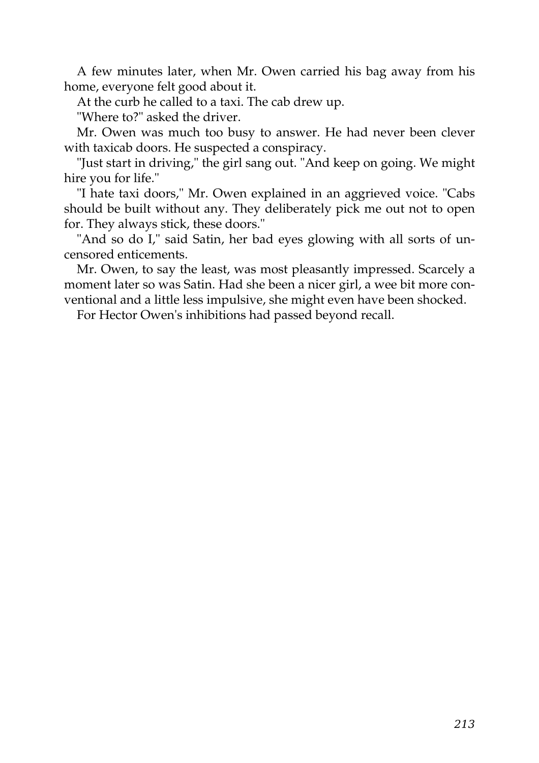A few minutes later, when Mr. Owen carried his bag away from his home, everyone felt good about it.

At the curb he called to a taxi. The cab drew up.

"Where to?" asked the driver.

Mr. Owen was much too busy to answer. He had never been clever with taxicab doors. He suspected a conspiracy.

"Just start in driving," the girl sang out. "And keep on going. We might hire you for life."

"I hate taxi doors," Mr. Owen explained in an aggrieved voice. "Cabs should be built without any. They deliberately pick me out not to open for. They always stick, these doors."

"And so do I," said Satin, her bad eyes glowing with all sorts of uncensored enticements.

Mr. Owen, to say the least, was most pleasantly impressed. Scarcely a moment later so was Satin. Had she been a nicer girl, a wee bit more conventional and a little less impulsive, she might even have been shocked.

For Hector Owen's inhibitions had passed beyond recall.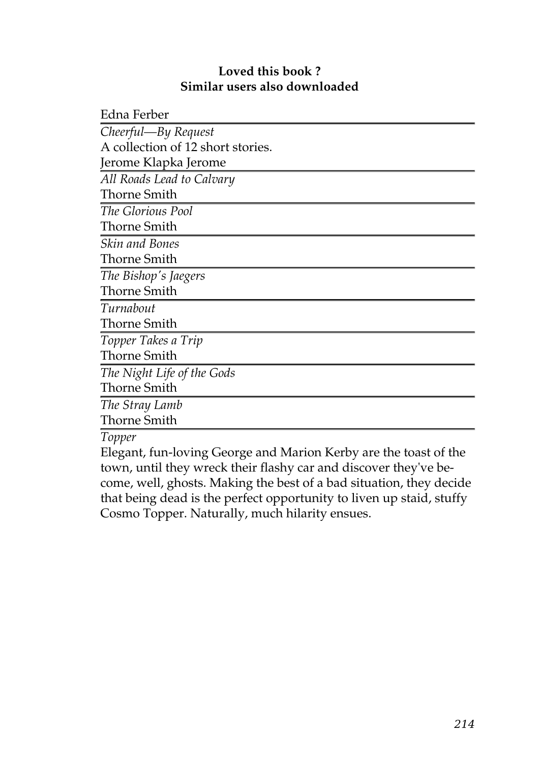#### **Loved this book ? Similar users also downloaded**

*[Topper](http://generation.feedbooks.com/book/1497.pdf)*

Elegant, fun-loving George and Marion Kerby are the toast of the town, until they wreck their flashy car and discover they've become, well, ghosts. Making the best of a bad situation, they decide that being dead is the perfect opportunity to liven up staid, stuffy Cosmo Topper. Naturally, much hilarity ensues.